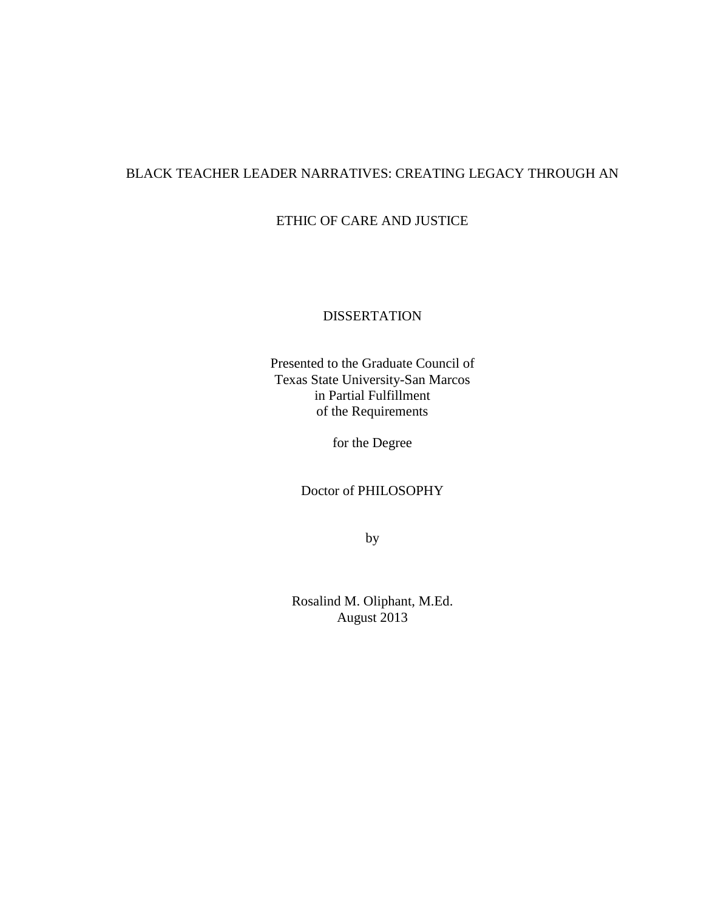# BLACK TEACHER LEADER NARRATIVES: CREATING LEGACY THROUGH AN

# ETHIC OF CARE AND JUSTICE

## DISSERTATION

Presented to the Graduate Council of Texas State University-San Marcos in Partial Fulfillment of the Requirements

for the Degree

Doctor of PHILOSOPHY

by

Rosalind M. Oliphant, M.Ed. August 2013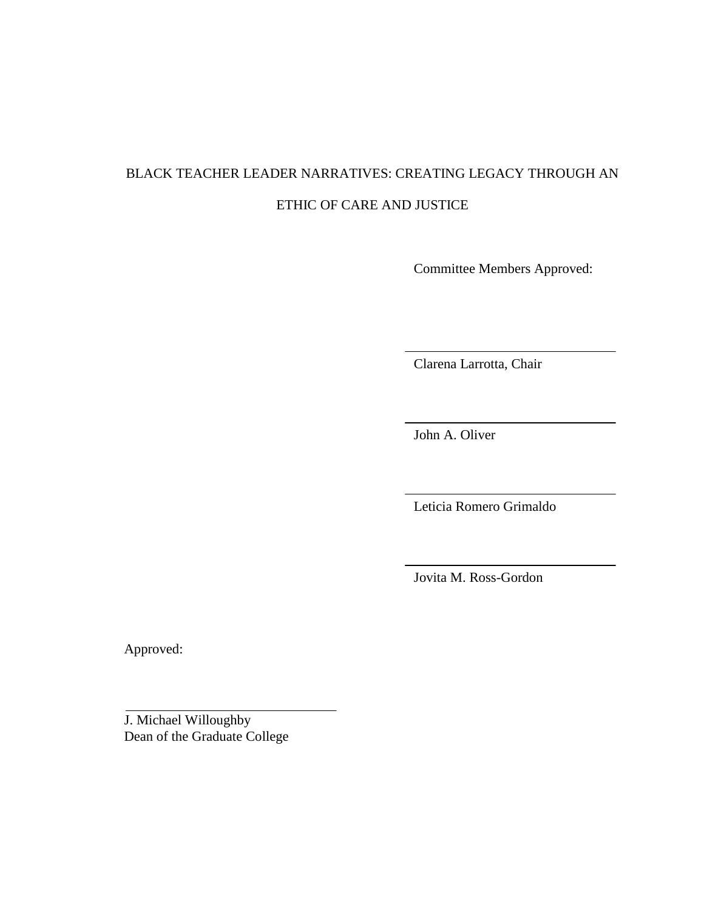# BLACK TEACHER LEADER NARRATIVES: CREATING LEGACY THROUGH AN ETHIC OF CARE AND JUSTICE

Committee Members Approved:

Clarena Larrotta, Chair

John A. Oliver

Leticia Romero Grimaldo

Jovita M. Ross-Gordon

Approved:

J. Michael Willoughby Dean of the Graduate College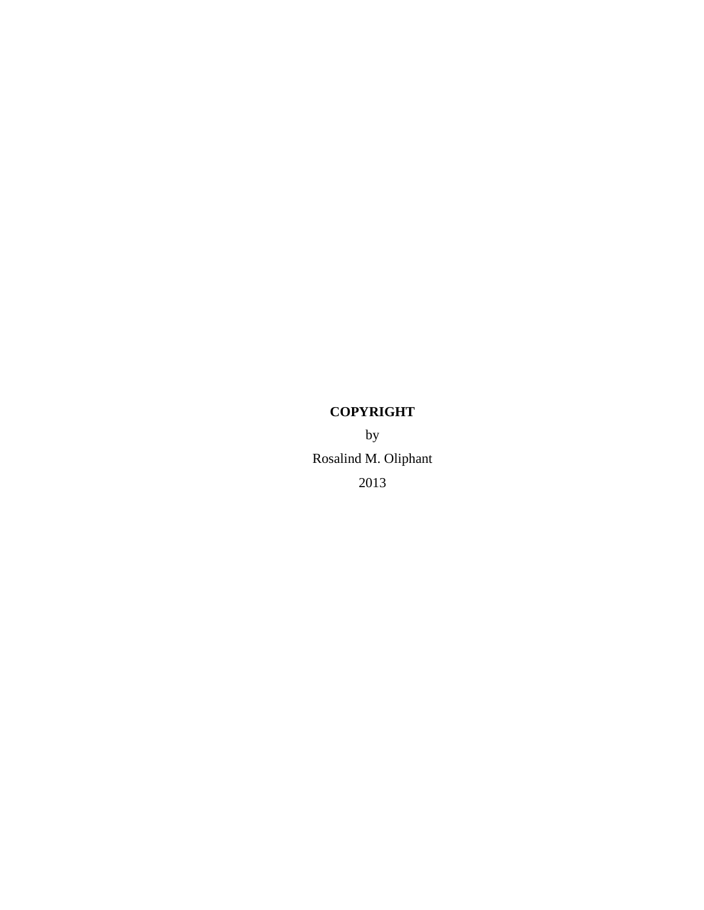# **COPYRIGHT**

by Rosalind M. Oliphant 2013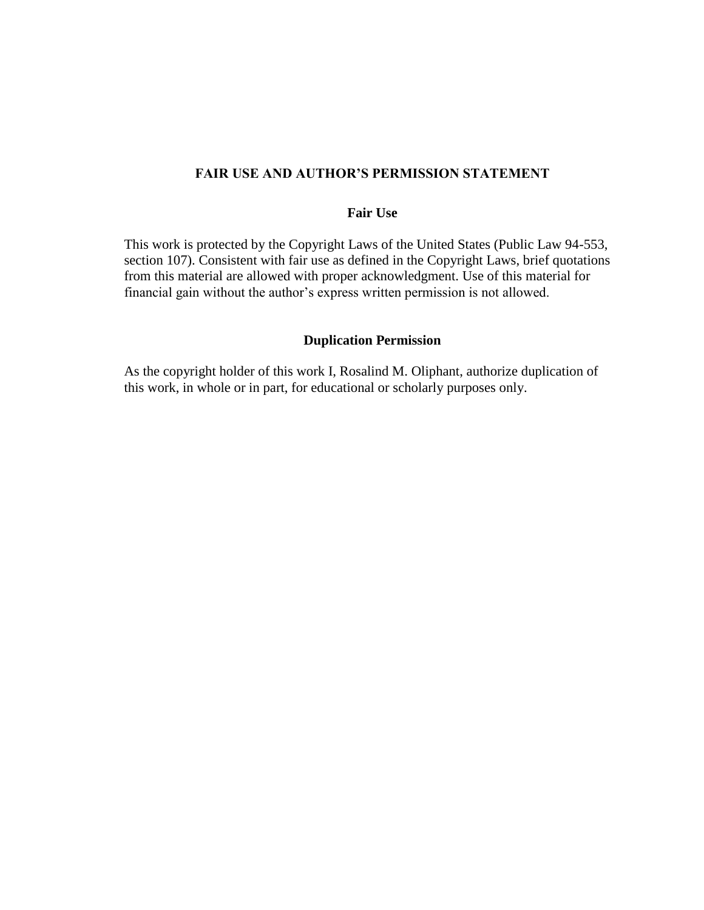## **FAIR USE AND AUTHOR'S PERMISSION STATEMENT**

## **Fair Use**

This work is protected by the Copyright Laws of the United States (Public Law 94-553, section 107). Consistent with fair use as defined in the Copyright Laws, brief quotations from this material are allowed with proper acknowledgment. Use of this material for financial gain without the author's express written permission is not allowed.

### **Duplication Permission**

As the copyright holder of this work I, Rosalind M. Oliphant, authorize duplication of this work, in whole or in part, for educational or scholarly purposes only.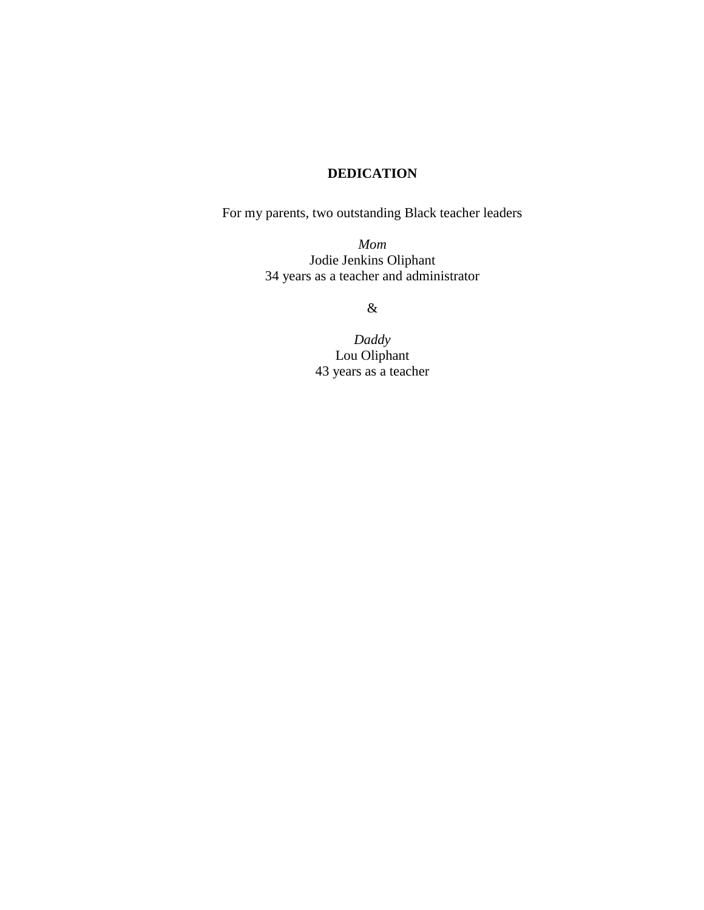# **DEDICATION**

For my parents, two outstanding Black teacher leaders

*Mom* Jodie Jenkins Oliphant 34 years as a teacher and administrator

&

*Daddy* Lou Oliphant 43 years as a teacher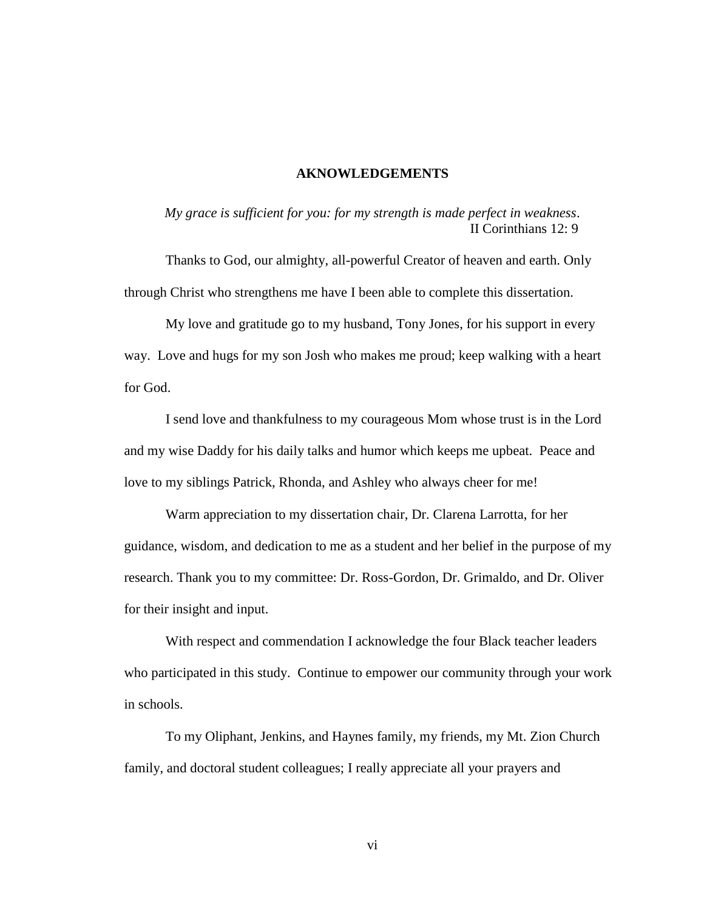#### **AKNOWLEDGEMENTS**

*My grace is sufficient for you: for my strength is made perfect in weakness*. II Corinthians 12: 9

Thanks to God, our almighty, all-powerful Creator of heaven and earth. Only through Christ who strengthens me have I been able to complete this dissertation.

My love and gratitude go to my husband, Tony Jones, for his support in every way. Love and hugs for my son Josh who makes me proud; keep walking with a heart for God.

I send love and thankfulness to my courageous Mom whose trust is in the Lord and my wise Daddy for his daily talks and humor which keeps me upbeat. Peace and love to my siblings Patrick, Rhonda, and Ashley who always cheer for me!

Warm appreciation to my dissertation chair, Dr. Clarena Larrotta, for her guidance, wisdom, and dedication to me as a student and her belief in the purpose of my research. Thank you to my committee: Dr. Ross-Gordon, Dr. Grimaldo, and Dr. Oliver for their insight and input.

With respect and commendation I acknowledge the four Black teacher leaders who participated in this study. Continue to empower our community through your work in schools.

To my Oliphant, Jenkins, and Haynes family, my friends, my Mt. Zion Church family, and doctoral student colleagues; I really appreciate all your prayers and

vi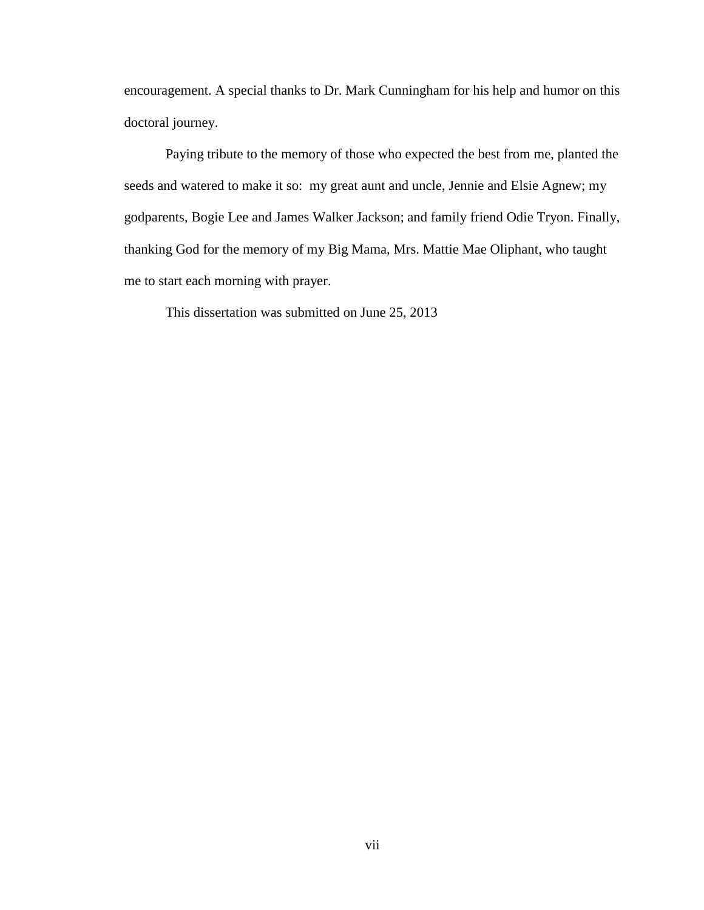encouragement. A special thanks to Dr. Mark Cunningham for his help and humor on this doctoral journey.

Paying tribute to the memory of those who expected the best from me, planted the seeds and watered to make it so: my great aunt and uncle, Jennie and Elsie Agnew; my godparents, Bogie Lee and James Walker Jackson; and family friend Odie Tryon. Finally, thanking God for the memory of my Big Mama, Mrs. Mattie Mae Oliphant, who taught me to start each morning with prayer.

This dissertation was submitted on June 25, 2013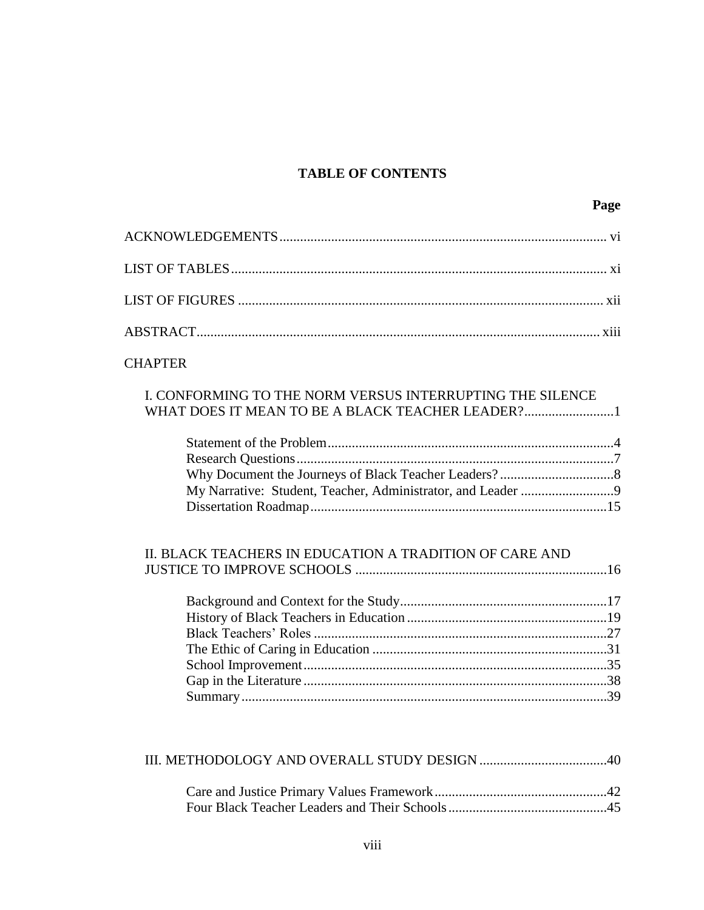# **TABLE OF CONTENTS**

# **CHAPTER**

# I. CONFORMING TO THE NORM VERSUS INTERRUPTING THE SILENCE WHAT DOES IT MEAN TO BE A BLACK TEACHER LEADER?.........................1

## II. BLACK TEACHERS IN EDUCATION A TRADITION OF CARE AND JUSTICE TO IMPROVE SCHOOLS .........................................................................16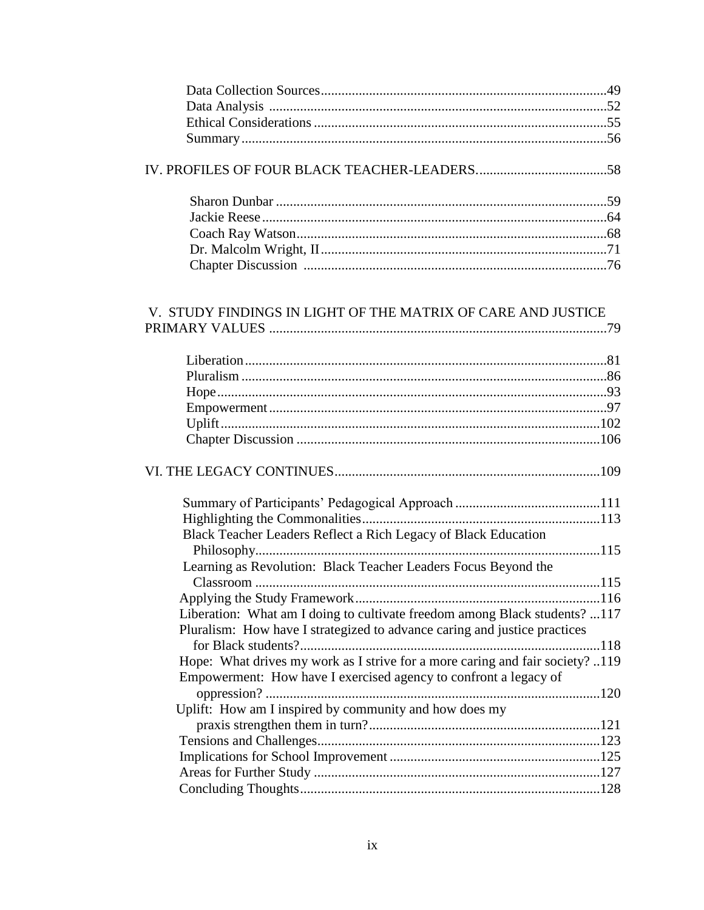| V. STUDY FINDINGS IN LIGHT OF THE MATRIX OF CARE AND JUSTICE                  |  |
|-------------------------------------------------------------------------------|--|
|                                                                               |  |
|                                                                               |  |
|                                                                               |  |
|                                                                               |  |
|                                                                               |  |
|                                                                               |  |
|                                                                               |  |
|                                                                               |  |
| Black Teacher Leaders Reflect a Rich Legacy of Black Education                |  |
| Learning as Revolution: Black Teacher Leaders Focus Beyond the                |  |
|                                                                               |  |
|                                                                               |  |
| Liberation: What am I doing to cultivate freedom among Black students? 117    |  |
| Pluralism: How have I strategized to advance caring and justice practices     |  |
|                                                                               |  |
| Hope: What drives my work as I strive for a more caring and fair society? 119 |  |
| Empowerment: How have I exercised agency to confront a legacy of              |  |
|                                                                               |  |
| Uplift: How am I inspired by community and how does my                        |  |
|                                                                               |  |
|                                                                               |  |
|                                                                               |  |
|                                                                               |  |
|                                                                               |  |
|                                                                               |  |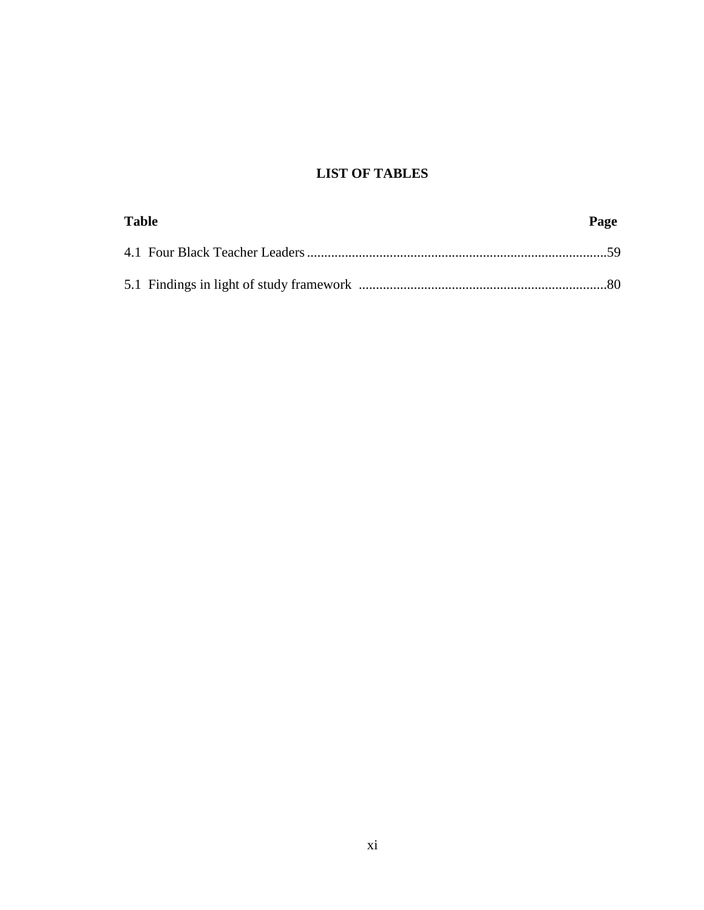# **LIST OF TABLES**

| <b>Table</b> | Page |
|--------------|------|
|              |      |
|              |      |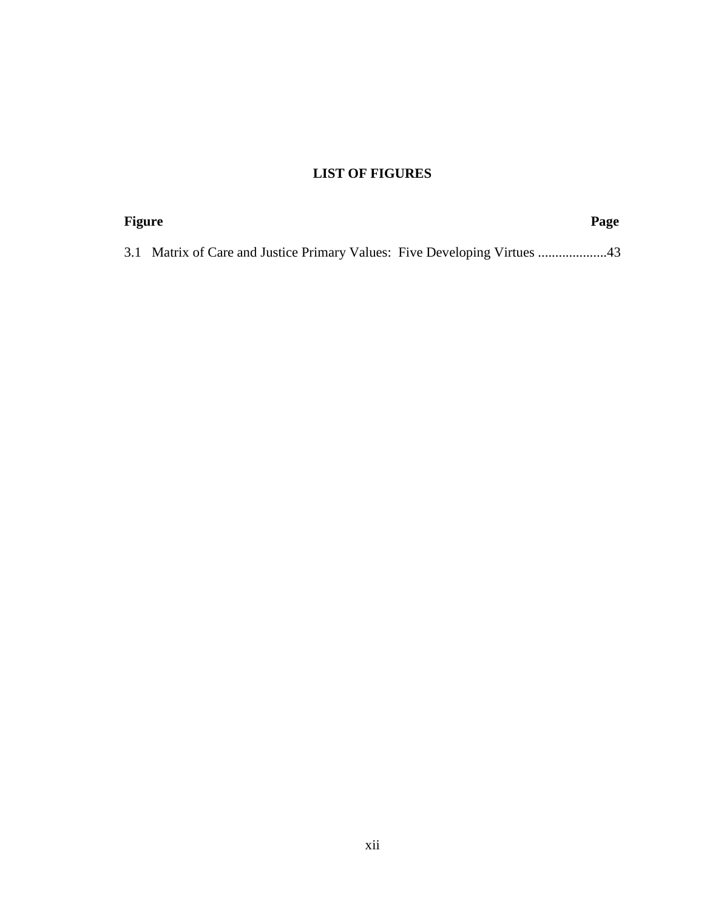# **LIST OF FIGURES**

| <b>Figure</b> | Page |  |
|---------------|------|--|
|               |      |  |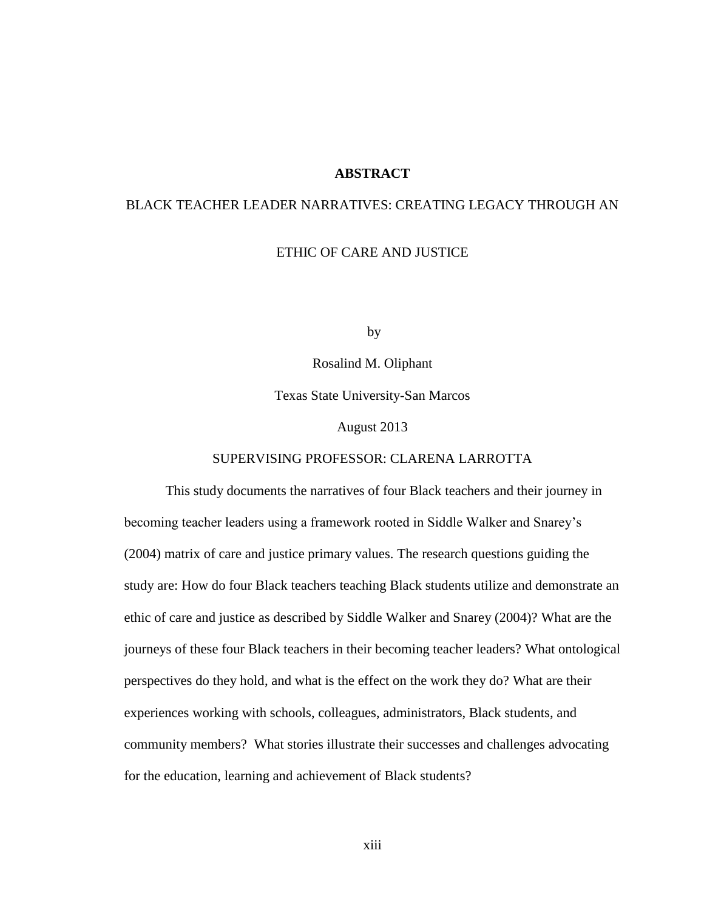## **ABSTRACT**

# BLACK TEACHER LEADER NARRATIVES: CREATING LEGACY THROUGH AN

## ETHIC OF CARE AND JUSTICE

by

Rosalind M. Oliphant

Texas State University-San Marcos

August 2013

### SUPERVISING PROFESSOR: CLARENA LARROTTA

This study documents the narratives of four Black teachers and their journey in becoming teacher leaders using a framework rooted in Siddle Walker and Snarey's (2004) matrix of care and justice primary values. The research questions guiding the study are: How do four Black teachers teaching Black students utilize and demonstrate an ethic of care and justice as described by Siddle Walker and Snarey (2004)? What are the journeys of these four Black teachers in their becoming teacher leaders? What ontological perspectives do they hold, and what is the effect on the work they do? What are their experiences working with schools, colleagues, administrators, Black students, and community members? What stories illustrate their successes and challenges advocating for the education, learning and achievement of Black students?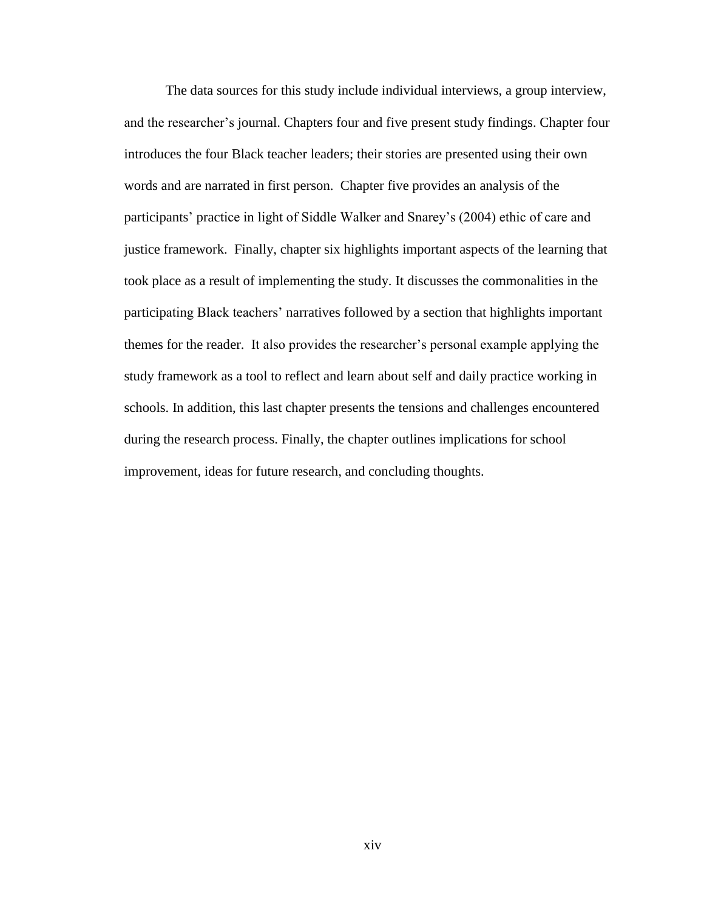The data sources for this study include individual interviews, a group interview, and the researcher's journal. Chapters four and five present study findings. Chapter four introduces the four Black teacher leaders; their stories are presented using their own words and are narrated in first person. Chapter five provides an analysis of the participants' practice in light of Siddle Walker and Snarey's (2004) ethic of care and justice framework. Finally, chapter six highlights important aspects of the learning that took place as a result of implementing the study. It discusses the commonalities in the participating Black teachers' narratives followed by a section that highlights important themes for the reader. It also provides the researcher's personal example applying the study framework as a tool to reflect and learn about self and daily practice working in schools. In addition, this last chapter presents the tensions and challenges encountered during the research process. Finally, the chapter outlines implications for school improvement, ideas for future research, and concluding thoughts.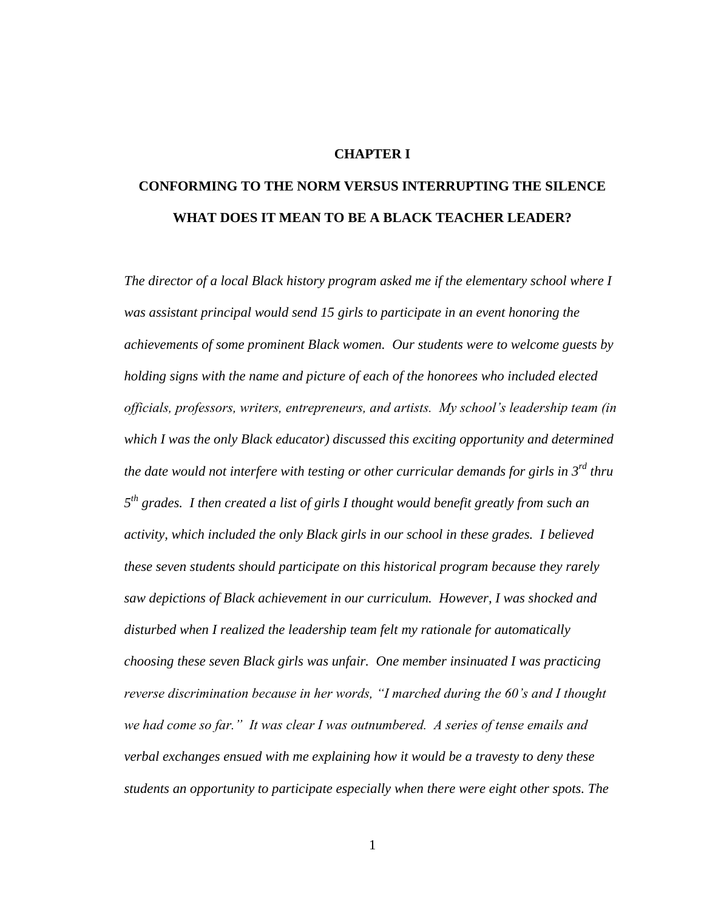## **CHAPTER I**

# **CONFORMING TO THE NORM VERSUS INTERRUPTING THE SILENCE WHAT DOES IT MEAN TO BE A BLACK TEACHER LEADER?**

*The director of a local Black history program asked me if the elementary school where I was assistant principal would send 15 girls to participate in an event honoring the achievements of some prominent Black women. Our students were to welcome guests by holding signs with the name and picture of each of the honorees who included elected officials, professors, writers, entrepreneurs, and artists. My school's leadership team (in which I was the only Black educator) discussed this exciting opportunity and determined the date would not interfere with testing or other curricular demands for girls in 3rd thru 5 th grades. I then created a list of girls I thought would benefit greatly from such an activity, which included the only Black girls in our school in these grades. I believed these seven students should participate on this historical program because they rarely saw depictions of Black achievement in our curriculum. However, I was shocked and disturbed when I realized the leadership team felt my rationale for automatically choosing these seven Black girls was unfair. One member insinuated I was practicing reverse discrimination because in her words, "I marched during the 60's and I thought we had come so far." It was clear I was outnumbered. A series of tense emails and verbal exchanges ensued with me explaining how it would be a travesty to deny these students an opportunity to participate especially when there were eight other spots. The*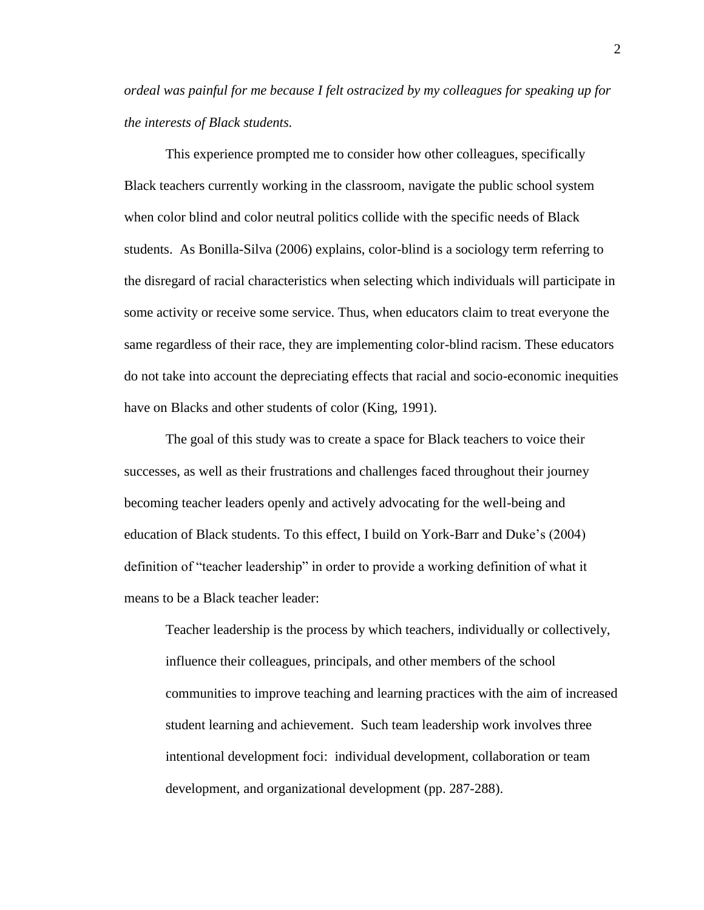*ordeal was painful for me because I felt ostracized by my colleagues for speaking up for the interests of Black students.*

This experience prompted me to consider how other colleagues, specifically Black teachers currently working in the classroom, navigate the public school system when color blind and color neutral politics collide with the specific needs of Black students. As Bonilla-Silva (2006) explains, color-blind is a sociology term referring to the disregard of racial characteristics when selecting which individuals will participate in some activity or receive some service. Thus, when educators claim to treat everyone the same regardless of their race, they are implementing color-blind racism. These educators do not take into account the depreciating effects that racial and socio-economic inequities have on Blacks and other students of color (King, 1991).

The goal of this study was to create a space for Black teachers to voice their successes, as well as their frustrations and challenges faced throughout their journey becoming teacher leaders openly and actively advocating for the well-being and education of Black students. To this effect, I build on York-Barr and Duke's (2004) definition of "teacher leadership" in order to provide a working definition of what it means to be a Black teacher leader:

Teacher leadership is the process by which teachers, individually or collectively, influence their colleagues, principals, and other members of the school communities to improve teaching and learning practices with the aim of increased student learning and achievement. Such team leadership work involves three intentional development foci: individual development, collaboration or team development, and organizational development (pp. 287-288).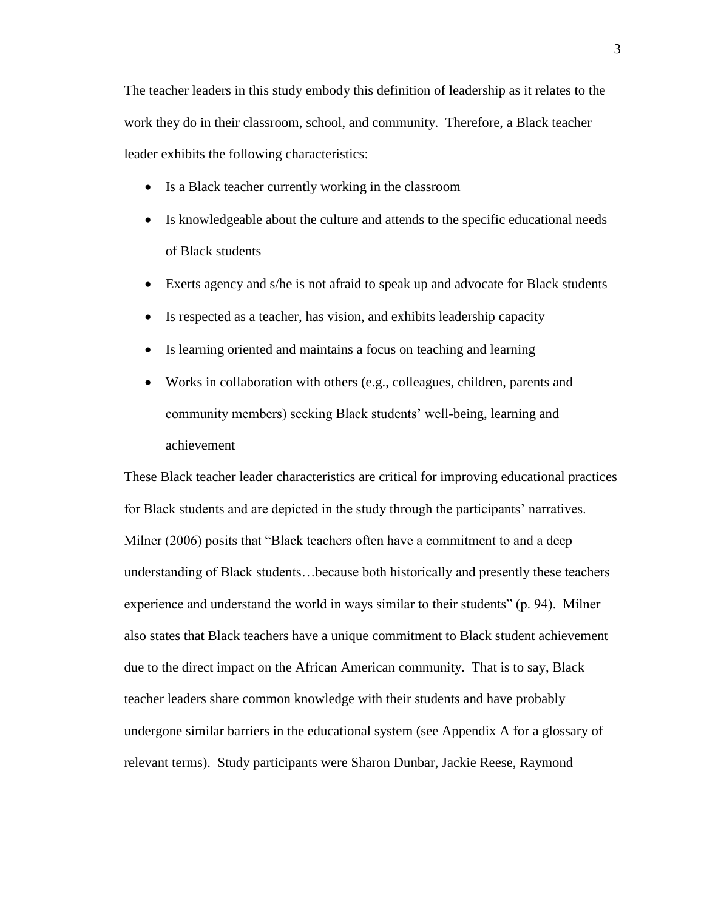The teacher leaders in this study embody this definition of leadership as it relates to the work they do in their classroom, school, and community. Therefore, a Black teacher leader exhibits the following characteristics:

- Is a Black teacher currently working in the classroom
- Is knowledgeable about the culture and attends to the specific educational needs of Black students
- Exerts agency and s/he is not afraid to speak up and advocate for Black students
- Is respected as a teacher, has vision, and exhibits leadership capacity
- Is learning oriented and maintains a focus on teaching and learning
- Works in collaboration with others (e.g., colleagues, children, parents and community members) seeking Black students' well-being, learning and achievement

These Black teacher leader characteristics are critical for improving educational practices for Black students and are depicted in the study through the participants' narratives. Milner (2006) posits that "Black teachers often have a commitment to and a deep understanding of Black students…because both historically and presently these teachers experience and understand the world in ways similar to their students" (p. 94). Milner also states that Black teachers have a unique commitment to Black student achievement due to the direct impact on the African American community. That is to say, Black teacher leaders share common knowledge with their students and have probably undergone similar barriers in the educational system (see Appendix A for a glossary of relevant terms). Study participants were Sharon Dunbar, Jackie Reese, Raymond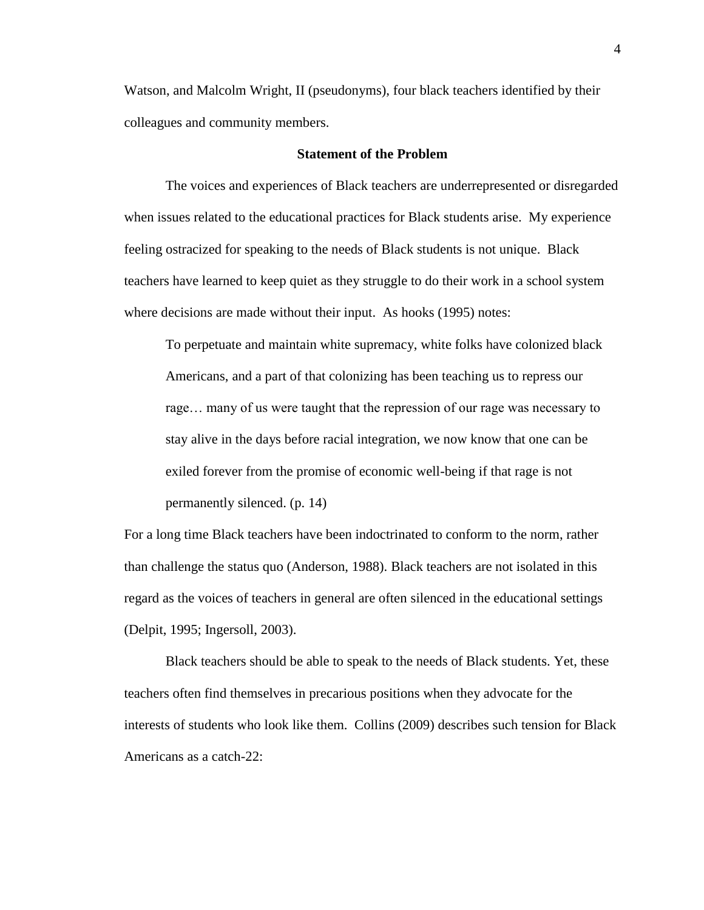Watson, and Malcolm Wright, II (pseudonyms), four black teachers identified by their colleagues and community members.

### **Statement of the Problem**

The voices and experiences of Black teachers are underrepresented or disregarded when issues related to the educational practices for Black students arise. My experience feeling ostracized for speaking to the needs of Black students is not unique. Black teachers have learned to keep quiet as they struggle to do their work in a school system where decisions are made without their input. As hooks (1995) notes:

To perpetuate and maintain white supremacy, white folks have colonized black Americans, and a part of that colonizing has been teaching us to repress our rage… many of us were taught that the repression of our rage was necessary to stay alive in the days before racial integration, we now know that one can be exiled forever from the promise of economic well-being if that rage is not permanently silenced. (p. 14)

For a long time Black teachers have been indoctrinated to conform to the norm, rather than challenge the status quo (Anderson, 1988). Black teachers are not isolated in this regard as the voices of teachers in general are often silenced in the educational settings (Delpit, 1995; Ingersoll, 2003).

Black teachers should be able to speak to the needs of Black students. Yet, these teachers often find themselves in precarious positions when they advocate for the interests of students who look like them. Collins (2009) describes such tension for Black Americans as a catch-22: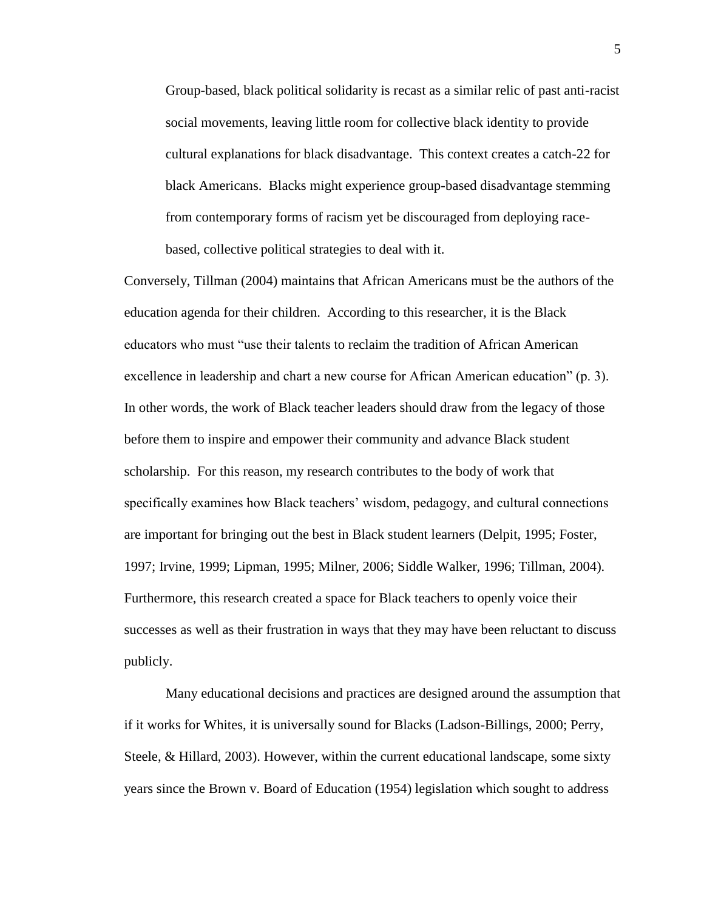Group-based, black political solidarity is recast as a similar relic of past anti-racist social movements, leaving little room for collective black identity to provide cultural explanations for black disadvantage. This context creates a catch-22 for black Americans. Blacks might experience group-based disadvantage stemming from contemporary forms of racism yet be discouraged from deploying racebased, collective political strategies to deal with it.

Conversely, Tillman (2004) maintains that African Americans must be the authors of the education agenda for their children. According to this researcher, it is the Black educators who must "use their talents to reclaim the tradition of African American excellence in leadership and chart a new course for African American education" (p. 3). In other words, the work of Black teacher leaders should draw from the legacy of those before them to inspire and empower their community and advance Black student scholarship. For this reason, my research contributes to the body of work that specifically examines how Black teachers' wisdom, pedagogy, and cultural connections are important for bringing out the best in Black student learners (Delpit, 1995; Foster, 1997; Irvine, 1999; Lipman, 1995; Milner, 2006; Siddle Walker, 1996; Tillman, 2004). Furthermore, this research created a space for Black teachers to openly voice their successes as well as their frustration in ways that they may have been reluctant to discuss publicly.

Many educational decisions and practices are designed around the assumption that if it works for Whites, it is universally sound for Blacks (Ladson-Billings, 2000; Perry, Steele, & Hillard, 2003). However, within the current educational landscape, some sixty years since the Brown v. Board of Education (1954) legislation which sought to address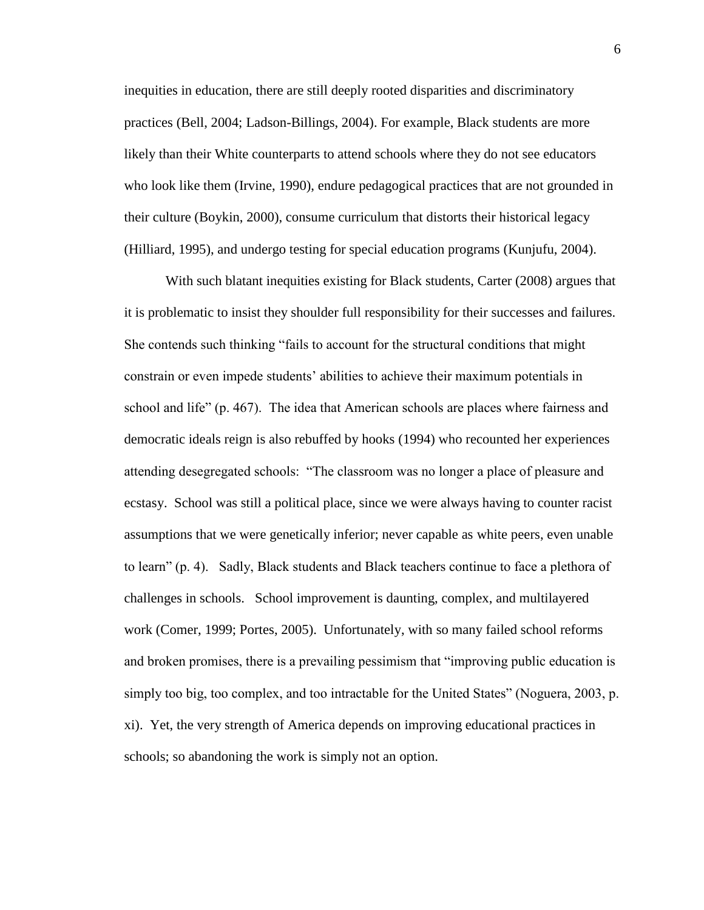inequities in education, there are still deeply rooted disparities and discriminatory practices (Bell, 2004; Ladson-Billings, 2004). For example, Black students are more likely than their White counterparts to attend schools where they do not see educators who look like them (Irvine, 1990), endure pedagogical practices that are not grounded in their culture (Boykin, 2000), consume curriculum that distorts their historical legacy (Hilliard, 1995), and undergo testing for special education programs (Kunjufu, 2004).

With such blatant inequities existing for Black students, Carter (2008) argues that it is problematic to insist they shoulder full responsibility for their successes and failures. She contends such thinking "fails to account for the structural conditions that might constrain or even impede students' abilities to achieve their maximum potentials in school and life" (p. 467). The idea that American schools are places where fairness and democratic ideals reign is also rebuffed by hooks (1994) who recounted her experiences attending desegregated schools: "The classroom was no longer a place of pleasure and ecstasy. School was still a political place, since we were always having to counter racist assumptions that we were genetically inferior; never capable as white peers, even unable to learn" (p. 4). Sadly, Black students and Black teachers continue to face a plethora of challenges in schools. School improvement is daunting, complex, and multilayered work (Comer, 1999; Portes, 2005). Unfortunately, with so many failed school reforms and broken promises, there is a prevailing pessimism that "improving public education is simply too big, too complex, and too intractable for the United States" (Noguera, 2003, p. xi). Yet, the very strength of America depends on improving educational practices in schools; so abandoning the work is simply not an option.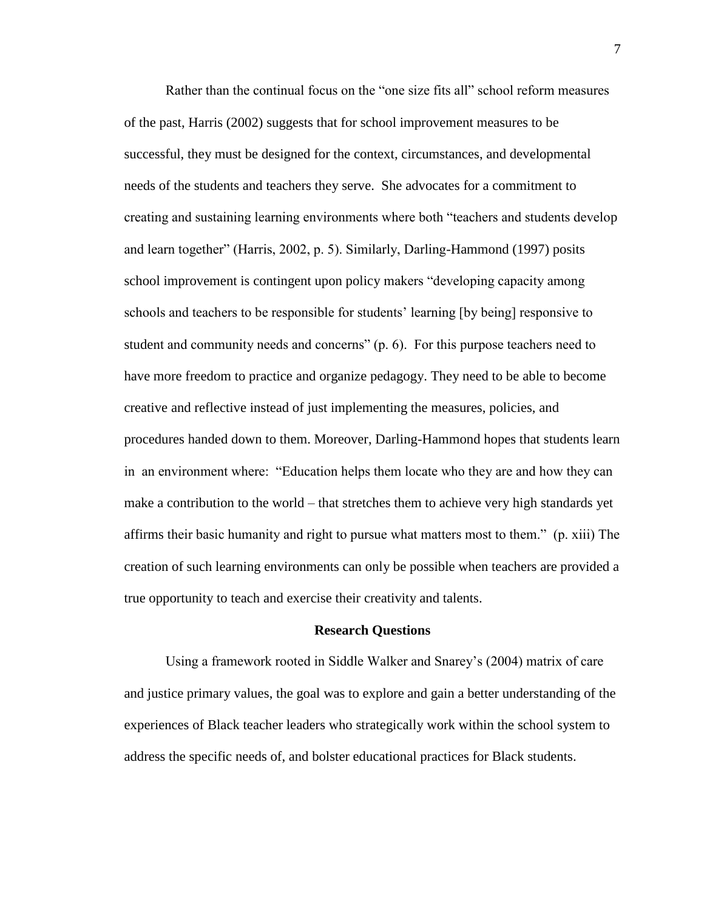Rather than the continual focus on the "one size fits all" school reform measures of the past, Harris (2002) suggests that for school improvement measures to be successful, they must be designed for the context, circumstances, and developmental needs of the students and teachers they serve. She advocates for a commitment to creating and sustaining learning environments where both "teachers and students develop and learn together" (Harris, 2002, p. 5). Similarly, Darling-Hammond (1997) posits school improvement is contingent upon policy makers "developing capacity among schools and teachers to be responsible for students' learning [by being] responsive to student and community needs and concerns" (p. 6). For this purpose teachers need to have more freedom to practice and organize pedagogy. They need to be able to become creative and reflective instead of just implementing the measures, policies, and procedures handed down to them. Moreover, Darling-Hammond hopes that students learn in an environment where: "Education helps them locate who they are and how they can make a contribution to the world – that stretches them to achieve very high standards yet affirms their basic humanity and right to pursue what matters most to them." (p. xiii) The creation of such learning environments can only be possible when teachers are provided a true opportunity to teach and exercise their creativity and talents.

#### **Research Questions**

Using a framework rooted in Siddle Walker and Snarey's (2004) matrix of care and justice primary values, the goal was to explore and gain a better understanding of the experiences of Black teacher leaders who strategically work within the school system to address the specific needs of, and bolster educational practices for Black students.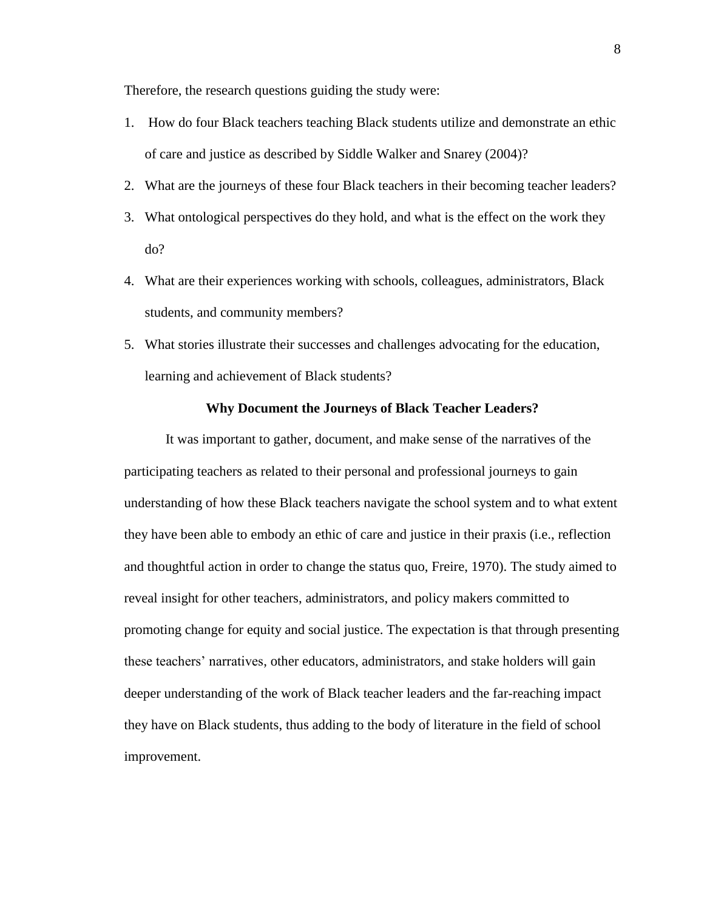Therefore, the research questions guiding the study were:

- 1. How do four Black teachers teaching Black students utilize and demonstrate an ethic of care and justice as described by Siddle Walker and Snarey (2004)?
- 2. What are the journeys of these four Black teachers in their becoming teacher leaders?
- 3. What ontological perspectives do they hold, and what is the effect on the work they do?
- 4. What are their experiences working with schools, colleagues, administrators, Black students, and community members?
- 5. What stories illustrate their successes and challenges advocating for the education, learning and achievement of Black students?

#### **Why Document the Journeys of Black Teacher Leaders?**

It was important to gather, document, and make sense of the narratives of the participating teachers as related to their personal and professional journeys to gain understanding of how these Black teachers navigate the school system and to what extent they have been able to embody an ethic of care and justice in their praxis (i.e., reflection and thoughtful action in order to change the status quo, Freire, 1970). The study aimed to reveal insight for other teachers, administrators, and policy makers committed to promoting change for equity and social justice. The expectation is that through presenting these teachers' narratives, other educators, administrators, and stake holders will gain deeper understanding of the work of Black teacher leaders and the far-reaching impact they have on Black students, thus adding to the body of literature in the field of school improvement.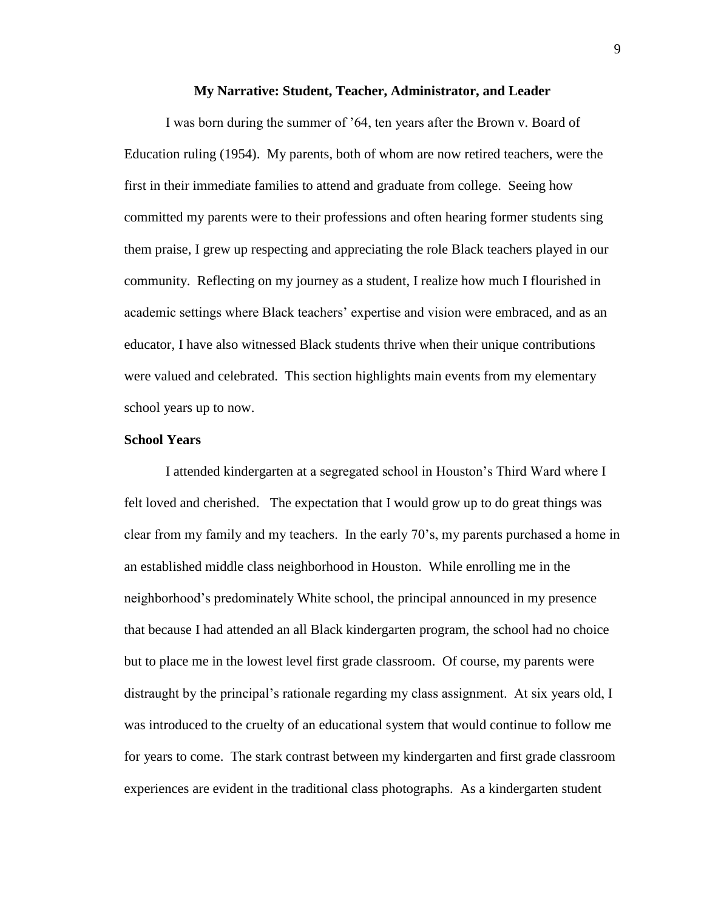#### **My Narrative: Student, Teacher, Administrator, and Leader**

I was born during the summer of '64, ten years after the Brown v. Board of Education ruling (1954). My parents, both of whom are now retired teachers, were the first in their immediate families to attend and graduate from college. Seeing how committed my parents were to their professions and often hearing former students sing them praise, I grew up respecting and appreciating the role Black teachers played in our community. Reflecting on my journey as a student, I realize how much I flourished in academic settings where Black teachers' expertise and vision were embraced, and as an educator, I have also witnessed Black students thrive when their unique contributions were valued and celebrated. This section highlights main events from my elementary school years up to now.

## **School Years**

I attended kindergarten at a segregated school in Houston's Third Ward where I felt loved and cherished. The expectation that I would grow up to do great things was clear from my family and my teachers. In the early 70's, my parents purchased a home in an established middle class neighborhood in Houston. While enrolling me in the neighborhood's predominately White school, the principal announced in my presence that because I had attended an all Black kindergarten program, the school had no choice but to place me in the lowest level first grade classroom. Of course, my parents were distraught by the principal's rationale regarding my class assignment. At six years old, I was introduced to the cruelty of an educational system that would continue to follow me for years to come. The stark contrast between my kindergarten and first grade classroom experiences are evident in the traditional class photographs. As a kindergarten student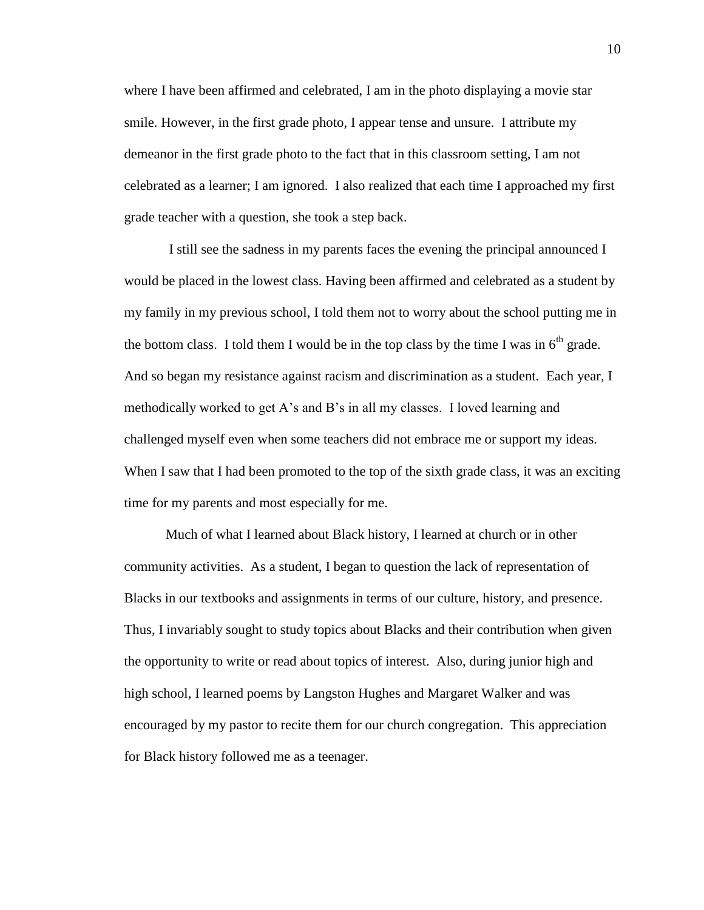where I have been affirmed and celebrated, I am in the photo displaying a movie star smile. However, in the first grade photo, I appear tense and unsure. I attribute my demeanor in the first grade photo to the fact that in this classroom setting, I am not celebrated as a learner; I am ignored. I also realized that each time I approached my first grade teacher with a question, she took a step back.

I still see the sadness in my parents faces the evening the principal announced I would be placed in the lowest class. Having been affirmed and celebrated as a student by my family in my previous school, I told them not to worry about the school putting me in the bottom class. I told them I would be in the top class by the time I was in  $6<sup>th</sup>$  grade. And so began my resistance against racism and discrimination as a student. Each year, I methodically worked to get A's and B's in all my classes. I loved learning and challenged myself even when some teachers did not embrace me or support my ideas. When I saw that I had been promoted to the top of the sixth grade class, it was an exciting time for my parents and most especially for me.

Much of what I learned about Black history, I learned at church or in other community activities. As a student, I began to question the lack of representation of Blacks in our textbooks and assignments in terms of our culture, history, and presence. Thus, I invariably sought to study topics about Blacks and their contribution when given the opportunity to write or read about topics of interest. Also, during junior high and high school, I learned poems by Langston Hughes and Margaret Walker and was encouraged by my pastor to recite them for our church congregation. This appreciation for Black history followed me as a teenager.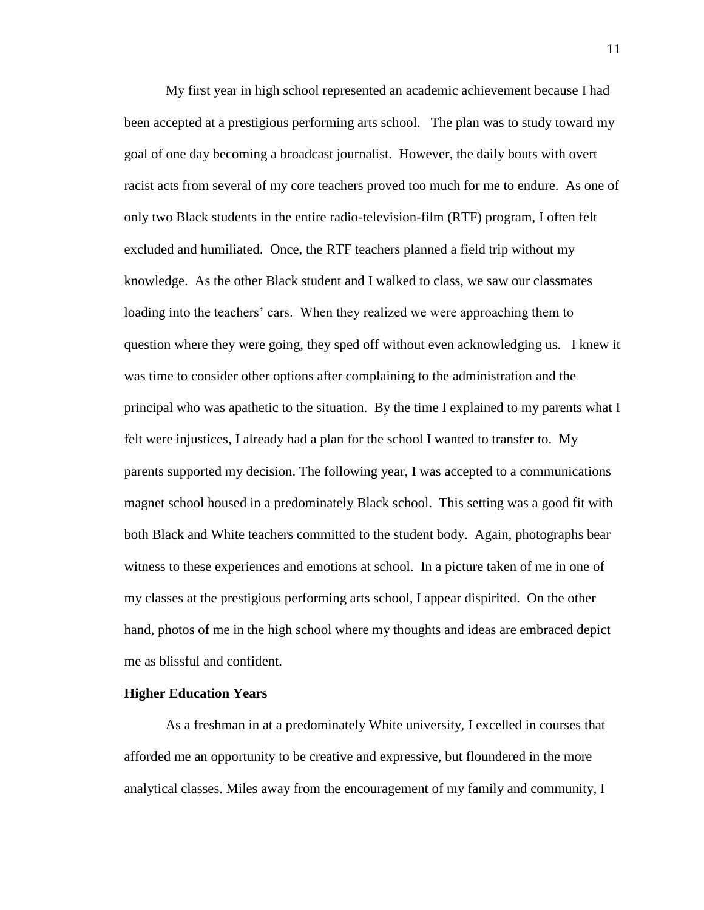My first year in high school represented an academic achievement because I had been accepted at a prestigious performing arts school. The plan was to study toward my goal of one day becoming a broadcast journalist. However, the daily bouts with overt racist acts from several of my core teachers proved too much for me to endure. As one of only two Black students in the entire radio-television-film (RTF) program, I often felt excluded and humiliated. Once, the RTF teachers planned a field trip without my knowledge. As the other Black student and I walked to class, we saw our classmates loading into the teachers' cars. When they realized we were approaching them to question where they were going, they sped off without even acknowledging us. I knew it was time to consider other options after complaining to the administration and the principal who was apathetic to the situation. By the time I explained to my parents what I felt were injustices, I already had a plan for the school I wanted to transfer to. My parents supported my decision. The following year, I was accepted to a communications magnet school housed in a predominately Black school. This setting was a good fit with both Black and White teachers committed to the student body. Again, photographs bear witness to these experiences and emotions at school. In a picture taken of me in one of my classes at the prestigious performing arts school, I appear dispirited. On the other hand, photos of me in the high school where my thoughts and ideas are embraced depict me as blissful and confident.

#### **Higher Education Years**

As a freshman in at a predominately White university, I excelled in courses that afforded me an opportunity to be creative and expressive, but floundered in the more analytical classes. Miles away from the encouragement of my family and community, I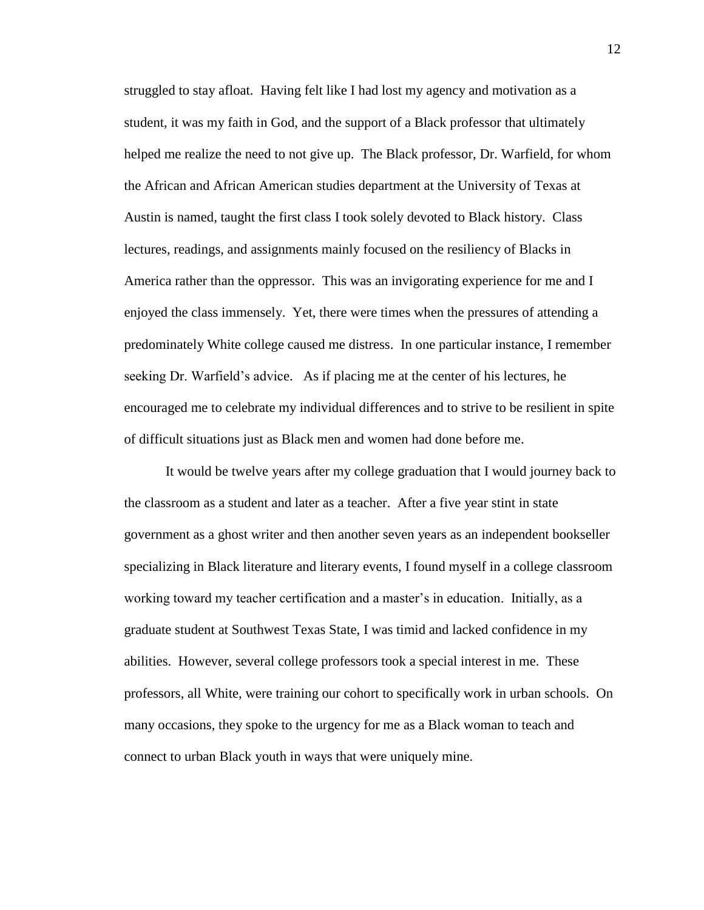struggled to stay afloat. Having felt like I had lost my agency and motivation as a student, it was my faith in God, and the support of a Black professor that ultimately helped me realize the need to not give up. The Black professor, Dr. Warfield, for whom the African and African American studies department at the University of Texas at Austin is named, taught the first class I took solely devoted to Black history. Class lectures, readings, and assignments mainly focused on the resiliency of Blacks in America rather than the oppressor. This was an invigorating experience for me and I enjoyed the class immensely. Yet, there were times when the pressures of attending a predominately White college caused me distress. In one particular instance, I remember seeking Dr. Warfield's advice. As if placing me at the center of his lectures, he encouraged me to celebrate my individual differences and to strive to be resilient in spite of difficult situations just as Black men and women had done before me.

It would be twelve years after my college graduation that I would journey back to the classroom as a student and later as a teacher. After a five year stint in state government as a ghost writer and then another seven years as an independent bookseller specializing in Black literature and literary events, I found myself in a college classroom working toward my teacher certification and a master's in education. Initially, as a graduate student at Southwest Texas State, I was timid and lacked confidence in my abilities. However, several college professors took a special interest in me. These professors, all White, were training our cohort to specifically work in urban schools. On many occasions, they spoke to the urgency for me as a Black woman to teach and connect to urban Black youth in ways that were uniquely mine.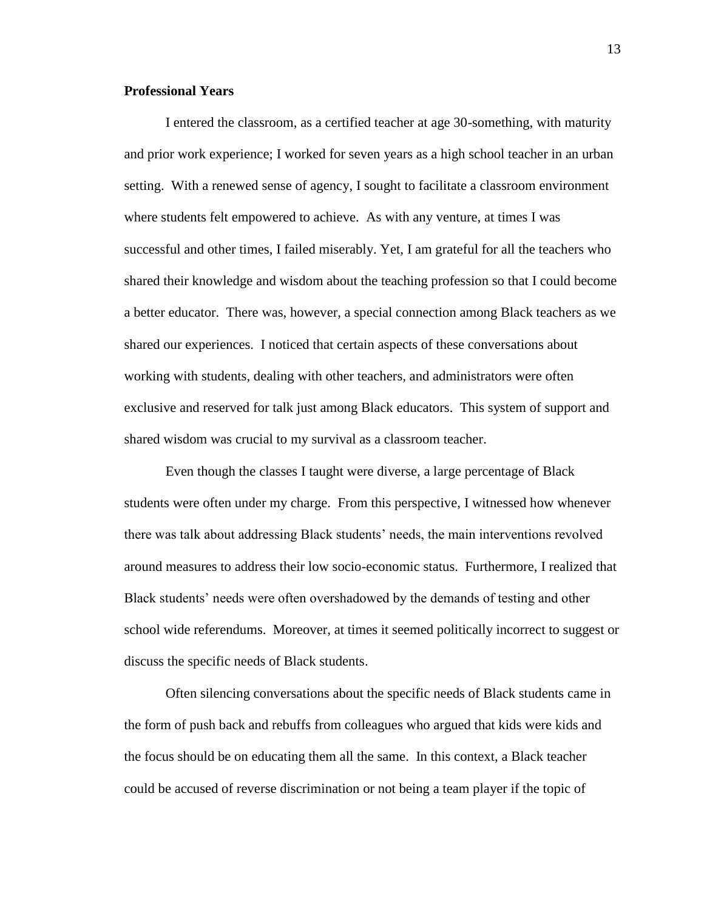#### **Professional Years**

I entered the classroom, as a certified teacher at age 30-something, with maturity and prior work experience; I worked for seven years as a high school teacher in an urban setting. With a renewed sense of agency, I sought to facilitate a classroom environment where students felt empowered to achieve. As with any venture, at times I was successful and other times, I failed miserably. Yet, I am grateful for all the teachers who shared their knowledge and wisdom about the teaching profession so that I could become a better educator. There was, however, a special connection among Black teachers as we shared our experiences. I noticed that certain aspects of these conversations about working with students, dealing with other teachers, and administrators were often exclusive and reserved for talk just among Black educators. This system of support and shared wisdom was crucial to my survival as a classroom teacher.

Even though the classes I taught were diverse, a large percentage of Black students were often under my charge. From this perspective, I witnessed how whenever there was talk about addressing Black students' needs, the main interventions revolved around measures to address their low socio-economic status. Furthermore, I realized that Black students' needs were often overshadowed by the demands of testing and other school wide referendums. Moreover, at times it seemed politically incorrect to suggest or discuss the specific needs of Black students.

Often silencing conversations about the specific needs of Black students came in the form of push back and rebuffs from colleagues who argued that kids were kids and the focus should be on educating them all the same. In this context, a Black teacher could be accused of reverse discrimination or not being a team player if the topic of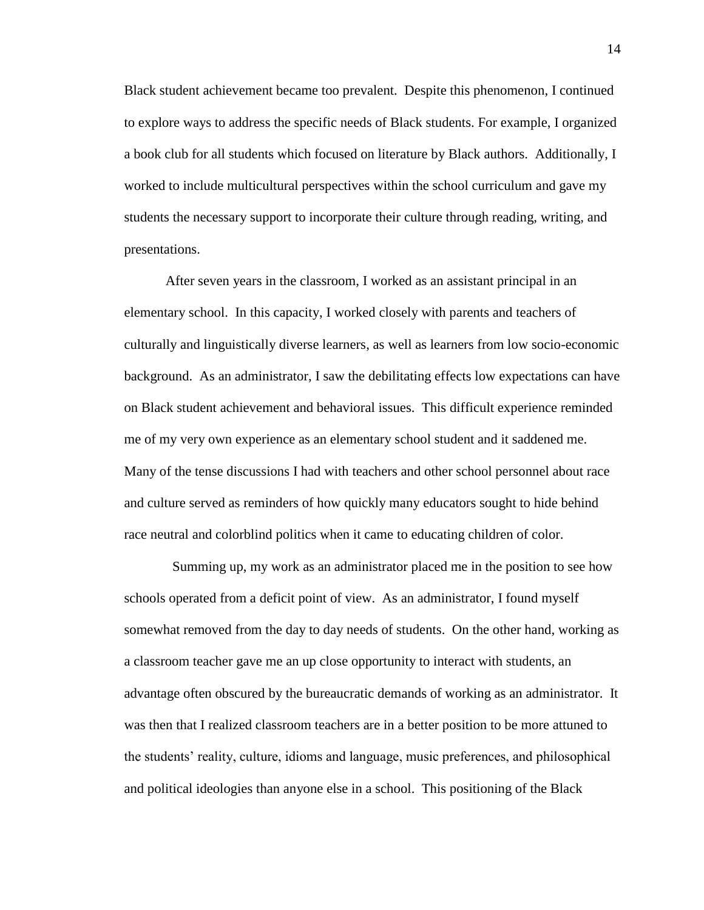Black student achievement became too prevalent. Despite this phenomenon, I continued to explore ways to address the specific needs of Black students. For example, I organized a book club for all students which focused on literature by Black authors. Additionally, I worked to include multicultural perspectives within the school curriculum and gave my students the necessary support to incorporate their culture through reading, writing, and presentations.

After seven years in the classroom, I worked as an assistant principal in an elementary school. In this capacity, I worked closely with parents and teachers of culturally and linguistically diverse learners, as well as learners from low socio-economic background. As an administrator, I saw the debilitating effects low expectations can have on Black student achievement and behavioral issues. This difficult experience reminded me of my very own experience as an elementary school student and it saddened me. Many of the tense discussions I had with teachers and other school personnel about race and culture served as reminders of how quickly many educators sought to hide behind race neutral and colorblind politics when it came to educating children of color.

 Summing up, my work as an administrator placed me in the position to see how schools operated from a deficit point of view. As an administrator, I found myself somewhat removed from the day to day needs of students. On the other hand, working as a classroom teacher gave me an up close opportunity to interact with students, an advantage often obscured by the bureaucratic demands of working as an administrator. It was then that I realized classroom teachers are in a better position to be more attuned to the students' reality, culture, idioms and language, music preferences, and philosophical and political ideologies than anyone else in a school. This positioning of the Black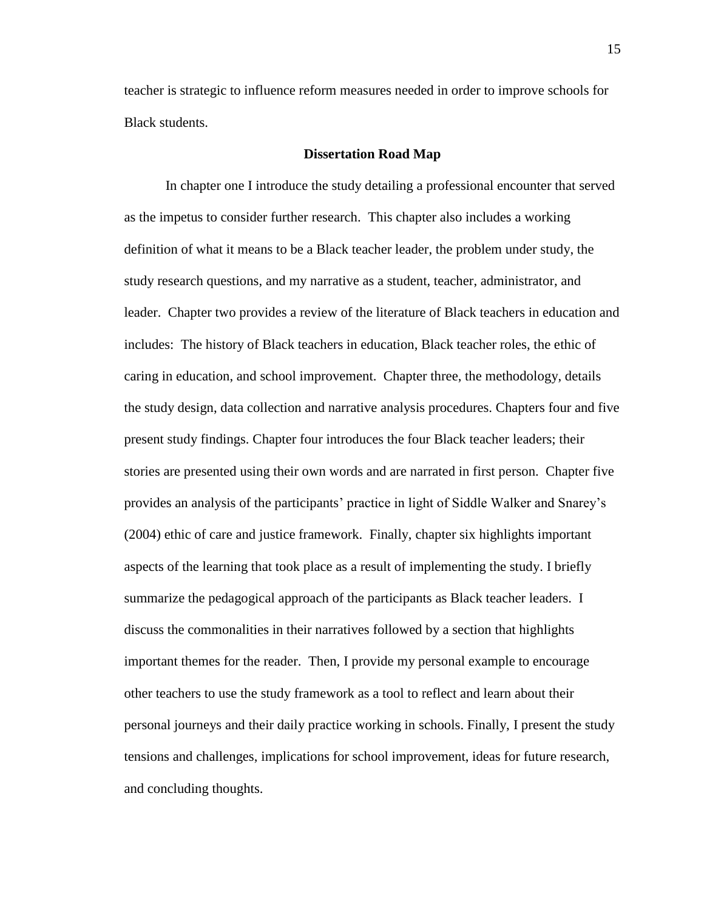teacher is strategic to influence reform measures needed in order to improve schools for Black students.

#### **Dissertation Road Map**

In chapter one I introduce the study detailing a professional encounter that served as the impetus to consider further research. This chapter also includes a working definition of what it means to be a Black teacher leader, the problem under study, the study research questions, and my narrative as a student, teacher, administrator, and leader. Chapter two provides a review of the literature of Black teachers in education and includes: The history of Black teachers in education, Black teacher roles, the ethic of caring in education, and school improvement. Chapter three, the methodology, details the study design, data collection and narrative analysis procedures. Chapters four and five present study findings. Chapter four introduces the four Black teacher leaders; their stories are presented using their own words and are narrated in first person. Chapter five provides an analysis of the participants' practice in light of Siddle Walker and Snarey's (2004) ethic of care and justice framework. Finally, chapter six highlights important aspects of the learning that took place as a result of implementing the study. I briefly summarize the pedagogical approach of the participants as Black teacher leaders. I discuss the commonalities in their narratives followed by a section that highlights important themes for the reader. Then, I provide my personal example to encourage other teachers to use the study framework as a tool to reflect and learn about their personal journeys and their daily practice working in schools. Finally, I present the study tensions and challenges, implications for school improvement, ideas for future research, and concluding thoughts.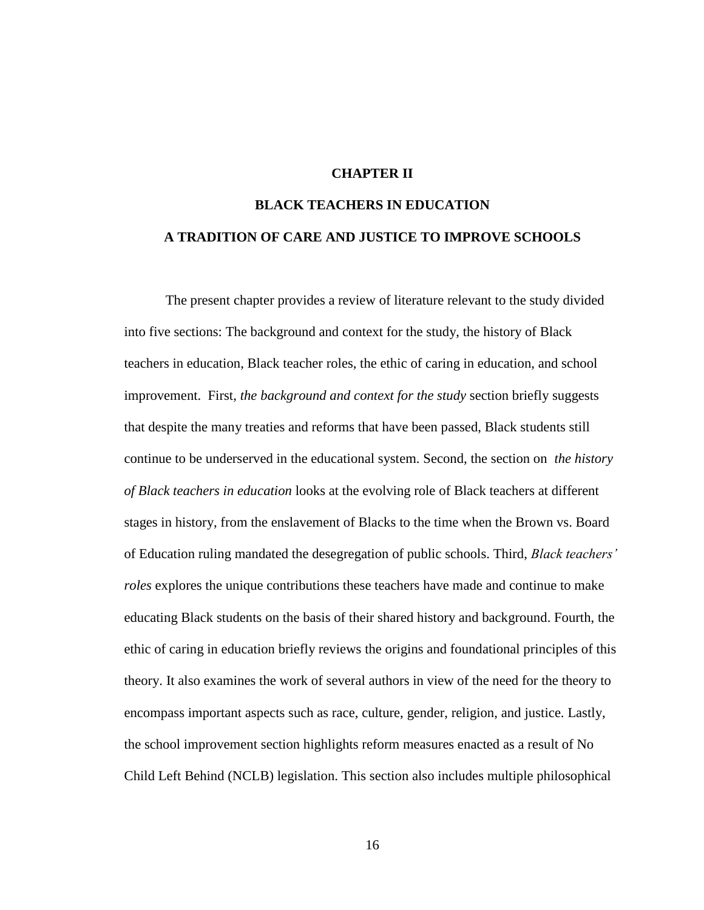## **CHAPTER II**

# **BLACK TEACHERS IN EDUCATION A TRADITION OF CARE AND JUSTICE TO IMPROVE SCHOOLS**

The present chapter provides a review of literature relevant to the study divided into five sections: The background and context for the study, the history of Black teachers in education, Black teacher roles, the ethic of caring in education, and school improvement. First, *the background and context for the study* section briefly suggests that despite the many treaties and reforms that have been passed, Black students still continue to be underserved in the educational system. Second, the section on *the history of Black teachers in education* looks at the evolving role of Black teachers at different stages in history, from the enslavement of Blacks to the time when the Brown vs. Board of Education ruling mandated the desegregation of public schools. Third, *Black teachers' roles* explores the unique contributions these teachers have made and continue to make educating Black students on the basis of their shared history and background. Fourth, the ethic of caring in education briefly reviews the origins and foundational principles of this theory. It also examines the work of several authors in view of the need for the theory to encompass important aspects such as race, culture, gender, religion, and justice. Lastly, the school improvement section highlights reform measures enacted as a result of No Child Left Behind (NCLB) legislation. This section also includes multiple philosophical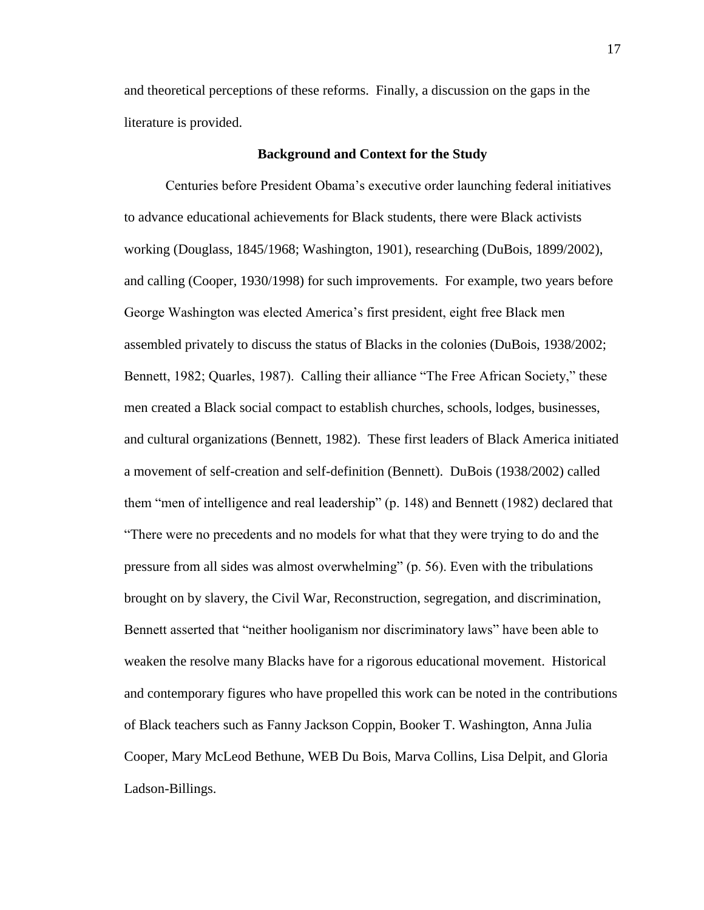and theoretical perceptions of these reforms. Finally, a discussion on the gaps in the literature is provided.

#### **Background and Context for the Study**

Centuries before President Obama's executive order launching federal initiatives to advance educational achievements for Black students, there were Black activists working (Douglass, 1845/1968; Washington, 1901), researching (DuBois, 1899/2002), and calling (Cooper, 1930/1998) for such improvements. For example, two years before George Washington was elected America's first president, eight free Black men assembled privately to discuss the status of Blacks in the colonies (DuBois, 1938/2002; Bennett, 1982; Quarles, 1987). Calling their alliance "The Free African Society," these men created a Black social compact to establish churches, schools, lodges, businesses, and cultural organizations (Bennett, 1982). These first leaders of Black America initiated a movement of self-creation and self-definition (Bennett). DuBois (1938/2002) called them "men of intelligence and real leadership" (p. 148) and Bennett (1982) declared that "There were no precedents and no models for what that they were trying to do and the pressure from all sides was almost overwhelming" (p. 56). Even with the tribulations brought on by slavery, the Civil War, Reconstruction, segregation, and discrimination, Bennett asserted that "neither hooliganism nor discriminatory laws" have been able to weaken the resolve many Blacks have for a rigorous educational movement. Historical and contemporary figures who have propelled this work can be noted in the contributions of Black teachers such as Fanny Jackson Coppin, Booker T. Washington, Anna Julia Cooper, Mary McLeod Bethune, WEB Du Bois, Marva Collins, Lisa Delpit, and Gloria Ladson-Billings.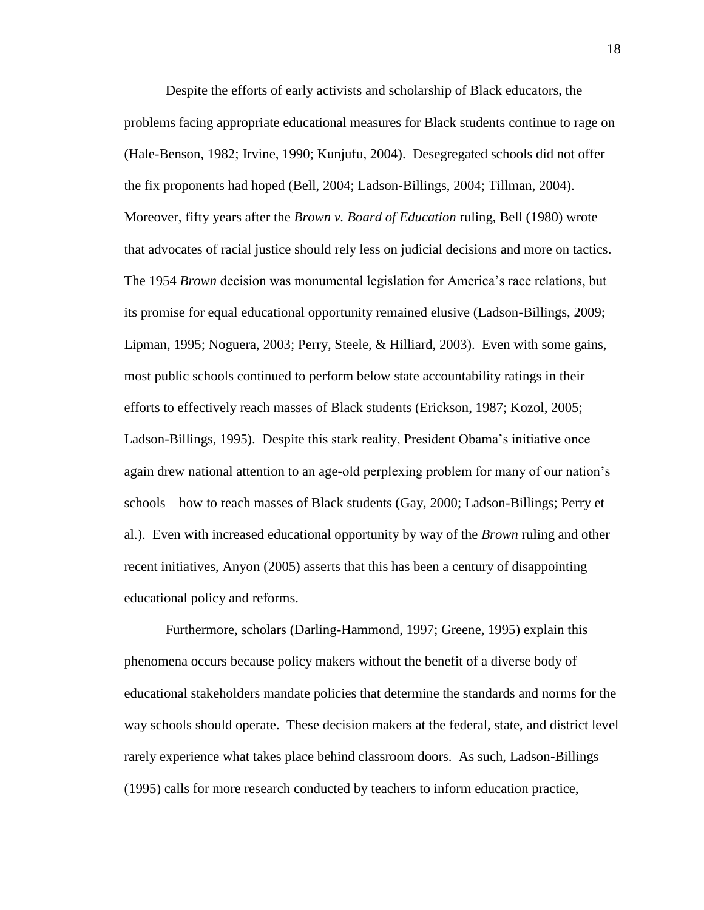Despite the efforts of early activists and scholarship of Black educators, the problems facing appropriate educational measures for Black students continue to rage on (Hale-Benson, 1982; Irvine, 1990; Kunjufu, 2004). Desegregated schools did not offer the fix proponents had hoped (Bell, 2004; Ladson-Billings, 2004; Tillman, 2004). Moreover, fifty years after the *Brown v. Board of Education* ruling, Bell (1980) wrote that advocates of racial justice should rely less on judicial decisions and more on tactics. The 1954 *Brown* decision was monumental legislation for America's race relations, but its promise for equal educational opportunity remained elusive (Ladson-Billings, 2009; Lipman, 1995; Noguera, 2003; Perry, Steele, & Hilliard, 2003). Even with some gains, most public schools continued to perform below state accountability ratings in their efforts to effectively reach masses of Black students (Erickson, 1987; Kozol, 2005; Ladson-Billings, 1995). Despite this stark reality, President Obama's initiative once again drew national attention to an age-old perplexing problem for many of our nation's schools – how to reach masses of Black students (Gay, 2000; Ladson-Billings; Perry et al.). Even with increased educational opportunity by way of the *Brown* ruling and other recent initiatives, Anyon (2005) asserts that this has been a century of disappointing educational policy and reforms.

Furthermore, scholars (Darling-Hammond, 1997; Greene, 1995) explain this phenomena occurs because policy makers without the benefit of a diverse body of educational stakeholders mandate policies that determine the standards and norms for the way schools should operate. These decision makers at the federal, state, and district level rarely experience what takes place behind classroom doors. As such, Ladson-Billings (1995) calls for more research conducted by teachers to inform education practice,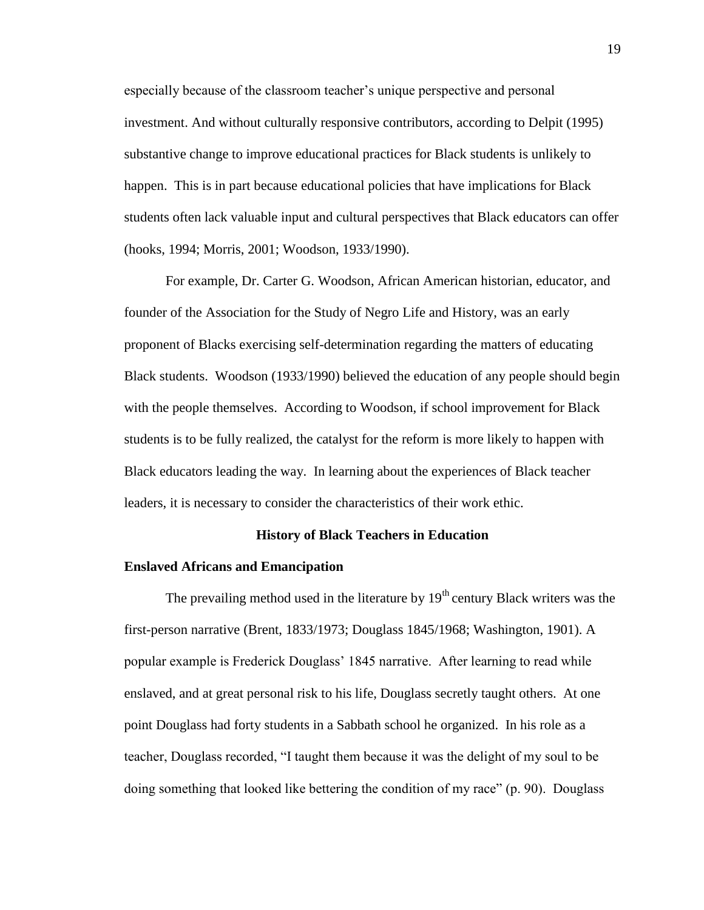especially because of the classroom teacher's unique perspective and personal investment. And without culturally responsive contributors, according to Delpit (1995) substantive change to improve educational practices for Black students is unlikely to happen. This is in part because educational policies that have implications for Black students often lack valuable input and cultural perspectives that Black educators can offer (hooks, 1994; Morris, 2001; Woodson, 1933/1990).

For example, Dr. Carter G. Woodson, African American historian, educator, and founder of the Association for the Study of Negro Life and History, was an early proponent of Blacks exercising self-determination regarding the matters of educating Black students. Woodson (1933/1990) believed the education of any people should begin with the people themselves. According to Woodson, if school improvement for Black students is to be fully realized, the catalyst for the reform is more likely to happen with Black educators leading the way. In learning about the experiences of Black teacher leaders, it is necessary to consider the characteristics of their work ethic.

### **History of Black Teachers in Education**

#### **Enslaved Africans and Emancipation**

The prevailing method used in the literature by  $19<sup>th</sup>$  century Black writers was the first-person narrative (Brent, 1833/1973; Douglass 1845/1968; Washington, 1901). A popular example is Frederick Douglass' 1845 narrative. After learning to read while enslaved, and at great personal risk to his life, Douglass secretly taught others. At one point Douglass had forty students in a Sabbath school he organized. In his role as a teacher, Douglass recorded, "I taught them because it was the delight of my soul to be doing something that looked like bettering the condition of my race" (p. 90). Douglass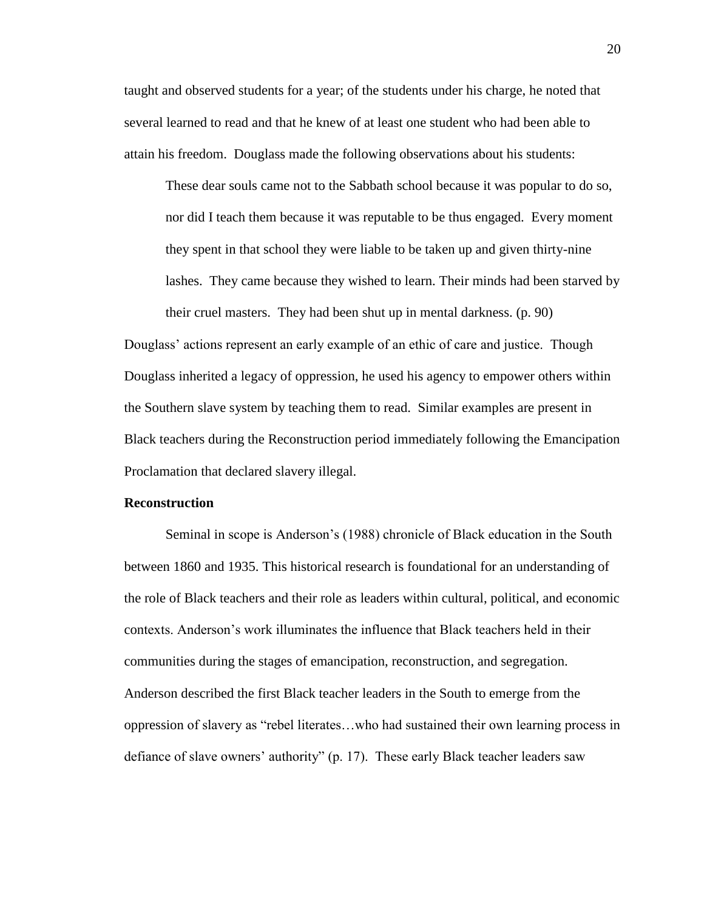taught and observed students for a year; of the students under his charge, he noted that several learned to read and that he knew of at least one student who had been able to attain his freedom. Douglass made the following observations about his students:

These dear souls came not to the Sabbath school because it was popular to do so, nor did I teach them because it was reputable to be thus engaged. Every moment they spent in that school they were liable to be taken up and given thirty-nine lashes. They came because they wished to learn. Their minds had been starved by their cruel masters. They had been shut up in mental darkness. (p. 90)

Douglass' actions represent an early example of an ethic of care and justice. Though Douglass inherited a legacy of oppression, he used his agency to empower others within the Southern slave system by teaching them to read. Similar examples are present in Black teachers during the Reconstruction period immediately following the Emancipation Proclamation that declared slavery illegal.

#### **Reconstruction**

Seminal in scope is Anderson's (1988) chronicle of Black education in the South between 1860 and 1935. This historical research is foundational for an understanding of the role of Black teachers and their role as leaders within cultural, political, and economic contexts. Anderson's work illuminates the influence that Black teachers held in their communities during the stages of emancipation, reconstruction, and segregation. Anderson described the first Black teacher leaders in the South to emerge from the oppression of slavery as "rebel literates…who had sustained their own learning process in defiance of slave owners' authority" (p. 17). These early Black teacher leaders saw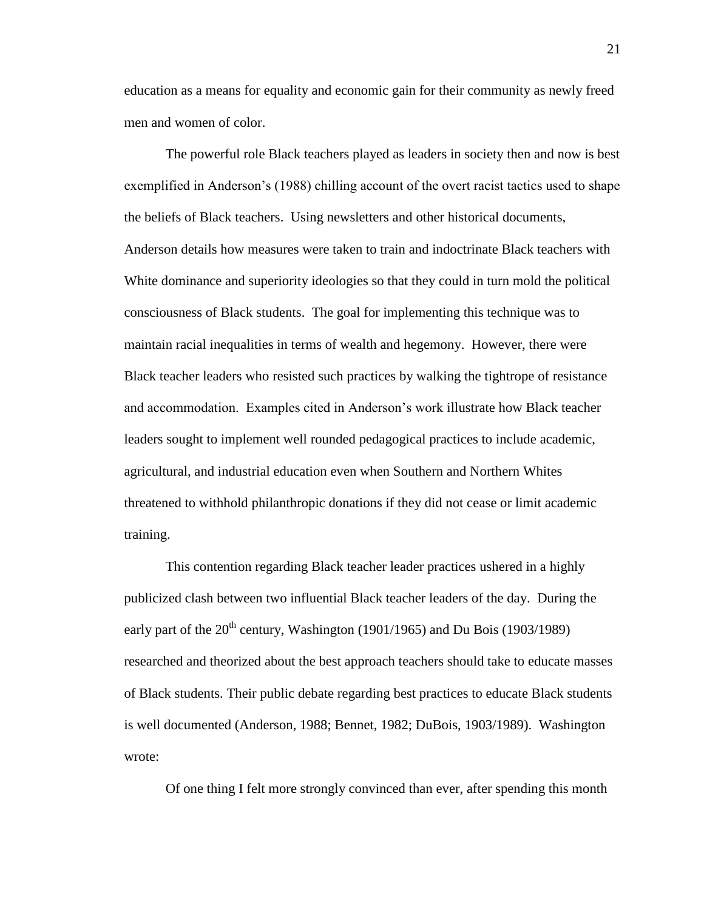education as a means for equality and economic gain for their community as newly freed men and women of color.

The powerful role Black teachers played as leaders in society then and now is best exemplified in Anderson's (1988) chilling account of the overt racist tactics used to shape the beliefs of Black teachers. Using newsletters and other historical documents, Anderson details how measures were taken to train and indoctrinate Black teachers with White dominance and superiority ideologies so that they could in turn mold the political consciousness of Black students. The goal for implementing this technique was to maintain racial inequalities in terms of wealth and hegemony. However, there were Black teacher leaders who resisted such practices by walking the tightrope of resistance and accommodation. Examples cited in Anderson's work illustrate how Black teacher leaders sought to implement well rounded pedagogical practices to include academic, agricultural, and industrial education even when Southern and Northern Whites threatened to withhold philanthropic donations if they did not cease or limit academic training.

This contention regarding Black teacher leader practices ushered in a highly publicized clash between two influential Black teacher leaders of the day. During the early part of the  $20^{th}$  century, Washington (1901/1965) and Du Bois (1903/1989) researched and theorized about the best approach teachers should take to educate masses of Black students. Their public debate regarding best practices to educate Black students is well documented (Anderson, 1988; Bennet, 1982; DuBois, 1903/1989). Washington wrote:

Of one thing I felt more strongly convinced than ever, after spending this month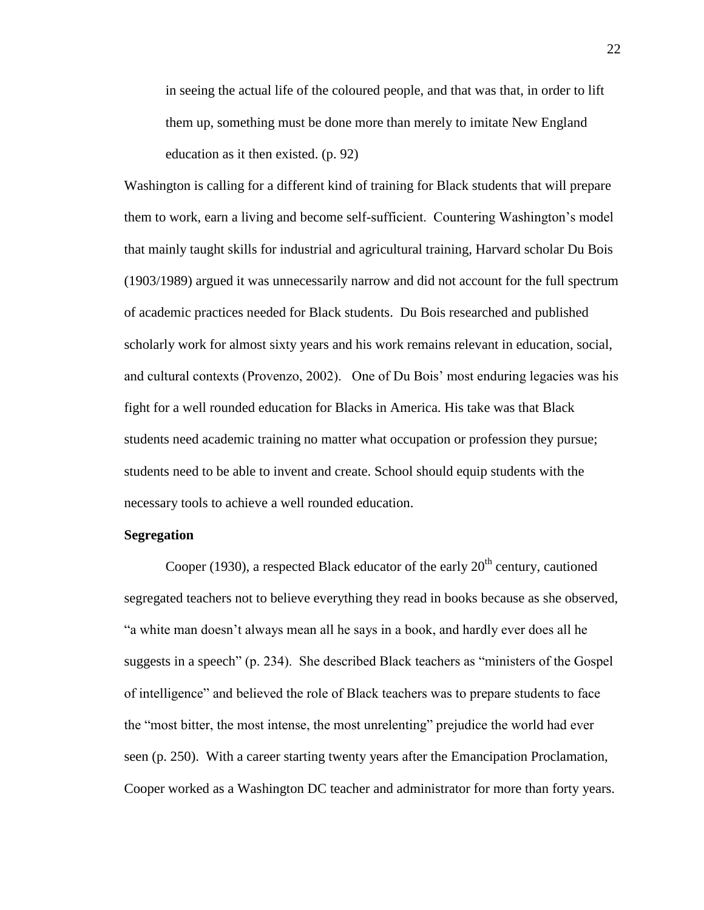in seeing the actual life of the coloured people, and that was that, in order to lift them up, something must be done more than merely to imitate New England education as it then existed. (p. 92)

Washington is calling for a different kind of training for Black students that will prepare them to work, earn a living and become self-sufficient. Countering Washington's model that mainly taught skills for industrial and agricultural training, Harvard scholar Du Bois (1903/1989) argued it was unnecessarily narrow and did not account for the full spectrum of academic practices needed for Black students. Du Bois researched and published scholarly work for almost sixty years and his work remains relevant in education, social, and cultural contexts (Provenzo, 2002). One of Du Bois' most enduring legacies was his fight for a well rounded education for Blacks in America. His take was that Black students need academic training no matter what occupation or profession they pursue; students need to be able to invent and create. School should equip students with the necessary tools to achieve a well rounded education.

#### **Segregation**

Cooper (1930), a respected Black educator of the early  $20<sup>th</sup>$  century, cautioned segregated teachers not to believe everything they read in books because as she observed, "a white man doesn't always mean all he says in a book, and hardly ever does all he suggests in a speech" (p. 234). She described Black teachers as "ministers of the Gospel of intelligence" and believed the role of Black teachers was to prepare students to face the "most bitter, the most intense, the most unrelenting" prejudice the world had ever seen (p. 250). With a career starting twenty years after the Emancipation Proclamation, Cooper worked as a Washington DC teacher and administrator for more than forty years.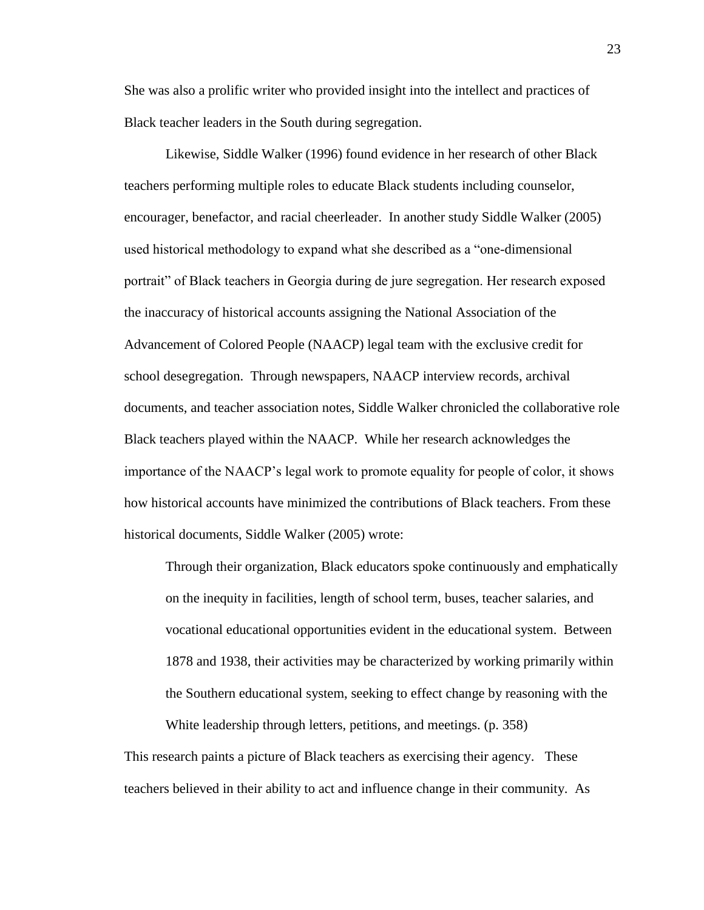She was also a prolific writer who provided insight into the intellect and practices of Black teacher leaders in the South during segregation.

Likewise, Siddle Walker (1996) found evidence in her research of other Black teachers performing multiple roles to educate Black students including counselor, encourager, benefactor, and racial cheerleader. In another study Siddle Walker (2005) used historical methodology to expand what she described as a "one-dimensional portrait" of Black teachers in Georgia during de jure segregation. Her research exposed the inaccuracy of historical accounts assigning the National Association of the Advancement of Colored People (NAACP) legal team with the exclusive credit for school desegregation. Through newspapers, NAACP interview records, archival documents, and teacher association notes, Siddle Walker chronicled the collaborative role Black teachers played within the NAACP. While her research acknowledges the importance of the NAACP's legal work to promote equality for people of color, it shows how historical accounts have minimized the contributions of Black teachers. From these historical documents, Siddle Walker (2005) wrote:

Through their organization, Black educators spoke continuously and emphatically on the inequity in facilities, length of school term, buses, teacher salaries, and vocational educational opportunities evident in the educational system. Between 1878 and 1938, their activities may be characterized by working primarily within the Southern educational system, seeking to effect change by reasoning with the

White leadership through letters, petitions, and meetings. (p. 358) This research paints a picture of Black teachers as exercising their agency. These teachers believed in their ability to act and influence change in their community. As 23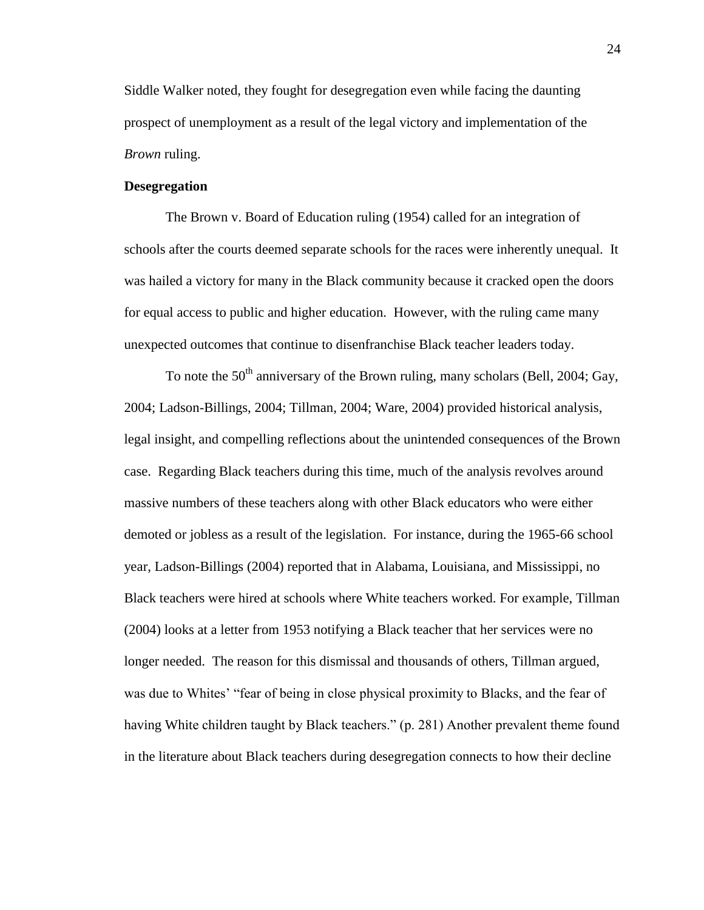Siddle Walker noted, they fought for desegregation even while facing the daunting prospect of unemployment as a result of the legal victory and implementation of the *Brown* ruling.

# **Desegregation**

The Brown v. Board of Education ruling (1954) called for an integration of schools after the courts deemed separate schools for the races were inherently unequal. It was hailed a victory for many in the Black community because it cracked open the doors for equal access to public and higher education. However, with the ruling came many unexpected outcomes that continue to disenfranchise Black teacher leaders today.

To note the  $50<sup>th</sup>$  anniversary of the Brown ruling, many scholars (Bell, 2004; Gay, 2004; Ladson-Billings, 2004; Tillman, 2004; Ware, 2004) provided historical analysis, legal insight, and compelling reflections about the unintended consequences of the Brown case. Regarding Black teachers during this time, much of the analysis revolves around massive numbers of these teachers along with other Black educators who were either demoted or jobless as a result of the legislation. For instance, during the 1965-66 school year, Ladson-Billings (2004) reported that in Alabama, Louisiana, and Mississippi, no Black teachers were hired at schools where White teachers worked. For example, Tillman (2004) looks at a letter from 1953 notifying a Black teacher that her services were no longer needed. The reason for this dismissal and thousands of others, Tillman argued, was due to Whites' "fear of being in close physical proximity to Blacks, and the fear of having White children taught by Black teachers." (p. 281) Another prevalent theme found in the literature about Black teachers during desegregation connects to how their decline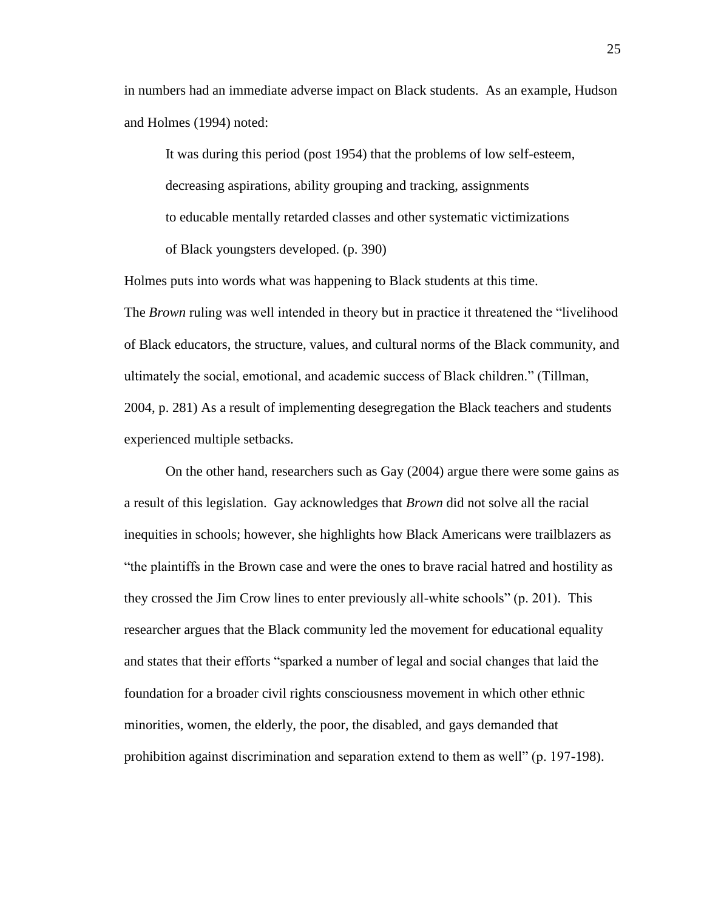in numbers had an immediate adverse impact on Black students. As an example, Hudson and Holmes (1994) noted:

It was during this period (post 1954) that the problems of low self-esteem, decreasing aspirations, ability grouping and tracking, assignments to educable mentally retarded classes and other systematic victimizations of Black youngsters developed. (p. 390)

Holmes puts into words what was happening to Black students at this time.

The *Brown* ruling was well intended in theory but in practice it threatened the "livelihood of Black educators, the structure, values, and cultural norms of the Black community, and ultimately the social, emotional, and academic success of Black children." (Tillman, 2004, p. 281) As a result of implementing desegregation the Black teachers and students experienced multiple setbacks.

On the other hand, researchers such as Gay (2004) argue there were some gains as a result of this legislation. Gay acknowledges that *Brown* did not solve all the racial inequities in schools; however, she highlights how Black Americans were trailblazers as "the plaintiffs in the Brown case and were the ones to brave racial hatred and hostility as they crossed the Jim Crow lines to enter previously all-white schools" (p. 201). This researcher argues that the Black community led the movement for educational equality and states that their efforts "sparked a number of legal and social changes that laid the foundation for a broader civil rights consciousness movement in which other ethnic minorities, women, the elderly, the poor, the disabled, and gays demanded that prohibition against discrimination and separation extend to them as well" (p. 197-198).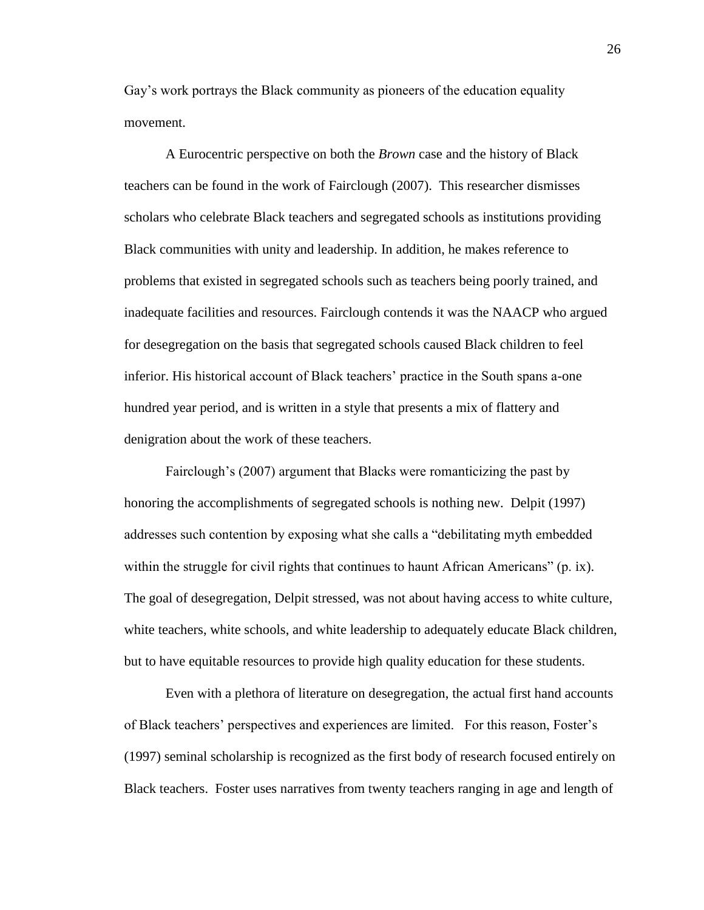Gay's work portrays the Black community as pioneers of the education equality movement.

A Eurocentric perspective on both the *Brown* case and the history of Black teachers can be found in the work of Fairclough (2007). This researcher dismisses scholars who celebrate Black teachers and segregated schools as institutions providing Black communities with unity and leadership. In addition, he makes reference to problems that existed in segregated schools such as teachers being poorly trained, and inadequate facilities and resources. Fairclough contends it was the NAACP who argued for desegregation on the basis that segregated schools caused Black children to feel inferior. His historical account of Black teachers' practice in the South spans a-one hundred year period, and is written in a style that presents a mix of flattery and denigration about the work of these teachers.

Fairclough's (2007) argument that Blacks were romanticizing the past by honoring the accomplishments of segregated schools is nothing new. Delpit (1997) addresses such contention by exposing what she calls a "debilitating myth embedded within the struggle for civil rights that continues to haunt African Americans" (p. ix). The goal of desegregation, Delpit stressed, was not about having access to white culture, white teachers, white schools, and white leadership to adequately educate Black children, but to have equitable resources to provide high quality education for these students.

Even with a plethora of literature on desegregation, the actual first hand accounts of Black teachers' perspectives and experiences are limited. For this reason, Foster's (1997) seminal scholarship is recognized as the first body of research focused entirely on Black teachers. Foster uses narratives from twenty teachers ranging in age and length of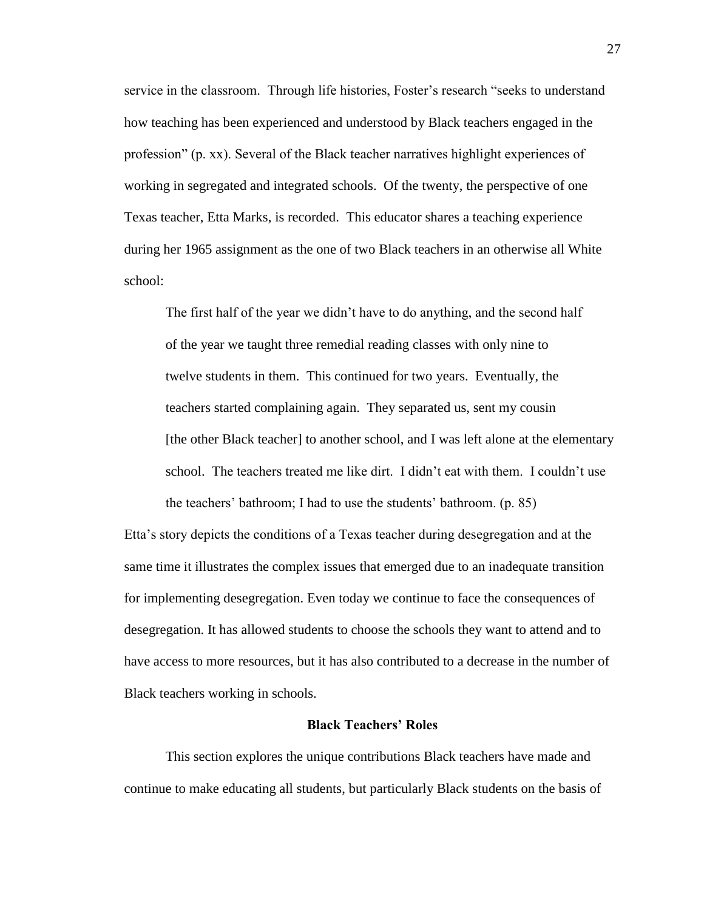service in the classroom. Through life histories, Foster's research "seeks to understand how teaching has been experienced and understood by Black teachers engaged in the profession" (p. xx). Several of the Black teacher narratives highlight experiences of working in segregated and integrated schools. Of the twenty, the perspective of one Texas teacher, Etta Marks, is recorded. This educator shares a teaching experience during her 1965 assignment as the one of two Black teachers in an otherwise all White school:

The first half of the year we didn't have to do anything, and the second half of the year we taught three remedial reading classes with only nine to twelve students in them. This continued for two years. Eventually, the teachers started complaining again. They separated us, sent my cousin [the other Black teacher] to another school, and I was left alone at the elementary school. The teachers treated me like dirt. I didn't eat with them. I couldn't use the teachers' bathroom; I had to use the students' bathroom. (p. 85)

Etta's story depicts the conditions of a Texas teacher during desegregation and at the same time it illustrates the complex issues that emerged due to an inadequate transition for implementing desegregation. Even today we continue to face the consequences of desegregation. It has allowed students to choose the schools they want to attend and to have access to more resources, but it has also contributed to a decrease in the number of Black teachers working in schools.

### **Black Teachers' Roles**

This section explores the unique contributions Black teachers have made and continue to make educating all students, but particularly Black students on the basis of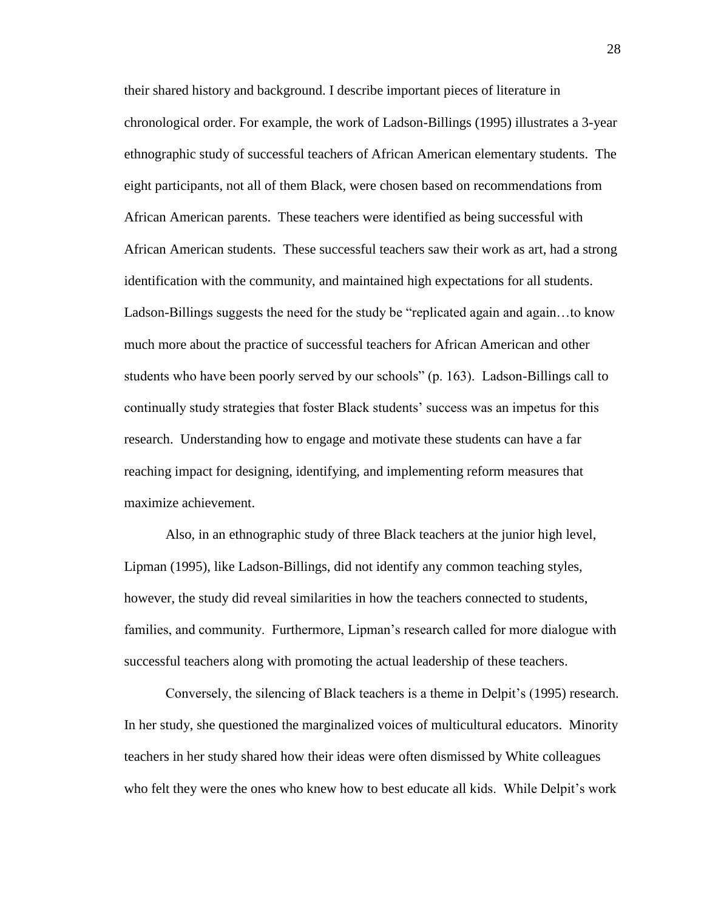their shared history and background. I describe important pieces of literature in chronological order. For example, the work of Ladson-Billings (1995) illustrates a 3-year ethnographic study of successful teachers of African American elementary students. The eight participants, not all of them Black, were chosen based on recommendations from African American parents. These teachers were identified as being successful with African American students. These successful teachers saw their work as art, had a strong identification with the community, and maintained high expectations for all students. Ladson-Billings suggests the need for the study be "replicated again and again…to know much more about the practice of successful teachers for African American and other students who have been poorly served by our schools" (p. 163). Ladson-Billings call to continually study strategies that foster Black students' success was an impetus for this research. Understanding how to engage and motivate these students can have a far reaching impact for designing, identifying, and implementing reform measures that maximize achievement.

Also, in an ethnographic study of three Black teachers at the junior high level, Lipman (1995), like Ladson-Billings, did not identify any common teaching styles, however, the study did reveal similarities in how the teachers connected to students, families, and community. Furthermore, Lipman's research called for more dialogue with successful teachers along with promoting the actual leadership of these teachers.

Conversely, the silencing of Black teachers is a theme in Delpit's (1995) research. In her study, she questioned the marginalized voices of multicultural educators. Minority teachers in her study shared how their ideas were often dismissed by White colleagues who felt they were the ones who knew how to best educate all kids. While Delpit's work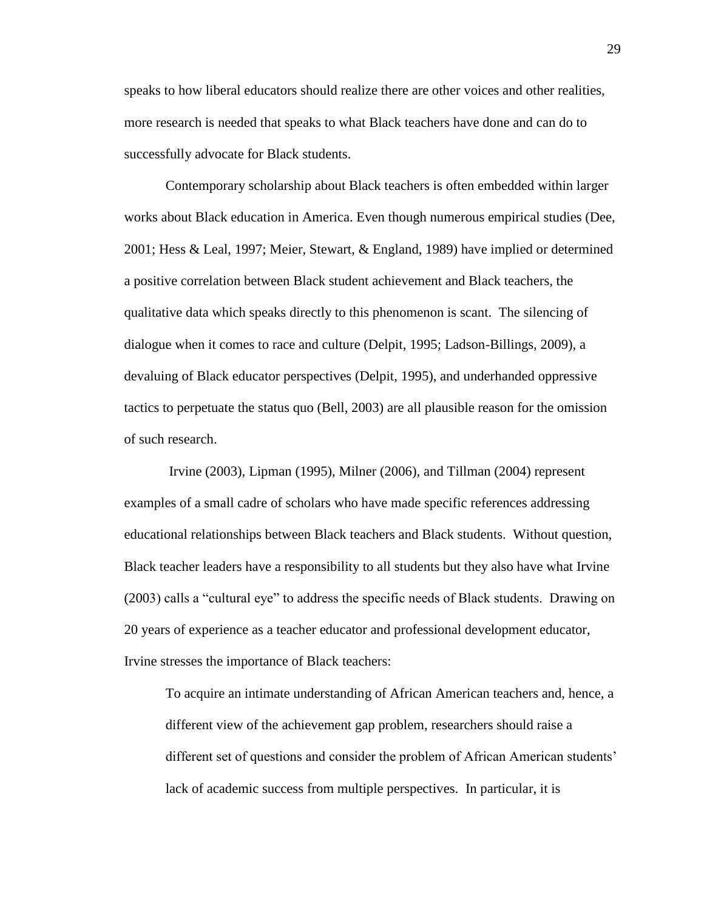speaks to how liberal educators should realize there are other voices and other realities, more research is needed that speaks to what Black teachers have done and can do to successfully advocate for Black students.

Contemporary scholarship about Black teachers is often embedded within larger works about Black education in America. Even though numerous empirical studies (Dee, 2001; Hess & Leal, 1997; Meier, Stewart, & England, 1989) have implied or determined a positive correlation between Black student achievement and Black teachers, the qualitative data which speaks directly to this phenomenon is scant. The silencing of dialogue when it comes to race and culture (Delpit, 1995; Ladson-Billings, 2009), a devaluing of Black educator perspectives (Delpit, 1995), and underhanded oppressive tactics to perpetuate the status quo (Bell, 2003) are all plausible reason for the omission of such research.

Irvine (2003), Lipman (1995), Milner (2006), and Tillman (2004) represent examples of a small cadre of scholars who have made specific references addressing educational relationships between Black teachers and Black students. Without question, Black teacher leaders have a responsibility to all students but they also have what Irvine (2003) calls a "cultural eye" to address the specific needs of Black students. Drawing on 20 years of experience as a teacher educator and professional development educator, Irvine stresses the importance of Black teachers:

To acquire an intimate understanding of African American teachers and, hence, a different view of the achievement gap problem, researchers should raise a different set of questions and consider the problem of African American students' lack of academic success from multiple perspectives. In particular, it is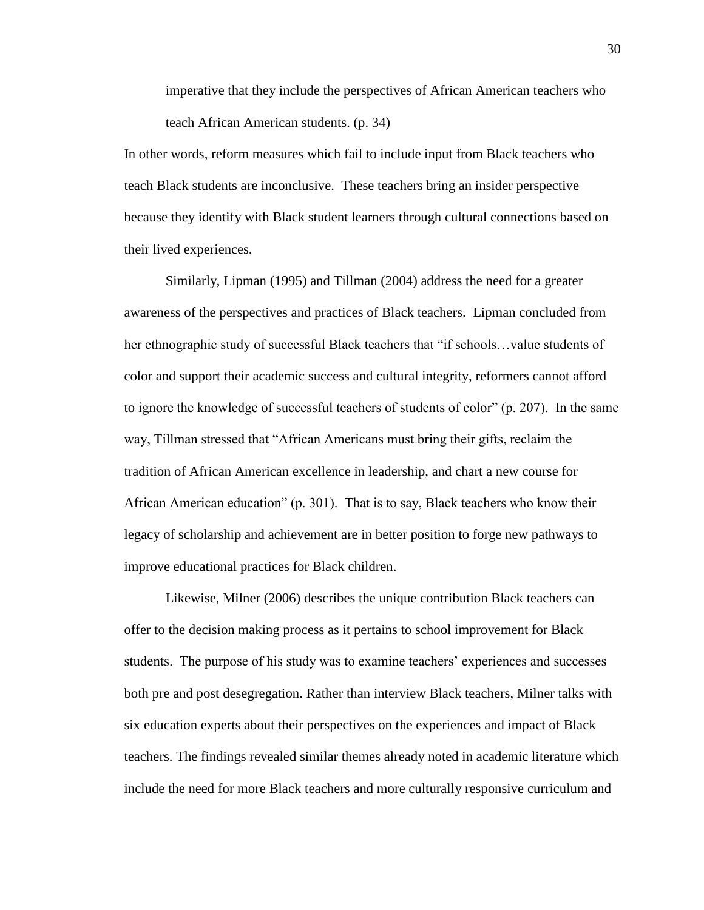imperative that they include the perspectives of African American teachers who teach African American students. (p. 34)

In other words, reform measures which fail to include input from Black teachers who teach Black students are inconclusive. These teachers bring an insider perspective because they identify with Black student learners through cultural connections based on their lived experiences.

Similarly, Lipman (1995) and Tillman (2004) address the need for a greater awareness of the perspectives and practices of Black teachers. Lipman concluded from her ethnographic study of successful Black teachers that "if schools…value students of color and support their academic success and cultural integrity, reformers cannot afford to ignore the knowledge of successful teachers of students of color" (p. 207). In the same way, Tillman stressed that "African Americans must bring their gifts, reclaim the tradition of African American excellence in leadership, and chart a new course for African American education" (p. 301). That is to say, Black teachers who know their legacy of scholarship and achievement are in better position to forge new pathways to improve educational practices for Black children.

Likewise, Milner (2006) describes the unique contribution Black teachers can offer to the decision making process as it pertains to school improvement for Black students. The purpose of his study was to examine teachers' experiences and successes both pre and post desegregation. Rather than interview Black teachers, Milner talks with six education experts about their perspectives on the experiences and impact of Black teachers. The findings revealed similar themes already noted in academic literature which include the need for more Black teachers and more culturally responsive curriculum and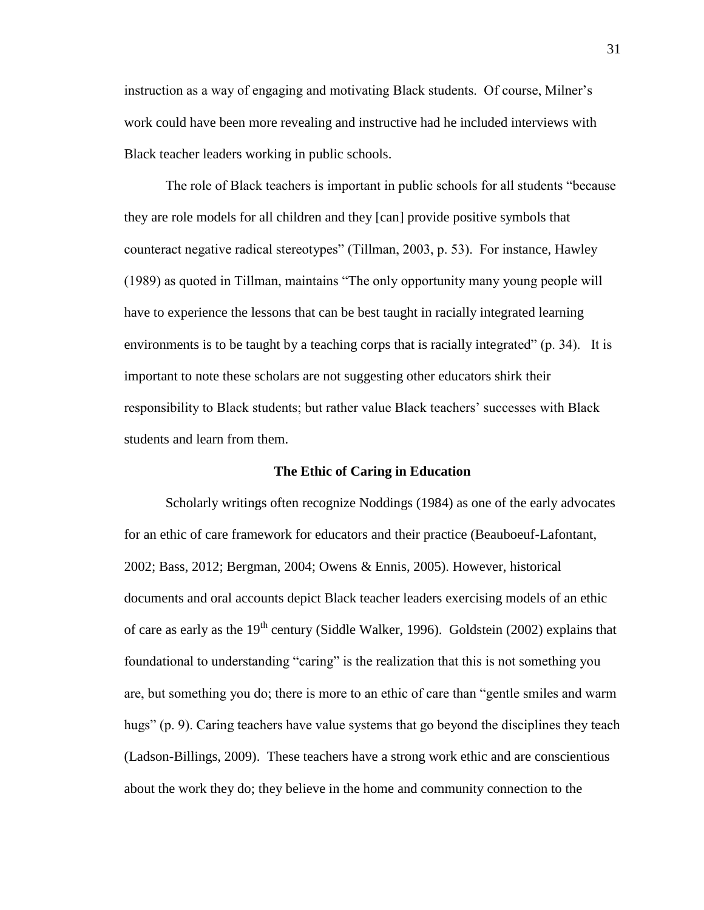instruction as a way of engaging and motivating Black students. Of course, Milner's work could have been more revealing and instructive had he included interviews with Black teacher leaders working in public schools.

The role of Black teachers is important in public schools for all students "because they are role models for all children and they [can] provide positive symbols that counteract negative radical stereotypes" (Tillman, 2003, p. 53). For instance, Hawley (1989) as quoted in Tillman, maintains "The only opportunity many young people will have to experience the lessons that can be best taught in racially integrated learning environments is to be taught by a teaching corps that is racially integrated" (p. 34). It is important to note these scholars are not suggesting other educators shirk their responsibility to Black students; but rather value Black teachers' successes with Black students and learn from them.

#### **The Ethic of Caring in Education**

Scholarly writings often recognize Noddings (1984) as one of the early advocates for an ethic of care framework for educators and their practice (Beauboeuf-Lafontant, 2002; Bass, 2012; Bergman, 2004; Owens & Ennis, 2005). However, historical documents and oral accounts depict Black teacher leaders exercising models of an ethic of care as early as the  $19<sup>th</sup>$  century (Siddle Walker, 1996). Goldstein (2002) explains that foundational to understanding "caring" is the realization that this is not something you are, but something you do; there is more to an ethic of care than "gentle smiles and warm hugs" (p. 9). Caring teachers have value systems that go beyond the disciplines they teach (Ladson-Billings, 2009). These teachers have a strong work ethic and are conscientious about the work they do; they believe in the home and community connection to the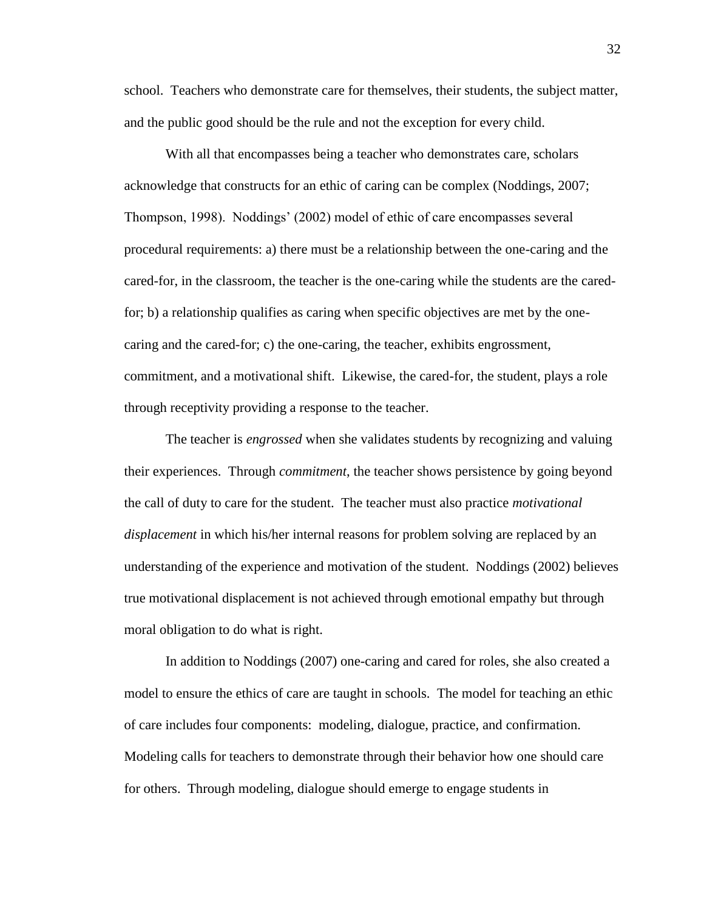school. Teachers who demonstrate care for themselves, their students, the subject matter, and the public good should be the rule and not the exception for every child.

With all that encompasses being a teacher who demonstrates care, scholars acknowledge that constructs for an ethic of caring can be complex (Noddings, 2007; Thompson, 1998). Noddings' (2002) model of ethic of care encompasses several procedural requirements: a) there must be a relationship between the one-caring and the cared-for, in the classroom, the teacher is the one-caring while the students are the caredfor; b) a relationship qualifies as caring when specific objectives are met by the onecaring and the cared-for; c) the one-caring, the teacher, exhibits engrossment, commitment, and a motivational shift. Likewise, the cared-for, the student, plays a role through receptivity providing a response to the teacher.

The teacher is *engrossed* when she validates students by recognizing and valuing their experiences. Through *commitment*, the teacher shows persistence by going beyond the call of duty to care for the student. The teacher must also practice *motivational displacement* in which his/her internal reasons for problem solving are replaced by an understanding of the experience and motivation of the student. Noddings (2002) believes true motivational displacement is not achieved through emotional empathy but through moral obligation to do what is right.

In addition to Noddings (2007) one-caring and cared for roles, she also created a model to ensure the ethics of care are taught in schools. The model for teaching an ethic of care includes four components: modeling, dialogue, practice, and confirmation. Modeling calls for teachers to demonstrate through their behavior how one should care for others. Through modeling, dialogue should emerge to engage students in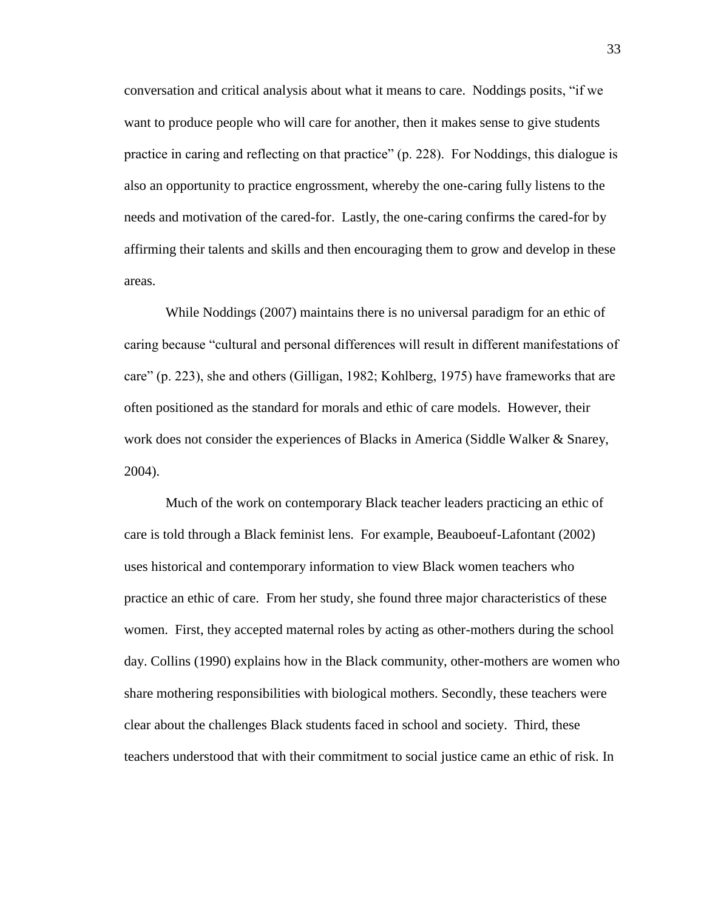conversation and critical analysis about what it means to care. Noddings posits, "if we want to produce people who will care for another, then it makes sense to give students practice in caring and reflecting on that practice" (p. 228). For Noddings, this dialogue is also an opportunity to practice engrossment, whereby the one-caring fully listens to the needs and motivation of the cared-for. Lastly, the one-caring confirms the cared-for by affirming their talents and skills and then encouraging them to grow and develop in these areas.

While Noddings (2007) maintains there is no universal paradigm for an ethic of caring because "cultural and personal differences will result in different manifestations of care" (p. 223), she and others (Gilligan, 1982; Kohlberg, 1975) have frameworks that are often positioned as the standard for morals and ethic of care models. However, their work does not consider the experiences of Blacks in America (Siddle Walker & Snarey, 2004).

Much of the work on contemporary Black teacher leaders practicing an ethic of care is told through a Black feminist lens. For example, Beauboeuf-Lafontant (2002) uses historical and contemporary information to view Black women teachers who practice an ethic of care. From her study, she found three major characteristics of these women. First, they accepted maternal roles by acting as other-mothers during the school day. Collins (1990) explains how in the Black community, other-mothers are women who share mothering responsibilities with biological mothers. Secondly, these teachers were clear about the challenges Black students faced in school and society. Third, these teachers understood that with their commitment to social justice came an ethic of risk. In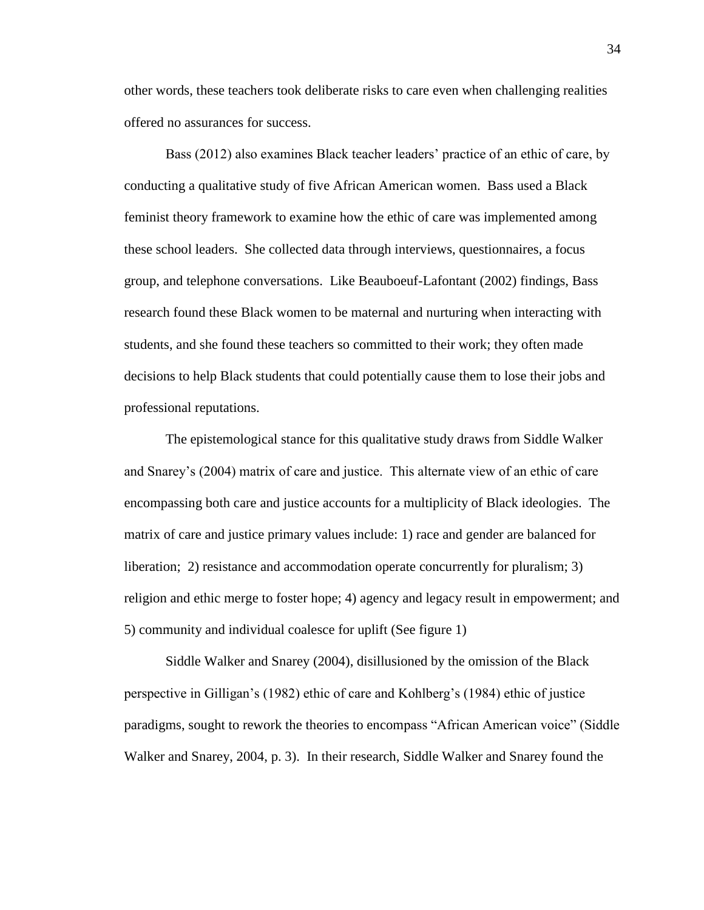other words, these teachers took deliberate risks to care even when challenging realities offered no assurances for success.

Bass (2012) also examines Black teacher leaders' practice of an ethic of care, by conducting a qualitative study of five African American women. Bass used a Black feminist theory framework to examine how the ethic of care was implemented among these school leaders. She collected data through interviews, questionnaires, a focus group, and telephone conversations. Like Beauboeuf-Lafontant (2002) findings, Bass research found these Black women to be maternal and nurturing when interacting with students, and she found these teachers so committed to their work; they often made decisions to help Black students that could potentially cause them to lose their jobs and professional reputations.

The epistemological stance for this qualitative study draws from Siddle Walker and Snarey's (2004) matrix of care and justice. This alternate view of an ethic of care encompassing both care and justice accounts for a multiplicity of Black ideologies. The matrix of care and justice primary values include: 1) race and gender are balanced for liberation; 2) resistance and accommodation operate concurrently for pluralism; 3) religion and ethic merge to foster hope; 4) agency and legacy result in empowerment; and 5) community and individual coalesce for uplift (See figure 1)

Siddle Walker and Snarey (2004), disillusioned by the omission of the Black perspective in Gilligan's (1982) ethic of care and Kohlberg's (1984) ethic of justice paradigms, sought to rework the theories to encompass "African American voice" (Siddle Walker and Snarey, 2004, p. 3). In their research, Siddle Walker and Snarey found the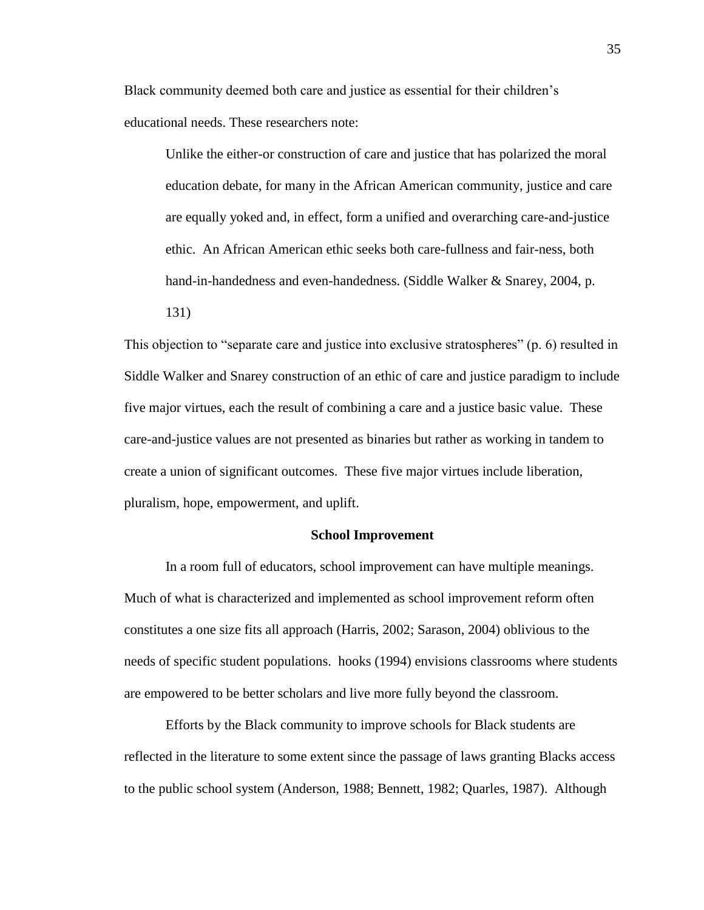Black community deemed both care and justice as essential for their children's educational needs. These researchers note:

Unlike the either-or construction of care and justice that has polarized the moral education debate, for many in the African American community, justice and care are equally yoked and, in effect, form a unified and overarching care-and-justice ethic. An African American ethic seeks both care-fullness and fair-ness, both hand-in-handedness and even-handedness. (Siddle Walker & Snarey, 2004, p. 131)

This objection to "separate care and justice into exclusive stratospheres" (p. 6) resulted in Siddle Walker and Snarey construction of an ethic of care and justice paradigm to include five major virtues, each the result of combining a care and a justice basic value. These care-and-justice values are not presented as binaries but rather as working in tandem to create a union of significant outcomes. These five major virtues include liberation, pluralism, hope, empowerment, and uplift.

#### **School Improvement**

In a room full of educators, school improvement can have multiple meanings. Much of what is characterized and implemented as school improvement reform often constitutes a one size fits all approach (Harris, 2002; Sarason, 2004) oblivious to the needs of specific student populations. hooks (1994) envisions classrooms where students are empowered to be better scholars and live more fully beyond the classroom.

Efforts by the Black community to improve schools for Black students are reflected in the literature to some extent since the passage of laws granting Blacks access to the public school system (Anderson, 1988; Bennett, 1982; Quarles, 1987). Although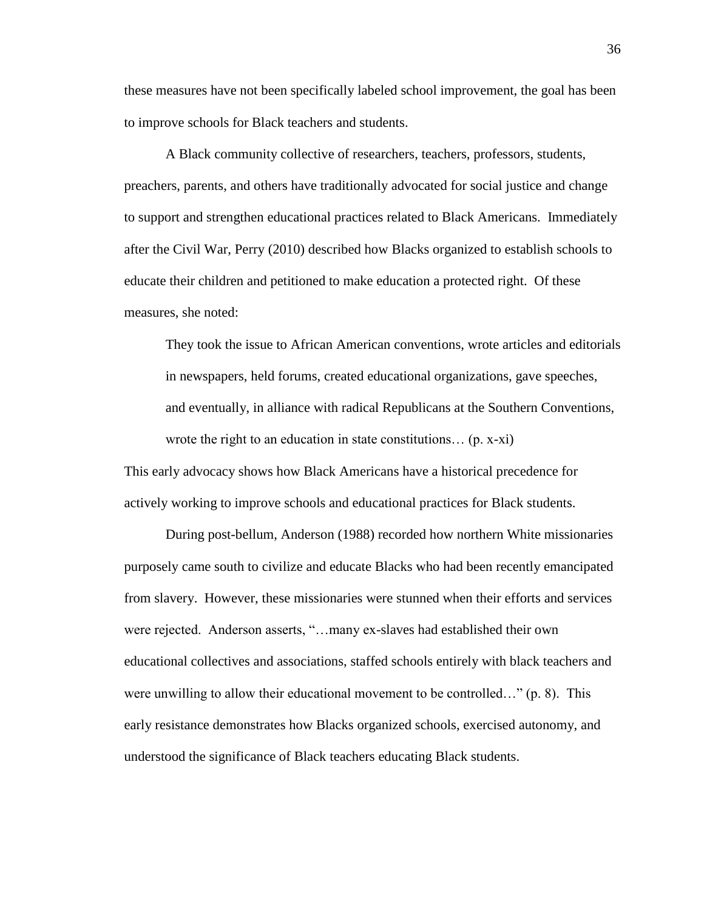these measures have not been specifically labeled school improvement, the goal has been to improve schools for Black teachers and students.

A Black community collective of researchers, teachers, professors, students, preachers, parents, and others have traditionally advocated for social justice and change to support and strengthen educational practices related to Black Americans. Immediately after the Civil War, Perry (2010) described how Blacks organized to establish schools to educate their children and petitioned to make education a protected right. Of these measures, she noted:

They took the issue to African American conventions, wrote articles and editorials in newspapers, held forums, created educational organizations, gave speeches, and eventually, in alliance with radical Republicans at the Southern Conventions, wrote the right to an education in state constitutions… (p. x-xi)

This early advocacy shows how Black Americans have a historical precedence for actively working to improve schools and educational practices for Black students.

During post-bellum, Anderson (1988) recorded how northern White missionaries purposely came south to civilize and educate Blacks who had been recently emancipated from slavery. However, these missionaries were stunned when their efforts and services were rejected. Anderson asserts, "…many ex-slaves had established their own educational collectives and associations, staffed schools entirely with black teachers and were unwilling to allow their educational movement to be controlled…" (p. 8). This early resistance demonstrates how Blacks organized schools, exercised autonomy, and understood the significance of Black teachers educating Black students.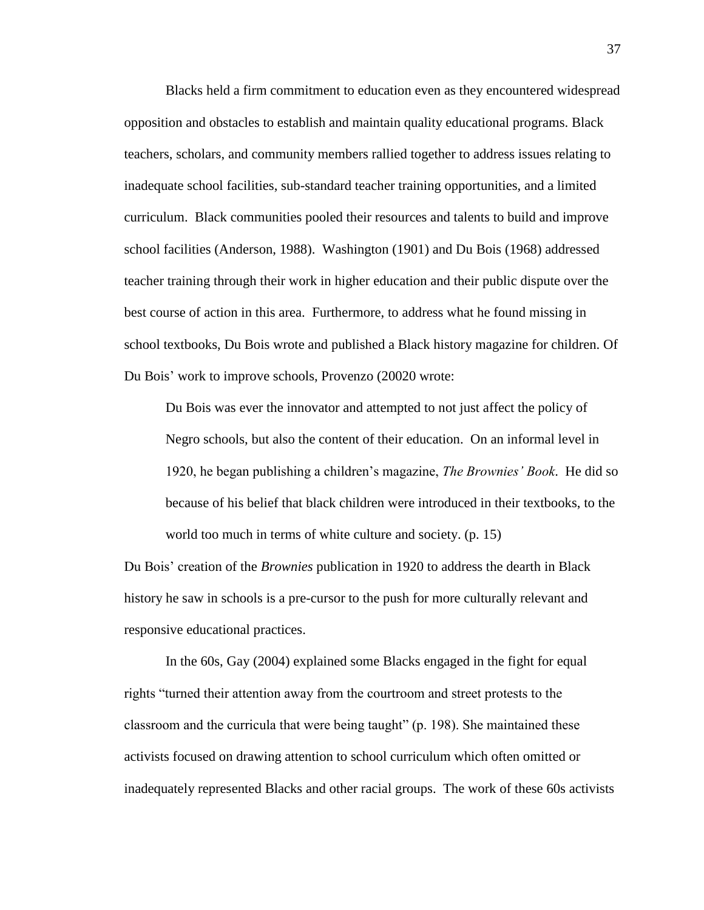Blacks held a firm commitment to education even as they encountered widespread opposition and obstacles to establish and maintain quality educational programs. Black teachers, scholars, and community members rallied together to address issues relating to inadequate school facilities, sub-standard teacher training opportunities, and a limited curriculum. Black communities pooled their resources and talents to build and improve school facilities (Anderson, 1988). Washington (1901) and Du Bois (1968) addressed teacher training through their work in higher education and their public dispute over the best course of action in this area. Furthermore, to address what he found missing in school textbooks, Du Bois wrote and published a Black history magazine for children. Of Du Bois' work to improve schools, Provenzo (20020 wrote:

Du Bois was ever the innovator and attempted to not just affect the policy of Negro schools, but also the content of their education. On an informal level in 1920, he began publishing a children's magazine, *The Brownies' Book*. He did so because of his belief that black children were introduced in their textbooks, to the world too much in terms of white culture and society. (p. 15)

Du Bois' creation of the *Brownies* publication in 1920 to address the dearth in Black history he saw in schools is a pre-cursor to the push for more culturally relevant and responsive educational practices.

In the 60s, Gay (2004) explained some Blacks engaged in the fight for equal rights "turned their attention away from the courtroom and street protests to the classroom and the curricula that were being taught" (p. 198). She maintained these activists focused on drawing attention to school curriculum which often omitted or inadequately represented Blacks and other racial groups. The work of these 60s activists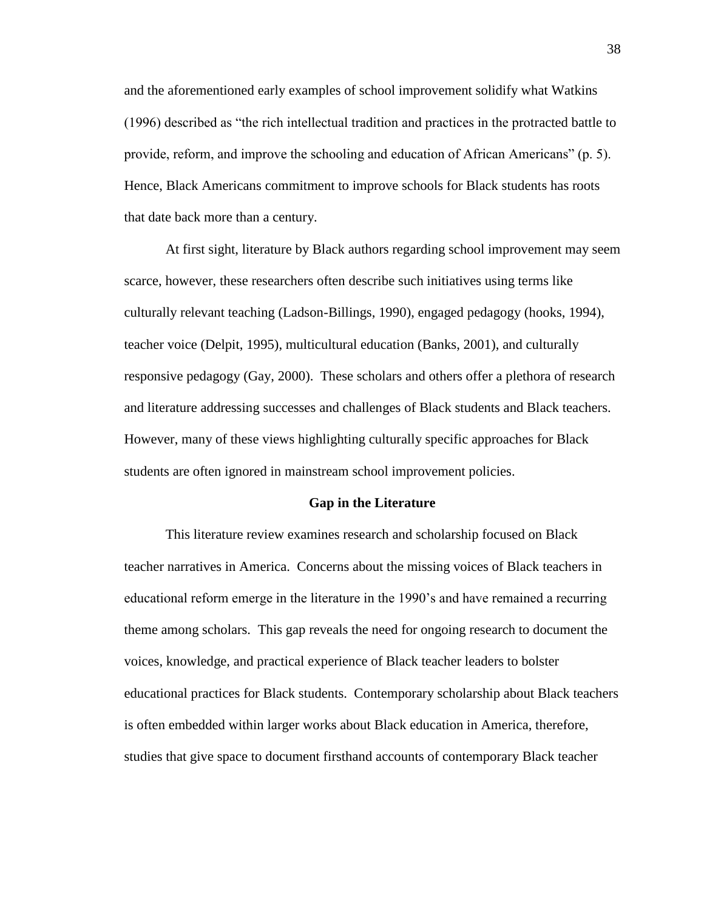and the aforementioned early examples of school improvement solidify what Watkins (1996) described as "the rich intellectual tradition and practices in the protracted battle to provide, reform, and improve the schooling and education of African Americans" (p. 5). Hence, Black Americans commitment to improve schools for Black students has roots that date back more than a century.

At first sight, literature by Black authors regarding school improvement may seem scarce, however, these researchers often describe such initiatives using terms like culturally relevant teaching (Ladson-Billings, 1990), engaged pedagogy (hooks, 1994), teacher voice (Delpit, 1995), multicultural education (Banks, 2001), and culturally responsive pedagogy (Gay, 2000). These scholars and others offer a plethora of research and literature addressing successes and challenges of Black students and Black teachers. However, many of these views highlighting culturally specific approaches for Black students are often ignored in mainstream school improvement policies.

#### **Gap in the Literature**

This literature review examines research and scholarship focused on Black teacher narratives in America. Concerns about the missing voices of Black teachers in educational reform emerge in the literature in the 1990's and have remained a recurring theme among scholars. This gap reveals the need for ongoing research to document the voices, knowledge, and practical experience of Black teacher leaders to bolster educational practices for Black students. Contemporary scholarship about Black teachers is often embedded within larger works about Black education in America, therefore, studies that give space to document firsthand accounts of contemporary Black teacher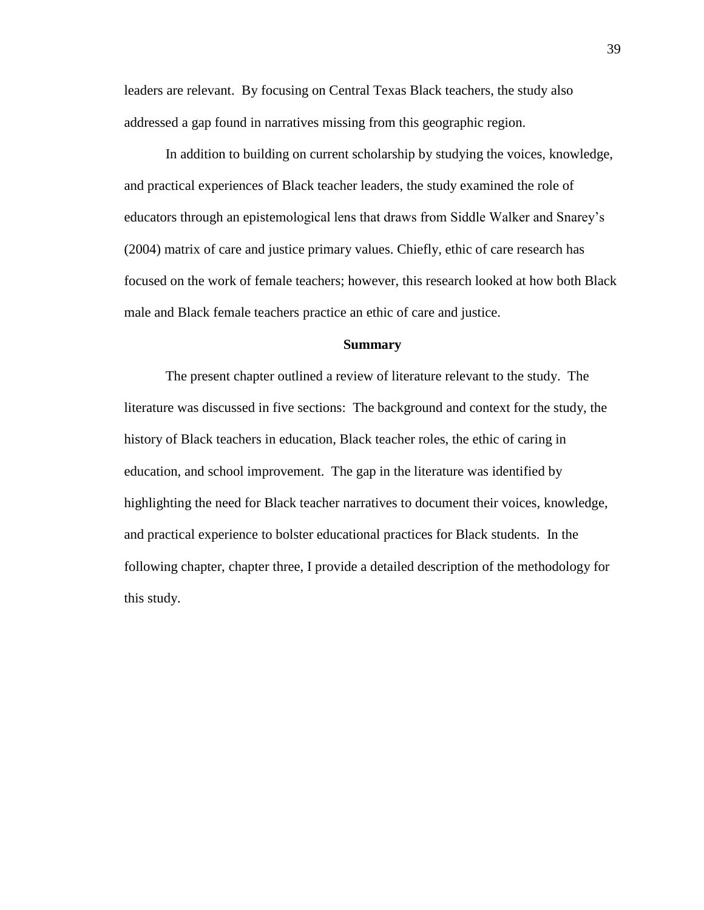leaders are relevant. By focusing on Central Texas Black teachers, the study also addressed a gap found in narratives missing from this geographic region.

In addition to building on current scholarship by studying the voices, knowledge, and practical experiences of Black teacher leaders, the study examined the role of educators through an epistemological lens that draws from Siddle Walker and Snarey's (2004) matrix of care and justice primary values. Chiefly, ethic of care research has focused on the work of female teachers; however, this research looked at how both Black male and Black female teachers practice an ethic of care and justice.

## **Summary**

The present chapter outlined a review of literature relevant to the study. The literature was discussed in five sections: The background and context for the study, the history of Black teachers in education, Black teacher roles, the ethic of caring in education, and school improvement. The gap in the literature was identified by highlighting the need for Black teacher narratives to document their voices, knowledge, and practical experience to bolster educational practices for Black students. In the following chapter, chapter three, I provide a detailed description of the methodology for this study.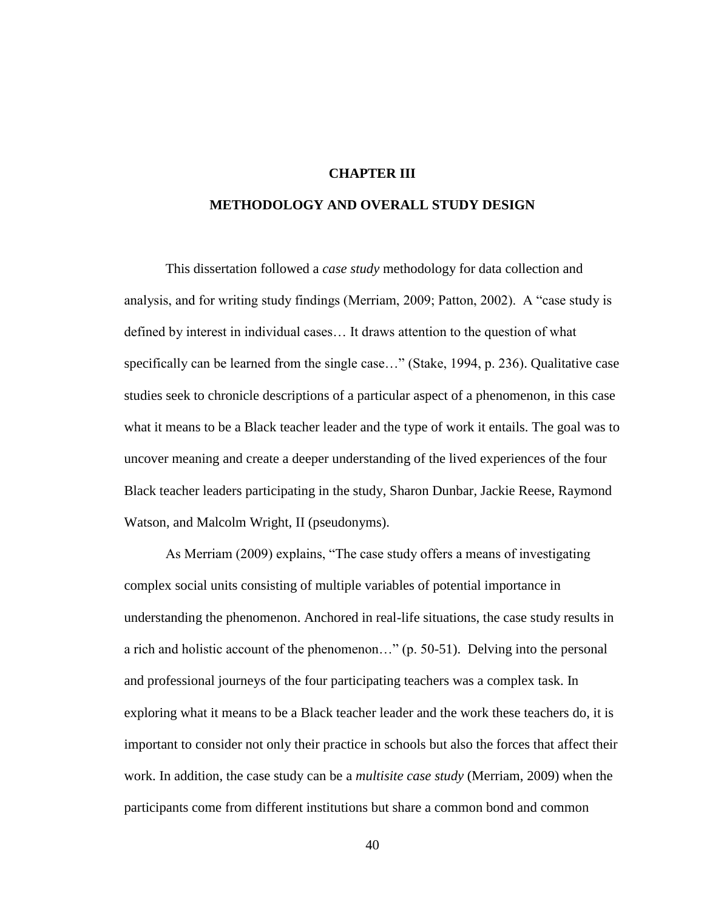# **CHAPTER III**

# **METHODOLOGY AND OVERALL STUDY DESIGN**

This dissertation followed a *case study* methodology for data collection and analysis, and for writing study findings (Merriam, 2009; Patton, 2002). A "case study is defined by interest in individual cases… It draws attention to the question of what specifically can be learned from the single case..." (Stake, 1994, p. 236). Qualitative case studies seek to chronicle descriptions of a particular aspect of a phenomenon, in this case what it means to be a Black teacher leader and the type of work it entails. The goal was to uncover meaning and create a deeper understanding of the lived experiences of the four Black teacher leaders participating in the study, Sharon Dunbar, Jackie Reese, Raymond Watson, and Malcolm Wright, II (pseudonyms).

As Merriam (2009) explains, "The case study offers a means of investigating complex social units consisting of multiple variables of potential importance in understanding the phenomenon. Anchored in real-life situations, the case study results in a rich and holistic account of the phenomenon…" (p. 50-51). Delving into the personal and professional journeys of the four participating teachers was a complex task. In exploring what it means to be a Black teacher leader and the work these teachers do, it is important to consider not only their practice in schools but also the forces that affect their work. In addition, the case study can be a *multisite case study* (Merriam, 2009) when the participants come from different institutions but share a common bond and common

40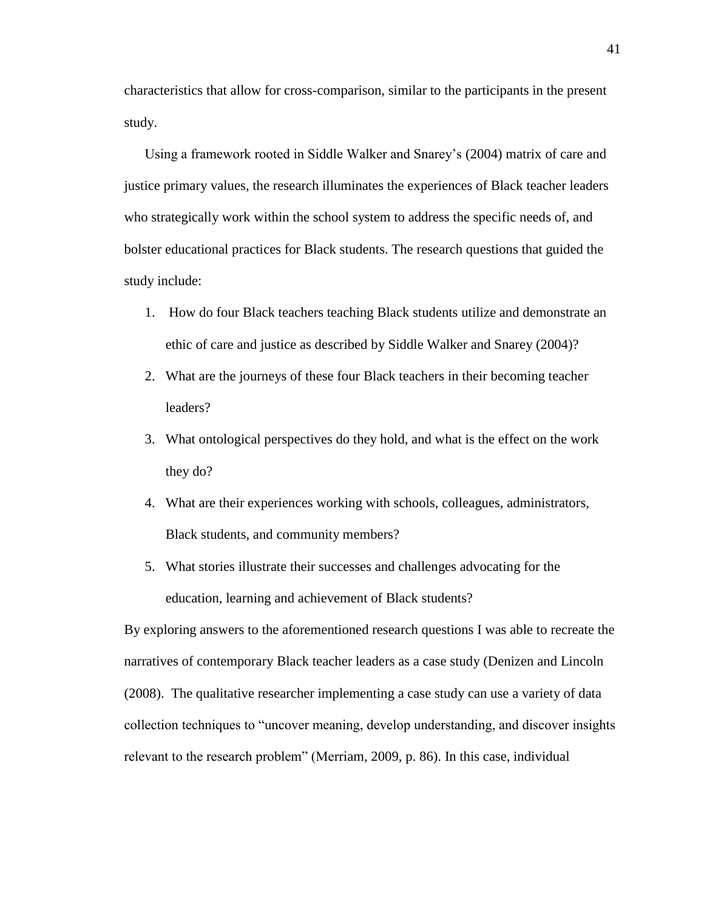characteristics that allow for cross-comparison, similar to the participants in the present study.

Using a framework rooted in Siddle Walker and Snarey's (2004) matrix of care and justice primary values, the research illuminates the experiences of Black teacher leaders who strategically work within the school system to address the specific needs of, and bolster educational practices for Black students. The research questions that guided the study include:

- 1. How do four Black teachers teaching Black students utilize and demonstrate an ethic of care and justice as described by Siddle Walker and Snarey (2004)?
- 2. What are the journeys of these four Black teachers in their becoming teacher leaders?
- 3. What ontological perspectives do they hold, and what is the effect on the work they do?
- 4. What are their experiences working with schools, colleagues, administrators, Black students, and community members?
- 5. What stories illustrate their successes and challenges advocating for the education, learning and achievement of Black students?

By exploring answers to the aforementioned research questions I was able to recreate the narratives of contemporary Black teacher leaders as a case study (Denizen and Lincoln (2008). The qualitative researcher implementing a case study can use a variety of data collection techniques to "uncover meaning, develop understanding, and discover insights relevant to the research problem" (Merriam, 2009, p. 86). In this case, individual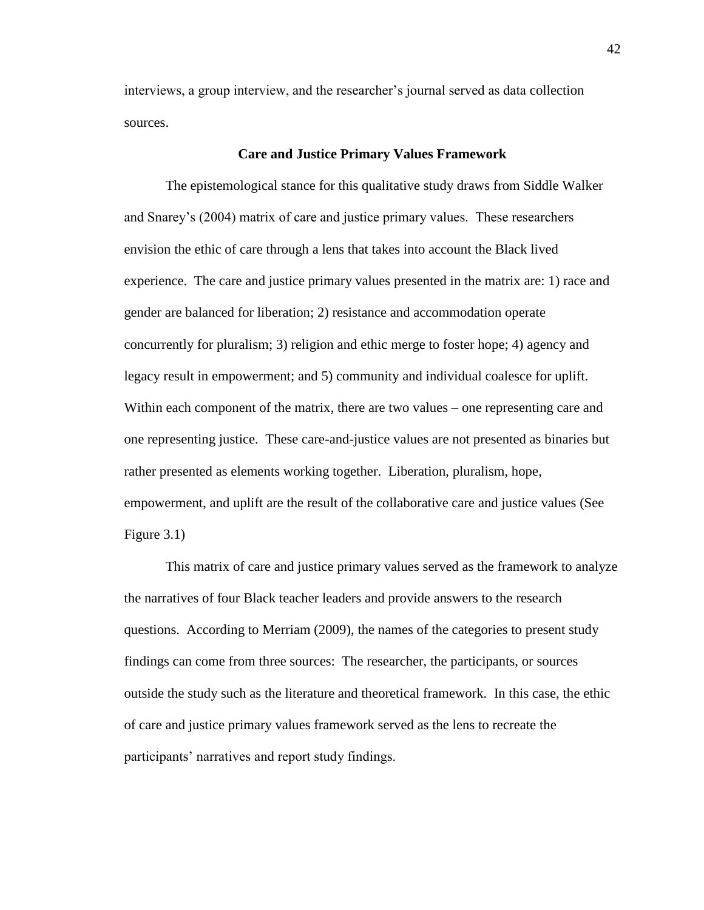interviews, a group interview, and the researcher's journal served as data collection sources.

# **Care and Justice Primary Values Framework**

The epistemological stance for this qualitative study draws from Siddle Walker and Snarey's (2004) matrix of care and justice primary values. These researchers envision the ethic of care through a lens that takes into account the Black lived experience. The care and justice primary values presented in the matrix are: 1) race and gender are balanced for liberation; 2) resistance and accommodation operate concurrently for pluralism; 3) religion and ethic merge to foster hope; 4) agency and legacy result in empowerment; and 5) community and individual coalesce for uplift. Within each component of the matrix, there are two values – one representing care and one representing justice. These care-and-justice values are not presented as binaries but rather presented as elements working together. Liberation, pluralism, hope, empowerment, and uplift are the result of the collaborative care and justice values (See Figure 3.1)

This matrix of care and justice primary values served as the framework to analyze the narratives of four Black teacher leaders and provide answers to the research questions. According to Merriam (2009), the names of the categories to present study findings can come from three sources: The researcher, the participants, or sources outside the study such as the literature and theoretical framework. In this case, the ethic of care and justice primary values framework served as the lens to recreate the participants' narratives and report study findings.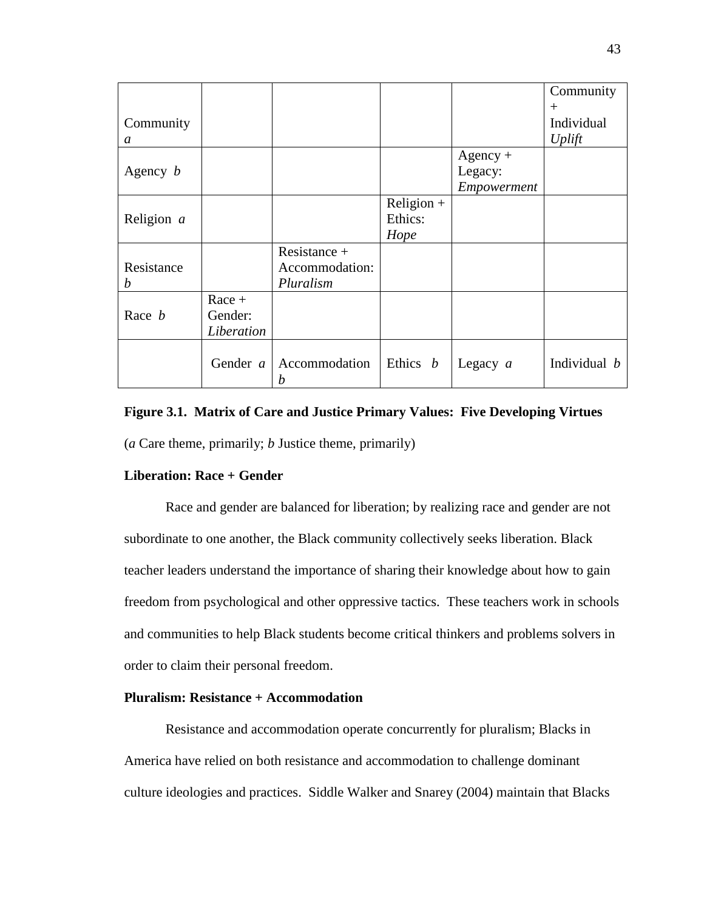|                 |                                   |                                             |                                 |                                      | Community            |
|-----------------|-----------------------------------|---------------------------------------------|---------------------------------|--------------------------------------|----------------------|
| Community       |                                   |                                             |                                 |                                      | $^{+}$<br>Individual |
| a               |                                   |                                             |                                 |                                      | Uplift               |
| Agency $b$      |                                   |                                             |                                 | $Agency +$<br>Legacy:<br>Empowerment |                      |
| Religion $a$    |                                   |                                             | $Religion +$<br>Ethics:<br>Hope |                                      |                      |
| Resistance<br>b |                                   | Resistance +<br>Accommodation:<br>Pluralism |                                 |                                      |                      |
| Race <i>b</i>   | $Race +$<br>Gender:<br>Liberation |                                             |                                 |                                      |                      |
|                 | Gender $a$                        | Accommodation<br>b                          | Ethics $b$                      | Legacy $a$                           | Individual b         |

# **Figure 3.1. Matrix of Care and Justice Primary Values: Five Developing Virtues**

(*a* Care theme, primarily; *b* Justice theme, primarily)

# **Liberation: Race + Gender**

Race and gender are balanced for liberation; by realizing race and gender are not subordinate to one another, the Black community collectively seeks liberation. Black teacher leaders understand the importance of sharing their knowledge about how to gain freedom from psychological and other oppressive tactics. These teachers work in schools and communities to help Black students become critical thinkers and problems solvers in order to claim their personal freedom.

# **Pluralism: Resistance + Accommodation**

Resistance and accommodation operate concurrently for pluralism; Blacks in America have relied on both resistance and accommodation to challenge dominant culture ideologies and practices. Siddle Walker and Snarey (2004) maintain that Blacks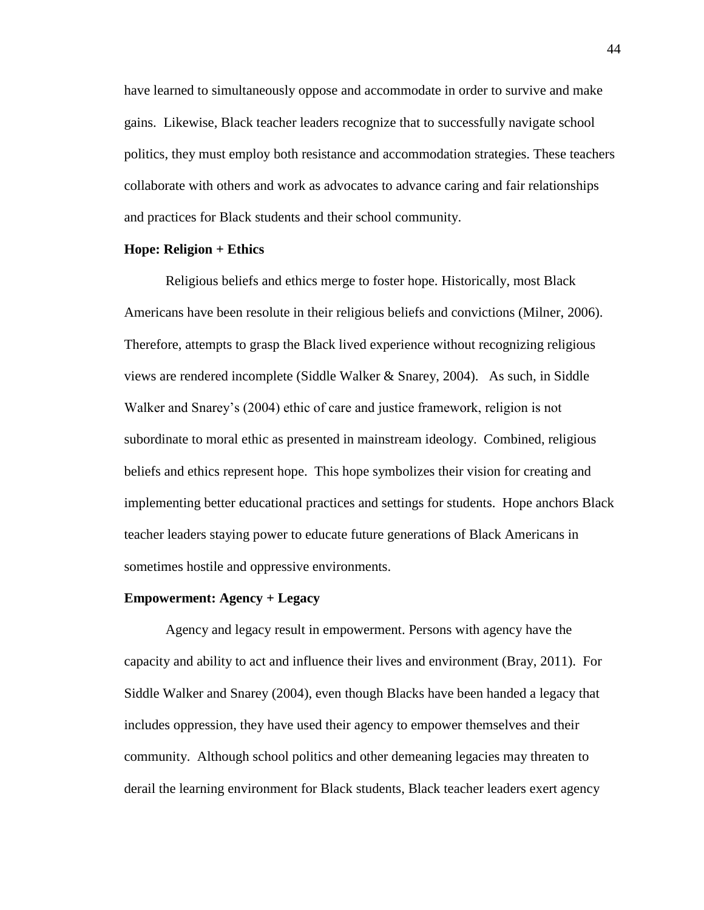have learned to simultaneously oppose and accommodate in order to survive and make gains. Likewise, Black teacher leaders recognize that to successfully navigate school politics, they must employ both resistance and accommodation strategies. These teachers collaborate with others and work as advocates to advance caring and fair relationships and practices for Black students and their school community.

## **Hope: Religion + Ethics**

Religious beliefs and ethics merge to foster hope. Historically, most Black Americans have been resolute in their religious beliefs and convictions (Milner, 2006). Therefore, attempts to grasp the Black lived experience without recognizing religious views are rendered incomplete (Siddle Walker & Snarey, 2004). As such, in Siddle Walker and Snarey's (2004) ethic of care and justice framework, religion is not subordinate to moral ethic as presented in mainstream ideology. Combined, religious beliefs and ethics represent hope. This hope symbolizes their vision for creating and implementing better educational practices and settings for students. Hope anchors Black teacher leaders staying power to educate future generations of Black Americans in sometimes hostile and oppressive environments.

#### **Empowerment: Agency + Legacy**

Agency and legacy result in empowerment. Persons with agency have the capacity and ability to act and influence their lives and environment (Bray, 2011). For Siddle Walker and Snarey (2004), even though Blacks have been handed a legacy that includes oppression, they have used their agency to empower themselves and their community. Although school politics and other demeaning legacies may threaten to derail the learning environment for Black students, Black teacher leaders exert agency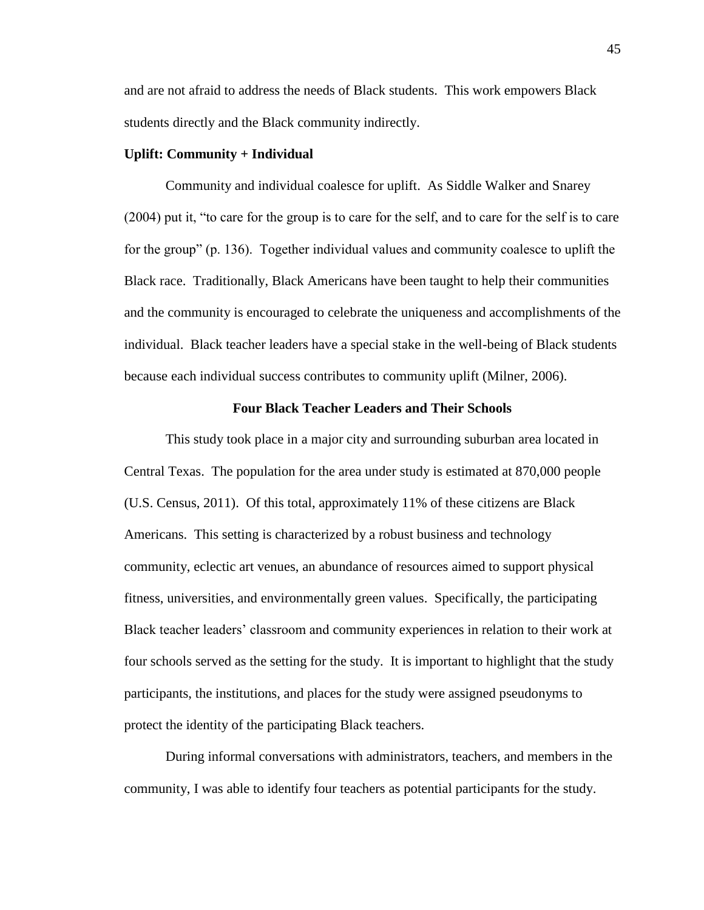and are not afraid to address the needs of Black students. This work empowers Black students directly and the Black community indirectly.

## **Uplift: Community + Individual**

Community and individual coalesce for uplift. As Siddle Walker and Snarey (2004) put it, "to care for the group is to care for the self, and to care for the self is to care for the group" (p. 136). Together individual values and community coalesce to uplift the Black race. Traditionally, Black Americans have been taught to help their communities and the community is encouraged to celebrate the uniqueness and accomplishments of the individual. Black teacher leaders have a special stake in the well-being of Black students because each individual success contributes to community uplift (Milner, 2006).

## **Four Black Teacher Leaders and Their Schools**

This study took place in a major city and surrounding suburban area located in Central Texas. The population for the area under study is estimated at 870,000 people (U.S. Census, 2011). Of this total, approximately 11% of these citizens are Black Americans. This setting is characterized by a robust business and technology community, eclectic art venues, an abundance of resources aimed to support physical fitness, universities, and environmentally green values. Specifically, the participating Black teacher leaders' classroom and community experiences in relation to their work at four schools served as the setting for the study. It is important to highlight that the study participants, the institutions, and places for the study were assigned pseudonyms to protect the identity of the participating Black teachers.

During informal conversations with administrators, teachers, and members in the community, I was able to identify four teachers as potential participants for the study.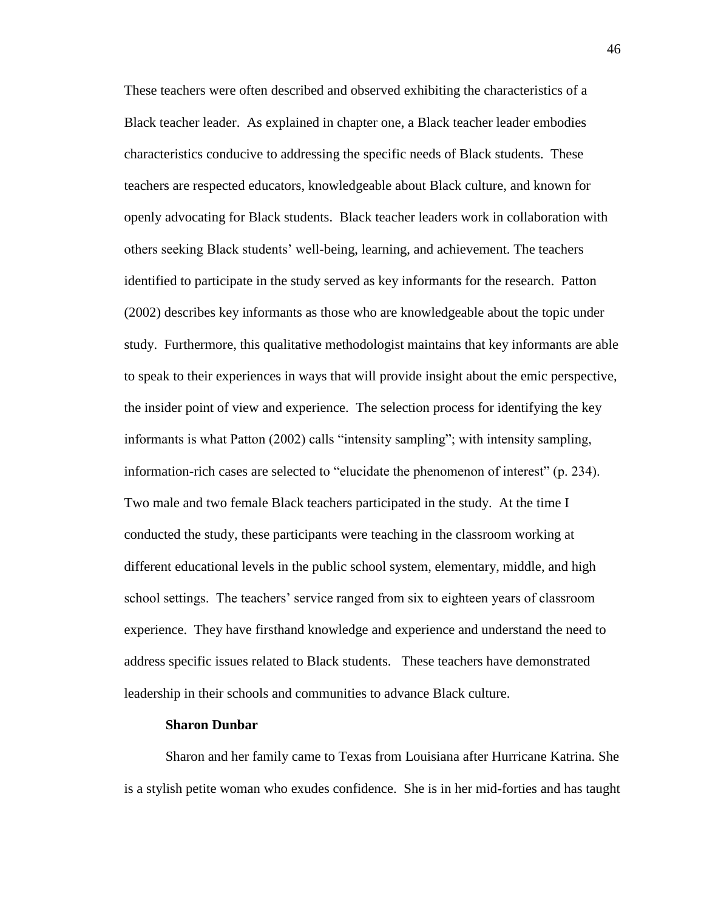These teachers were often described and observed exhibiting the characteristics of a Black teacher leader. As explained in chapter one, a Black teacher leader embodies characteristics conducive to addressing the specific needs of Black students. These teachers are respected educators, knowledgeable about Black culture, and known for openly advocating for Black students. Black teacher leaders work in collaboration with others seeking Black students' well-being, learning, and achievement. The teachers identified to participate in the study served as key informants for the research. Patton (2002) describes key informants as those who are knowledgeable about the topic under study. Furthermore, this qualitative methodologist maintains that key informants are able to speak to their experiences in ways that will provide insight about the emic perspective, the insider point of view and experience. The selection process for identifying the key informants is what Patton (2002) calls "intensity sampling"; with intensity sampling, information-rich cases are selected to "elucidate the phenomenon of interest" (p. 234). Two male and two female Black teachers participated in the study. At the time I conducted the study, these participants were teaching in the classroom working at different educational levels in the public school system, elementary, middle, and high school settings. The teachers' service ranged from six to eighteen years of classroom experience. They have firsthand knowledge and experience and understand the need to address specific issues related to Black students. These teachers have demonstrated leadership in their schools and communities to advance Black culture.

#### **Sharon Dunbar**

Sharon and her family came to Texas from Louisiana after Hurricane Katrina. She is a stylish petite woman who exudes confidence. She is in her mid-forties and has taught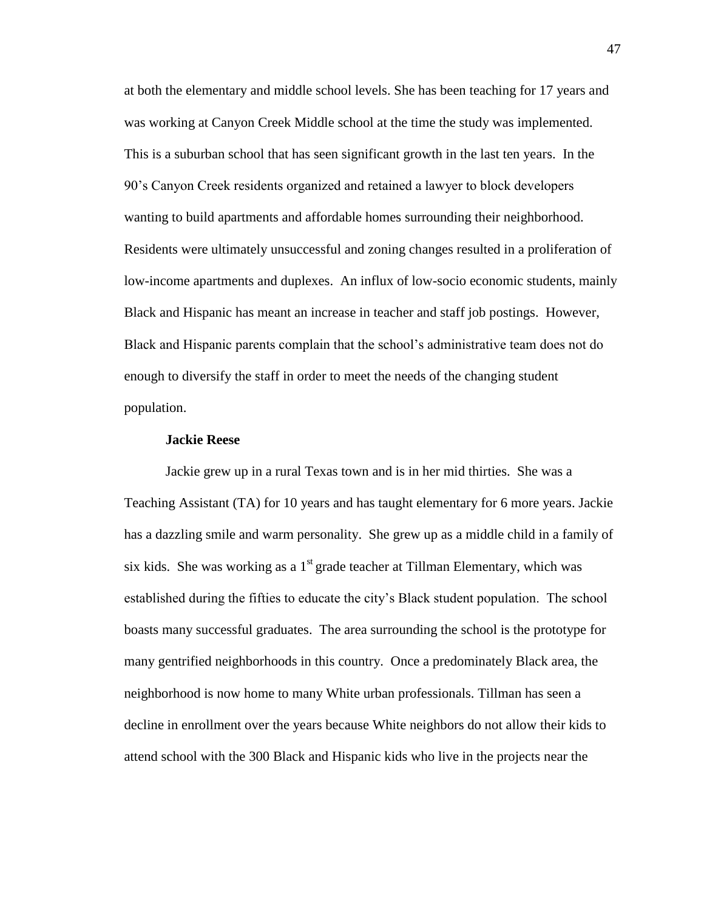at both the elementary and middle school levels. She has been teaching for 17 years and was working at Canyon Creek Middle school at the time the study was implemented. This is a suburban school that has seen significant growth in the last ten years. In the 90's Canyon Creek residents organized and retained a lawyer to block developers wanting to build apartments and affordable homes surrounding their neighborhood. Residents were ultimately unsuccessful and zoning changes resulted in a proliferation of low-income apartments and duplexes. An influx of low-socio economic students, mainly Black and Hispanic has meant an increase in teacher and staff job postings. However, Black and Hispanic parents complain that the school's administrative team does not do enough to diversify the staff in order to meet the needs of the changing student population.

### **Jackie Reese**

Jackie grew up in a rural Texas town and is in her mid thirties. She was a Teaching Assistant (TA) for 10 years and has taught elementary for 6 more years. Jackie has a dazzling smile and warm personality. She grew up as a middle child in a family of six kids. She was working as a  $1<sup>st</sup>$  grade teacher at Tillman Elementary, which was established during the fifties to educate the city's Black student population. The school boasts many successful graduates. The area surrounding the school is the prototype for many gentrified neighborhoods in this country. Once a predominately Black area, the neighborhood is now home to many White urban professionals. Tillman has seen a decline in enrollment over the years because White neighbors do not allow their kids to attend school with the 300 Black and Hispanic kids who live in the projects near the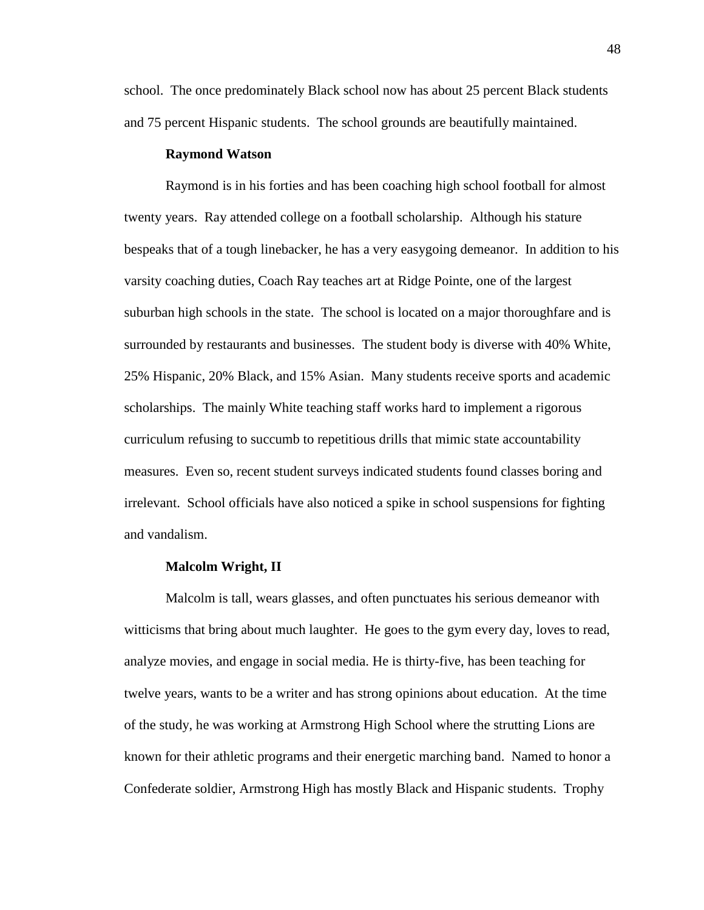school. The once predominately Black school now has about 25 percent Black students and 75 percent Hispanic students. The school grounds are beautifully maintained.

## **Raymond Watson**

Raymond is in his forties and has been coaching high school football for almost twenty years. Ray attended college on a football scholarship. Although his stature bespeaks that of a tough linebacker, he has a very easygoing demeanor. In addition to his varsity coaching duties, Coach Ray teaches art at Ridge Pointe, one of the largest suburban high schools in the state. The school is located on a major thoroughfare and is surrounded by restaurants and businesses. The student body is diverse with 40% White, 25% Hispanic, 20% Black, and 15% Asian. Many students receive sports and academic scholarships. The mainly White teaching staff works hard to implement a rigorous curriculum refusing to succumb to repetitious drills that mimic state accountability measures. Even so, recent student surveys indicated students found classes boring and irrelevant. School officials have also noticed a spike in school suspensions for fighting and vandalism.

#### **Malcolm Wright, II**

Malcolm is tall, wears glasses, and often punctuates his serious demeanor with witticisms that bring about much laughter. He goes to the gym every day, loves to read, analyze movies, and engage in social media. He is thirty-five, has been teaching for twelve years, wants to be a writer and has strong opinions about education. At the time of the study, he was working at Armstrong High School where the strutting Lions are known for their athletic programs and their energetic marching band. Named to honor a Confederate soldier, Armstrong High has mostly Black and Hispanic students. Trophy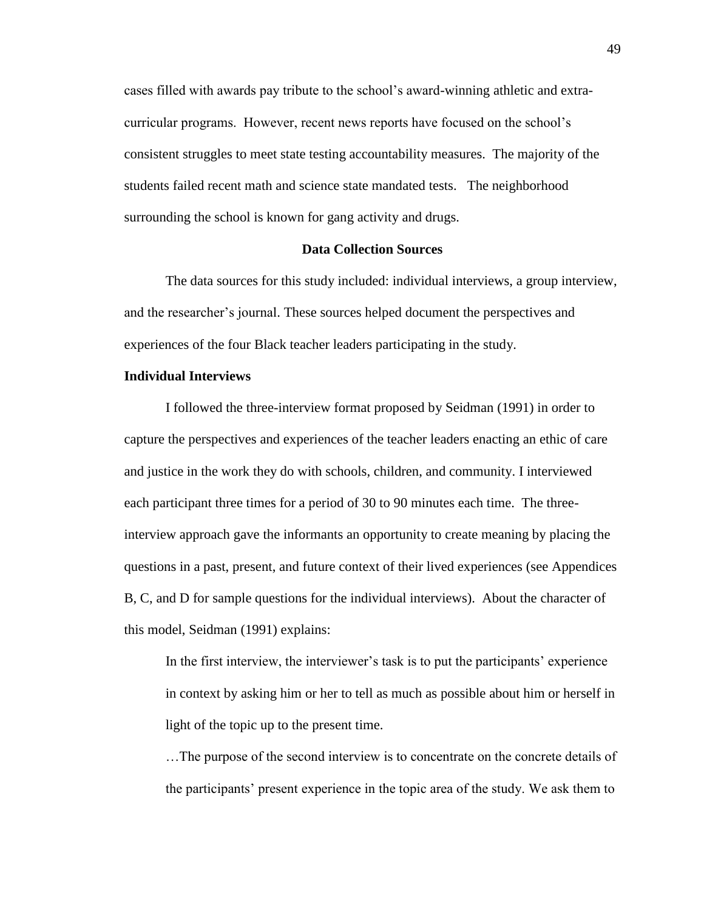cases filled with awards pay tribute to the school's award-winning athletic and extracurricular programs. However, recent news reports have focused on the school's consistent struggles to meet state testing accountability measures. The majority of the students failed recent math and science state mandated tests. The neighborhood surrounding the school is known for gang activity and drugs.

## **Data Collection Sources**

The data sources for this study included: individual interviews, a group interview, and the researcher's journal. These sources helped document the perspectives and experiences of the four Black teacher leaders participating in the study.

## **Individual Interviews**

I followed the three-interview format proposed by Seidman (1991) in order to capture the perspectives and experiences of the teacher leaders enacting an ethic of care and justice in the work they do with schools, children, and community. I interviewed each participant three times for a period of 30 to 90 minutes each time. The threeinterview approach gave the informants an opportunity to create meaning by placing the questions in a past, present, and future context of their lived experiences (see Appendices B, C, and D for sample questions for the individual interviews). About the character of this model, Seidman (1991) explains:

In the first interview, the interviewer's task is to put the participants' experience in context by asking him or her to tell as much as possible about him or herself in light of the topic up to the present time.

…The purpose of the second interview is to concentrate on the concrete details of the participants' present experience in the topic area of the study. We ask them to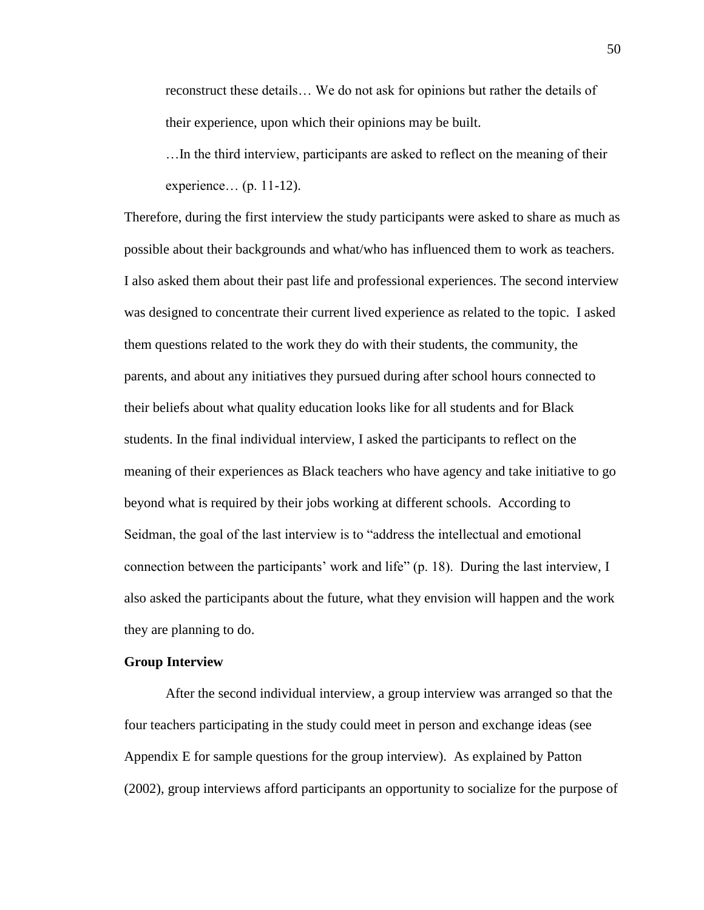reconstruct these details… We do not ask for opinions but rather the details of their experience, upon which their opinions may be built.

…In the third interview, participants are asked to reflect on the meaning of their experience… (p. 11-12).

Therefore, during the first interview the study participants were asked to share as much as possible about their backgrounds and what/who has influenced them to work as teachers. I also asked them about their past life and professional experiences. The second interview was designed to concentrate their current lived experience as related to the topic. I asked them questions related to the work they do with their students, the community, the parents, and about any initiatives they pursued during after school hours connected to their beliefs about what quality education looks like for all students and for Black students. In the final individual interview, I asked the participants to reflect on the meaning of their experiences as Black teachers who have agency and take initiative to go beyond what is required by their jobs working at different schools. According to Seidman, the goal of the last interview is to "address the intellectual and emotional connection between the participants' work and life" (p. 18). During the last interview, I also asked the participants about the future, what they envision will happen and the work they are planning to do.

#### **Group Interview**

After the second individual interview, a group interview was arranged so that the four teachers participating in the study could meet in person and exchange ideas (see Appendix E for sample questions for the group interview). As explained by Patton (2002), group interviews afford participants an opportunity to socialize for the purpose of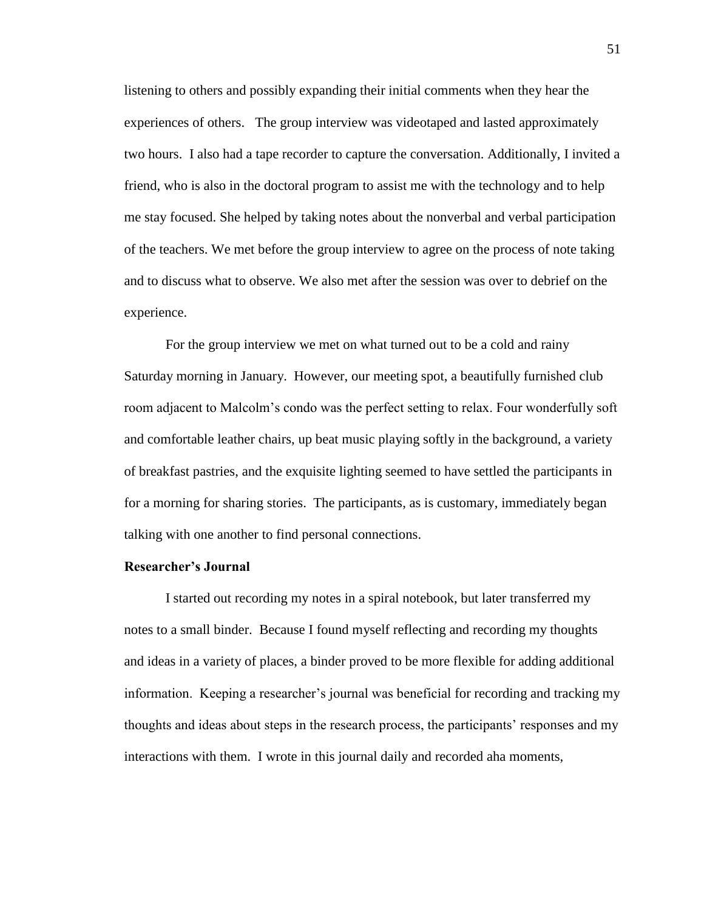listening to others and possibly expanding their initial comments when they hear the experiences of others. The group interview was videotaped and lasted approximately two hours. I also had a tape recorder to capture the conversation. Additionally, I invited a friend, who is also in the doctoral program to assist me with the technology and to help me stay focused. She helped by taking notes about the nonverbal and verbal participation of the teachers. We met before the group interview to agree on the process of note taking and to discuss what to observe. We also met after the session was over to debrief on the experience.

For the group interview we met on what turned out to be a cold and rainy Saturday morning in January. However, our meeting spot, a beautifully furnished club room adjacent to Malcolm's condo was the perfect setting to relax. Four wonderfully soft and comfortable leather chairs, up beat music playing softly in the background, a variety of breakfast pastries, and the exquisite lighting seemed to have settled the participants in for a morning for sharing stories. The participants, as is customary, immediately began talking with one another to find personal connections.

## **Researcher's Journal**

I started out recording my notes in a spiral notebook, but later transferred my notes to a small binder. Because I found myself reflecting and recording my thoughts and ideas in a variety of places, a binder proved to be more flexible for adding additional information. Keeping a researcher's journal was beneficial for recording and tracking my thoughts and ideas about steps in the research process, the participants' responses and my interactions with them. I wrote in this journal daily and recorded aha moments,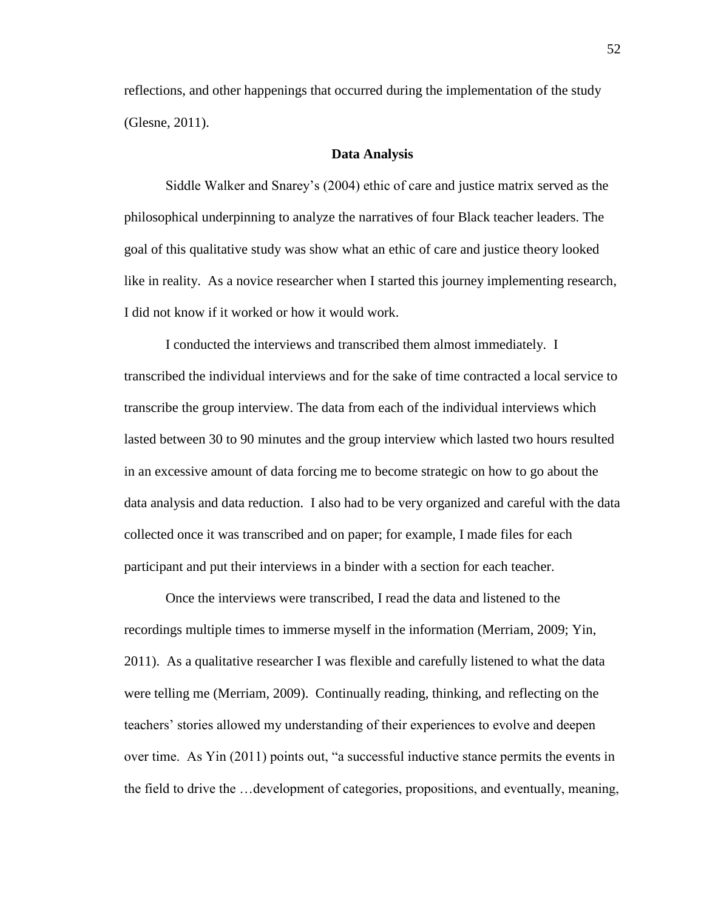reflections, and other happenings that occurred during the implementation of the study (Glesne, 2011).

#### **Data Analysis**

Siddle Walker and Snarey's (2004) ethic of care and justice matrix served as the philosophical underpinning to analyze the narratives of four Black teacher leaders. The goal of this qualitative study was show what an ethic of care and justice theory looked like in reality. As a novice researcher when I started this journey implementing research, I did not know if it worked or how it would work.

I conducted the interviews and transcribed them almost immediately. I transcribed the individual interviews and for the sake of time contracted a local service to transcribe the group interview. The data from each of the individual interviews which lasted between 30 to 90 minutes and the group interview which lasted two hours resulted in an excessive amount of data forcing me to become strategic on how to go about the data analysis and data reduction. I also had to be very organized and careful with the data collected once it was transcribed and on paper; for example, I made files for each participant and put their interviews in a binder with a section for each teacher.

Once the interviews were transcribed, I read the data and listened to the recordings multiple times to immerse myself in the information (Merriam, 2009; Yin, 2011). As a qualitative researcher I was flexible and carefully listened to what the data were telling me (Merriam, 2009). Continually reading, thinking, and reflecting on the teachers' stories allowed my understanding of their experiences to evolve and deepen over time. As Yin (2011) points out, "a successful inductive stance permits the events in the field to drive the …development of categories, propositions, and eventually, meaning,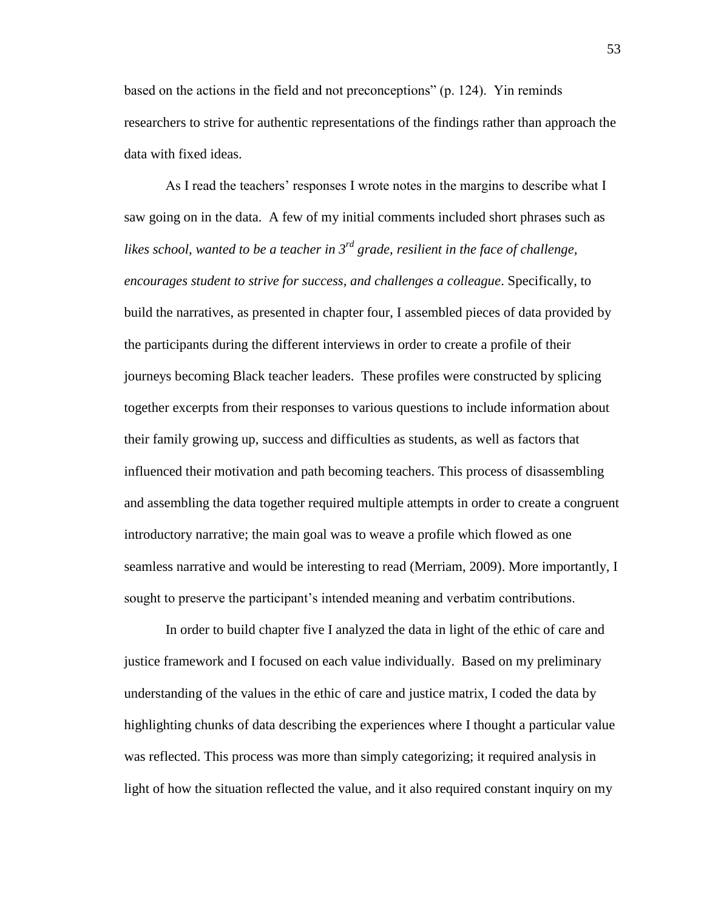based on the actions in the field and not preconceptions" (p. 124). Yin reminds researchers to strive for authentic representations of the findings rather than approach the data with fixed ideas.

As I read the teachers' responses I wrote notes in the margins to describe what I saw going on in the data. A few of my initial comments included short phrases such as *likes school, wanted to be a teacher in 3rd grade, resilient in the face of challenge, encourages student to strive for success, and challenges a colleague*. Specifically, to build the narratives, as presented in chapter four, I assembled pieces of data provided by the participants during the different interviews in order to create a profile of their journeys becoming Black teacher leaders. These profiles were constructed by splicing together excerpts from their responses to various questions to include information about their family growing up, success and difficulties as students, as well as factors that influenced their motivation and path becoming teachers. This process of disassembling and assembling the data together required multiple attempts in order to create a congruent introductory narrative; the main goal was to weave a profile which flowed as one seamless narrative and would be interesting to read (Merriam, 2009). More importantly, I sought to preserve the participant's intended meaning and verbatim contributions.

In order to build chapter five I analyzed the data in light of the ethic of care and justice framework and I focused on each value individually. Based on my preliminary understanding of the values in the ethic of care and justice matrix, I coded the data by highlighting chunks of data describing the experiences where I thought a particular value was reflected. This process was more than simply categorizing; it required analysis in light of how the situation reflected the value, and it also required constant inquiry on my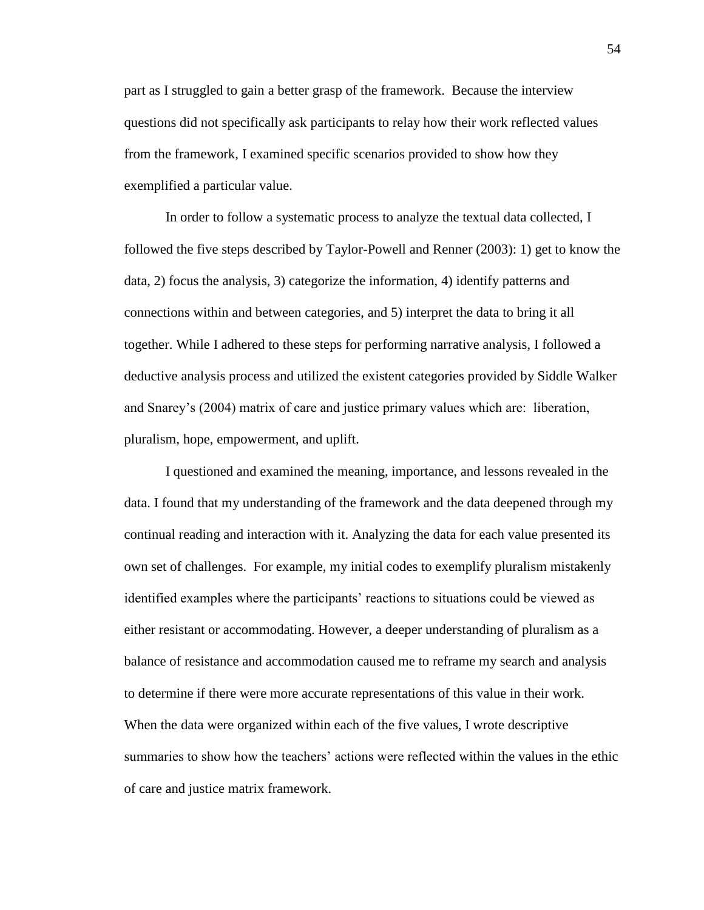part as I struggled to gain a better grasp of the framework. Because the interview questions did not specifically ask participants to relay how their work reflected values from the framework, I examined specific scenarios provided to show how they exemplified a particular value.

In order to follow a systematic process to analyze the textual data collected, I followed the five steps described by Taylor-Powell and Renner (2003): 1) get to know the data, 2) focus the analysis, 3) categorize the information, 4) identify patterns and connections within and between categories, and 5) interpret the data to bring it all together. While I adhered to these steps for performing narrative analysis, I followed a deductive analysis process and utilized the existent categories provided by Siddle Walker and Snarey's (2004) matrix of care and justice primary values which are: liberation, pluralism, hope, empowerment, and uplift.

I questioned and examined the meaning, importance, and lessons revealed in the data. I found that my understanding of the framework and the data deepened through my continual reading and interaction with it. Analyzing the data for each value presented its own set of challenges. For example, my initial codes to exemplify pluralism mistakenly identified examples where the participants' reactions to situations could be viewed as either resistant or accommodating. However, a deeper understanding of pluralism as a balance of resistance and accommodation caused me to reframe my search and analysis to determine if there were more accurate representations of this value in their work. When the data were organized within each of the five values, I wrote descriptive summaries to show how the teachers' actions were reflected within the values in the ethic of care and justice matrix framework.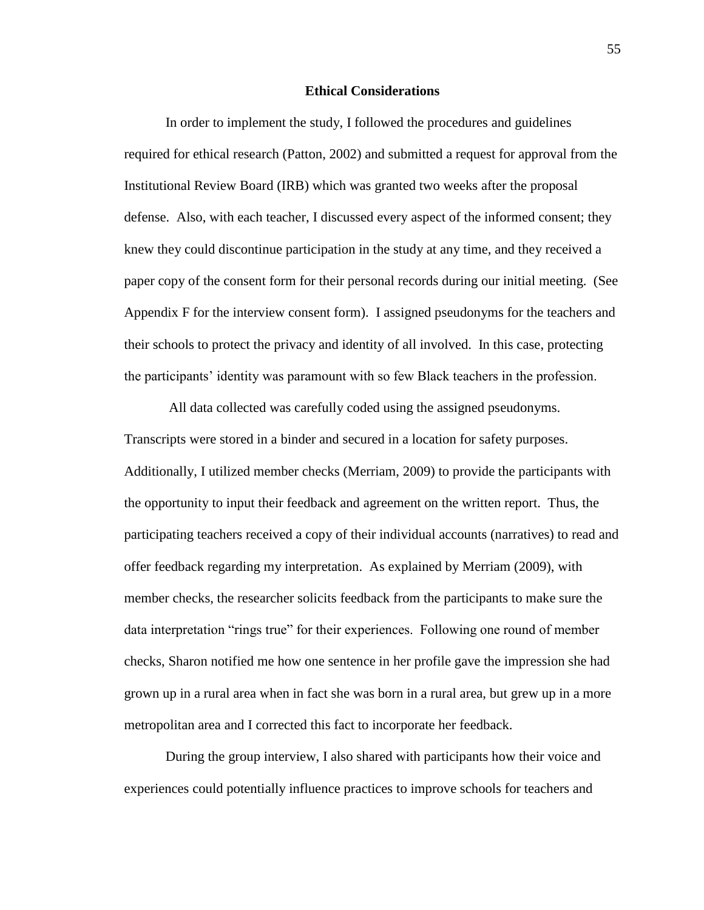#### **Ethical Considerations**

In order to implement the study, I followed the procedures and guidelines required for ethical research (Patton, 2002) and submitted a request for approval from the Institutional Review Board (IRB) which was granted two weeks after the proposal defense. Also, with each teacher, I discussed every aspect of the informed consent; they knew they could discontinue participation in the study at any time, and they received a paper copy of the consent form for their personal records during our initial meeting. (See Appendix F for the interview consent form). I assigned pseudonyms for the teachers and their schools to protect the privacy and identity of all involved. In this case, protecting the participants' identity was paramount with so few Black teachers in the profession.

All data collected was carefully coded using the assigned pseudonyms. Transcripts were stored in a binder and secured in a location for safety purposes. Additionally, I utilized member checks (Merriam, 2009) to provide the participants with the opportunity to input their feedback and agreement on the written report. Thus, the participating teachers received a copy of their individual accounts (narratives) to read and offer feedback regarding my interpretation. As explained by Merriam (2009), with member checks, the researcher solicits feedback from the participants to make sure the data interpretation "rings true" for their experiences. Following one round of member checks, Sharon notified me how one sentence in her profile gave the impression she had grown up in a rural area when in fact she was born in a rural area, but grew up in a more metropolitan area and I corrected this fact to incorporate her feedback.

During the group interview, I also shared with participants how their voice and experiences could potentially influence practices to improve schools for teachers and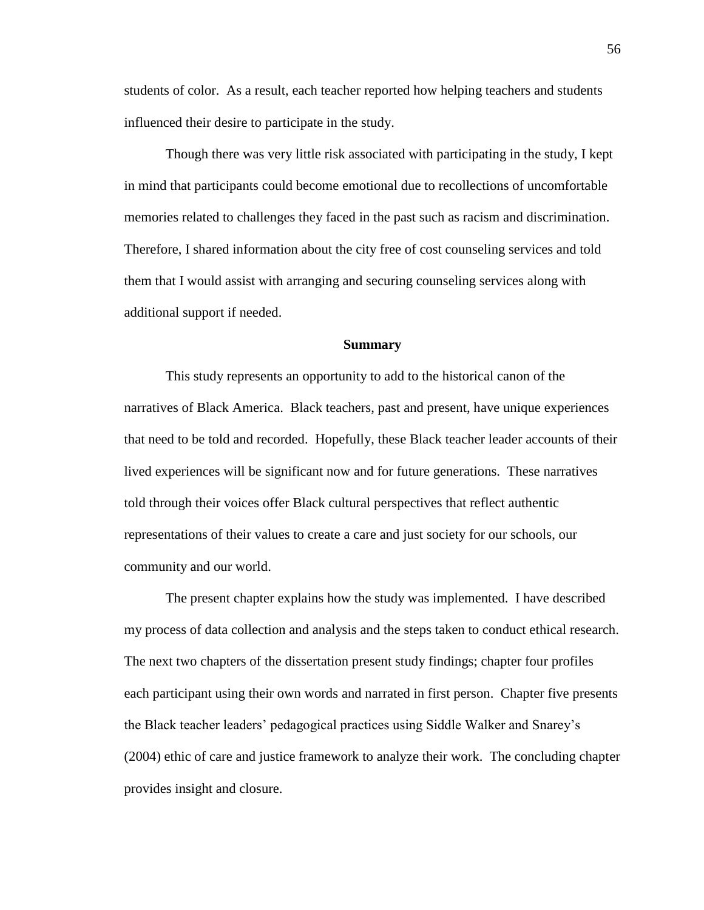students of color. As a result, each teacher reported how helping teachers and students influenced their desire to participate in the study.

Though there was very little risk associated with participating in the study, I kept in mind that participants could become emotional due to recollections of uncomfortable memories related to challenges they faced in the past such as racism and discrimination. Therefore, I shared information about the city free of cost counseling services and told them that I would assist with arranging and securing counseling services along with additional support if needed.

#### **Summary**

This study represents an opportunity to add to the historical canon of the narratives of Black America. Black teachers, past and present, have unique experiences that need to be told and recorded. Hopefully, these Black teacher leader accounts of their lived experiences will be significant now and for future generations. These narratives told through their voices offer Black cultural perspectives that reflect authentic representations of their values to create a care and just society for our schools, our community and our world.

The present chapter explains how the study was implemented. I have described my process of data collection and analysis and the steps taken to conduct ethical research. The next two chapters of the dissertation present study findings; chapter four profiles each participant using their own words and narrated in first person. Chapter five presents the Black teacher leaders' pedagogical practices using Siddle Walker and Snarey's (2004) ethic of care and justice framework to analyze their work. The concluding chapter provides insight and closure.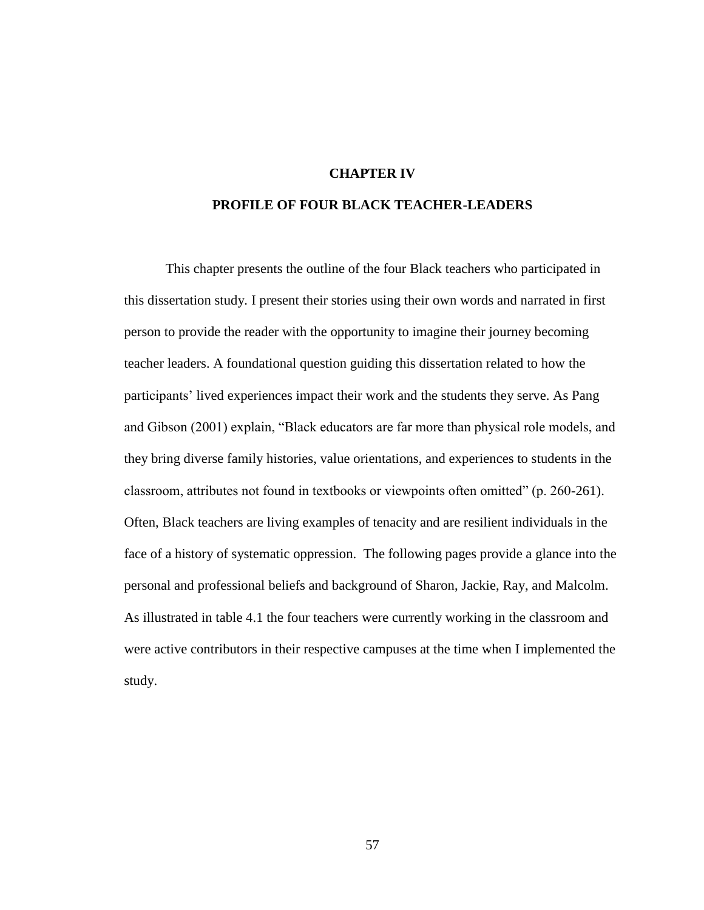## **CHAPTER IV**

# **PROFILE OF FOUR BLACK TEACHER-LEADERS**

This chapter presents the outline of the four Black teachers who participated in this dissertation study. I present their stories using their own words and narrated in first person to provide the reader with the opportunity to imagine their journey becoming teacher leaders. A foundational question guiding this dissertation related to how the participants' lived experiences impact their work and the students they serve. As Pang and Gibson (2001) explain, "Black educators are far more than physical role models, and they bring diverse family histories, value orientations, and experiences to students in the classroom, attributes not found in textbooks or viewpoints often omitted" (p. 260-261). Often, Black teachers are living examples of tenacity and are resilient individuals in the face of a history of systematic oppression. The following pages provide a glance into the personal and professional beliefs and background of Sharon, Jackie, Ray, and Malcolm. As illustrated in table 4.1 the four teachers were currently working in the classroom and were active contributors in their respective campuses at the time when I implemented the study.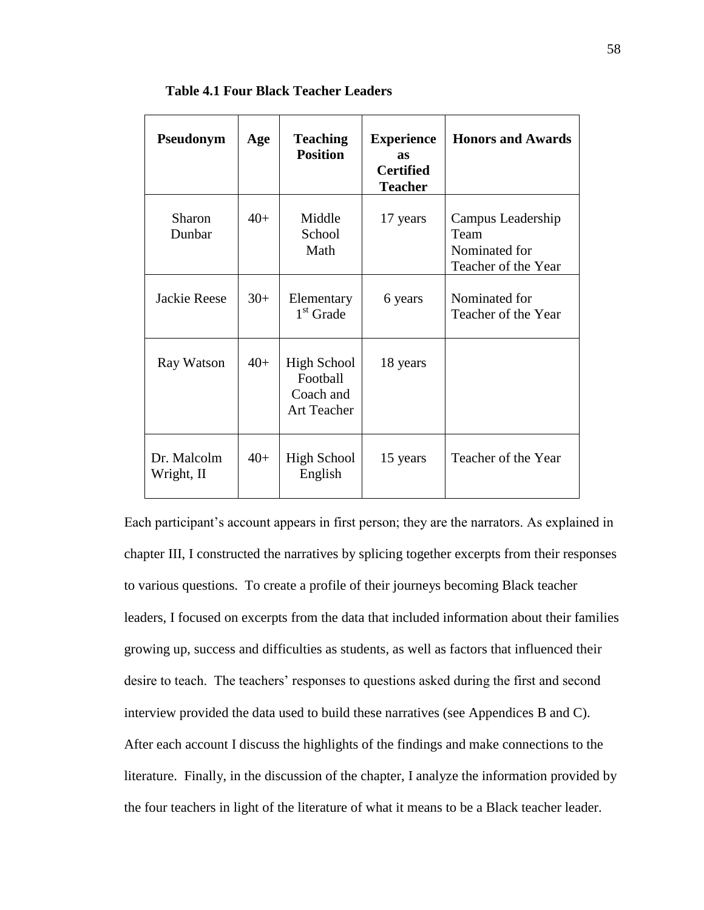| Pseudonym                 | Age   | <b>Teaching</b><br><b>Position</b>                         | <b>Experience</b><br><b>as</b><br><b>Certified</b><br><b>Teacher</b> | <b>Honors and Awards</b>                                          |
|---------------------------|-------|------------------------------------------------------------|----------------------------------------------------------------------|-------------------------------------------------------------------|
| Sharon<br>Dunbar          | $40+$ | Middle<br>School<br>Math                                   | 17 years                                                             | Campus Leadership<br>Team<br>Nominated for<br>Teacher of the Year |
| Jackie Reese              | $30+$ | Elementary<br>$1st$ Grade                                  | 6 years                                                              | Nominated for<br>Teacher of the Year                              |
| Ray Watson                | $40+$ | High School<br>Football<br>Coach and<br><b>Art Teacher</b> | 18 years                                                             |                                                                   |
| Dr. Malcolm<br>Wright, II | $40+$ | <b>High School</b><br>English                              | 15 years                                                             | Teacher of the Year                                               |

**Table 4.1 Four Black Teacher Leaders**

Each participant's account appears in first person; they are the narrators. As explained in chapter III, I constructed the narratives by splicing together excerpts from their responses to various questions. To create a profile of their journeys becoming Black teacher leaders, I focused on excerpts from the data that included information about their families growing up, success and difficulties as students, as well as factors that influenced their desire to teach. The teachers' responses to questions asked during the first and second interview provided the data used to build these narratives (see Appendices B and C). After each account I discuss the highlights of the findings and make connections to the literature. Finally, in the discussion of the chapter, I analyze the information provided by the four teachers in light of the literature of what it means to be a Black teacher leader.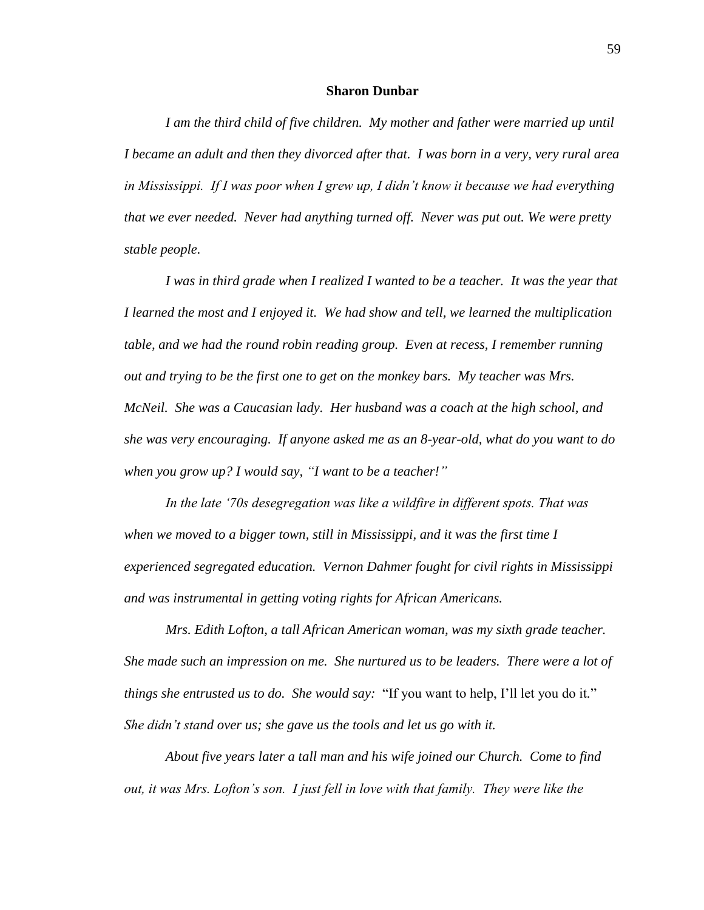### **Sharon Dunbar**

*I am the third child of five children. My mother and father were married up until I became an adult and then they divorced after that. I was born in a very, very rural area in Mississippi. If I was poor when I grew up, I didn't know it because we had everything that we ever needed. Never had anything turned off. Never was put out. We were pretty stable people.* 

*I was in third grade when I realized I wanted to be a teacher. It was the year that I learned the most and I enjoyed it. We had show and tell, we learned the multiplication table, and we had the round robin reading group. Even at recess, I remember running out and trying to be the first one to get on the monkey bars. My teacher was Mrs. McNeil. She was a Caucasian lady. Her husband was a coach at the high school, and she was very encouraging. If anyone asked me as an 8-year-old, what do you want to do when you grow up? I would say, "I want to be a teacher!"*

*In the late '70s desegregation was like a wildfire in different spots. That was when we moved to a bigger town, still in Mississippi, and it was the first time I experienced segregated education. Vernon Dahmer fought for civil rights in Mississippi and was instrumental in getting voting rights for African Americans.* 

*Mrs. Edith Lofton, a tall African American woman, was my sixth grade teacher. She made such an impression on me. She nurtured us to be leaders. There were a lot of things she entrusted us to do. She would say:* "If you want to help, I'll let you do it*.*" *She didn't stand over us; she gave us the tools and let us go with it.* 

*About five years later a tall man and his wife joined our Church. Come to find out, it was Mrs. Lofton's son. I just fell in love with that family. They were like the*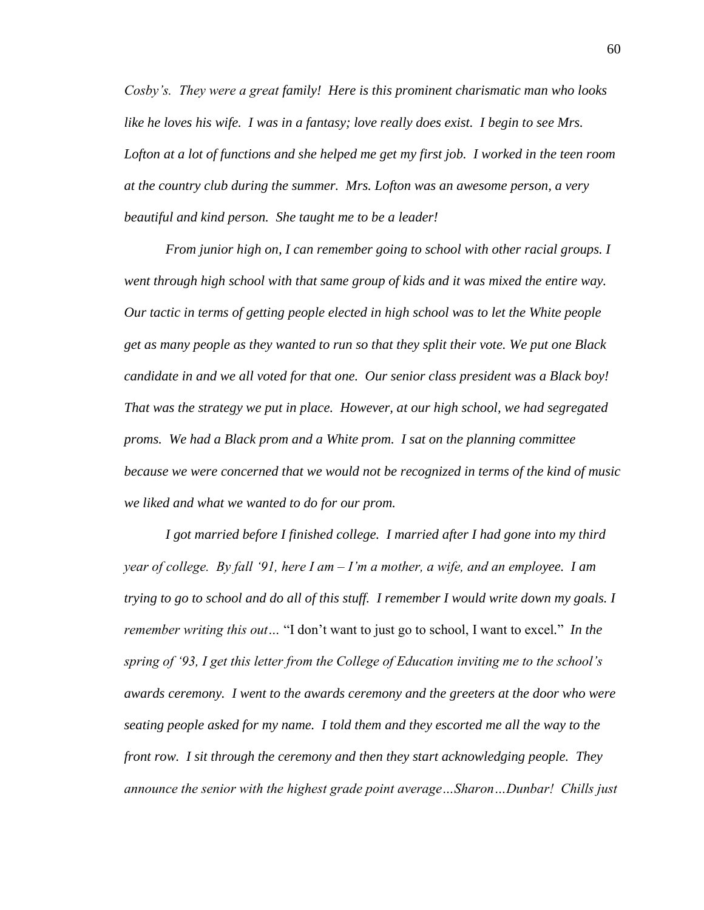*Cosby's. They were a great family! Here is this prominent charismatic man who looks like he loves his wife. I was in a fantasy; love really does exist. I begin to see Mrs. Lofton at a lot of functions and she helped me get my first job. I worked in the teen room at the country club during the summer. Mrs. Lofton was an awesome person, a very beautiful and kind person. She taught me to be a leader!* 

*From junior high on, I can remember going to school with other racial groups. I went through high school with that same group of kids and it was mixed the entire way. Our tactic in terms of getting people elected in high school was to let the White people get as many people as they wanted to run so that they split their vote. We put one Black candidate in and we all voted for that one. Our senior class president was a Black boy! That was the strategy we put in place. However, at our high school, we had segregated proms. We had a Black prom and a White prom. I sat on the planning committee because we were concerned that we would not be recognized in terms of the kind of music we liked and what we wanted to do for our prom.* 

*I got married before I finished college. I married after I had gone into my third year of college. By fall '91, here I am – I'm a mother, a wife, and an employee. I am trying to go to school and do all of this stuff. I remember I would write down my goals. I remember writing this out…* "I don't want to just go to school, I want to excel*.*" *In the spring of '93, I get this letter from the College of Education inviting me to the school's awards ceremony. I went to the awards ceremony and the greeters at the door who were seating people asked for my name. I told them and they escorted me all the way to the front row. I sit through the ceremony and then they start acknowledging people. They announce the senior with the highest grade point average…Sharon…Dunbar! Chills just*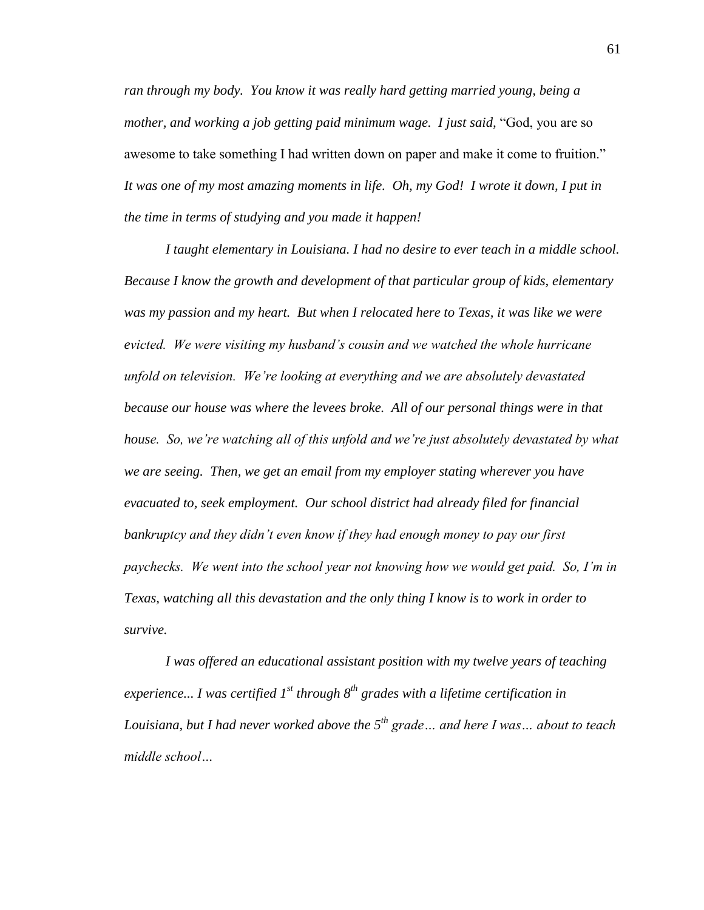*ran through my body. You know it was really hard getting married young, being a mother, and working a job getting paid minimum wage. I just said,* "God, you are so awesome to take something I had written down on paper and make it come to fruition." *It was one of my most amazing moments in life. Oh, my God! I wrote it down, I put in the time in terms of studying and you made it happen!* 

*I taught elementary in Louisiana. I had no desire to ever teach in a middle school. Because I know the growth and development of that particular group of kids, elementary was my passion and my heart. But when I relocated here to Texas, it was like we were evicted. We were visiting my husband's cousin and we watched the whole hurricane unfold on television. We're looking at everything and we are absolutely devastated*  because our house was where the levees broke. All of our personal things were in that *house. So, we're watching all of this unfold and we're just absolutely devastated by what we are seeing. Then, we get an email from my employer stating wherever you have evacuated to, seek employment. Our school district had already filed for financial bankruptcy and they didn't even know if they had enough money to pay our first paychecks. We went into the school year not knowing how we would get paid. So, I'm in Texas, watching all this devastation and the only thing I know is to work in order to survive.*

*I was offered an educational assistant position with my twelve years of teaching experience... I was certified 1st through 8th grades with a lifetime certification in Louisiana, but I had never worked above the 5th grade… and here I was… about to teach middle school…*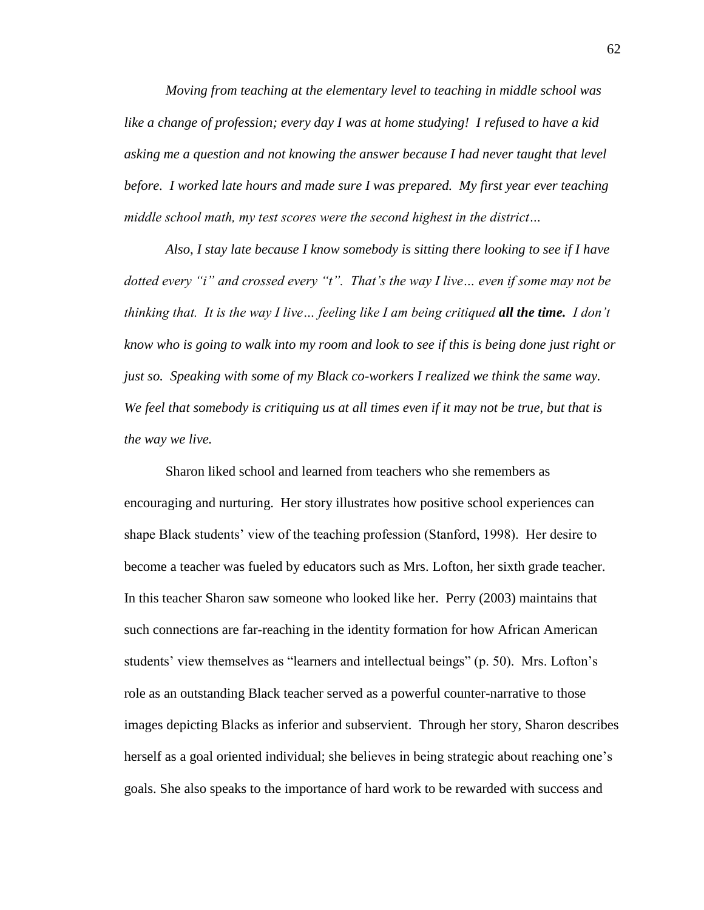*Moving from teaching at the elementary level to teaching in middle school was like a change of profession; every day I was at home studying! I refused to have a kid asking me a question and not knowing the answer because I had never taught that level before. I worked late hours and made sure I was prepared. My first year ever teaching middle school math, my test scores were the second highest in the district…*

*Also, I stay late because I know somebody is sitting there looking to see if I have dotted every "i" and crossed every "t". That's the way I live… even if some may not be thinking that. It is the way I live… feeling like I am being critiqued all the time. I don't know who is going to walk into my room and look to see if this is being done just right or just so. Speaking with some of my Black co-workers I realized we think the same way. We feel that somebody is critiquing us at all times even if it may not be true, but that is the way we live.*

Sharon liked school and learned from teachers who she remembers as encouraging and nurturing. Her story illustrates how positive school experiences can shape Black students' view of the teaching profession (Stanford, 1998). Her desire to become a teacher was fueled by educators such as Mrs. Lofton, her sixth grade teacher. In this teacher Sharon saw someone who looked like her. Perry (2003) maintains that such connections are far-reaching in the identity formation for how African American students' view themselves as "learners and intellectual beings" (p. 50). Mrs. Lofton's role as an outstanding Black teacher served as a powerful counter-narrative to those images depicting Blacks as inferior and subservient. Through her story, Sharon describes herself as a goal oriented individual; she believes in being strategic about reaching one's goals. She also speaks to the importance of hard work to be rewarded with success and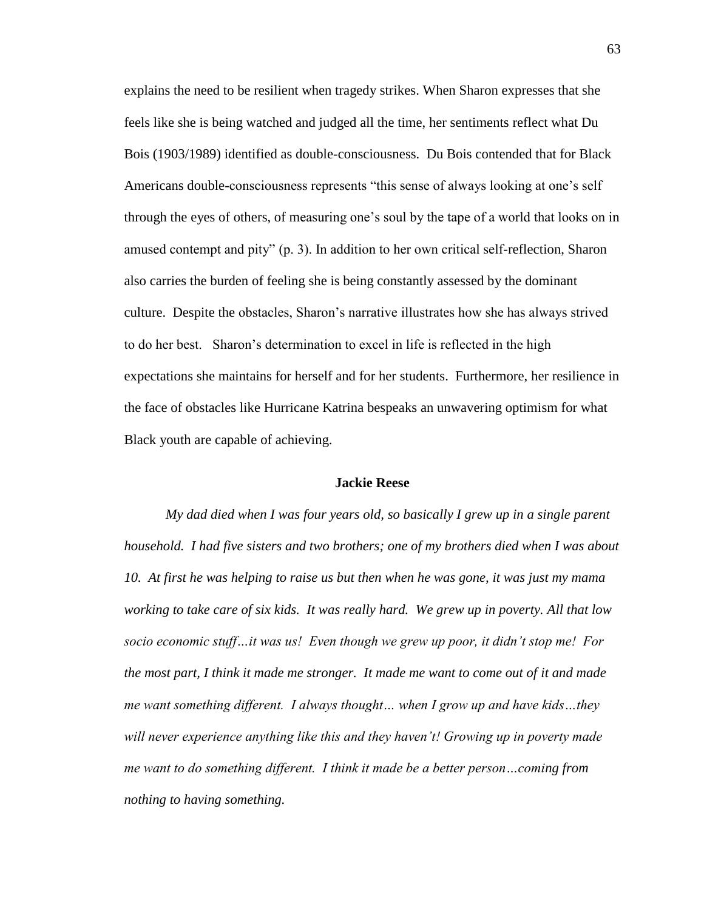explains the need to be resilient when tragedy strikes. When Sharon expresses that she feels like she is being watched and judged all the time, her sentiments reflect what Du Bois (1903/1989) identified as double-consciousness. Du Bois contended that for Black Americans double-consciousness represents "this sense of always looking at one's self through the eyes of others, of measuring one's soul by the tape of a world that looks on in amused contempt and pity" (p. 3). In addition to her own critical self-reflection, Sharon also carries the burden of feeling she is being constantly assessed by the dominant culture. Despite the obstacles, Sharon's narrative illustrates how she has always strived to do her best. Sharon's determination to excel in life is reflected in the high expectations she maintains for herself and for her students. Furthermore, her resilience in the face of obstacles like Hurricane Katrina bespeaks an unwavering optimism for what Black youth are capable of achieving.

### **Jackie Reese**

*My dad died when I was four years old, so basically I grew up in a single parent household. I had five sisters and two brothers; one of my brothers died when I was about 10. At first he was helping to raise us but then when he was gone, it was just my mama working to take care of six kids. It was really hard. We grew up in poverty. All that low socio economic stuff…it was us! Even though we grew up poor, it didn't stop me! For the most part, I think it made me stronger. It made me want to come out of it and made me want something different. I always thought… when I grow up and have kids…they will never experience anything like this and they haven't! Growing up in poverty made me want to do something different. I think it made be a better person…coming from nothing to having something.*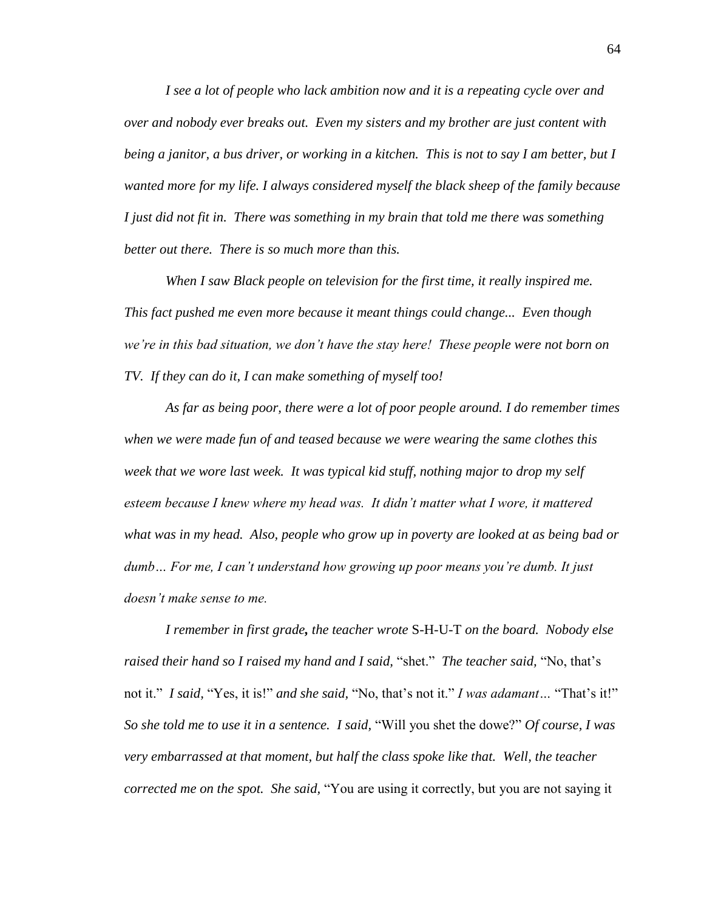*I see a lot of people who lack ambition now and it is a repeating cycle over and over and nobody ever breaks out. Even my sisters and my brother are just content with being a janitor, a bus driver, or working in a kitchen. This is not to say I am better, but I wanted more for my life. I always considered myself the black sheep of the family because I just did not fit in. There was something in my brain that told me there was something better out there. There is so much more than this.* 

*When I saw Black people on television for the first time, it really inspired me. This fact pushed me even more because it meant things could change... Even though we're in this bad situation, we don't have the stay here! These people were not born on TV. If they can do it, I can make something of myself too!* 

*As far as being poor, there were a lot of poor people around. I do remember times when we were made fun of and teased because we were wearing the same clothes this week that we wore last week. It was typical kid stuff, nothing major to drop my self esteem because I knew where my head was. It didn't matter what I wore, it mattered what was in my head. Also, people who grow up in poverty are looked at as being bad or dumb… For me, I can't understand how growing up poor means you're dumb. It just doesn't make sense to me.* 

*I remember in first grade, the teacher wrote* S-H-U-T *on the board. Nobody else raised their hand so I raised my hand and I said,* "shet." *The teacher said,* "No, that's not it." *I said,* "Yes, it is!" *and she said,* "No, that's not it." *I was adamant…* "That's it!" *So she told me to use it in a sentence. I said,* "Will you shet the dowe?" *Of course, I was very embarrassed at that moment, but half the class spoke like that. Well, the teacher corrected me on the spot. She said,* "You are using it correctly, but you are not saying it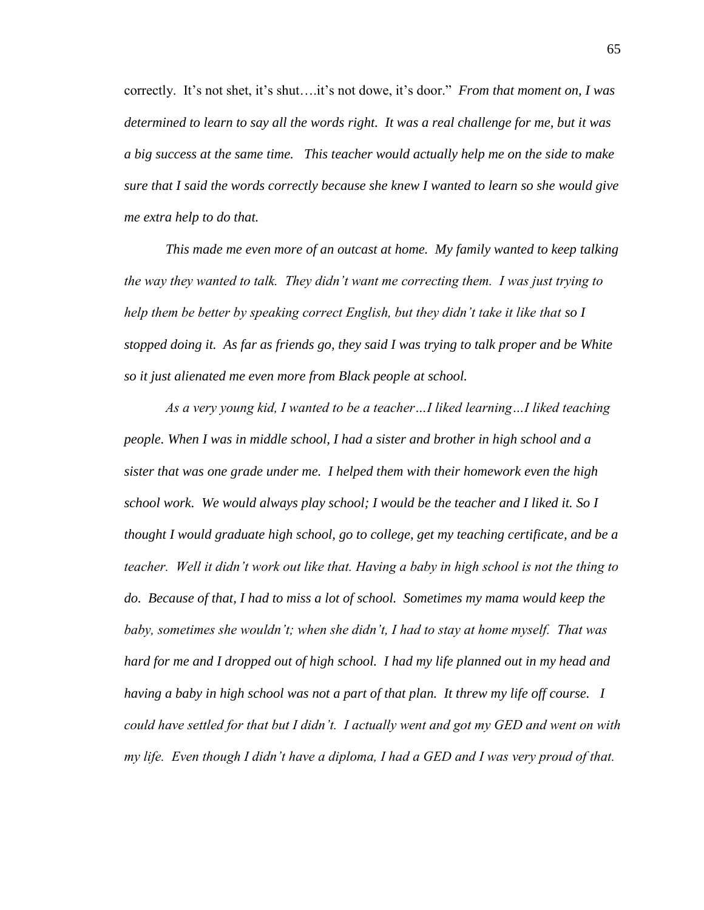correctly. It's not shet, it's shut….it's not dowe, it's door." *From that moment on, I was determined to learn to say all the words right. It was a real challenge for me, but it was a big success at the same time. This teacher would actually help me on the side to make sure that I said the words correctly because she knew I wanted to learn so she would give me extra help to do that.* 

*This made me even more of an outcast at home. My family wanted to keep talking the way they wanted to talk. They didn't want me correcting them. I was just trying to help them be better by speaking correct English, but they didn't take it like that so I stopped doing it. As far as friends go, they said I was trying to talk proper and be White so it just alienated me even more from Black people at school.* 

*As a very young kid, I wanted to be a teacher…I liked learning…I liked teaching people. When I was in middle school, I had a sister and brother in high school and a sister that was one grade under me. I helped them with their homework even the high school work. We would always play school; I would be the teacher and I liked it. So I thought I would graduate high school, go to college, get my teaching certificate, and be a teacher. Well it didn't work out like that. Having a baby in high school is not the thing to do. Because of that, I had to miss a lot of school. Sometimes my mama would keep the baby, sometimes she wouldn't; when she didn't, I had to stay at home myself. That was hard for me and I dropped out of high school. I had my life planned out in my head and having a baby in high school was not a part of that plan. It threw my life off course. I could have settled for that but I didn't. I actually went and got my GED and went on with my life. Even though I didn't have a diploma, I had a GED and I was very proud of that.*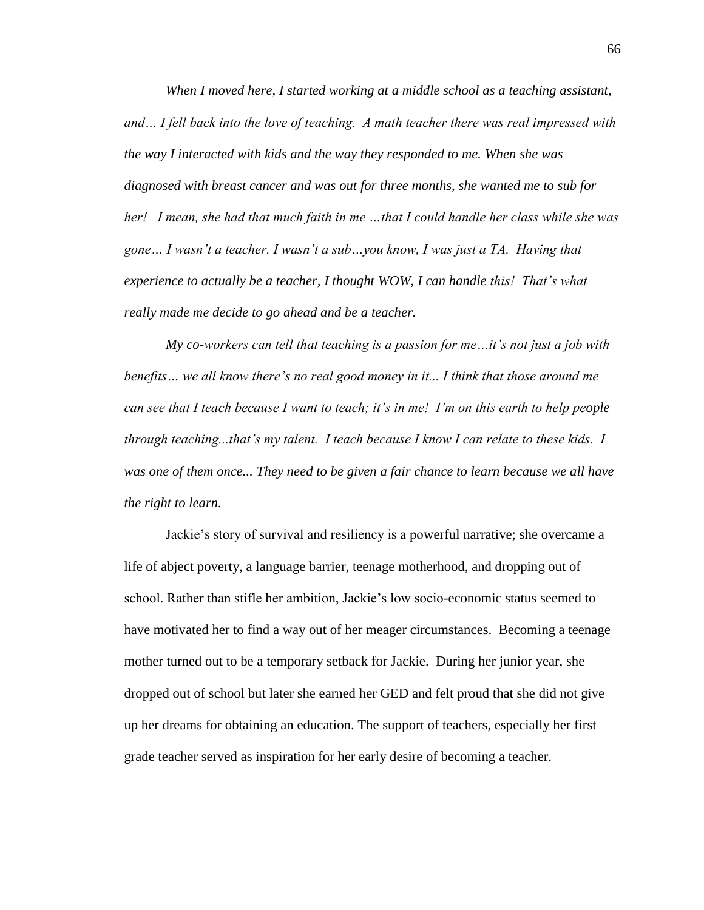*When I moved here, I started working at a middle school as a teaching assistant, and… I fell back into the love of teaching. A math teacher there was real impressed with the way I interacted with kids and the way they responded to me. When she was diagnosed with breast cancer and was out for three months, she wanted me to sub for her! I mean, she had that much faith in me …that I could handle her class while she was gone… I wasn't a teacher. I wasn't a sub…you know, I was just a TA. Having that experience to actually be a teacher, I thought WOW, I can handle this! That's what really made me decide to go ahead and be a teacher.* 

*My co-workers can tell that teaching is a passion for me…it's not just a job with benefits… we all know there's no real good money in it... I think that those around me can see that I teach because I want to teach; it's in me! I'm on this earth to help people through teaching...that's my talent. I teach because I know I can relate to these kids. I*  was one of them once... They need to be given a fair chance to learn because we all have *the right to learn.* 

Jackie's story of survival and resiliency is a powerful narrative; she overcame a life of abject poverty, a language barrier, teenage motherhood, and dropping out of school. Rather than stifle her ambition, Jackie's low socio-economic status seemed to have motivated her to find a way out of her meager circumstances. Becoming a teenage mother turned out to be a temporary setback for Jackie. During her junior year, she dropped out of school but later she earned her GED and felt proud that she did not give up her dreams for obtaining an education. The support of teachers, especially her first grade teacher served as inspiration for her early desire of becoming a teacher.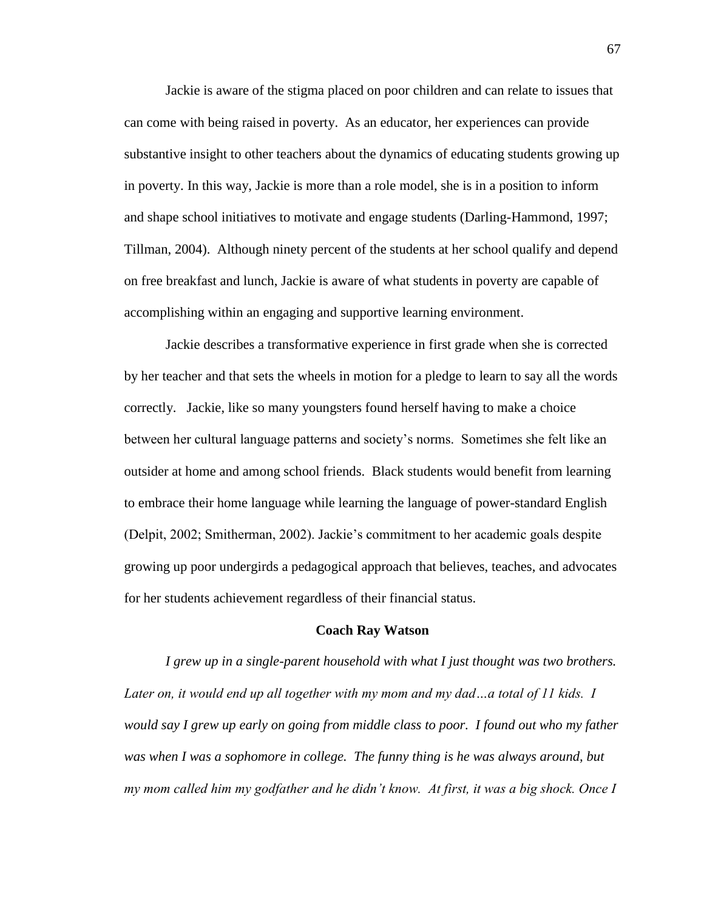Jackie is aware of the stigma placed on poor children and can relate to issues that can come with being raised in poverty. As an educator, her experiences can provide substantive insight to other teachers about the dynamics of educating students growing up in poverty. In this way, Jackie is more than a role model, she is in a position to inform and shape school initiatives to motivate and engage students (Darling-Hammond, 1997; Tillman, 2004). Although ninety percent of the students at her school qualify and depend on free breakfast and lunch, Jackie is aware of what students in poverty are capable of accomplishing within an engaging and supportive learning environment.

Jackie describes a transformative experience in first grade when she is corrected by her teacher and that sets the wheels in motion for a pledge to learn to say all the words correctly. Jackie, like so many youngsters found herself having to make a choice between her cultural language patterns and society's norms. Sometimes she felt like an outsider at home and among school friends. Black students would benefit from learning to embrace their home language while learning the language of power-standard English (Delpit, 2002; Smitherman, 2002). Jackie's commitment to her academic goals despite growing up poor undergirds a pedagogical approach that believes, teaches, and advocates for her students achievement regardless of their financial status.

### **Coach Ray Watson**

*I grew up in a single-parent household with what I just thought was two brothers. Later on, it would end up all together with my mom and my dad…a total of 11 kids. I would say I grew up early on going from middle class to poor. I found out who my father*  was when I was a sophomore in college. The funny thing is he was always around, but *my mom called him my godfather and he didn't know. At first, it was a big shock. Once I*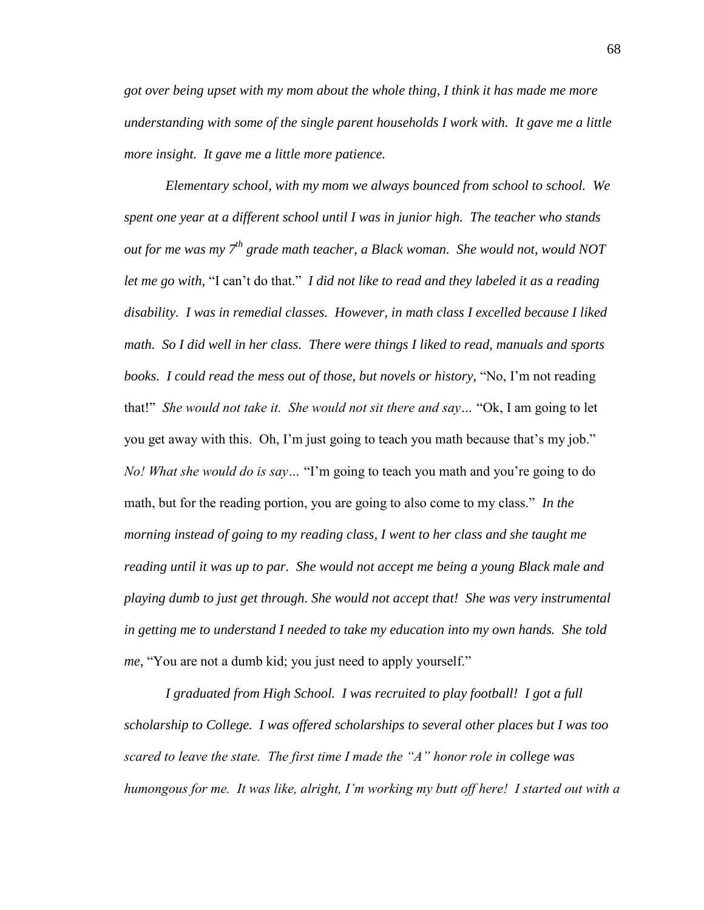*got over being upset with my mom about the whole thing, I think it has made me more understanding with some of the single parent households I work with. It gave me a little more insight. It gave me a little more patience.* 

*Elementary school, with my mom we always bounced from school to school. We spent one year at a different school until I was in junior high. The teacher who stands out for me was my 7th grade math teacher, a Black woman. She would not, would NOT let me go with,* "I can't do that." *I did not like to read and they labeled it as a reading disability. I was in remedial classes. However, in math class I excelled because I liked math. So I did well in her class. There were things I liked to read, manuals and sports books. I could read the mess out of those, but novels or history,* "No, I'm not reading that!" *She would not take it. She would not sit there and say…* "Ok, I am going to let you get away with this. Oh, I'm just going to teach you math because that's my job." *No! What she would do is say…* "I'm going to teach you math and you're going to do math, but for the reading portion, you are going to also come to my class." *In the morning instead of going to my reading class, I went to her class and she taught me reading until it was up to par. She would not accept me being a young Black male and playing dumb to just get through. She would not accept that! She was very instrumental in getting me to understand I needed to take my education into my own hands. She told me*, "You are not a dumb kid; you just need to apply yourself."

*I graduated from High School. I was recruited to play football! I got a full scholarship to College. I was offered scholarships to several other places but I was too scared to leave the state. The first time I made the "A" honor role in college was humongous for me. It was like, alright, I'm working my butt off here! I started out with a*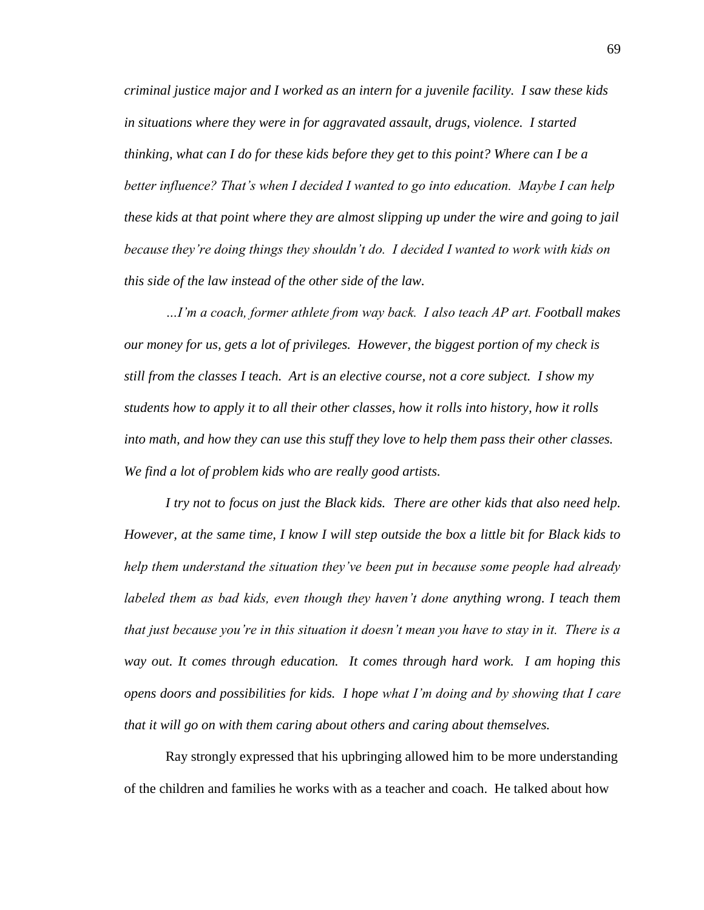*criminal justice major and I worked as an intern for a juvenile facility. I saw these kids in situations where they were in for aggravated assault, drugs, violence. I started thinking, what can I do for these kids before they get to this point? Where can I be a better influence? That's when I decided I wanted to go into education. Maybe I can help these kids at that point where they are almost slipping up under the wire and going to jail because they're doing things they shouldn't do. I decided I wanted to work with kids on this side of the law instead of the other side of the law.* 

*…I'm a coach, former athlete from way back. I also teach AP art. Football makes our money for us, gets a lot of privileges. However, the biggest portion of my check is still from the classes I teach. Art is an elective course, not a core subject. I show my students how to apply it to all their other classes, how it rolls into history, how it rolls into math, and how they can use this stuff they love to help them pass their other classes. We find a lot of problem kids who are really good artists.* 

*I try not to focus on just the Black kids. There are other kids that also need help. However, at the same time, I know I will step outside the box a little bit for Black kids to help them understand the situation they've been put in because some people had already labeled them as bad kids, even though they haven't done anything wrong. I teach them that just because you're in this situation it doesn't mean you have to stay in it. There is a way out. It comes through education. It comes through hard work. I am hoping this opens doors and possibilities for kids. I hope what I'm doing and by showing that I care that it will go on with them caring about others and caring about themselves.* 

Ray strongly expressed that his upbringing allowed him to be more understanding of the children and families he works with as a teacher and coach. He talked about how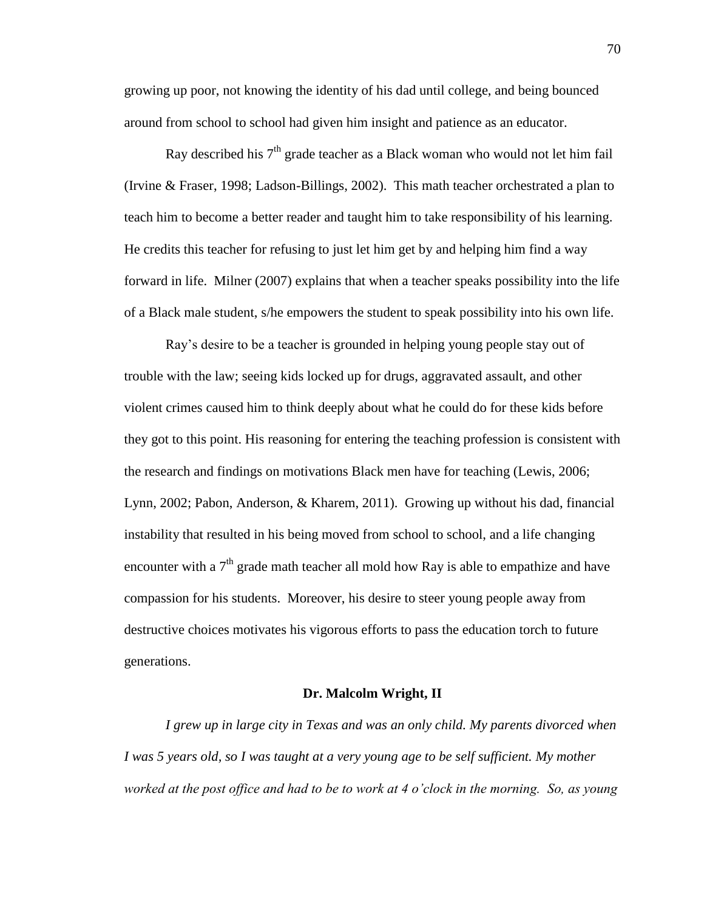growing up poor, not knowing the identity of his dad until college, and being bounced around from school to school had given him insight and patience as an educator.

Ray described his  $7<sup>th</sup>$  grade teacher as a Black woman who would not let him fail (Irvine & Fraser, 1998; Ladson-Billings, 2002). This math teacher orchestrated a plan to teach him to become a better reader and taught him to take responsibility of his learning. He credits this teacher for refusing to just let him get by and helping him find a way forward in life. Milner (2007) explains that when a teacher speaks possibility into the life of a Black male student, s/he empowers the student to speak possibility into his own life.

Ray's desire to be a teacher is grounded in helping young people stay out of trouble with the law; seeing kids locked up for drugs, aggravated assault, and other violent crimes caused him to think deeply about what he could do for these kids before they got to this point. His reasoning for entering the teaching profession is consistent with the research and findings on motivations Black men have for teaching (Lewis, 2006; Lynn, 2002; Pabon, Anderson, & Kharem, 2011). Growing up without his dad, financial instability that resulted in his being moved from school to school, and a life changing encounter with a  $7<sup>th</sup>$  grade math teacher all mold how Ray is able to empathize and have compassion for his students. Moreover, his desire to steer young people away from destructive choices motivates his vigorous efforts to pass the education torch to future generations.

#### **Dr. Malcolm Wright, II**

*I grew up in large city in Texas and was an only child. My parents divorced when I was 5 years old, so I was taught at a very young age to be self sufficient. My mother worked at the post office and had to be to work at 4 o'clock in the morning. So, as young*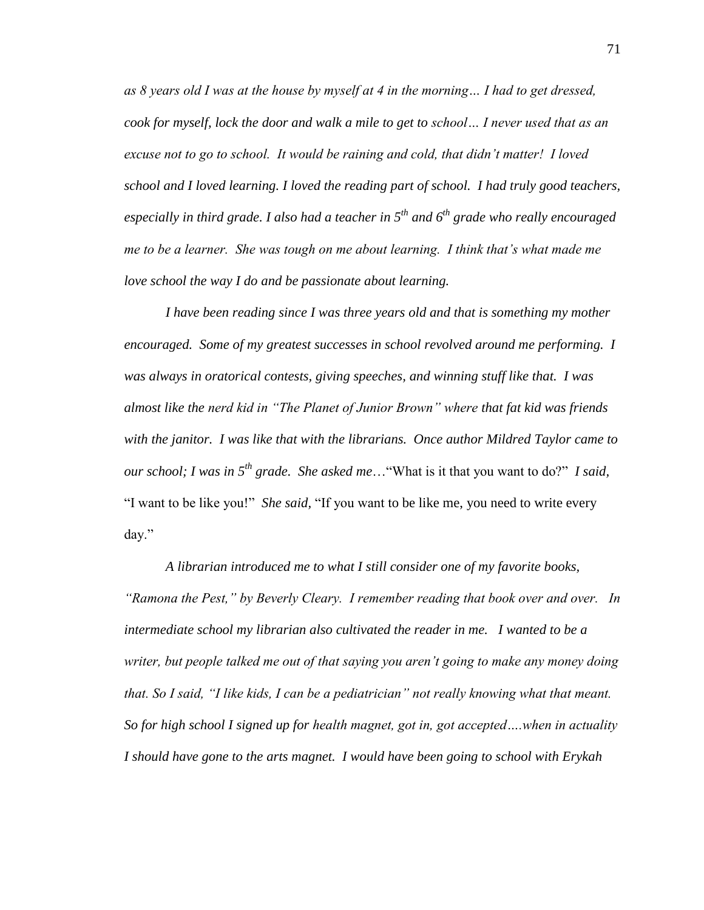*as 8 years old I was at the house by myself at 4 in the morning… I had to get dressed, cook for myself, lock the door and walk a mile to get to school… I never used that as an excuse not to go to school. It would be raining and cold, that didn't matter! I loved school and I loved learning. I loved the reading part of school. I had truly good teachers, especially in third grade. I also had a teacher in 5th and 6th grade who really encouraged me to be a learner. She was tough on me about learning. I think that's what made me love school the way I do and be passionate about learning.*

*I have been reading since I was three years old and that is something my mother encouraged. Some of my greatest successes in school revolved around me performing. I was always in oratorical contests, giving speeches, and winning stuff like that. I was almost like the nerd kid in "The Planet of Junior Brown" where that fat kid was friends with the janitor. I was like that with the librarians. Once author Mildred Taylor came to our school; I was in 5th grade. She asked me*…"What is it that you want to do?" *I said,*  "I want to be like you!" *She said,* "If you want to be like me, you need to write every day."

*A librarian introduced me to what I still consider one of my favorite books, "Ramona the Pest," by Beverly Cleary. I remember reading that book over and over. In intermediate school my librarian also cultivated the reader in me. I wanted to be a writer, but people talked me out of that saying you aren't going to make any money doing that. So I said, "I like kids, I can be a pediatrician" not really knowing what that meant. So for high school I signed up for health magnet, got in, got accepted….when in actuality I should have gone to the arts magnet. I would have been going to school with Erykah*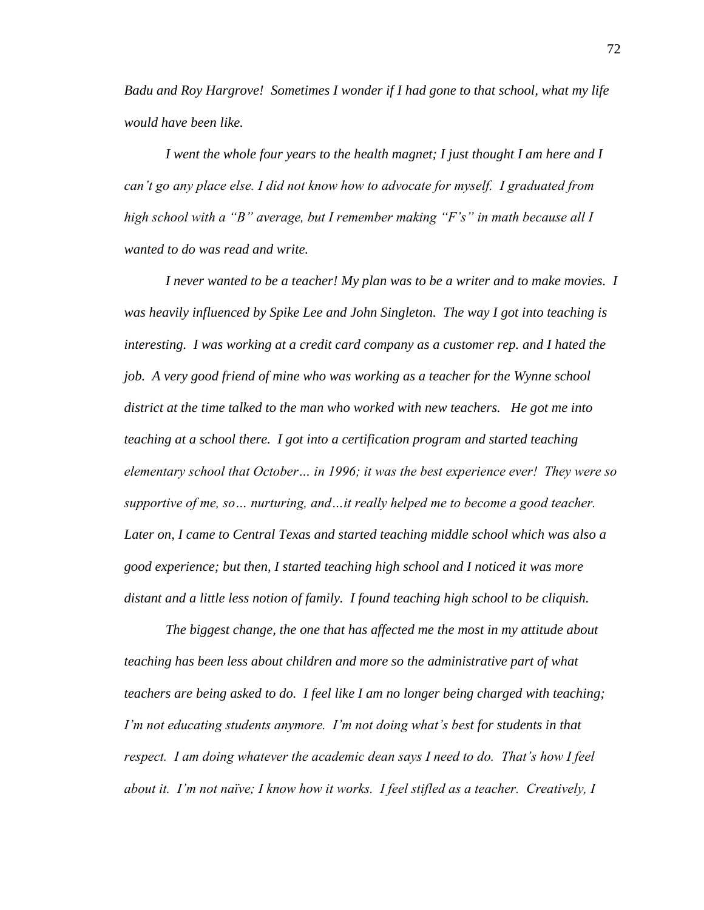*Badu and Roy Hargrove! Sometimes I wonder if I had gone to that school, what my life would have been like.* 

*I went the whole four years to the health magnet; I just thought I am here and I can't go any place else. I did not know how to advocate for myself. I graduated from high school with a "B" average, but I remember making "F's" in math because all I wanted to do was read and write.*

*I never wanted to be a teacher! My plan was to be a writer and to make movies. I was heavily influenced by Spike Lee and John Singleton. The way I got into teaching is interesting. I was working at a credit card company as a customer rep. and I hated the job. A very good friend of mine who was working as a teacher for the Wynne school district at the time talked to the man who worked with new teachers. He got me into teaching at a school there. I got into a certification program and started teaching elementary school that October… in 1996; it was the best experience ever! They were so supportive of me, so… nurturing, and…it really helped me to become a good teacher. Later on, I came to Central Texas and started teaching middle school which was also a good experience; but then, I started teaching high school and I noticed it was more distant and a little less notion of family. I found teaching high school to be cliquish.* 

*The biggest change, the one that has affected me the most in my attitude about teaching has been less about children and more so the administrative part of what teachers are being asked to do. I feel like I am no longer being charged with teaching; I'm not educating students anymore. I'm not doing what's best for students in that respect. I am doing whatever the academic dean says I need to do. That's how I feel about it. I'm not naïve; I know how it works. I feel stifled as a teacher. Creatively, I*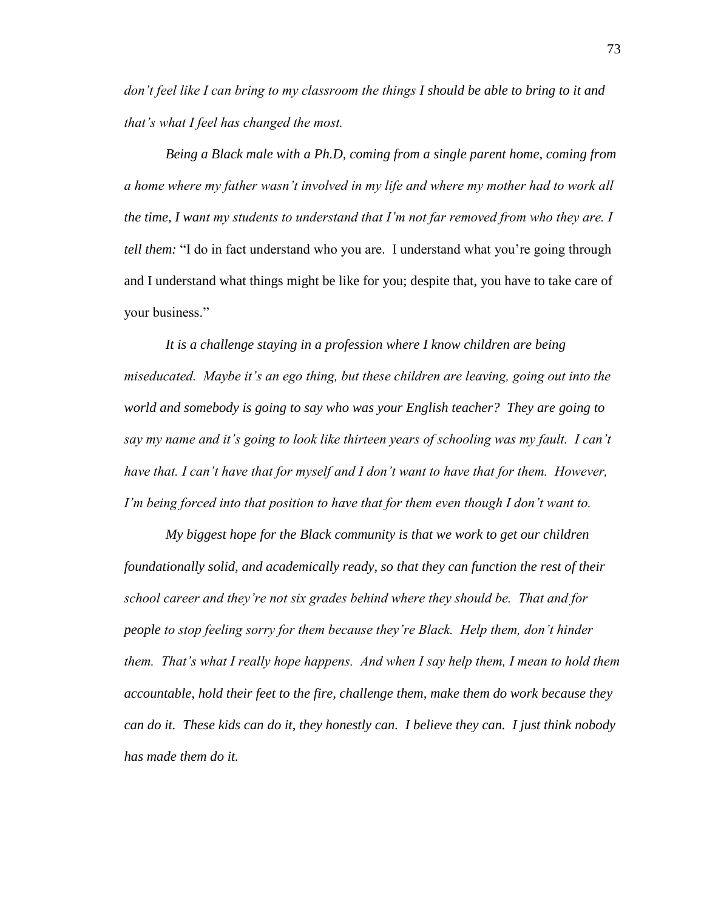*don't feel like I can bring to my classroom the things I should be able to bring to it and that's what I feel has changed the most.* 

*Being a Black male with a Ph.D, coming from a single parent home, coming from a home where my father wasn't involved in my life and where my mother had to work all the time, I want my students to understand that I'm not far removed from who they are. I tell them:* "I do in fact understand who you are. I understand what you're going through and I understand what things might be like for you; despite that, you have to take care of your business."

*It is a challenge staying in a profession where I know children are being miseducated. Maybe it's an ego thing, but these children are leaving, going out into the world and somebody is going to say who was your English teacher? They are going to say my name and it's going to look like thirteen years of schooling was my fault. I can't have that. I can't have that for myself and I don't want to have that for them. However, I'm being forced into that position to have that for them even though I don't want to.* 

*My biggest hope for the Black community is that we work to get our children foundationally solid, and academically ready, so that they can function the rest of their school career and they're not six grades behind where they should be. That and for people to stop feeling sorry for them because they're Black. Help them, don't hinder them. That's what I really hope happens. And when I say help them, I mean to hold them accountable, hold their feet to the fire, challenge them, make them do work because they can do it. These kids can do it, they honestly can. I believe they can. I just think nobody has made them do it.*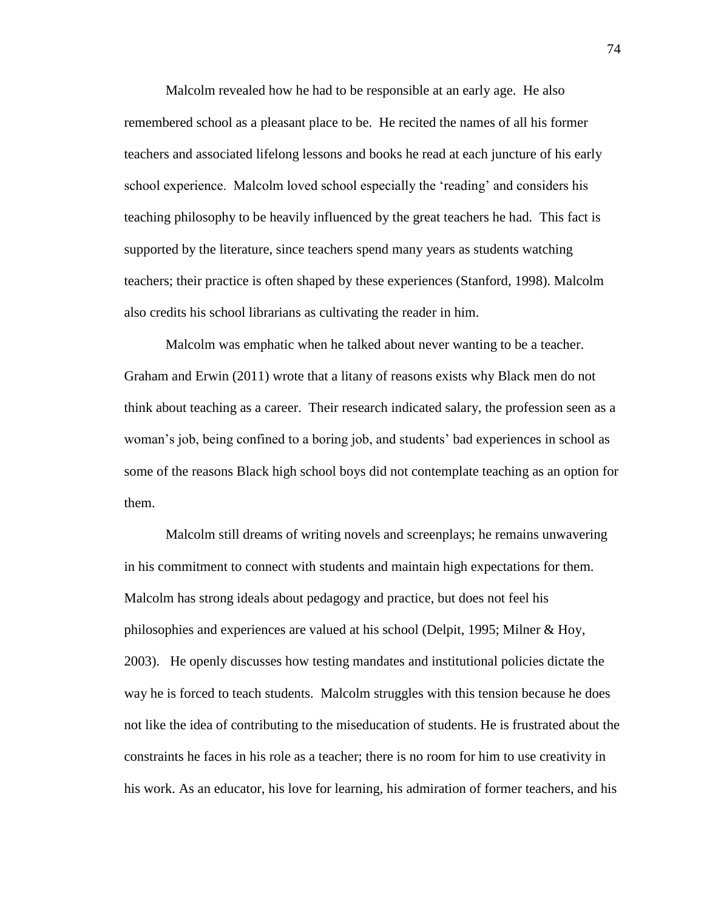Malcolm revealed how he had to be responsible at an early age. He also remembered school as a pleasant place to be. He recited the names of all his former teachers and associated lifelong lessons and books he read at each juncture of his early school experience. Malcolm loved school especially the 'reading' and considers his teaching philosophy to be heavily influenced by the great teachers he had. This fact is supported by the literature, since teachers spend many years as students watching teachers; their practice is often shaped by these experiences (Stanford, 1998). Malcolm also credits his school librarians as cultivating the reader in him.

Malcolm was emphatic when he talked about never wanting to be a teacher. Graham and Erwin (2011) wrote that a litany of reasons exists why Black men do not think about teaching as a career. Their research indicated salary, the profession seen as a woman's job, being confined to a boring job, and students' bad experiences in school as some of the reasons Black high school boys did not contemplate teaching as an option for them.

Malcolm still dreams of writing novels and screenplays; he remains unwavering in his commitment to connect with students and maintain high expectations for them. Malcolm has strong ideals about pedagogy and practice, but does not feel his philosophies and experiences are valued at his school (Delpit, 1995; Milner & Hoy, 2003). He openly discusses how testing mandates and institutional policies dictate the way he is forced to teach students. Malcolm struggles with this tension because he does not like the idea of contributing to the miseducation of students. He is frustrated about the constraints he faces in his role as a teacher; there is no room for him to use creativity in his work. As an educator, his love for learning, his admiration of former teachers, and his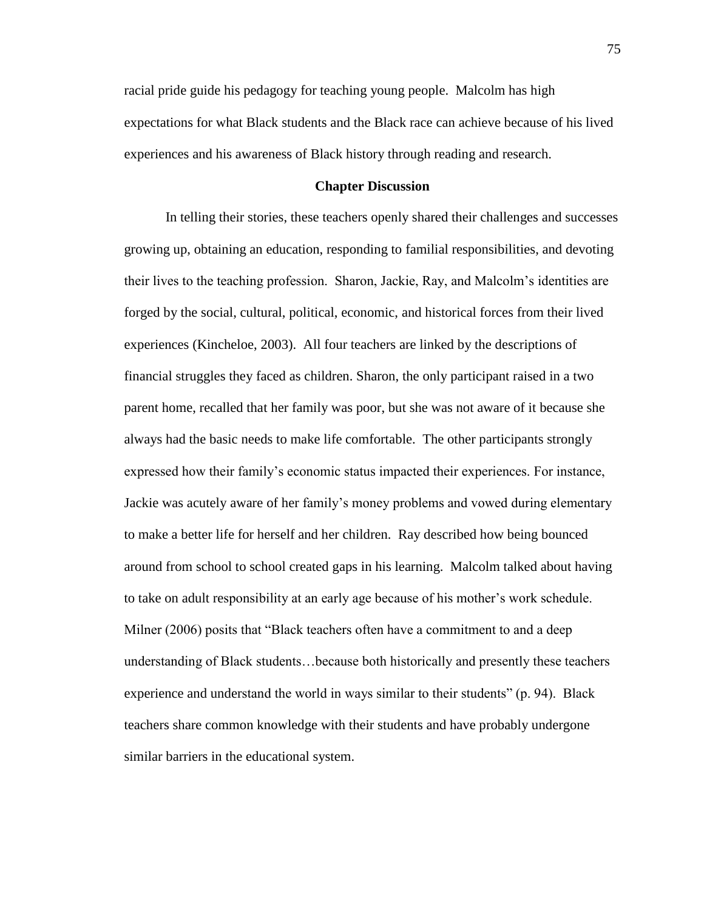racial pride guide his pedagogy for teaching young people. Malcolm has high expectations for what Black students and the Black race can achieve because of his lived experiences and his awareness of Black history through reading and research.

# **Chapter Discussion**

In telling their stories, these teachers openly shared their challenges and successes growing up, obtaining an education, responding to familial responsibilities, and devoting their lives to the teaching profession. Sharon, Jackie, Ray, and Malcolm's identities are forged by the social, cultural, political, economic, and historical forces from their lived experiences (Kincheloe, 2003). All four teachers are linked by the descriptions of financial struggles they faced as children. Sharon, the only participant raised in a two parent home, recalled that her family was poor, but she was not aware of it because she always had the basic needs to make life comfortable. The other participants strongly expressed how their family's economic status impacted their experiences. For instance, Jackie was acutely aware of her family's money problems and vowed during elementary to make a better life for herself and her children. Ray described how being bounced around from school to school created gaps in his learning. Malcolm talked about having to take on adult responsibility at an early age because of his mother's work schedule. Milner (2006) posits that "Black teachers often have a commitment to and a deep understanding of Black students…because both historically and presently these teachers experience and understand the world in ways similar to their students" (p. 94). Black teachers share common knowledge with their students and have probably undergone similar barriers in the educational system.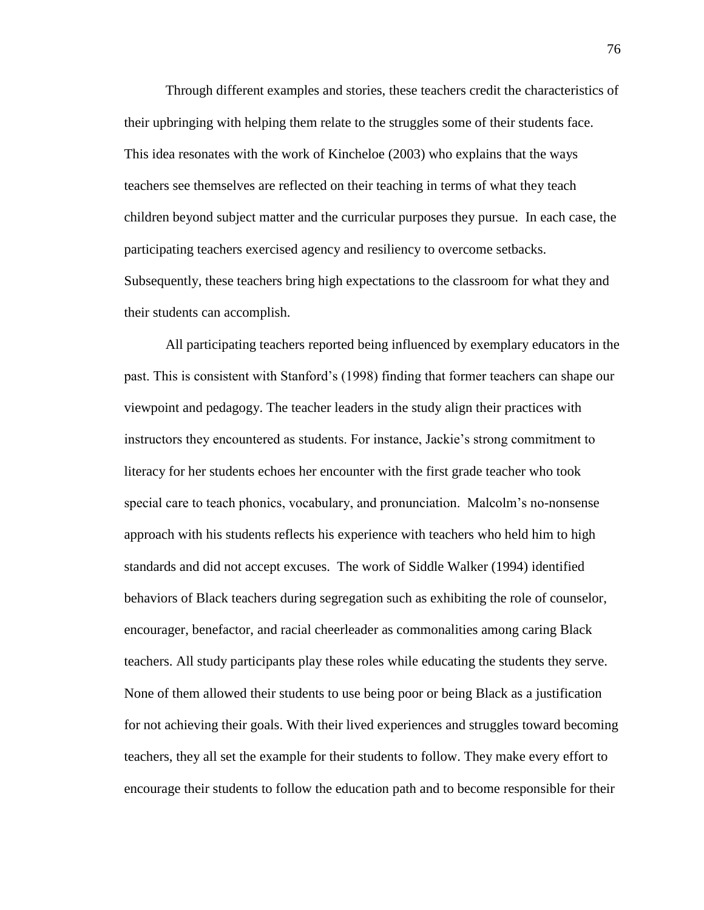Through different examples and stories, these teachers credit the characteristics of their upbringing with helping them relate to the struggles some of their students face. This idea resonates with the work of Kincheloe (2003) who explains that the ways teachers see themselves are reflected on their teaching in terms of what they teach children beyond subject matter and the curricular purposes they pursue. In each case, the participating teachers exercised agency and resiliency to overcome setbacks. Subsequently, these teachers bring high expectations to the classroom for what they and their students can accomplish.

All participating teachers reported being influenced by exemplary educators in the past. This is consistent with Stanford's (1998) finding that former teachers can shape our viewpoint and pedagogy. The teacher leaders in the study align their practices with instructors they encountered as students. For instance, Jackie's strong commitment to literacy for her students echoes her encounter with the first grade teacher who took special care to teach phonics, vocabulary, and pronunciation. Malcolm's no-nonsense approach with his students reflects his experience with teachers who held him to high standards and did not accept excuses. The work of Siddle Walker (1994) identified behaviors of Black teachers during segregation such as exhibiting the role of counselor, encourager, benefactor, and racial cheerleader as commonalities among caring Black teachers. All study participants play these roles while educating the students they serve. None of them allowed their students to use being poor or being Black as a justification for not achieving their goals. With their lived experiences and struggles toward becoming teachers, they all set the example for their students to follow. They make every effort to encourage their students to follow the education path and to become responsible for their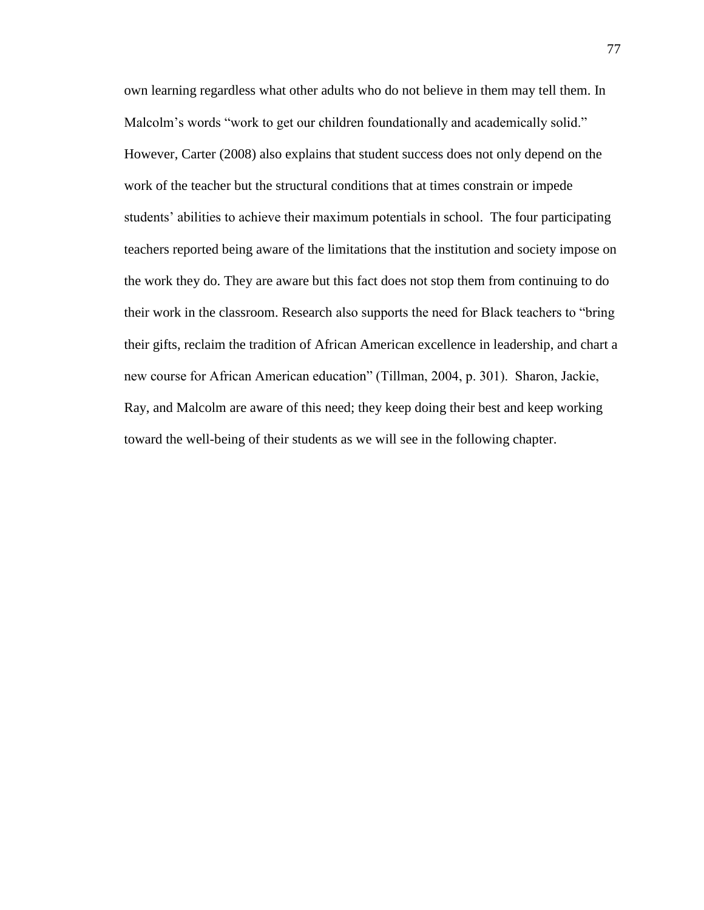own learning regardless what other adults who do not believe in them may tell them. In Malcolm's words "work to get our children foundationally and academically solid." However, Carter (2008) also explains that student success does not only depend on the work of the teacher but the structural conditions that at times constrain or impede students' abilities to achieve their maximum potentials in school. The four participating teachers reported being aware of the limitations that the institution and society impose on the work they do. They are aware but this fact does not stop them from continuing to do their work in the classroom. Research also supports the need for Black teachers to "bring their gifts, reclaim the tradition of African American excellence in leadership, and chart a new course for African American education" (Tillman, 2004, p. 301). Sharon, Jackie, Ray, and Malcolm are aware of this need; they keep doing their best and keep working toward the well-being of their students as we will see in the following chapter.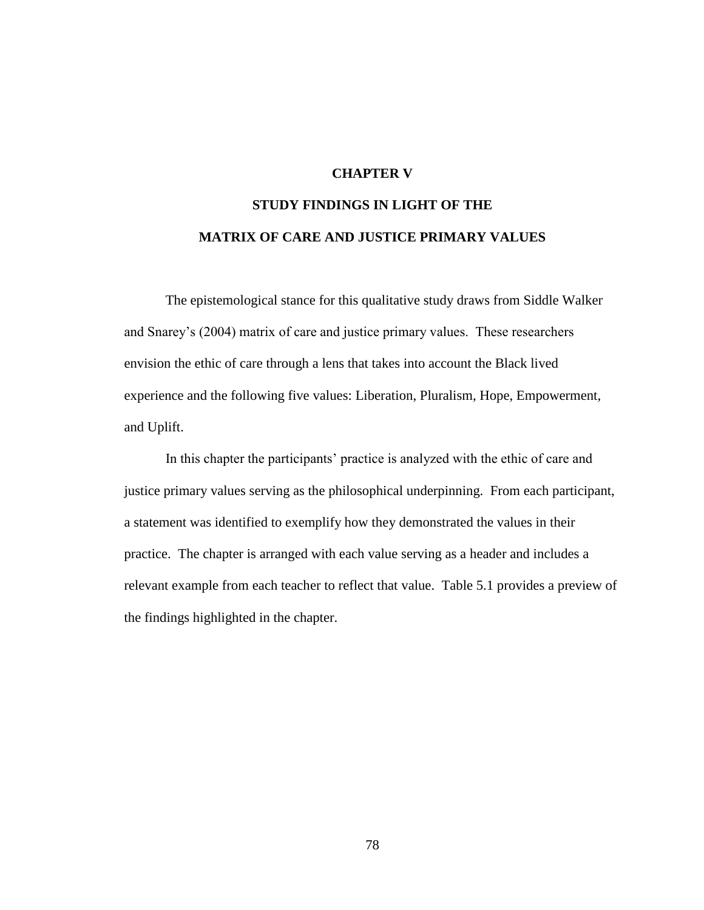# **CHAPTER V**

# **STUDY FINDINGS IN LIGHT OF THE MATRIX OF CARE AND JUSTICE PRIMARY VALUES**

The epistemological stance for this qualitative study draws from Siddle Walker and Snarey's (2004) matrix of care and justice primary values. These researchers envision the ethic of care through a lens that takes into account the Black lived experience and the following five values: Liberation, Pluralism, Hope, Empowerment, and Uplift.

In this chapter the participants' practice is analyzed with the ethic of care and justice primary values serving as the philosophical underpinning. From each participant, a statement was identified to exemplify how they demonstrated the values in their practice. The chapter is arranged with each value serving as a header and includes a relevant example from each teacher to reflect that value. Table 5.1 provides a preview of the findings highlighted in the chapter.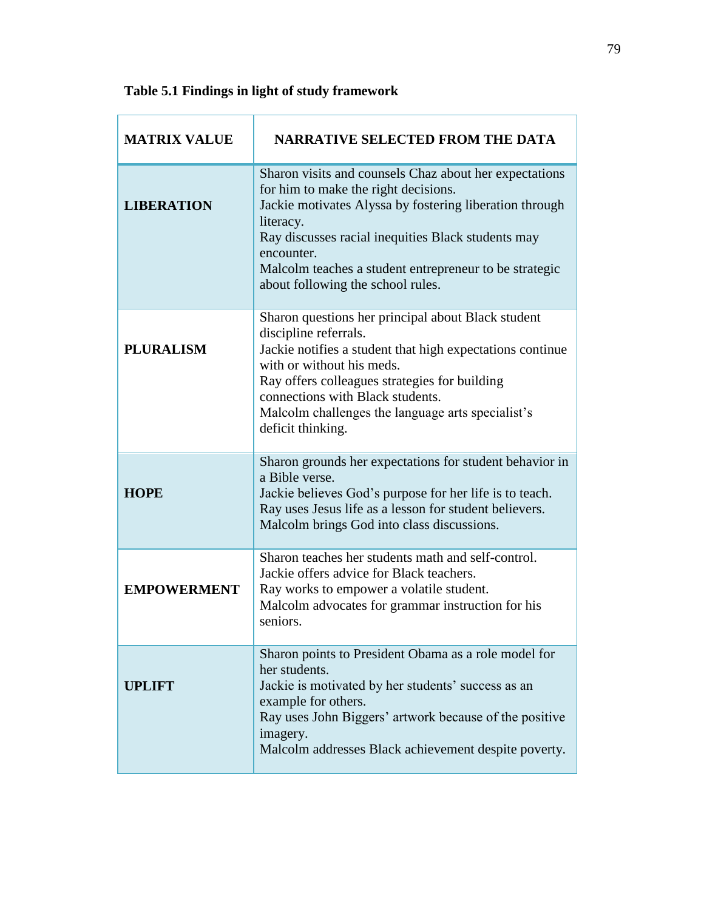| <b>MATRIX VALUE</b> | <b>NARRATIVE SELECTED FROM THE DATA</b>                                                                                                                                                                                                                                                                                                   |
|---------------------|-------------------------------------------------------------------------------------------------------------------------------------------------------------------------------------------------------------------------------------------------------------------------------------------------------------------------------------------|
| <b>LIBERATION</b>   | Sharon visits and counsels Chaz about her expectations<br>for him to make the right decisions.<br>Jackie motivates Alyssa by fostering liberation through<br>literacy.<br>Ray discusses racial inequities Black students may<br>encounter.<br>Malcolm teaches a student entrepreneur to be strategic<br>about following the school rules. |
| <b>PLURALISM</b>    | Sharon questions her principal about Black student<br>discipline referrals.<br>Jackie notifies a student that high expectations continue<br>with or without his meds.<br>Ray offers colleagues strategies for building<br>connections with Black students.<br>Malcolm challenges the language arts specialist's<br>deficit thinking.      |
| <b>HOPE</b>         | Sharon grounds her expectations for student behavior in<br>a Bible verse.<br>Jackie believes God's purpose for her life is to teach.<br>Ray uses Jesus life as a lesson for student believers.<br>Malcolm brings God into class discussions.                                                                                              |
| <b>EMPOWERMENT</b>  | Sharon teaches her students math and self-control.<br>Jackie offers advice for Black teachers.<br>Ray works to empower a volatile student.<br>Malcolm advocates for grammar instruction for his<br>seniors.                                                                                                                               |
| UPLIFT              | Sharon points to President Obama as a role model for<br>her students.<br>Jackie is motivated by her students' success as an<br>example for others.<br>Ray uses John Biggers' artwork because of the positive<br>imagery.<br>Malcolm addresses Black achievement despite poverty.                                                          |

# **Table 5.1 Findings in light of study framework**

Ť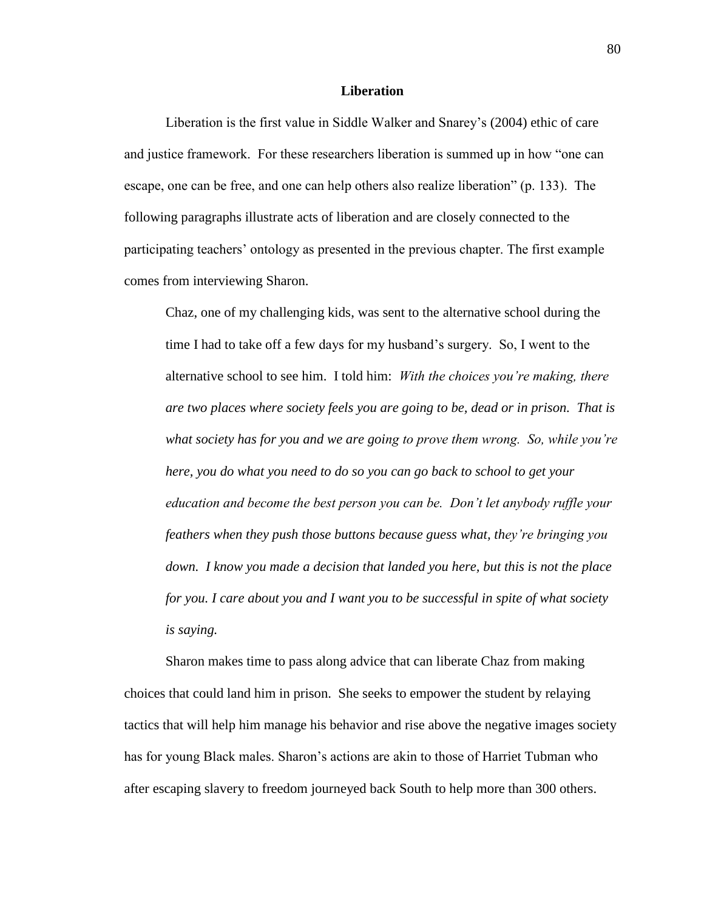## **Liberation**

Liberation is the first value in Siddle Walker and Snarey's (2004) ethic of care and justice framework. For these researchers liberation is summed up in how "one can escape, one can be free, and one can help others also realize liberation" (p. 133). The following paragraphs illustrate acts of liberation and are closely connected to the participating teachers' ontology as presented in the previous chapter. The first example comes from interviewing Sharon.

Chaz, one of my challenging kids, was sent to the alternative school during the time I had to take off a few days for my husband's surgery. So, I went to the alternative school to see him. I told him: *With the choices you're making, there are two places where society feels you are going to be, dead or in prison. That is what society has for you and we are going to prove them wrong. So, while you're here, you do what you need to do so you can go back to school to get your education and become the best person you can be. Don't let anybody ruffle your feathers when they push those buttons because guess what, they're bringing you down. I know you made a decision that landed you here, but this is not the place for you. I care about you and I want you to be successful in spite of what society is saying.*

Sharon makes time to pass along advice that can liberate Chaz from making choices that could land him in prison. She seeks to empower the student by relaying tactics that will help him manage his behavior and rise above the negative images society has for young Black males. Sharon's actions are akin to those of Harriet Tubman who after escaping slavery to freedom journeyed back South to help more than 300 others.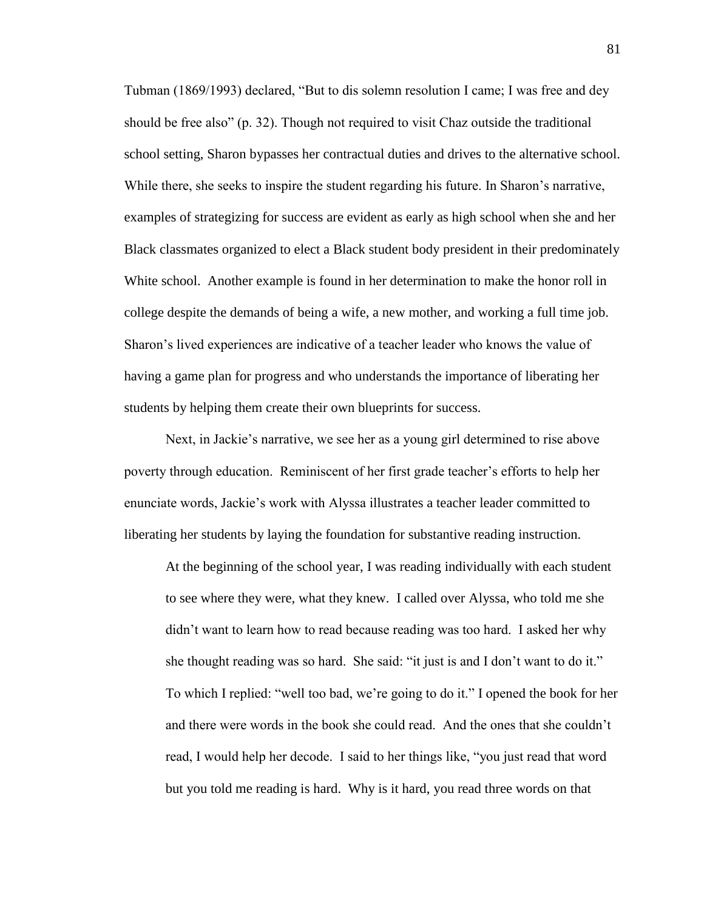Tubman (1869/1993) declared, "But to dis solemn resolution I came; I was free and dey should be free also" (p. 32). Though not required to visit Chaz outside the traditional school setting, Sharon bypasses her contractual duties and drives to the alternative school. While there, she seeks to inspire the student regarding his future. In Sharon's narrative, examples of strategizing for success are evident as early as high school when she and her Black classmates organized to elect a Black student body president in their predominately White school. Another example is found in her determination to make the honor roll in college despite the demands of being a wife, a new mother, and working a full time job. Sharon's lived experiences are indicative of a teacher leader who knows the value of having a game plan for progress and who understands the importance of liberating her students by helping them create their own blueprints for success.

Next, in Jackie's narrative, we see her as a young girl determined to rise above poverty through education. Reminiscent of her first grade teacher's efforts to help her enunciate words, Jackie's work with Alyssa illustrates a teacher leader committed to liberating her students by laying the foundation for substantive reading instruction.

At the beginning of the school year, I was reading individually with each student to see where they were, what they knew. I called over Alyssa, who told me she didn't want to learn how to read because reading was too hard. I asked her why she thought reading was so hard. She said: "it just is and I don't want to do it." To which I replied: "well too bad, we're going to do it." I opened the book for her and there were words in the book she could read. And the ones that she couldn't read, I would help her decode. I said to her things like, "you just read that word but you told me reading is hard. Why is it hard, you read three words on that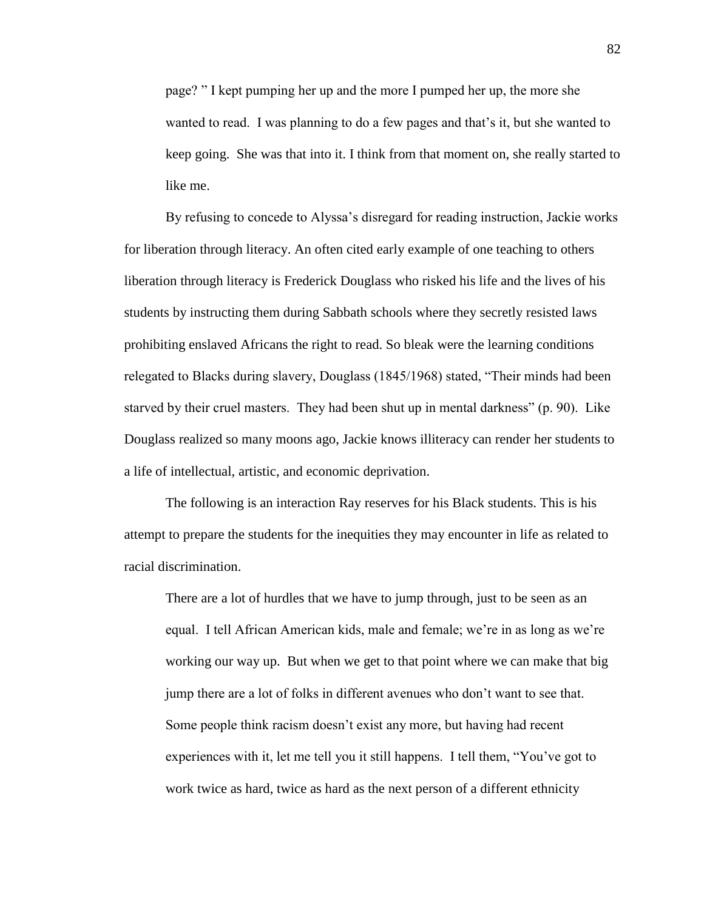page? " I kept pumping her up and the more I pumped her up, the more she wanted to read. I was planning to do a few pages and that's it, but she wanted to keep going. She was that into it. I think from that moment on, she really started to like me.

By refusing to concede to Alyssa's disregard for reading instruction, Jackie works for liberation through literacy. An often cited early example of one teaching to others liberation through literacy is Frederick Douglass who risked his life and the lives of his students by instructing them during Sabbath schools where they secretly resisted laws prohibiting enslaved Africans the right to read. So bleak were the learning conditions relegated to Blacks during slavery, Douglass (1845/1968) stated, "Their minds had been starved by their cruel masters. They had been shut up in mental darkness" (p. 90). Like Douglass realized so many moons ago, Jackie knows illiteracy can render her students to a life of intellectual, artistic, and economic deprivation.

The following is an interaction Ray reserves for his Black students. This is his attempt to prepare the students for the inequities they may encounter in life as related to racial discrimination.

There are a lot of hurdles that we have to jump through, just to be seen as an equal. I tell African American kids, male and female; we're in as long as we're working our way up. But when we get to that point where we can make that big jump there are a lot of folks in different avenues who don't want to see that. Some people think racism doesn't exist any more, but having had recent experiences with it, let me tell you it still happens. I tell them, "You've got to work twice as hard, twice as hard as the next person of a different ethnicity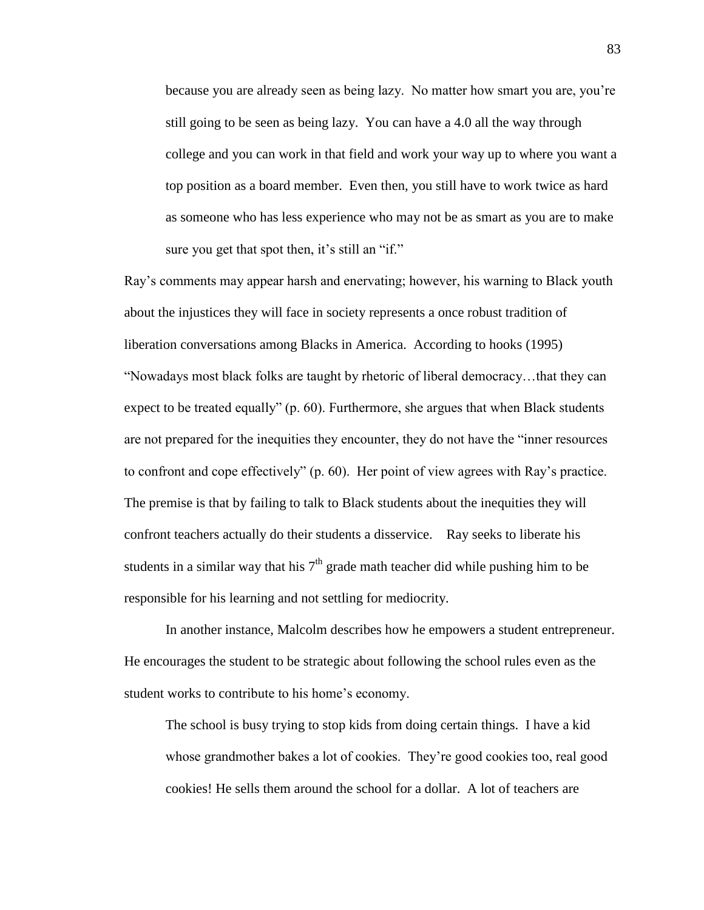because you are already seen as being lazy. No matter how smart you are, you're still going to be seen as being lazy. You can have a 4.0 all the way through college and you can work in that field and work your way up to where you want a top position as a board member. Even then, you still have to work twice as hard as someone who has less experience who may not be as smart as you are to make sure you get that spot then, it's still an "if."

Ray's comments may appear harsh and enervating; however, his warning to Black youth about the injustices they will face in society represents a once robust tradition of liberation conversations among Blacks in America. According to hooks (1995) "Nowadays most black folks are taught by rhetoric of liberal democracy…that they can expect to be treated equally" (p. 60). Furthermore, she argues that when Black students are not prepared for the inequities they encounter, they do not have the "inner resources to confront and cope effectively" (p. 60). Her point of view agrees with Ray's practice. The premise is that by failing to talk to Black students about the inequities they will confront teachers actually do their students a disservice. Ray seeks to liberate his students in a similar way that his  $7<sup>th</sup>$  grade math teacher did while pushing him to be responsible for his learning and not settling for mediocrity.

In another instance, Malcolm describes how he empowers a student entrepreneur. He encourages the student to be strategic about following the school rules even as the student works to contribute to his home's economy.

The school is busy trying to stop kids from doing certain things. I have a kid whose grandmother bakes a lot of cookies. They're good cookies too, real good cookies! He sells them around the school for a dollar. A lot of teachers are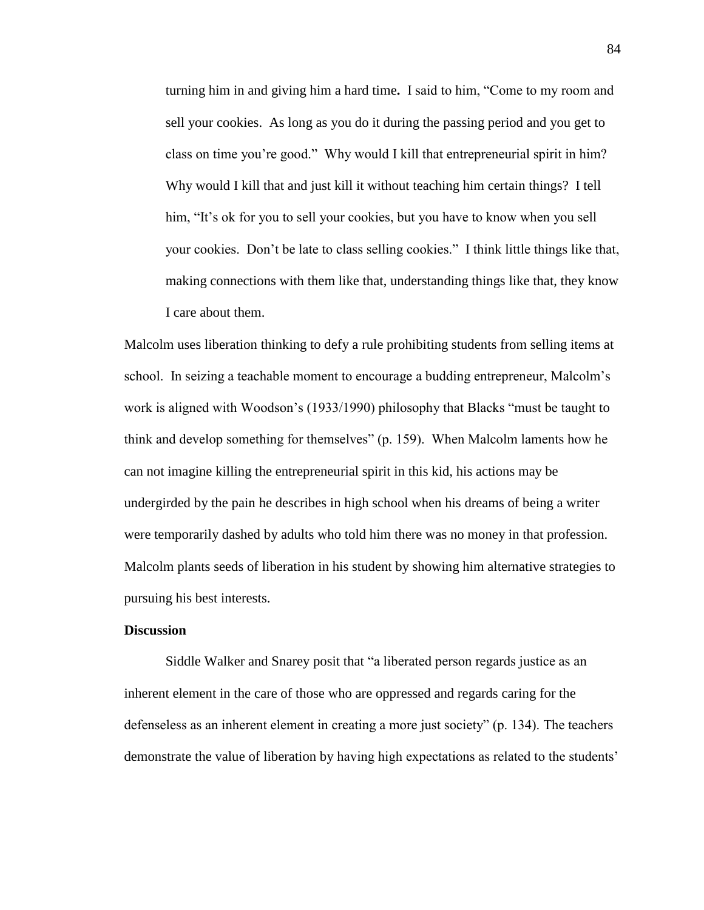turning him in and giving him a hard time**.** I said to him, "Come to my room and sell your cookies. As long as you do it during the passing period and you get to class on time you're good." Why would I kill that entrepreneurial spirit in him? Why would I kill that and just kill it without teaching him certain things? I tell him, "It's ok for you to sell your cookies, but you have to know when you sell your cookies. Don't be late to class selling cookies." I think little things like that, making connections with them like that, understanding things like that, they know I care about them.

Malcolm uses liberation thinking to defy a rule prohibiting students from selling items at school. In seizing a teachable moment to encourage a budding entrepreneur, Malcolm's work is aligned with Woodson's (1933/1990) philosophy that Blacks "must be taught to think and develop something for themselves" (p. 159). When Malcolm laments how he can not imagine killing the entrepreneurial spirit in this kid, his actions may be undergirded by the pain he describes in high school when his dreams of being a writer were temporarily dashed by adults who told him there was no money in that profession. Malcolm plants seeds of liberation in his student by showing him alternative strategies to pursuing his best interests.

# **Discussion**

Siddle Walker and Snarey posit that "a liberated person regards justice as an inherent element in the care of those who are oppressed and regards caring for the defenseless as an inherent element in creating a more just society" (p. 134). The teachers demonstrate the value of liberation by having high expectations as related to the students'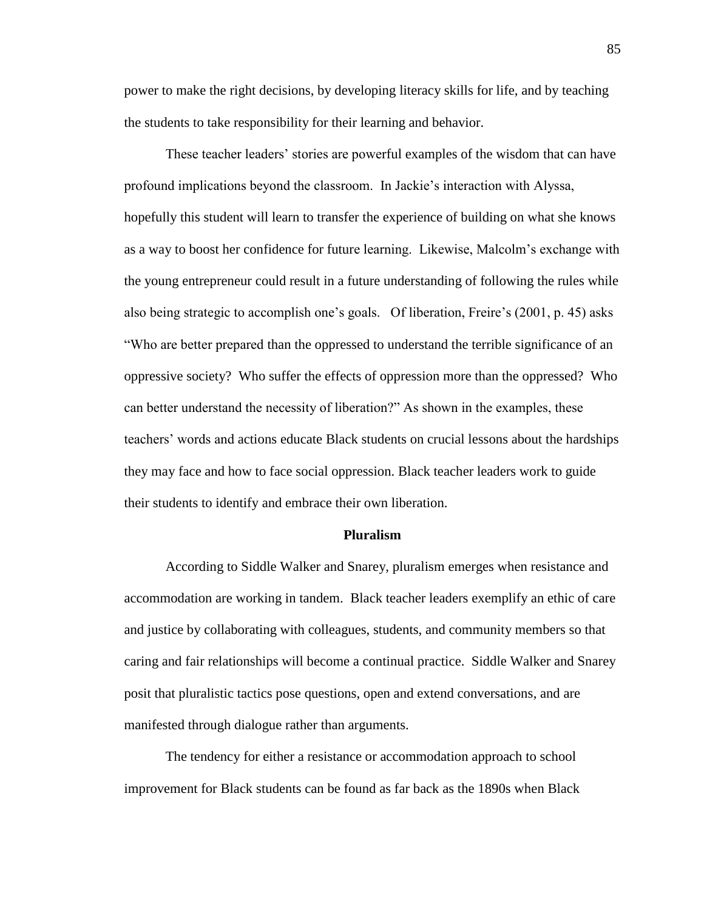power to make the right decisions, by developing literacy skills for life, and by teaching the students to take responsibility for their learning and behavior.

These teacher leaders' stories are powerful examples of the wisdom that can have profound implications beyond the classroom. In Jackie's interaction with Alyssa, hopefully this student will learn to transfer the experience of building on what she knows as a way to boost her confidence for future learning. Likewise, Malcolm's exchange with the young entrepreneur could result in a future understanding of following the rules while also being strategic to accomplish one's goals. Of liberation, Freire's (2001, p. 45) asks "Who are better prepared than the oppressed to understand the terrible significance of an oppressive society? Who suffer the effects of oppression more than the oppressed? Who can better understand the necessity of liberation?" As shown in the examples, these teachers' words and actions educate Black students on crucial lessons about the hardships they may face and how to face social oppression. Black teacher leaders work to guide their students to identify and embrace their own liberation.

### **Pluralism**

According to Siddle Walker and Snarey, pluralism emerges when resistance and accommodation are working in tandem. Black teacher leaders exemplify an ethic of care and justice by collaborating with colleagues, students, and community members so that caring and fair relationships will become a continual practice. Siddle Walker and Snarey posit that pluralistic tactics pose questions, open and extend conversations, and are manifested through dialogue rather than arguments.

The tendency for either a resistance or accommodation approach to school improvement for Black students can be found as far back as the 1890s when Black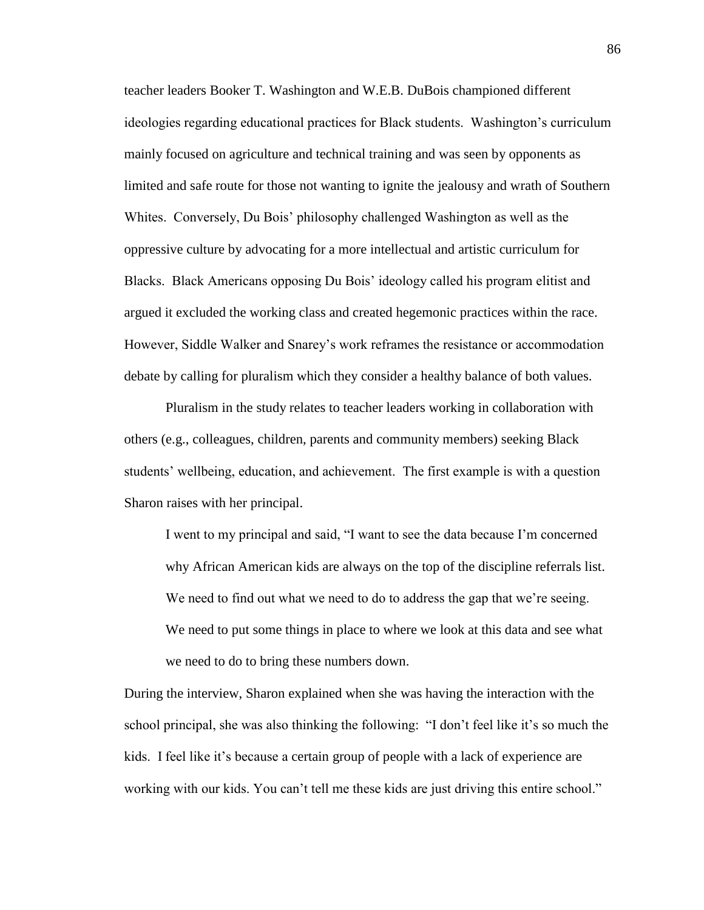teacher leaders Booker T. Washington and W.E.B. DuBois championed different ideologies regarding educational practices for Black students. Washington's curriculum mainly focused on agriculture and technical training and was seen by opponents as limited and safe route for those not wanting to ignite the jealousy and wrath of Southern Whites. Conversely, Du Bois' philosophy challenged Washington as well as the oppressive culture by advocating for a more intellectual and artistic curriculum for Blacks. Black Americans opposing Du Bois' ideology called his program elitist and argued it excluded the working class and created hegemonic practices within the race. However, Siddle Walker and Snarey's work reframes the resistance or accommodation debate by calling for pluralism which they consider a healthy balance of both values.

Pluralism in the study relates to teacher leaders working in collaboration with others (e.g., colleagues, children, parents and community members) seeking Black students' wellbeing, education, and achievement. The first example is with a question Sharon raises with her principal.

I went to my principal and said, "I want to see the data because I'm concerned why African American kids are always on the top of the discipline referrals list. We need to find out what we need to do to address the gap that we're seeing. We need to put some things in place to where we look at this data and see what we need to do to bring these numbers down.

During the interview, Sharon explained when she was having the interaction with the school principal, she was also thinking the following: "I don't feel like it's so much the kids. I feel like it's because a certain group of people with a lack of experience are working with our kids. You can't tell me these kids are just driving this entire school."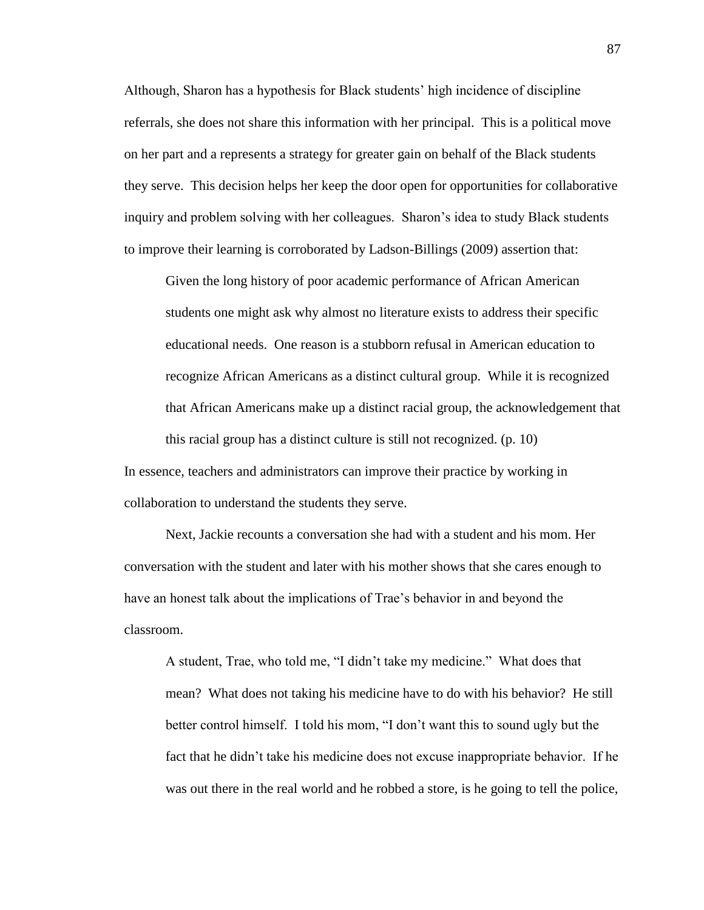Although, Sharon has a hypothesis for Black students' high incidence of discipline referrals, she does not share this information with her principal. This is a political move on her part and a represents a strategy for greater gain on behalf of the Black students they serve. This decision helps her keep the door open for opportunities for collaborative inquiry and problem solving with her colleagues. Sharon's idea to study Black students to improve their learning is corroborated by Ladson-Billings (2009) assertion that:

Given the long history of poor academic performance of African American students one might ask why almost no literature exists to address their specific educational needs. One reason is a stubborn refusal in American education to recognize African Americans as a distinct cultural group. While it is recognized that African Americans make up a distinct racial group, the acknowledgement that this racial group has a distinct culture is still not recognized. (p. 10)

In essence, teachers and administrators can improve their practice by working in collaboration to understand the students they serve.

Next, Jackie recounts a conversation she had with a student and his mom. Her conversation with the student and later with his mother shows that she cares enough to have an honest talk about the implications of Trae's behavior in and beyond the classroom.

A student, Trae, who told me, "I didn't take my medicine." What does that mean? What does not taking his medicine have to do with his behavior? He still better control himself. I told his mom, "I don't want this to sound ugly but the fact that he didn't take his medicine does not excuse inappropriate behavior. If he was out there in the real world and he robbed a store, is he going to tell the police,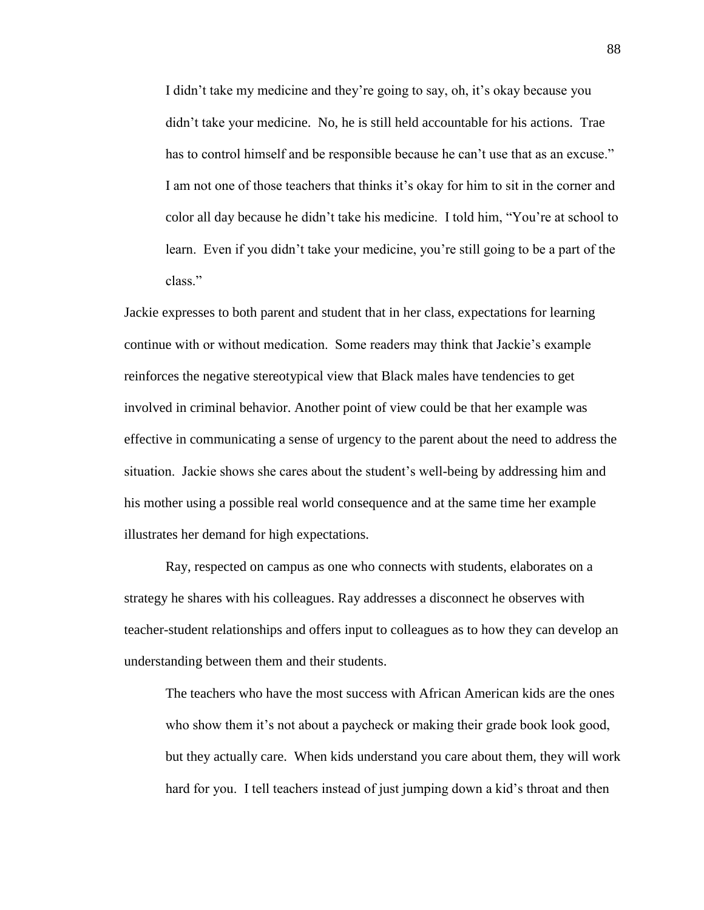I didn't take my medicine and they're going to say, oh, it's okay because you didn't take your medicine. No, he is still held accountable for his actions. Trae has to control himself and be responsible because he can't use that as an excuse." I am not one of those teachers that thinks it's okay for him to sit in the corner and color all day because he didn't take his medicine. I told him, "You're at school to learn. Even if you didn't take your medicine, you're still going to be a part of the class."

Jackie expresses to both parent and student that in her class, expectations for learning continue with or without medication. Some readers may think that Jackie's example reinforces the negative stereotypical view that Black males have tendencies to get involved in criminal behavior. Another point of view could be that her example was effective in communicating a sense of urgency to the parent about the need to address the situation. Jackie shows she cares about the student's well-being by addressing him and his mother using a possible real world consequence and at the same time her example illustrates her demand for high expectations.

Ray, respected on campus as one who connects with students, elaborates on a strategy he shares with his colleagues. Ray addresses a disconnect he observes with teacher-student relationships and offers input to colleagues as to how they can develop an understanding between them and their students.

The teachers who have the most success with African American kids are the ones who show them it's not about a paycheck or making their grade book look good, but they actually care. When kids understand you care about them, they will work hard for you. I tell teachers instead of just jumping down a kid's throat and then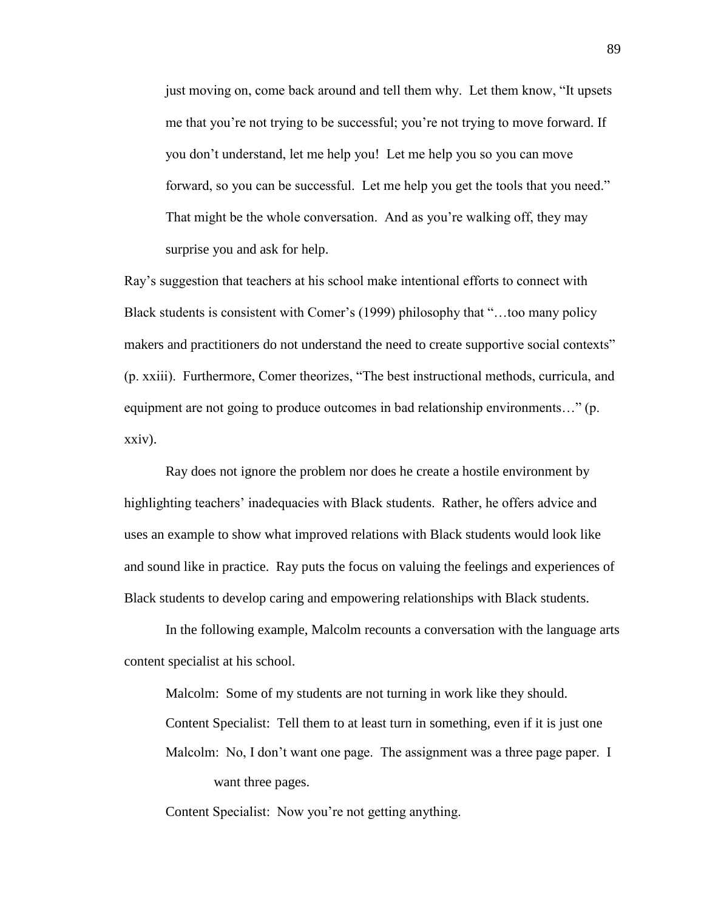just moving on, come back around and tell them why. Let them know, "It upsets me that you're not trying to be successful; you're not trying to move forward. If you don't understand, let me help you! Let me help you so you can move forward, so you can be successful. Let me help you get the tools that you need." That might be the whole conversation. And as you're walking off, they may surprise you and ask for help.

Ray's suggestion that teachers at his school make intentional efforts to connect with Black students is consistent with Comer's (1999) philosophy that "…too many policy makers and practitioners do not understand the need to create supportive social contexts" (p. xxiii). Furthermore, Comer theorizes, "The best instructional methods, curricula, and equipment are not going to produce outcomes in bad relationship environments…" (p. xxiv).

Ray does not ignore the problem nor does he create a hostile environment by highlighting teachers' inadequacies with Black students. Rather, he offers advice and uses an example to show what improved relations with Black students would look like and sound like in practice. Ray puts the focus on valuing the feelings and experiences of Black students to develop caring and empowering relationships with Black students.

In the following example, Malcolm recounts a conversation with the language arts content specialist at his school.

Malcolm: Some of my students are not turning in work like they should. Content Specialist: Tell them to at least turn in something, even if it is just one Malcolm: No, I don't want one page. The assignment was a three page paper. I want three pages.

Content Specialist: Now you're not getting anything.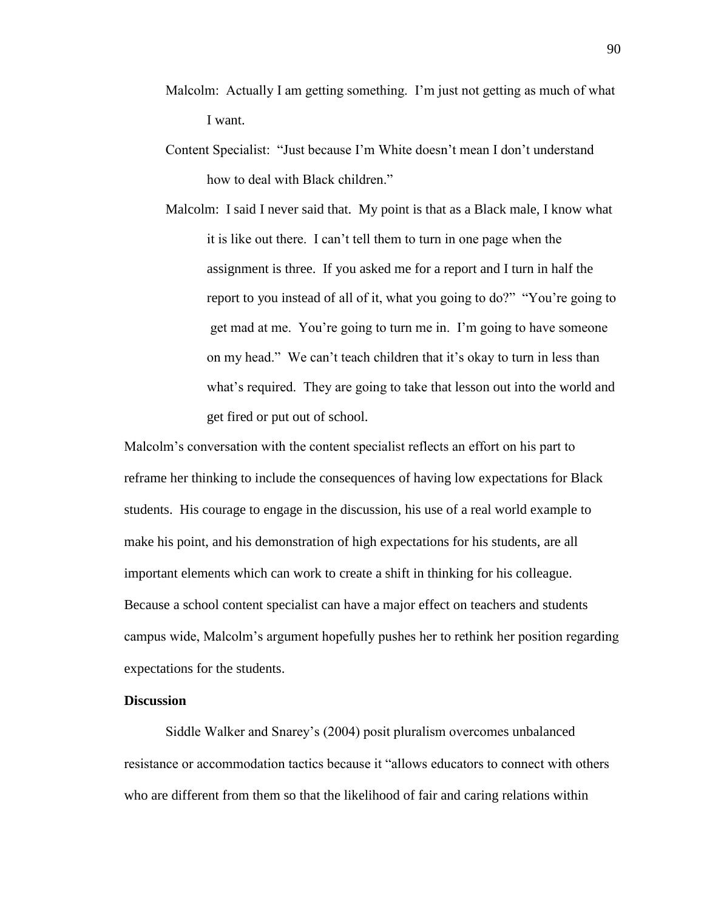- Malcolm: Actually I am getting something. I'm just not getting as much of what I want.
- Content Specialist: "Just because I'm White doesn't mean I don't understand how to deal with Black children."
- Malcolm: I said I never said that. My point is that as a Black male, I know what it is like out there. I can't tell them to turn in one page when the assignment is three. If you asked me for a report and I turn in half the report to you instead of all of it, what you going to do?" "You're going to get mad at me. You're going to turn me in. I'm going to have someone on my head." We can't teach children that it's okay to turn in less than what's required. They are going to take that lesson out into the world and get fired or put out of school.

Malcolm's conversation with the content specialist reflects an effort on his part to reframe her thinking to include the consequences of having low expectations for Black students. His courage to engage in the discussion, his use of a real world example to make his point, and his demonstration of high expectations for his students, are all important elements which can work to create a shift in thinking for his colleague. Because a school content specialist can have a major effect on teachers and students campus wide, Malcolm's argument hopefully pushes her to rethink her position regarding expectations for the students.

## **Discussion**

Siddle Walker and Snarey's (2004) posit pluralism overcomes unbalanced resistance or accommodation tactics because it "allows educators to connect with others who are different from them so that the likelihood of fair and caring relations within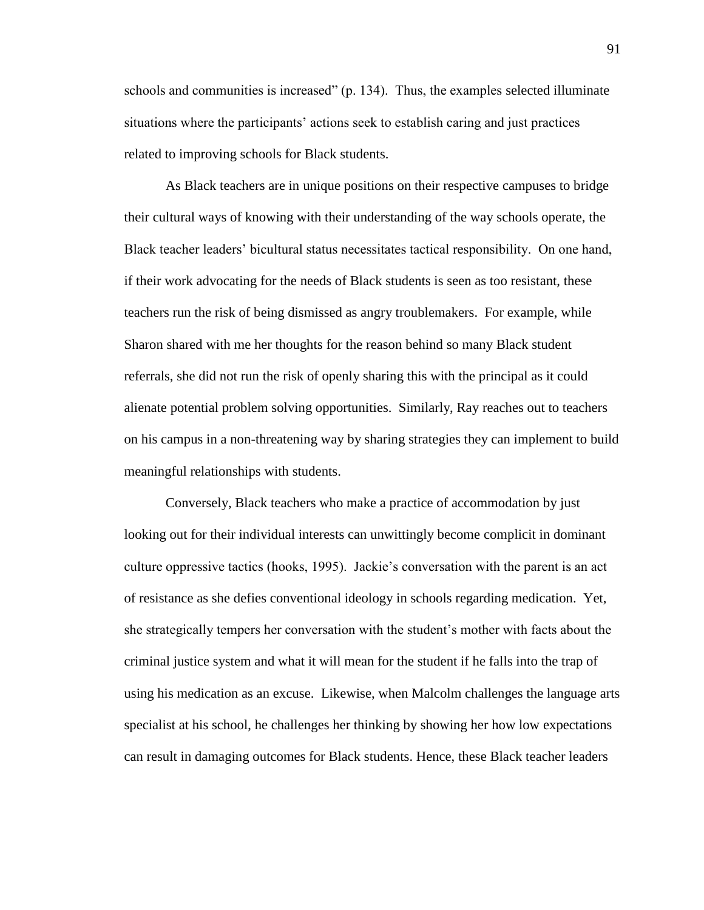schools and communities is increased" (p. 134). Thus, the examples selected illuminate situations where the participants' actions seek to establish caring and just practices related to improving schools for Black students.

As Black teachers are in unique positions on their respective campuses to bridge their cultural ways of knowing with their understanding of the way schools operate, the Black teacher leaders' bicultural status necessitates tactical responsibility. On one hand, if their work advocating for the needs of Black students is seen as too resistant, these teachers run the risk of being dismissed as angry troublemakers. For example, while Sharon shared with me her thoughts for the reason behind so many Black student referrals, she did not run the risk of openly sharing this with the principal as it could alienate potential problem solving opportunities. Similarly, Ray reaches out to teachers on his campus in a non-threatening way by sharing strategies they can implement to build meaningful relationships with students.

Conversely, Black teachers who make a practice of accommodation by just looking out for their individual interests can unwittingly become complicit in dominant culture oppressive tactics (hooks, 1995). Jackie's conversation with the parent is an act of resistance as she defies conventional ideology in schools regarding medication. Yet, she strategically tempers her conversation with the student's mother with facts about the criminal justice system and what it will mean for the student if he falls into the trap of using his medication as an excuse. Likewise, when Malcolm challenges the language arts specialist at his school, he challenges her thinking by showing her how low expectations can result in damaging outcomes for Black students. Hence, these Black teacher leaders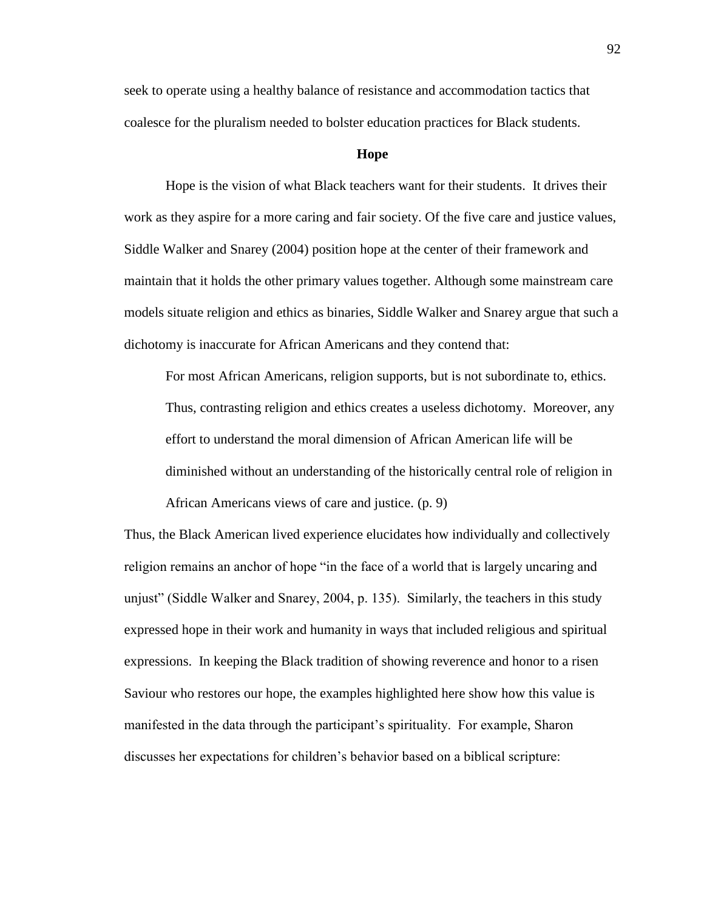seek to operate using a healthy balance of resistance and accommodation tactics that coalesce for the pluralism needed to bolster education practices for Black students.

### **Hope**

Hope is the vision of what Black teachers want for their students. It drives their work as they aspire for a more caring and fair society. Of the five care and justice values, Siddle Walker and Snarey (2004) position hope at the center of their framework and maintain that it holds the other primary values together. Although some mainstream care models situate religion and ethics as binaries, Siddle Walker and Snarey argue that such a dichotomy is inaccurate for African Americans and they contend that:

For most African Americans, religion supports, but is not subordinate to, ethics. Thus, contrasting religion and ethics creates a useless dichotomy. Moreover, any effort to understand the moral dimension of African American life will be diminished without an understanding of the historically central role of religion in African Americans views of care and justice. (p. 9)

Thus, the Black American lived experience elucidates how individually and collectively religion remains an anchor of hope "in the face of a world that is largely uncaring and unjust" (Siddle Walker and Snarey, 2004, p. 135). Similarly, the teachers in this study expressed hope in their work and humanity in ways that included religious and spiritual expressions. In keeping the Black tradition of showing reverence and honor to a risen Saviour who restores our hope, the examples highlighted here show how this value is manifested in the data through the participant's spirituality. For example, Sharon discusses her expectations for children's behavior based on a biblical scripture: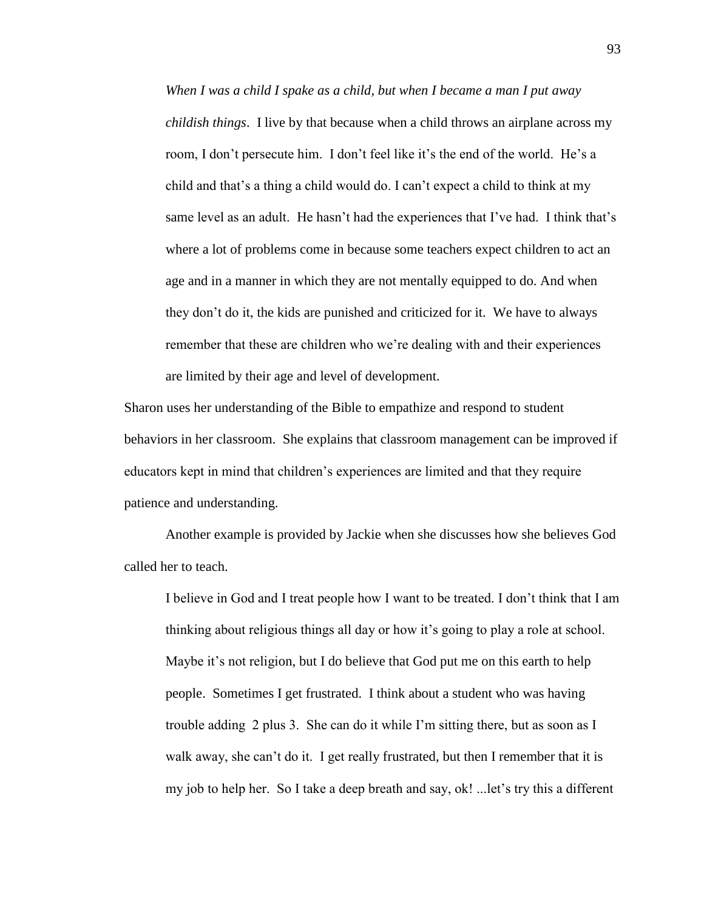*When I was a child I spake as a child, but when I became a man I put away childish things*. I live by that because when a child throws an airplane across my room, I don't persecute him. I don't feel like it's the end of the world. He's a child and that's a thing a child would do. I can't expect a child to think at my same level as an adult. He hasn't had the experiences that I've had. I think that's where a lot of problems come in because some teachers expect children to act an age and in a manner in which they are not mentally equipped to do. And when they don't do it, the kids are punished and criticized for it. We have to always remember that these are children who we're dealing with and their experiences are limited by their age and level of development.

Sharon uses her understanding of the Bible to empathize and respond to student behaviors in her classroom. She explains that classroom management can be improved if educators kept in mind that children's experiences are limited and that they require patience and understanding.

Another example is provided by Jackie when she discusses how she believes God called her to teach.

I believe in God and I treat people how I want to be treated. I don't think that I am thinking about religious things all day or how it's going to play a role at school. Maybe it's not religion, but I do believe that God put me on this earth to help people. Sometimes I get frustrated. I think about a student who was having trouble adding 2 plus 3. She can do it while I'm sitting there, but as soon as I walk away, she can't do it. I get really frustrated, but then I remember that it is my job to help her. So I take a deep breath and say, ok! ...let's try this a different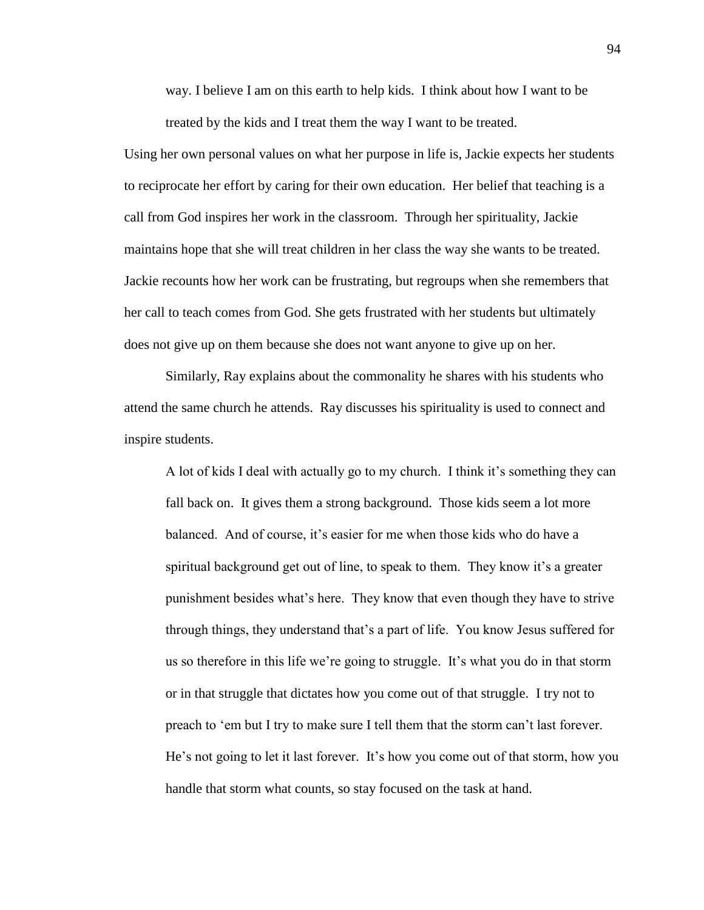way. I believe I am on this earth to help kids. I think about how I want to be treated by the kids and I treat them the way I want to be treated.

Using her own personal values on what her purpose in life is, Jackie expects her students to reciprocate her effort by caring for their own education. Her belief that teaching is a call from God inspires her work in the classroom. Through her spirituality, Jackie maintains hope that she will treat children in her class the way she wants to be treated. Jackie recounts how her work can be frustrating, but regroups when she remembers that her call to teach comes from God. She gets frustrated with her students but ultimately does not give up on them because she does not want anyone to give up on her.

Similarly, Ray explains about the commonality he shares with his students who attend the same church he attends. Ray discusses his spirituality is used to connect and inspire students.

A lot of kids I deal with actually go to my church. I think it's something they can fall back on. It gives them a strong background. Those kids seem a lot more balanced. And of course, it's easier for me when those kids who do have a spiritual background get out of line, to speak to them. They know it's a greater punishment besides what's here. They know that even though they have to strive through things, they understand that's a part of life. You know Jesus suffered for us so therefore in this life we're going to struggle. It's what you do in that storm or in that struggle that dictates how you come out of that struggle. I try not to preach to 'em but I try to make sure I tell them that the storm can't last forever. He's not going to let it last forever. It's how you come out of that storm, how you handle that storm what counts, so stay focused on the task at hand.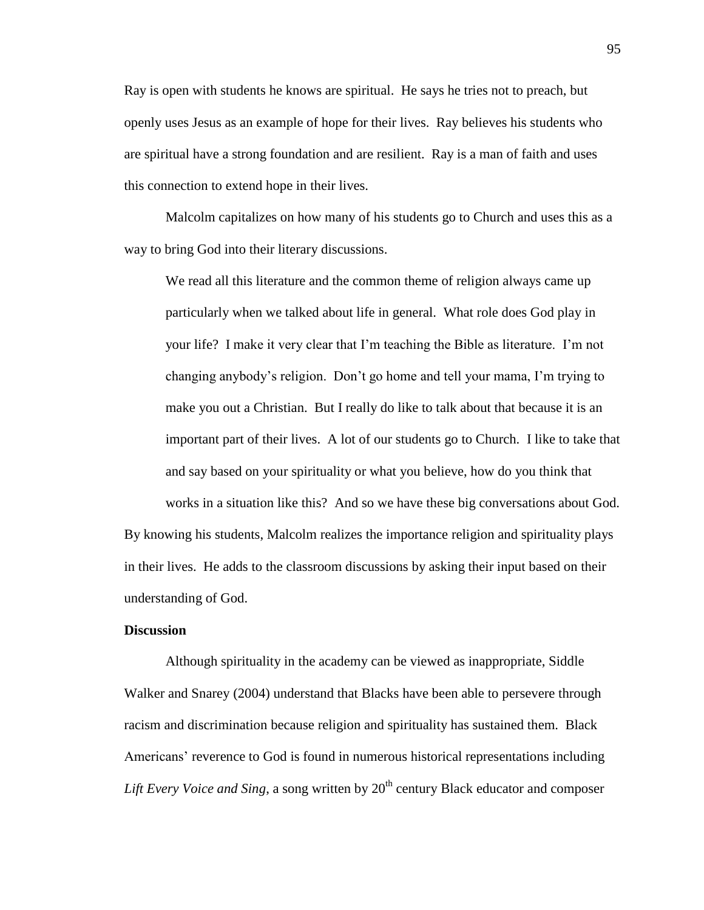Ray is open with students he knows are spiritual. He says he tries not to preach, but openly uses Jesus as an example of hope for their lives. Ray believes his students who are spiritual have a strong foundation and are resilient. Ray is a man of faith and uses this connection to extend hope in their lives.

Malcolm capitalizes on how many of his students go to Church and uses this as a way to bring God into their literary discussions.

We read all this literature and the common theme of religion always came up particularly when we talked about life in general. What role does God play in your life? I make it very clear that I'm teaching the Bible as literature. I'm not changing anybody's religion. Don't go home and tell your mama, I'm trying to make you out a Christian. But I really do like to talk about that because it is an important part of their lives. A lot of our students go to Church. I like to take that and say based on your spirituality or what you believe, how do you think that works in a situation like this? And so we have these big conversations about God.

By knowing his students, Malcolm realizes the importance religion and spirituality plays in their lives. He adds to the classroom discussions by asking their input based on their understanding of God.

## **Discussion**

Although spirituality in the academy can be viewed as inappropriate, Siddle Walker and Snarey (2004) understand that Blacks have been able to persevere through racism and discrimination because religion and spirituality has sustained them. Black Americans' reverence to God is found in numerous historical representations including *Lift Every Voice and Sing*, a song written by 20<sup>th</sup> century Black educator and composer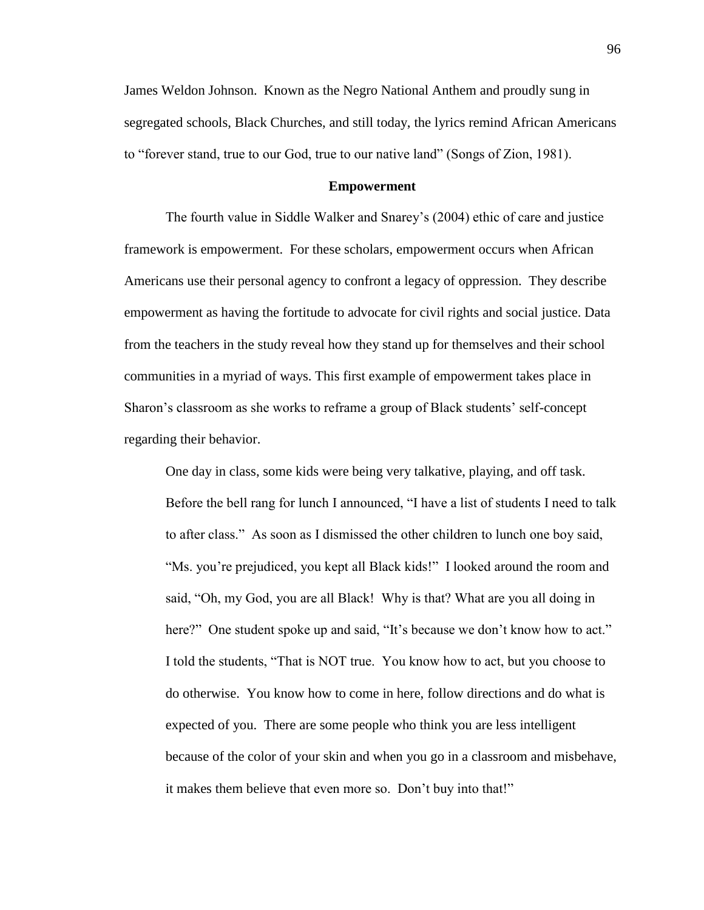James Weldon Johnson. Known as the Negro National Anthem and proudly sung in segregated schools, Black Churches, and still today, the lyrics remind African Americans to "forever stand, true to our God, true to our native land" (Songs of Zion, 1981).

## **Empowerment**

The fourth value in Siddle Walker and Snarey's (2004) ethic of care and justice framework is empowerment. For these scholars, empowerment occurs when African Americans use their personal agency to confront a legacy of oppression. They describe empowerment as having the fortitude to advocate for civil rights and social justice. Data from the teachers in the study reveal how they stand up for themselves and their school communities in a myriad of ways. This first example of empowerment takes place in Sharon's classroom as she works to reframe a group of Black students' self-concept regarding their behavior.

One day in class, some kids were being very talkative, playing, and off task. Before the bell rang for lunch I announced, "I have a list of students I need to talk to after class." As soon as I dismissed the other children to lunch one boy said, "Ms. you're prejudiced, you kept all Black kids!" I looked around the room and said, "Oh, my God, you are all Black! Why is that? What are you all doing in here?" One student spoke up and said, "It's because we don't know how to act." I told the students, "That is NOT true. You know how to act, but you choose to do otherwise. You know how to come in here, follow directions and do what is expected of you. There are some people who think you are less intelligent because of the color of your skin and when you go in a classroom and misbehave, it makes them believe that even more so. Don't buy into that!"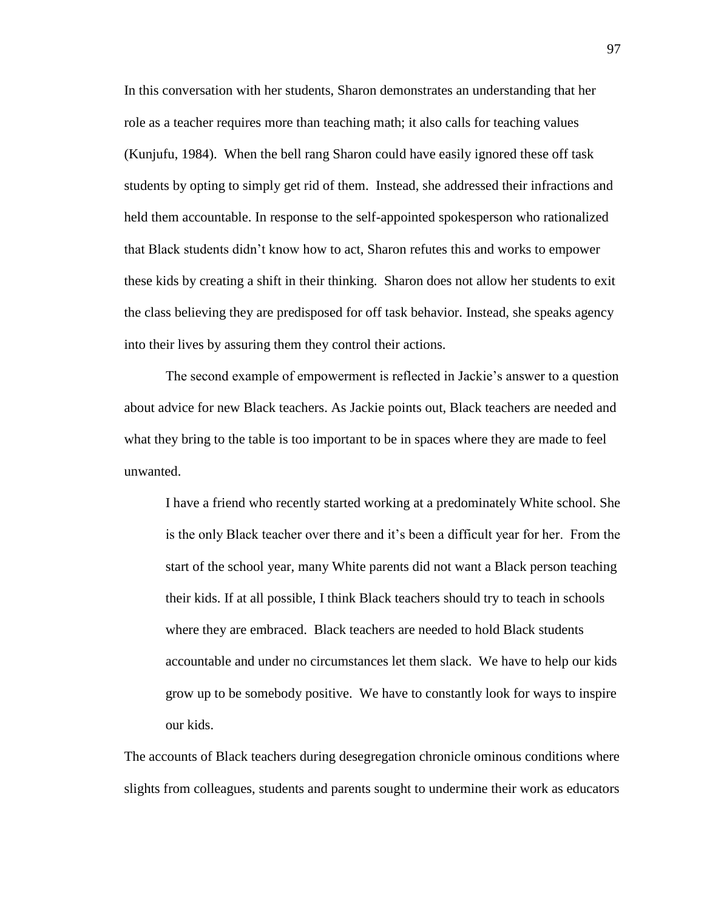In this conversation with her students, Sharon demonstrates an understanding that her role as a teacher requires more than teaching math; it also calls for teaching values (Kunjufu, 1984). When the bell rang Sharon could have easily ignored these off task students by opting to simply get rid of them. Instead, she addressed their infractions and held them accountable. In response to the self-appointed spokesperson who rationalized that Black students didn't know how to act, Sharon refutes this and works to empower these kids by creating a shift in their thinking. Sharon does not allow her students to exit the class believing they are predisposed for off task behavior. Instead, she speaks agency into their lives by assuring them they control their actions.

The second example of empowerment is reflected in Jackie's answer to a question about advice for new Black teachers. As Jackie points out, Black teachers are needed and what they bring to the table is too important to be in spaces where they are made to feel unwanted.

I have a friend who recently started working at a predominately White school. She is the only Black teacher over there and it's been a difficult year for her. From the start of the school year, many White parents did not want a Black person teaching their kids. If at all possible, I think Black teachers should try to teach in schools where they are embraced. Black teachers are needed to hold Black students accountable and under no circumstances let them slack. We have to help our kids grow up to be somebody positive. We have to constantly look for ways to inspire our kids.

The accounts of Black teachers during desegregation chronicle ominous conditions where slights from colleagues, students and parents sought to undermine their work as educators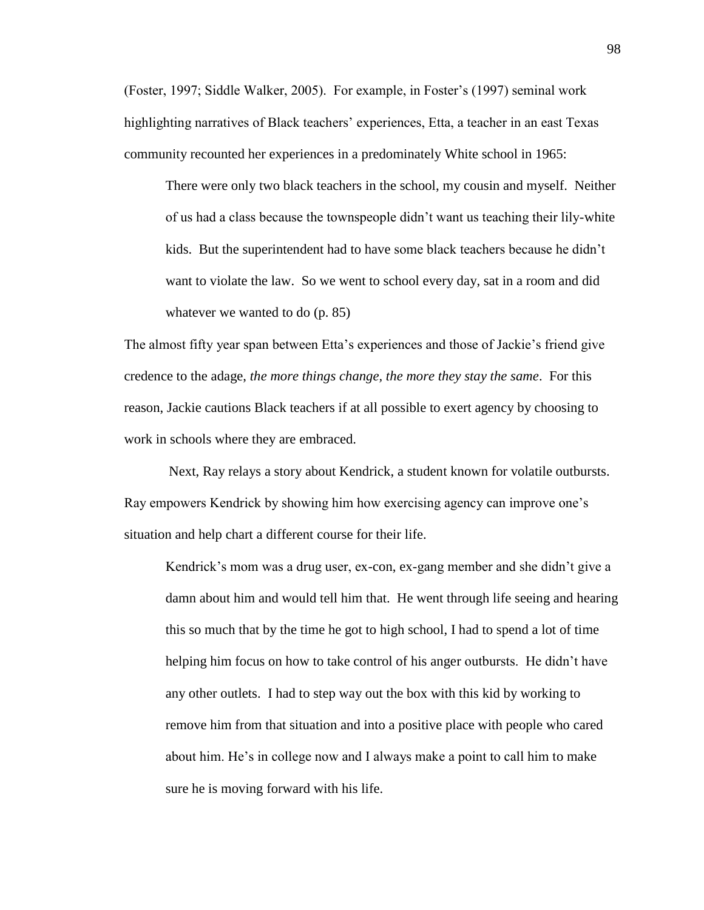(Foster, 1997; Siddle Walker, 2005). For example, in Foster's (1997) seminal work highlighting narratives of Black teachers' experiences, Etta, a teacher in an east Texas community recounted her experiences in a predominately White school in 1965:

There were only two black teachers in the school, my cousin and myself. Neither of us had a class because the townspeople didn't want us teaching their lily-white kids. But the superintendent had to have some black teachers because he didn't want to violate the law. So we went to school every day, sat in a room and did whatever we wanted to do (p. 85)

The almost fifty year span between Etta's experiences and those of Jackie's friend give credence to the adage, *the more things change, the more they stay the same*. For this reason, Jackie cautions Black teachers if at all possible to exert agency by choosing to work in schools where they are embraced.

Next, Ray relays a story about Kendrick, a student known for volatile outbursts. Ray empowers Kendrick by showing him how exercising agency can improve one's situation and help chart a different course for their life.

Kendrick's mom was a drug user, ex-con, ex-gang member and she didn't give a damn about him and would tell him that. He went through life seeing and hearing this so much that by the time he got to high school, I had to spend a lot of time helping him focus on how to take control of his anger outbursts. He didn't have any other outlets. I had to step way out the box with this kid by working to remove him from that situation and into a positive place with people who cared about him. He's in college now and I always make a point to call him to make sure he is moving forward with his life.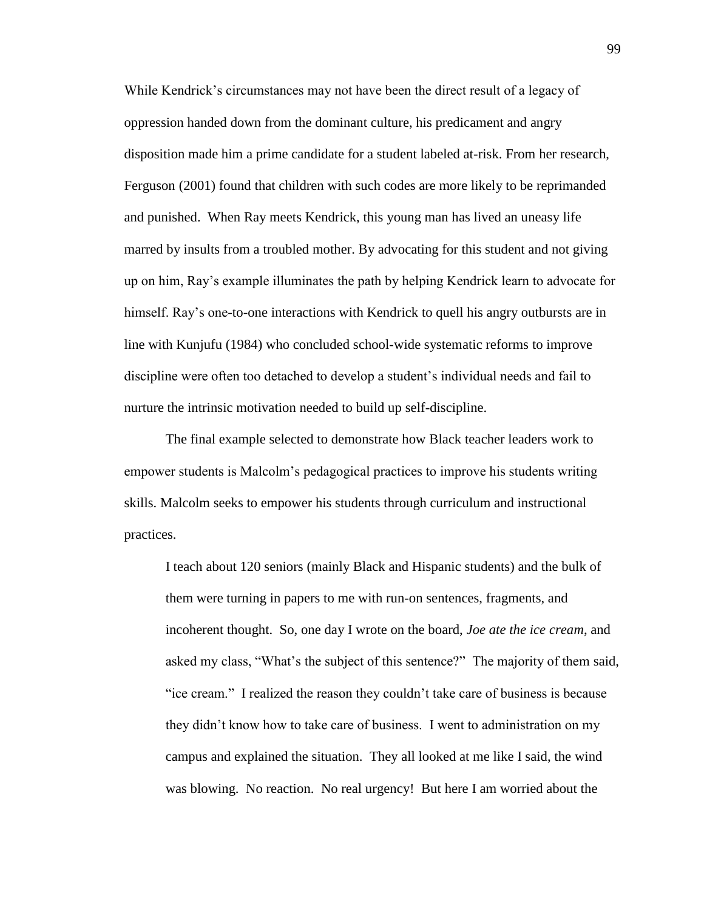While Kendrick's circumstances may not have been the direct result of a legacy of oppression handed down from the dominant culture, his predicament and angry disposition made him a prime candidate for a student labeled at-risk. From her research, Ferguson (2001) found that children with such codes are more likely to be reprimanded and punished. When Ray meets Kendrick, this young man has lived an uneasy life marred by insults from a troubled mother. By advocating for this student and not giving up on him, Ray's example illuminates the path by helping Kendrick learn to advocate for himself. Ray's one-to-one interactions with Kendrick to quell his angry outbursts are in line with Kunjufu (1984) who concluded school-wide systematic reforms to improve discipline were often too detached to develop a student's individual needs and fail to nurture the intrinsic motivation needed to build up self-discipline.

The final example selected to demonstrate how Black teacher leaders work to empower students is Malcolm's pedagogical practices to improve his students writing skills. Malcolm seeks to empower his students through curriculum and instructional practices.

I teach about 120 seniors (mainly Black and Hispanic students) and the bulk of them were turning in papers to me with run-on sentences, fragments, and incoherent thought. So, one day I wrote on the board, *Joe ate the ice cream*, and asked my class, "What's the subject of this sentence?" The majority of them said, "ice cream." I realized the reason they couldn't take care of business is because they didn't know how to take care of business. I went to administration on my campus and explained the situation. They all looked at me like I said, the wind was blowing. No reaction. No real urgency! But here I am worried about the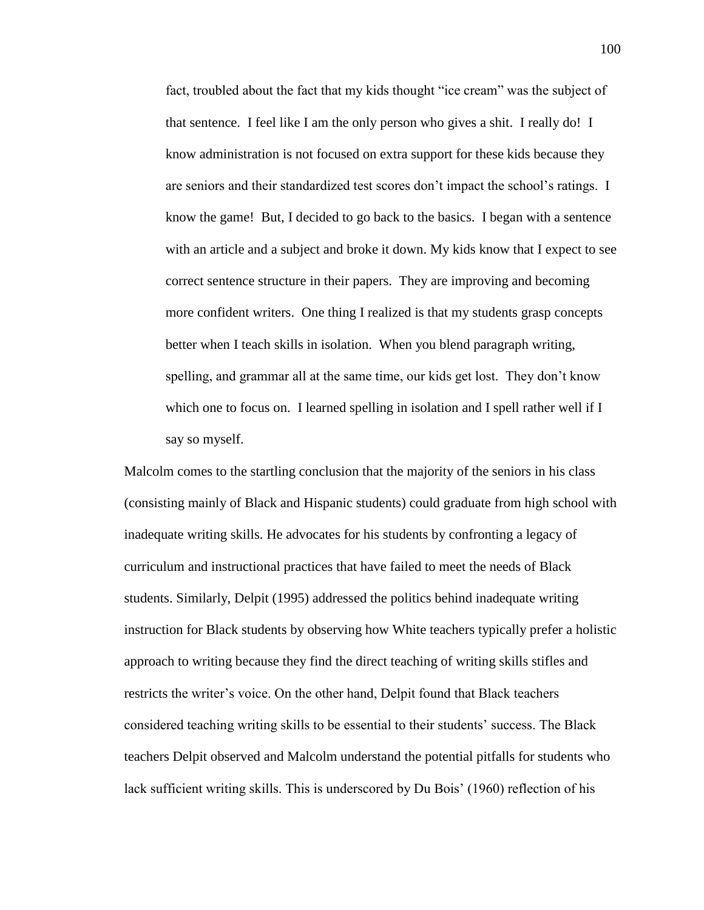fact, troubled about the fact that my kids thought "ice cream" was the subject of that sentence. I feel like I am the only person who gives a shit. I really do! I know administration is not focused on extra support for these kids because they are seniors and their standardized test scores don't impact the school's ratings. I know the game! But, I decided to go back to the basics. I began with a sentence with an article and a subject and broke it down. My kids know that I expect to see correct sentence structure in their papers. They are improving and becoming more confident writers. One thing I realized is that my students grasp concepts better when I teach skills in isolation. When you blend paragraph writing, spelling, and grammar all at the same time, our kids get lost. They don't know which one to focus on. I learned spelling in isolation and I spell rather well if I say so myself.

Malcolm comes to the startling conclusion that the majority of the seniors in his class (consisting mainly of Black and Hispanic students) could graduate from high school with inadequate writing skills. He advocates for his students by confronting a legacy of curriculum and instructional practices that have failed to meet the needs of Black students. Similarly, Delpit (1995) addressed the politics behind inadequate writing instruction for Black students by observing how White teachers typically prefer a holistic approach to writing because they find the direct teaching of writing skills stifles and restricts the writer's voice. On the other hand, Delpit found that Black teachers considered teaching writing skills to be essential to their students' success. The Black teachers Delpit observed and Malcolm understand the potential pitfalls for students who lack sufficient writing skills. This is underscored by Du Bois' (1960) reflection of his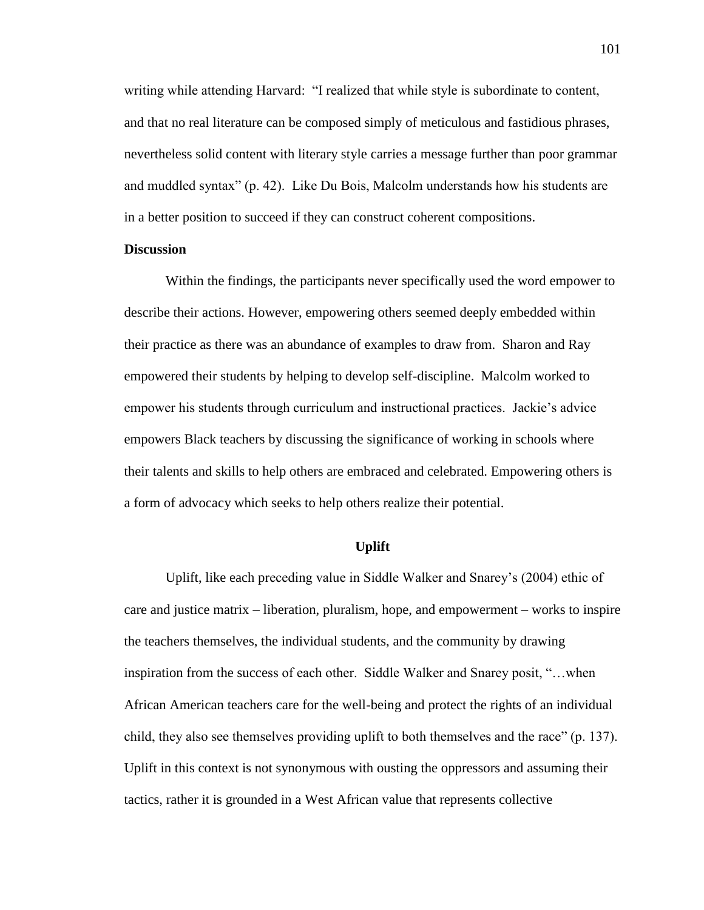writing while attending Harvard: "I realized that while style is subordinate to content, and that no real literature can be composed simply of meticulous and fastidious phrases, nevertheless solid content with literary style carries a message further than poor grammar and muddled syntax" (p. 42). Like Du Bois, Malcolm understands how his students are in a better position to succeed if they can construct coherent compositions.

## **Discussion**

Within the findings, the participants never specifically used the word empower to describe their actions. However, empowering others seemed deeply embedded within their practice as there was an abundance of examples to draw from. Sharon and Ray empowered their students by helping to develop self-discipline. Malcolm worked to empower his students through curriculum and instructional practices. Jackie's advice empowers Black teachers by discussing the significance of working in schools where their talents and skills to help others are embraced and celebrated. Empowering others is a form of advocacy which seeks to help others realize their potential.

## **Uplift**

Uplift, like each preceding value in Siddle Walker and Snarey's (2004) ethic of care and justice matrix – liberation, pluralism, hope, and empowerment – works to inspire the teachers themselves, the individual students, and the community by drawing inspiration from the success of each other. Siddle Walker and Snarey posit, "…when African American teachers care for the well-being and protect the rights of an individual child, they also see themselves providing uplift to both themselves and the race" (p. 137). Uplift in this context is not synonymous with ousting the oppressors and assuming their tactics, rather it is grounded in a West African value that represents collective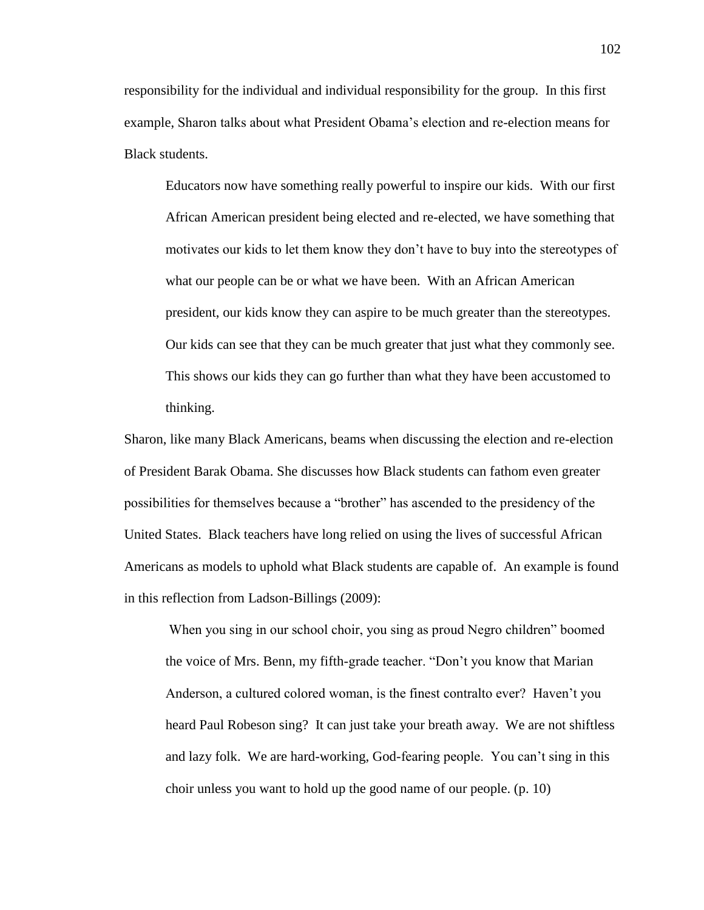responsibility for the individual and individual responsibility for the group. In this first example, Sharon talks about what President Obama's election and re-election means for Black students.

Educators now have something really powerful to inspire our kids. With our first African American president being elected and re-elected, we have something that motivates our kids to let them know they don't have to buy into the stereotypes of what our people can be or what we have been. With an African American president, our kids know they can aspire to be much greater than the stereotypes. Our kids can see that they can be much greater that just what they commonly see. This shows our kids they can go further than what they have been accustomed to thinking.

Sharon, like many Black Americans, beams when discussing the election and re-election of President Barak Obama. She discusses how Black students can fathom even greater possibilities for themselves because a "brother" has ascended to the presidency of the United States. Black teachers have long relied on using the lives of successful African Americans as models to uphold what Black students are capable of. An example is found in this reflection from Ladson-Billings (2009):

When you sing in our school choir, you sing as proud Negro children" boomed the voice of Mrs. Benn, my fifth-grade teacher. "Don't you know that Marian Anderson, a cultured colored woman, is the finest contralto ever? Haven't you heard Paul Robeson sing? It can just take your breath away. We are not shiftless and lazy folk. We are hard-working, God-fearing people. You can't sing in this choir unless you want to hold up the good name of our people. (p. 10)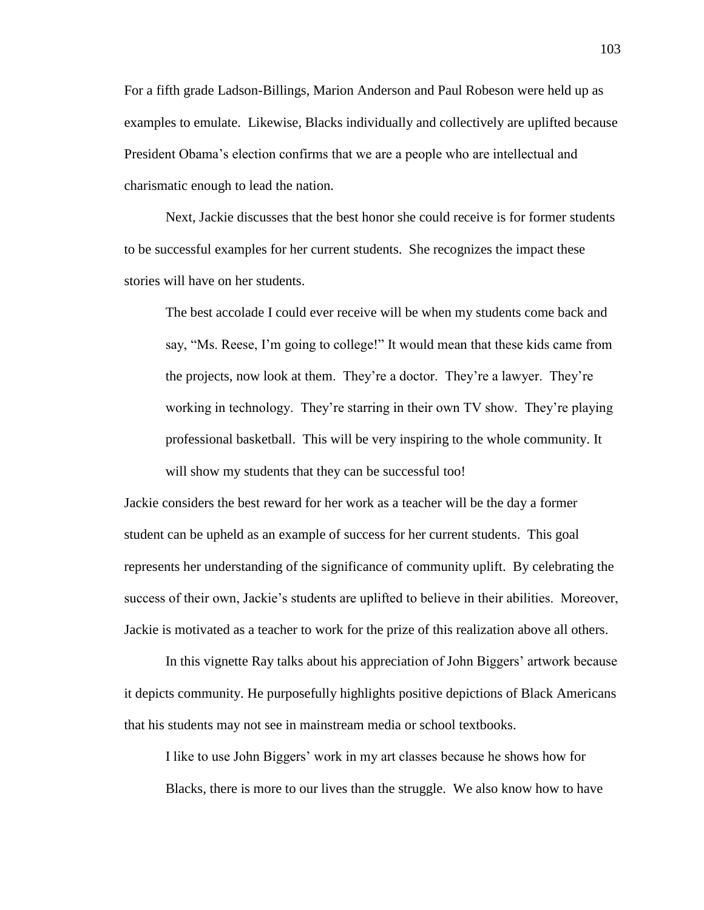For a fifth grade Ladson-Billings, Marion Anderson and Paul Robeson were held up as examples to emulate. Likewise, Blacks individually and collectively are uplifted because President Obama's election confirms that we are a people who are intellectual and charismatic enough to lead the nation.

Next, Jackie discusses that the best honor she could receive is for former students to be successful examples for her current students. She recognizes the impact these stories will have on her students.

The best accolade I could ever receive will be when my students come back and say, "Ms. Reese, I'm going to college!" It would mean that these kids came from the projects, now look at them. They're a doctor. They're a lawyer. They're working in technology. They're starring in their own TV show. They're playing professional basketball. This will be very inspiring to the whole community. It will show my students that they can be successful too!

Jackie considers the best reward for her work as a teacher will be the day a former student can be upheld as an example of success for her current students. This goal represents her understanding of the significance of community uplift. By celebrating the success of their own, Jackie's students are uplifted to believe in their abilities. Moreover, Jackie is motivated as a teacher to work for the prize of this realization above all others.

In this vignette Ray talks about his appreciation of John Biggers' artwork because it depicts community. He purposefully highlights positive depictions of Black Americans that his students may not see in mainstream media or school textbooks.

I like to use John Biggers' work in my art classes because he shows how for Blacks, there is more to our lives than the struggle. We also know how to have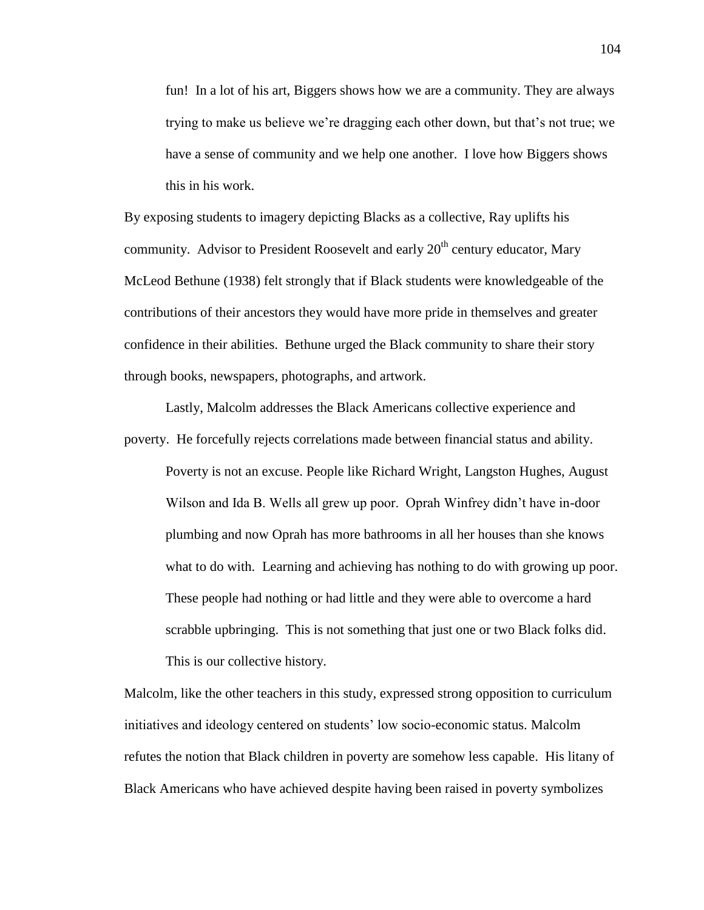fun! In a lot of his art, Biggers shows how we are a community. They are always trying to make us believe we're dragging each other down, but that's not true; we have a sense of community and we help one another. I love how Biggers shows this in his work.

By exposing students to imagery depicting Blacks as a collective, Ray uplifts his community. Advisor to President Roosevelt and early  $20<sup>th</sup>$  century educator, Mary McLeod Bethune (1938) felt strongly that if Black students were knowledgeable of the contributions of their ancestors they would have more pride in themselves and greater confidence in their abilities. Bethune urged the Black community to share their story through books, newspapers, photographs, and artwork.

Lastly, Malcolm addresses the Black Americans collective experience and poverty. He forcefully rejects correlations made between financial status and ability.

Poverty is not an excuse. People like Richard Wright, Langston Hughes, August Wilson and Ida B. Wells all grew up poor. Oprah Winfrey didn't have in-door plumbing and now Oprah has more bathrooms in all her houses than she knows what to do with. Learning and achieving has nothing to do with growing up poor. These people had nothing or had little and they were able to overcome a hard scrabble upbringing. This is not something that just one or two Black folks did. This is our collective history.

Malcolm, like the other teachers in this study, expressed strong opposition to curriculum initiatives and ideology centered on students' low socio-economic status. Malcolm refutes the notion that Black children in poverty are somehow less capable. His litany of Black Americans who have achieved despite having been raised in poverty symbolizes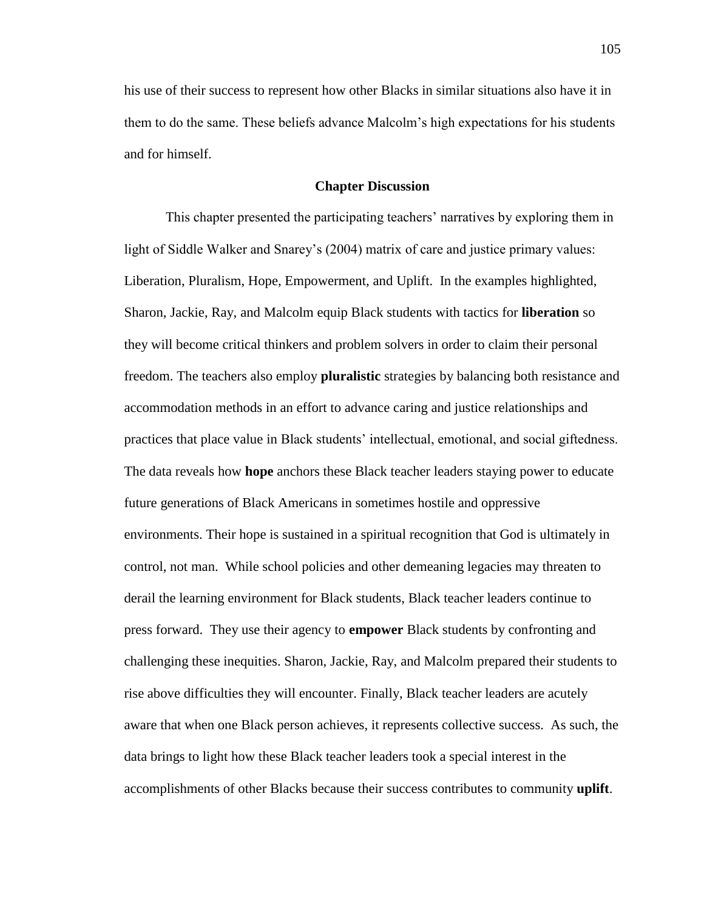his use of their success to represent how other Blacks in similar situations also have it in them to do the same. These beliefs advance Malcolm's high expectations for his students and for himself.

## **Chapter Discussion**

This chapter presented the participating teachers' narratives by exploring them in light of Siddle Walker and Snarey's (2004) matrix of care and justice primary values: Liberation, Pluralism, Hope, Empowerment, and Uplift. In the examples highlighted, Sharon, Jackie, Ray, and Malcolm equip Black students with tactics for **liberation** so they will become critical thinkers and problem solvers in order to claim their personal freedom. The teachers also employ **pluralistic** strategies by balancing both resistance and accommodation methods in an effort to advance caring and justice relationships and practices that place value in Black students' intellectual, emotional, and social giftedness. The data reveals how **hope** anchors these Black teacher leaders staying power to educate future generations of Black Americans in sometimes hostile and oppressive environments. Their hope is sustained in a spiritual recognition that God is ultimately in control, not man. While school policies and other demeaning legacies may threaten to derail the learning environment for Black students, Black teacher leaders continue to press forward. They use their agency to **empower** Black students by confronting and challenging these inequities. Sharon, Jackie, Ray, and Malcolm prepared their students to rise above difficulties they will encounter. Finally, Black teacher leaders are acutely aware that when one Black person achieves, it represents collective success. As such, the data brings to light how these Black teacher leaders took a special interest in the accomplishments of other Blacks because their success contributes to community **uplift**.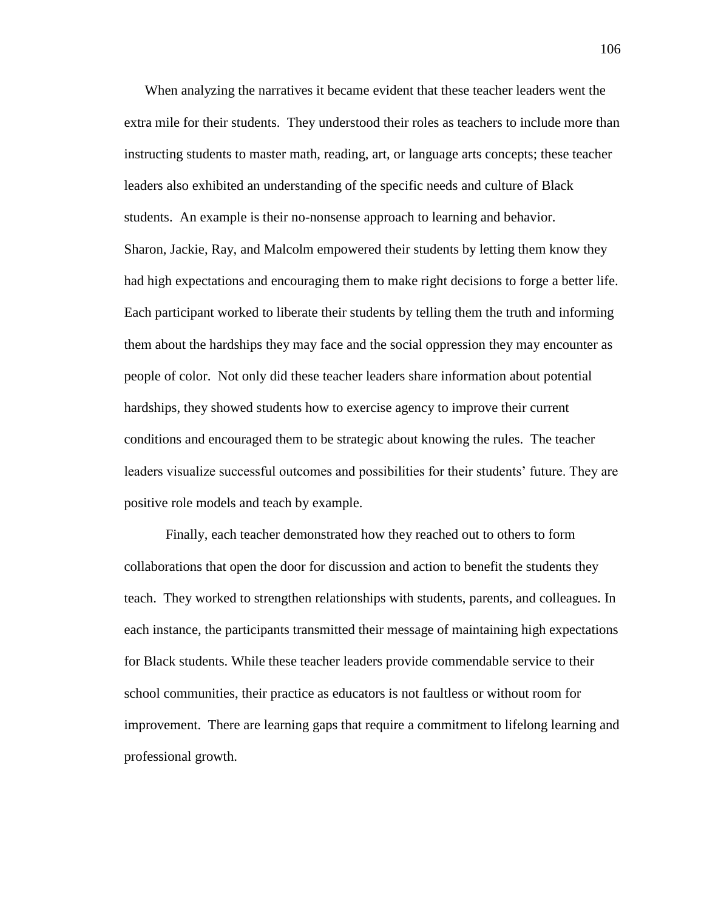When analyzing the narratives it became evident that these teacher leaders went the extra mile for their students. They understood their roles as teachers to include more than instructing students to master math, reading, art, or language arts concepts; these teacher leaders also exhibited an understanding of the specific needs and culture of Black students. An example is their no-nonsense approach to learning and behavior. Sharon, Jackie, Ray, and Malcolm empowered their students by letting them know they had high expectations and encouraging them to make right decisions to forge a better life. Each participant worked to liberate their students by telling them the truth and informing them about the hardships they may face and the social oppression they may encounter as people of color. Not only did these teacher leaders share information about potential hardships, they showed students how to exercise agency to improve their current conditions and encouraged them to be strategic about knowing the rules. The teacher leaders visualize successful outcomes and possibilities for their students' future. They are positive role models and teach by example.

Finally, each teacher demonstrated how they reached out to others to form collaborations that open the door for discussion and action to benefit the students they teach. They worked to strengthen relationships with students, parents, and colleagues. In each instance, the participants transmitted their message of maintaining high expectations for Black students. While these teacher leaders provide commendable service to their school communities, their practice as educators is not faultless or without room for improvement. There are learning gaps that require a commitment to lifelong learning and professional growth.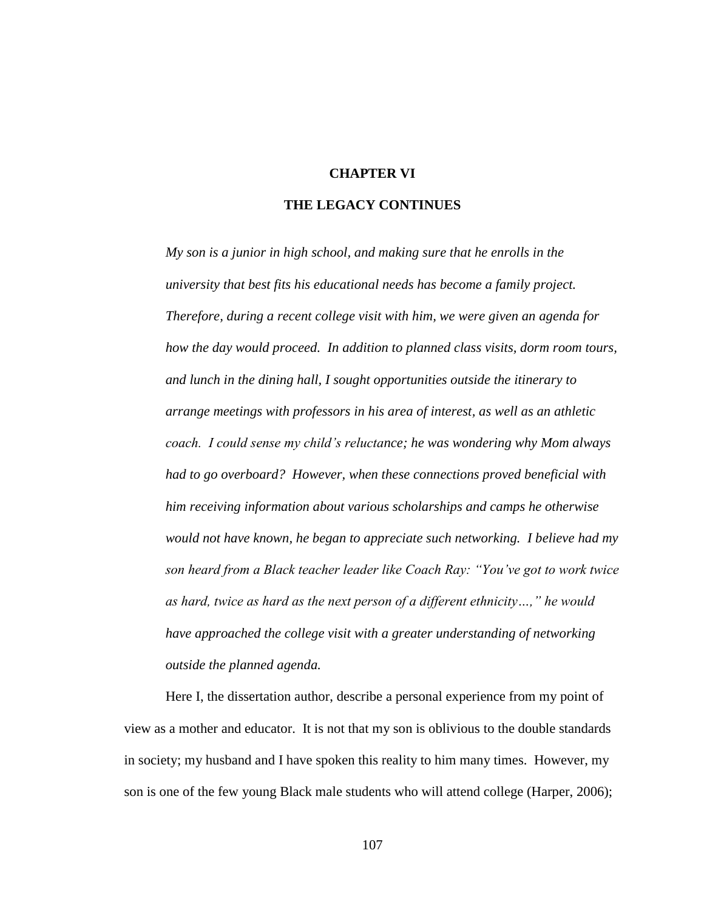## **CHAPTER VI**

## **THE LEGACY CONTINUES**

*My son is a junior in high school, and making sure that he enrolls in the university that best fits his educational needs has become a family project. Therefore, during a recent college visit with him, we were given an agenda for how the day would proceed. In addition to planned class visits, dorm room tours, and lunch in the dining hall, I sought opportunities outside the itinerary to arrange meetings with professors in his area of interest, as well as an athletic coach. I could sense my child's reluctance; he was wondering why Mom always had to go overboard? However, when these connections proved beneficial with him receiving information about various scholarships and camps he otherwise would not have known, he began to appreciate such networking. I believe had my son heard from a Black teacher leader like Coach Ray: "You've got to work twice as hard, twice as hard as the next person of a different ethnicity…," he would have approached the college visit with a greater understanding of networking outside the planned agenda.*

Here I, the dissertation author, describe a personal experience from my point of view as a mother and educator. It is not that my son is oblivious to the double standards in society; my husband and I have spoken this reality to him many times. However, my son is one of the few young Black male students who will attend college (Harper, 2006);

107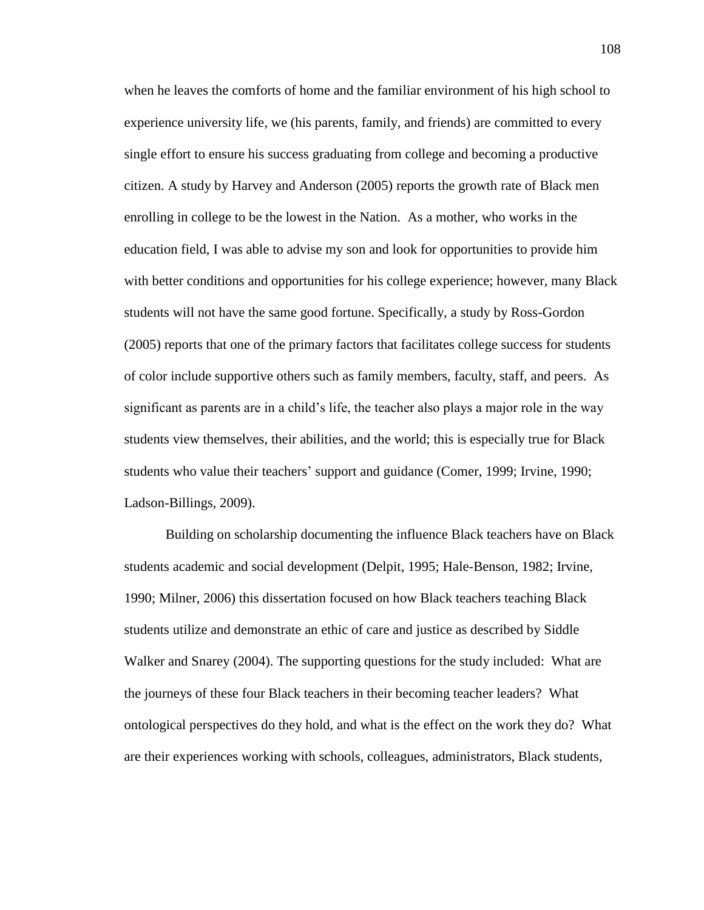when he leaves the comforts of home and the familiar environment of his high school to experience university life, we (his parents, family, and friends) are committed to every single effort to ensure his success graduating from college and becoming a productive citizen. A study by Harvey and Anderson (2005) reports the growth rate of Black men enrolling in college to be the lowest in the Nation. As a mother, who works in the education field, I was able to advise my son and look for opportunities to provide him with better conditions and opportunities for his college experience; however, many Black students will not have the same good fortune. Specifically, a study by Ross-Gordon (2005) reports that one of the primary factors that facilitates college success for students of color include supportive others such as family members, faculty, staff, and peers. As significant as parents are in a child's life, the teacher also plays a major role in the way students view themselves, their abilities, and the world; this is especially true for Black students who value their teachers' support and guidance (Comer, 1999; Irvine, 1990; Ladson-Billings, 2009).

Building on scholarship documenting the influence Black teachers have on Black students academic and social development (Delpit, 1995; Hale-Benson, 1982; Irvine, 1990; Milner, 2006) this dissertation focused on how Black teachers teaching Black students utilize and demonstrate an ethic of care and justice as described by Siddle Walker and Snarey (2004). The supporting questions for the study included: What are the journeys of these four Black teachers in their becoming teacher leaders? What ontological perspectives do they hold, and what is the effect on the work they do? What are their experiences working with schools, colleagues, administrators, Black students,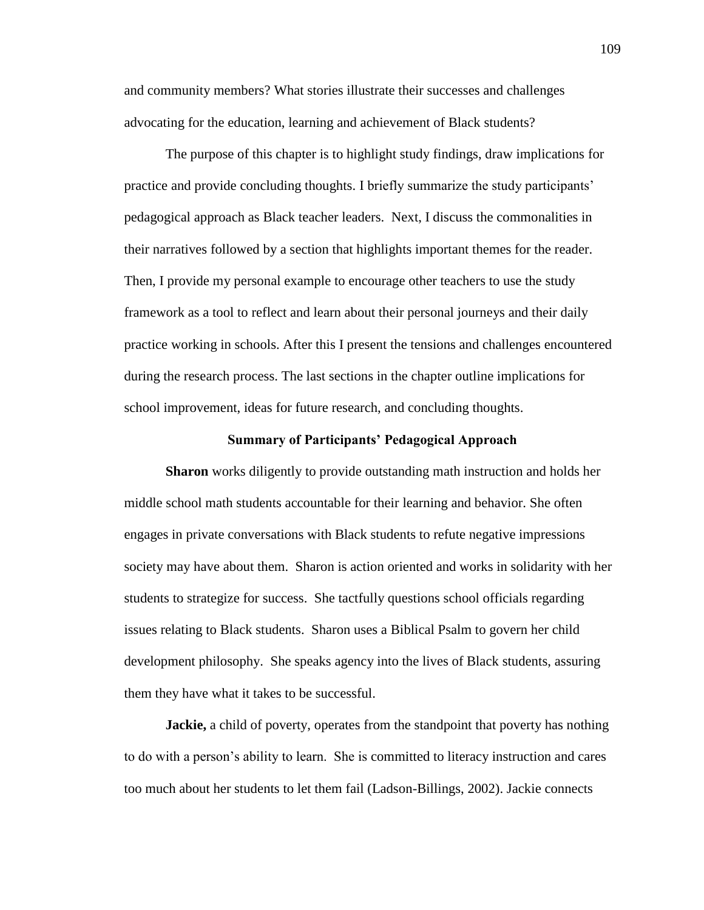and community members? What stories illustrate their successes and challenges advocating for the education, learning and achievement of Black students?

The purpose of this chapter is to highlight study findings, draw implications for practice and provide concluding thoughts. I briefly summarize the study participants' pedagogical approach as Black teacher leaders. Next, I discuss the commonalities in their narratives followed by a section that highlights important themes for the reader. Then, I provide my personal example to encourage other teachers to use the study framework as a tool to reflect and learn about their personal journeys and their daily practice working in schools. After this I present the tensions and challenges encountered during the research process. The last sections in the chapter outline implications for school improvement, ideas for future research, and concluding thoughts.

#### **Summary of Participants' Pedagogical Approach**

**Sharon** works diligently to provide outstanding math instruction and holds her middle school math students accountable for their learning and behavior. She often engages in private conversations with Black students to refute negative impressions society may have about them. Sharon is action oriented and works in solidarity with her students to strategize for success. She tactfully questions school officials regarding issues relating to Black students. Sharon uses a Biblical Psalm to govern her child development philosophy. She speaks agency into the lives of Black students, assuring them they have what it takes to be successful.

**Jackie,** a child of poverty, operates from the standpoint that poverty has nothing to do with a person's ability to learn. She is committed to literacy instruction and cares too much about her students to let them fail (Ladson-Billings, 2002). Jackie connects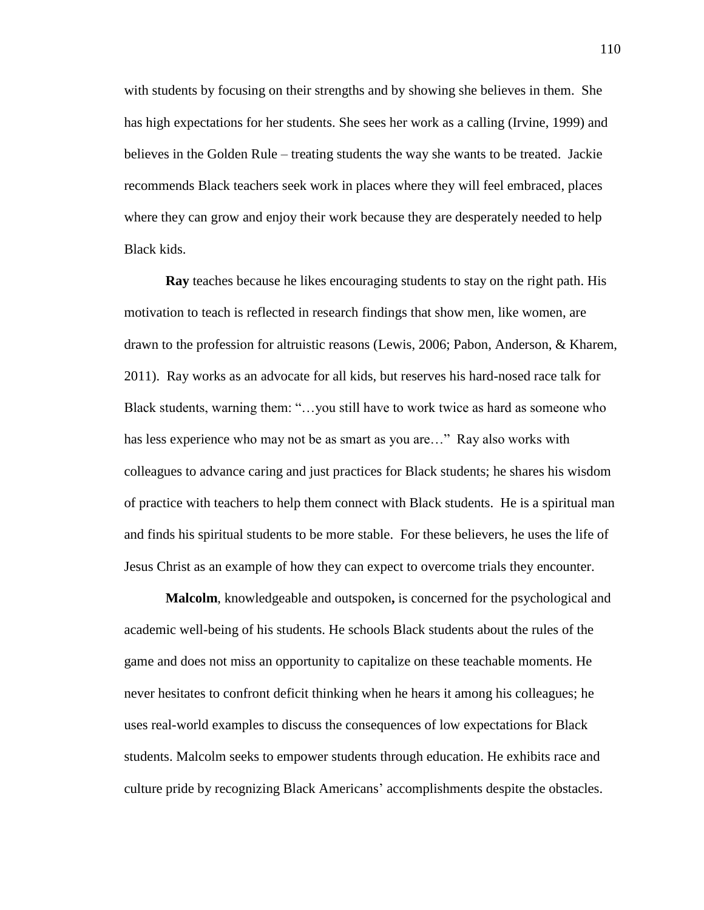with students by focusing on their strengths and by showing she believes in them. She has high expectations for her students. She sees her work as a calling (Irvine, 1999) and believes in the Golden Rule – treating students the way she wants to be treated. Jackie recommends Black teachers seek work in places where they will feel embraced, places where they can grow and enjoy their work because they are desperately needed to help Black kids.

**Ray** teaches because he likes encouraging students to stay on the right path. His motivation to teach is reflected in research findings that show men, like women, are drawn to the profession for altruistic reasons (Lewis, 2006; Pabon, Anderson, & Kharem, 2011). Ray works as an advocate for all kids, but reserves his hard-nosed race talk for Black students, warning them: "…you still have to work twice as hard as someone who has less experience who may not be as smart as you are…" Ray also works with colleagues to advance caring and just practices for Black students; he shares his wisdom of practice with teachers to help them connect with Black students. He is a spiritual man and finds his spiritual students to be more stable. For these believers, he uses the life of Jesus Christ as an example of how they can expect to overcome trials they encounter.

**Malcolm**, knowledgeable and outspoken**,** is concerned for the psychological and academic well-being of his students. He schools Black students about the rules of the game and does not miss an opportunity to capitalize on these teachable moments. He never hesitates to confront deficit thinking when he hears it among his colleagues; he uses real-world examples to discuss the consequences of low expectations for Black students. Malcolm seeks to empower students through education. He exhibits race and culture pride by recognizing Black Americans' accomplishments despite the obstacles.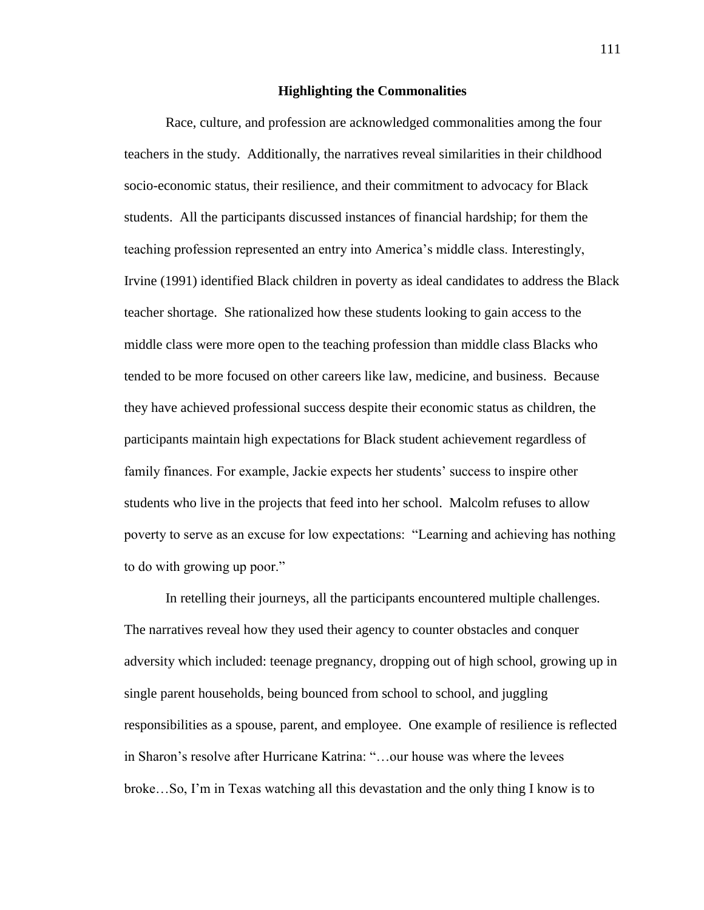## **Highlighting the Commonalities**

Race, culture, and profession are acknowledged commonalities among the four teachers in the study. Additionally, the narratives reveal similarities in their childhood socio-economic status, their resilience, and their commitment to advocacy for Black students. All the participants discussed instances of financial hardship; for them the teaching profession represented an entry into America's middle class. Interestingly, Irvine (1991) identified Black children in poverty as ideal candidates to address the Black teacher shortage. She rationalized how these students looking to gain access to the middle class were more open to the teaching profession than middle class Blacks who tended to be more focused on other careers like law, medicine, and business. Because they have achieved professional success despite their economic status as children, the participants maintain high expectations for Black student achievement regardless of family finances. For example, Jackie expects her students' success to inspire other students who live in the projects that feed into her school. Malcolm refuses to allow poverty to serve as an excuse for low expectations: "Learning and achieving has nothing to do with growing up poor."

In retelling their journeys, all the participants encountered multiple challenges. The narratives reveal how they used their agency to counter obstacles and conquer adversity which included: teenage pregnancy, dropping out of high school, growing up in single parent households, being bounced from school to school, and juggling responsibilities as a spouse, parent, and employee. One example of resilience is reflected in Sharon's resolve after Hurricane Katrina: "…our house was where the levees broke…So, I'm in Texas watching all this devastation and the only thing I know is to

111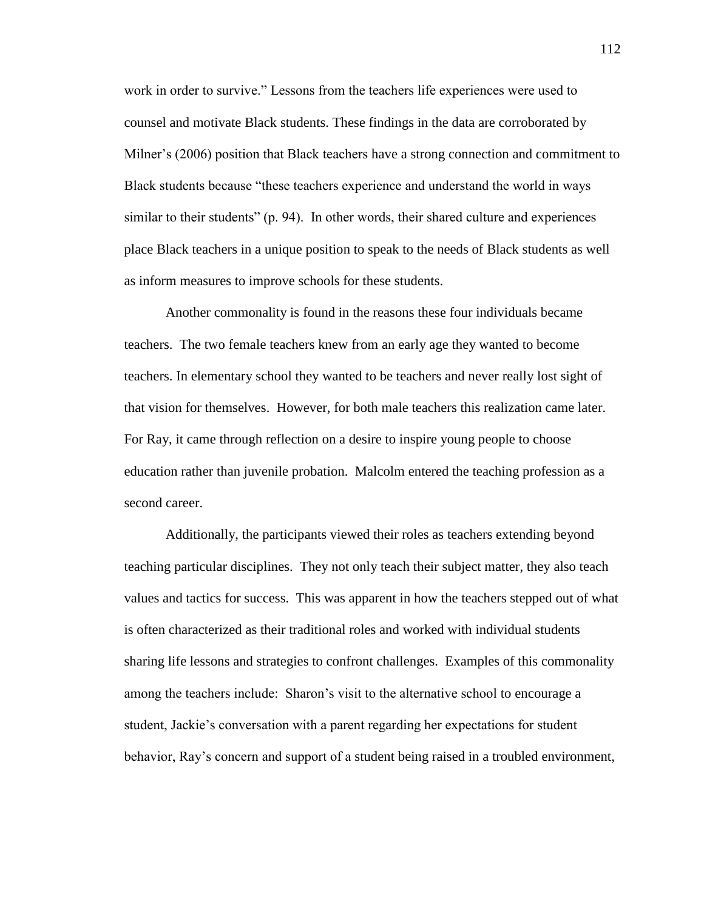work in order to survive." Lessons from the teachers life experiences were used to counsel and motivate Black students. These findings in the data are corroborated by Milner's (2006) position that Black teachers have a strong connection and commitment to Black students because "these teachers experience and understand the world in ways similar to their students" (p. 94). In other words, their shared culture and experiences place Black teachers in a unique position to speak to the needs of Black students as well as inform measures to improve schools for these students.

Another commonality is found in the reasons these four individuals became teachers. The two female teachers knew from an early age they wanted to become teachers. In elementary school they wanted to be teachers and never really lost sight of that vision for themselves. However, for both male teachers this realization came later. For Ray, it came through reflection on a desire to inspire young people to choose education rather than juvenile probation. Malcolm entered the teaching profession as a second career.

Additionally, the participants viewed their roles as teachers extending beyond teaching particular disciplines. They not only teach their subject matter, they also teach values and tactics for success. This was apparent in how the teachers stepped out of what is often characterized as their traditional roles and worked with individual students sharing life lessons and strategies to confront challenges. Examples of this commonality among the teachers include: Sharon's visit to the alternative school to encourage a student, Jackie's conversation with a parent regarding her expectations for student behavior, Ray's concern and support of a student being raised in a troubled environment,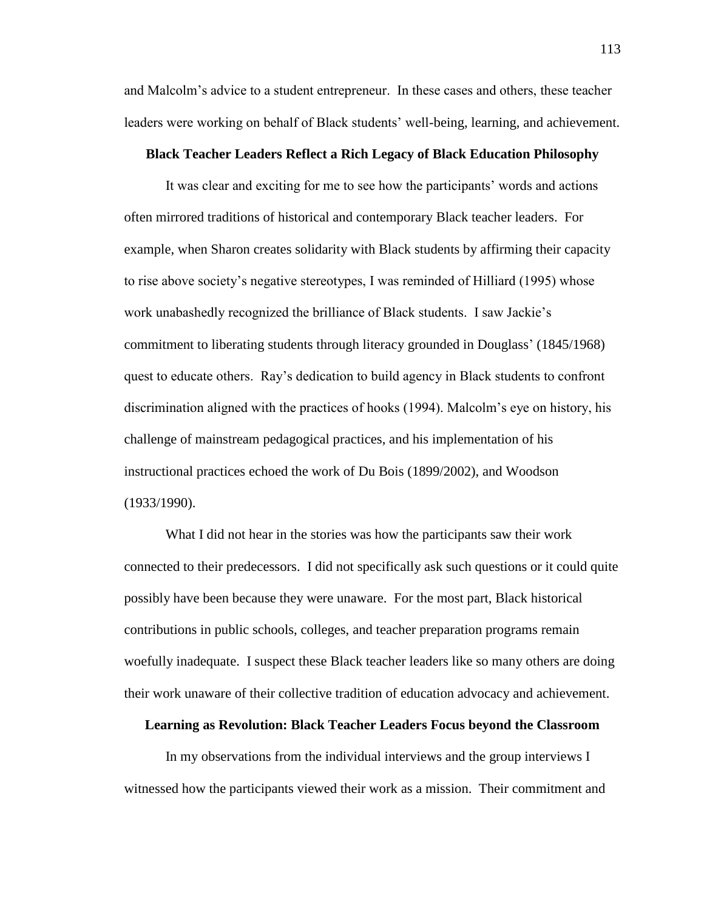and Malcolm's advice to a student entrepreneur. In these cases and others, these teacher leaders were working on behalf of Black students' well-being, learning, and achievement.

#### **Black Teacher Leaders Reflect a Rich Legacy of Black Education Philosophy**

It was clear and exciting for me to see how the participants' words and actions often mirrored traditions of historical and contemporary Black teacher leaders. For example, when Sharon creates solidarity with Black students by affirming their capacity to rise above society's negative stereotypes, I was reminded of Hilliard (1995) whose work unabashedly recognized the brilliance of Black students. I saw Jackie's commitment to liberating students through literacy grounded in Douglass' (1845/1968) quest to educate others. Ray's dedication to build agency in Black students to confront discrimination aligned with the practices of hooks (1994). Malcolm's eye on history, his challenge of mainstream pedagogical practices, and his implementation of his instructional practices echoed the work of Du Bois (1899/2002), and Woodson (1933/1990).

What I did not hear in the stories was how the participants saw their work connected to their predecessors. I did not specifically ask such questions or it could quite possibly have been because they were unaware. For the most part, Black historical contributions in public schools, colleges, and teacher preparation programs remain woefully inadequate. I suspect these Black teacher leaders like so many others are doing their work unaware of their collective tradition of education advocacy and achievement.

#### **Learning as Revolution: Black Teacher Leaders Focus beyond the Classroom**

In my observations from the individual interviews and the group interviews I witnessed how the participants viewed their work as a mission. Their commitment and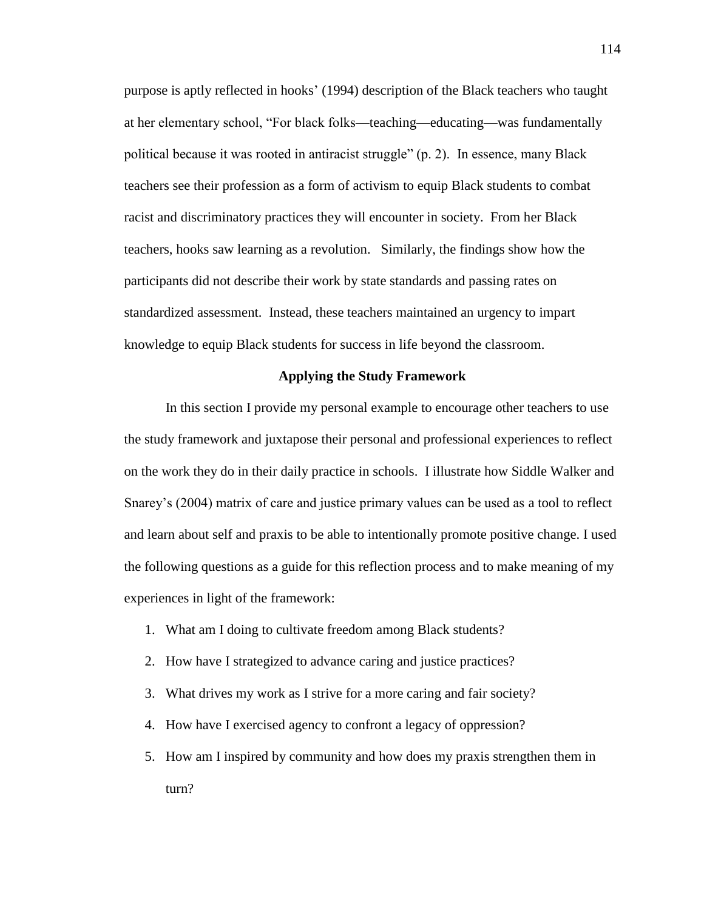purpose is aptly reflected in hooks' (1994) description of the Black teachers who taught at her elementary school, "For black folks—teaching—educating—was fundamentally political because it was rooted in antiracist struggle" (p. 2). In essence, many Black teachers see their profession as a form of activism to equip Black students to combat racist and discriminatory practices they will encounter in society. From her Black teachers, hooks saw learning as a revolution. Similarly, the findings show how the participants did not describe their work by state standards and passing rates on standardized assessment. Instead, these teachers maintained an urgency to impart knowledge to equip Black students for success in life beyond the classroom.

#### **Applying the Study Framework**

In this section I provide my personal example to encourage other teachers to use the study framework and juxtapose their personal and professional experiences to reflect on the work they do in their daily practice in schools. I illustrate how Siddle Walker and Snarey's (2004) matrix of care and justice primary values can be used as a tool to reflect and learn about self and praxis to be able to intentionally promote positive change. I used the following questions as a guide for this reflection process and to make meaning of my experiences in light of the framework:

- 1. What am I doing to cultivate freedom among Black students?
- 2. How have I strategized to advance caring and justice practices?
- 3. What drives my work as I strive for a more caring and fair society?
- 4. How have I exercised agency to confront a legacy of oppression?
- 5. How am I inspired by community and how does my praxis strengthen them in turn?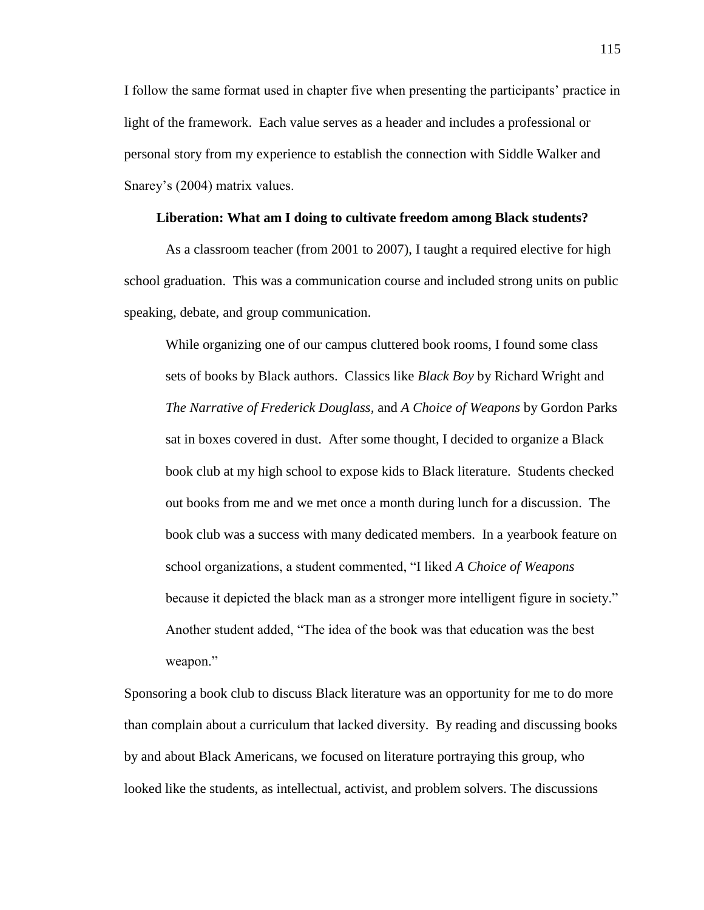I follow the same format used in chapter five when presenting the participants' practice in light of the framework. Each value serves as a header and includes a professional or personal story from my experience to establish the connection with Siddle Walker and Snarey's (2004) matrix values.

## **Liberation: What am I doing to cultivate freedom among Black students?**

As a classroom teacher (from 2001 to 2007), I taught a required elective for high school graduation. This was a communication course and included strong units on public speaking, debate, and group communication.

While organizing one of our campus cluttered book rooms, I found some class sets of books by Black authors. Classics like *Black Boy* by Richard Wright and *The Narrative of Frederick Douglass,* and *A Choice of Weapons* by Gordon Parks sat in boxes covered in dust. After some thought, I decided to organize a Black book club at my high school to expose kids to Black literature. Students checked out books from me and we met once a month during lunch for a discussion. The book club was a success with many dedicated members. In a yearbook feature on school organizations, a student commented, "I liked *A Choice of Weapons*  because it depicted the black man as a stronger more intelligent figure in society." Another student added, "The idea of the book was that education was the best weapon."

Sponsoring a book club to discuss Black literature was an opportunity for me to do more than complain about a curriculum that lacked diversity. By reading and discussing books by and about Black Americans, we focused on literature portraying this group, who looked like the students, as intellectual, activist, and problem solvers. The discussions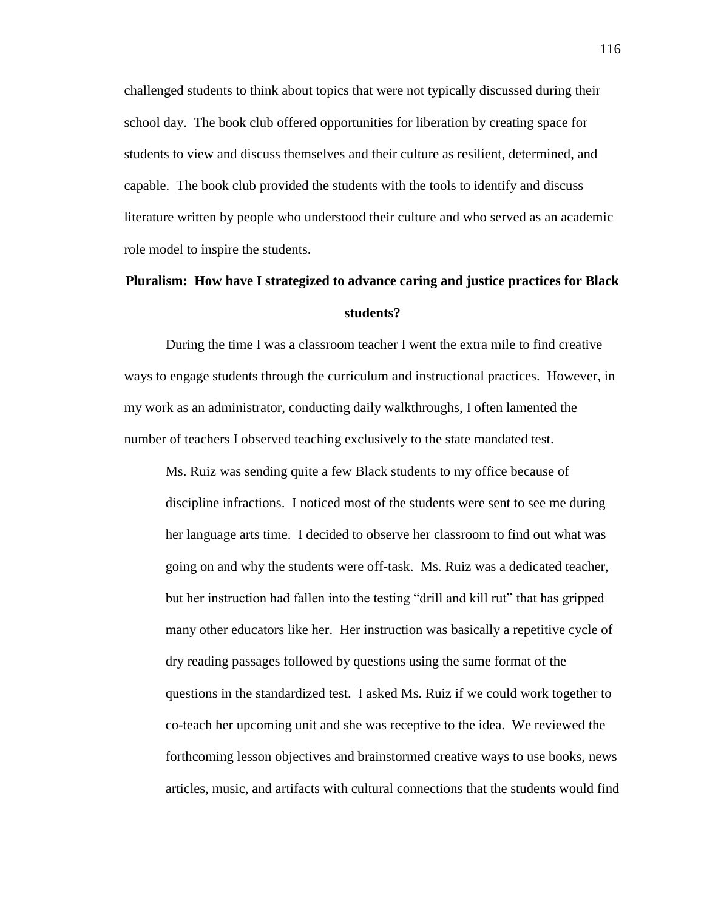challenged students to think about topics that were not typically discussed during their school day. The book club offered opportunities for liberation by creating space for students to view and discuss themselves and their culture as resilient, determined, and capable. The book club provided the students with the tools to identify and discuss literature written by people who understood their culture and who served as an academic role model to inspire the students.

## **Pluralism: How have I strategized to advance caring and justice practices for Black students?**

During the time I was a classroom teacher I went the extra mile to find creative ways to engage students through the curriculum and instructional practices. However, in my work as an administrator, conducting daily walkthroughs, I often lamented the number of teachers I observed teaching exclusively to the state mandated test.

Ms. Ruiz was sending quite a few Black students to my office because of discipline infractions. I noticed most of the students were sent to see me during her language arts time. I decided to observe her classroom to find out what was going on and why the students were off-task. Ms. Ruiz was a dedicated teacher, but her instruction had fallen into the testing "drill and kill rut" that has gripped many other educators like her. Her instruction was basically a repetitive cycle of dry reading passages followed by questions using the same format of the questions in the standardized test. I asked Ms. Ruiz if we could work together to co-teach her upcoming unit and she was receptive to the idea. We reviewed the forthcoming lesson objectives and brainstormed creative ways to use books, news articles, music, and artifacts with cultural connections that the students would find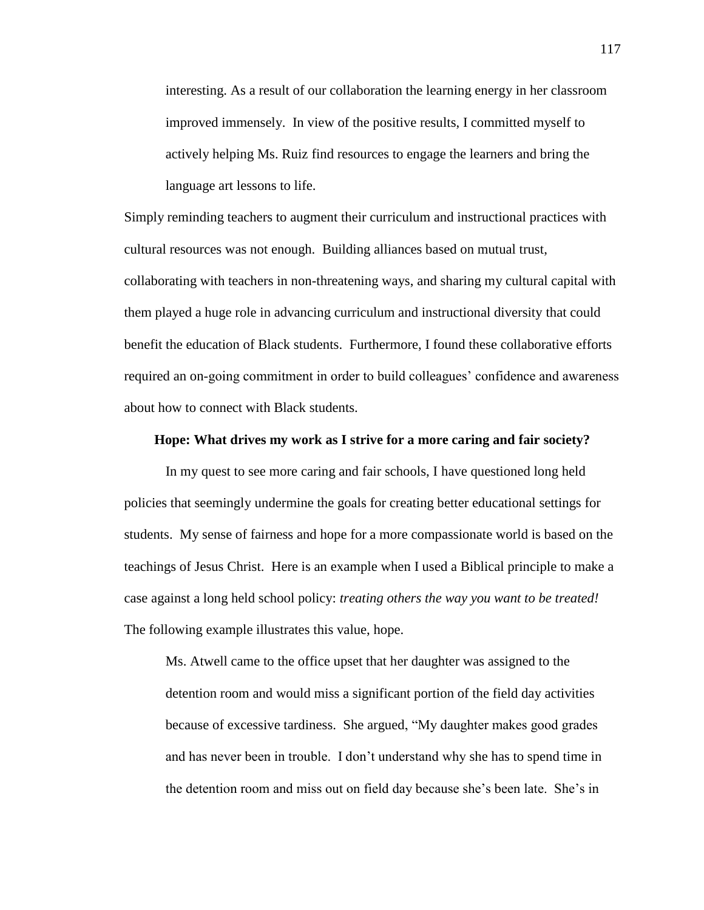interesting. As a result of our collaboration the learning energy in her classroom improved immensely. In view of the positive results, I committed myself to actively helping Ms. Ruiz find resources to engage the learners and bring the language art lessons to life.

Simply reminding teachers to augment their curriculum and instructional practices with cultural resources was not enough. Building alliances based on mutual trust, collaborating with teachers in non-threatening ways, and sharing my cultural capital with them played a huge role in advancing curriculum and instructional diversity that could benefit the education of Black students. Furthermore, I found these collaborative efforts required an on-going commitment in order to build colleagues' confidence and awareness about how to connect with Black students.

#### **Hope: What drives my work as I strive for a more caring and fair society?**

In my quest to see more caring and fair schools, I have questioned long held policies that seemingly undermine the goals for creating better educational settings for students. My sense of fairness and hope for a more compassionate world is based on the teachings of Jesus Christ. Here is an example when I used a Biblical principle to make a case against a long held school policy: *treating others the way you want to be treated!*  The following example illustrates this value, hope.

Ms. Atwell came to the office upset that her daughter was assigned to the detention room and would miss a significant portion of the field day activities because of excessive tardiness. She argued, "My daughter makes good grades and has never been in trouble. I don't understand why she has to spend time in the detention room and miss out on field day because she's been late. She's in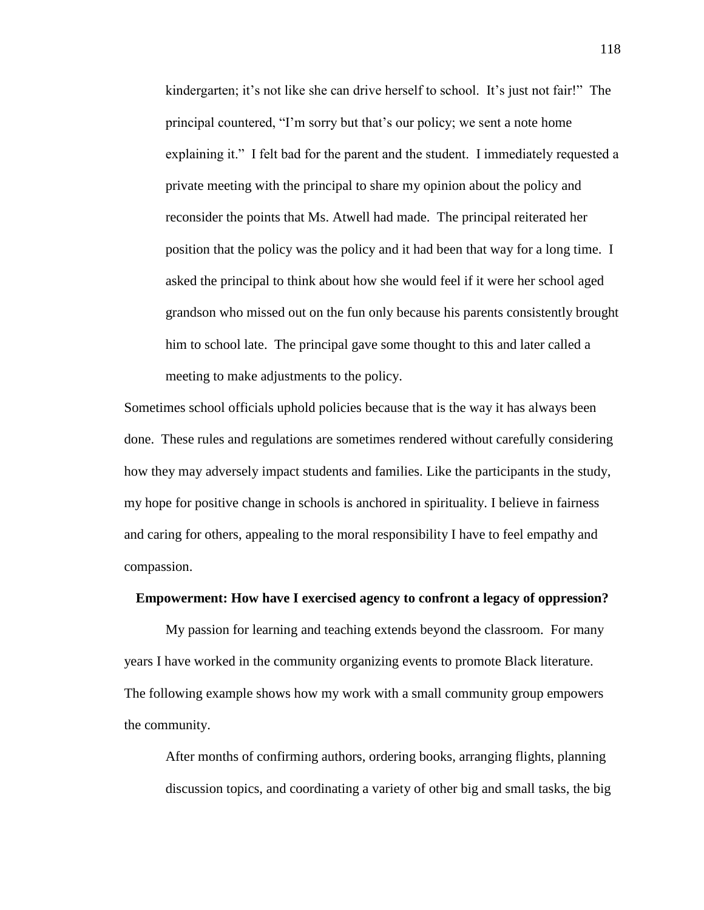kindergarten; it's not like she can drive herself to school. It's just not fair!" The principal countered, "I'm sorry but that's our policy; we sent a note home explaining it." I felt bad for the parent and the student. I immediately requested a private meeting with the principal to share my opinion about the policy and reconsider the points that Ms. Atwell had made. The principal reiterated her position that the policy was the policy and it had been that way for a long time. I asked the principal to think about how she would feel if it were her school aged grandson who missed out on the fun only because his parents consistently brought him to school late. The principal gave some thought to this and later called a meeting to make adjustments to the policy.

Sometimes school officials uphold policies because that is the way it has always been done. These rules and regulations are sometimes rendered without carefully considering how they may adversely impact students and families. Like the participants in the study, my hope for positive change in schools is anchored in spirituality. I believe in fairness and caring for others, appealing to the moral responsibility I have to feel empathy and compassion.

## **Empowerment: How have I exercised agency to confront a legacy of oppression?**

My passion for learning and teaching extends beyond the classroom. For many years I have worked in the community organizing events to promote Black literature. The following example shows how my work with a small community group empowers the community.

After months of confirming authors, ordering books, arranging flights, planning discussion topics, and coordinating a variety of other big and small tasks, the big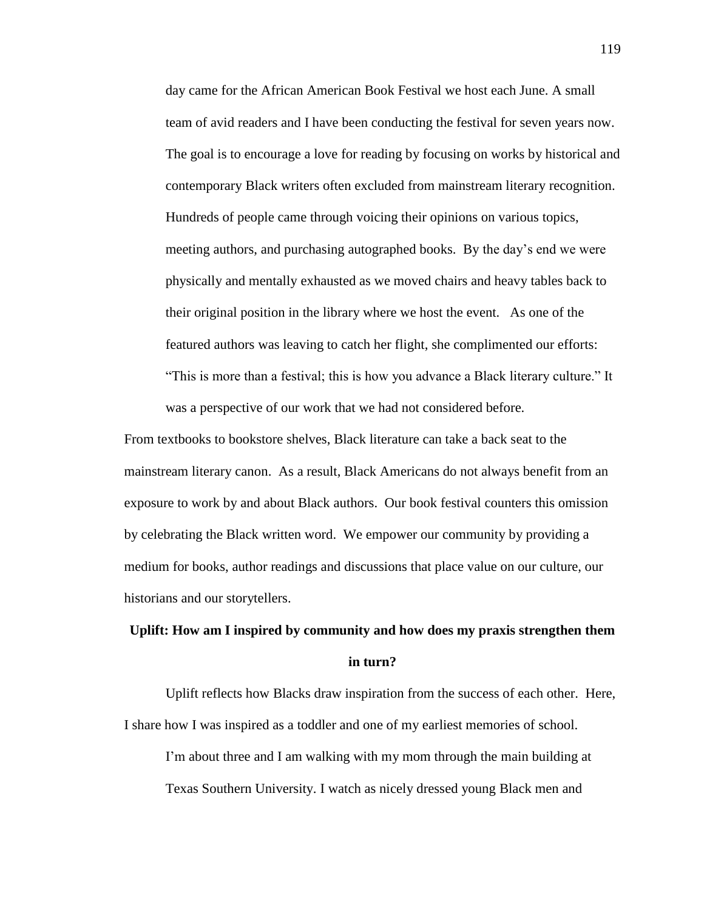day came for the African American Book Festival we host each June. A small team of avid readers and I have been conducting the festival for seven years now. The goal is to encourage a love for reading by focusing on works by historical and contemporary Black writers often excluded from mainstream literary recognition. Hundreds of people came through voicing their opinions on various topics, meeting authors, and purchasing autographed books. By the day's end we were physically and mentally exhausted as we moved chairs and heavy tables back to their original position in the library where we host the event. As one of the featured authors was leaving to catch her flight, she complimented our efforts: "This is more than a festival; this is how you advance a Black literary culture." It was a perspective of our work that we had not considered before.

From textbooks to bookstore shelves, Black literature can take a back seat to the mainstream literary canon. As a result, Black Americans do not always benefit from an exposure to work by and about Black authors. Our book festival counters this omission by celebrating the Black written word. We empower our community by providing a medium for books, author readings and discussions that place value on our culture, our historians and our storytellers.

# **Uplift: How am I inspired by community and how does my praxis strengthen them in turn?**

Uplift reflects how Blacks draw inspiration from the success of each other. Here, I share how I was inspired as a toddler and one of my earliest memories of school. I'm about three and I am walking with my mom through the main building at

Texas Southern University. I watch as nicely dressed young Black men and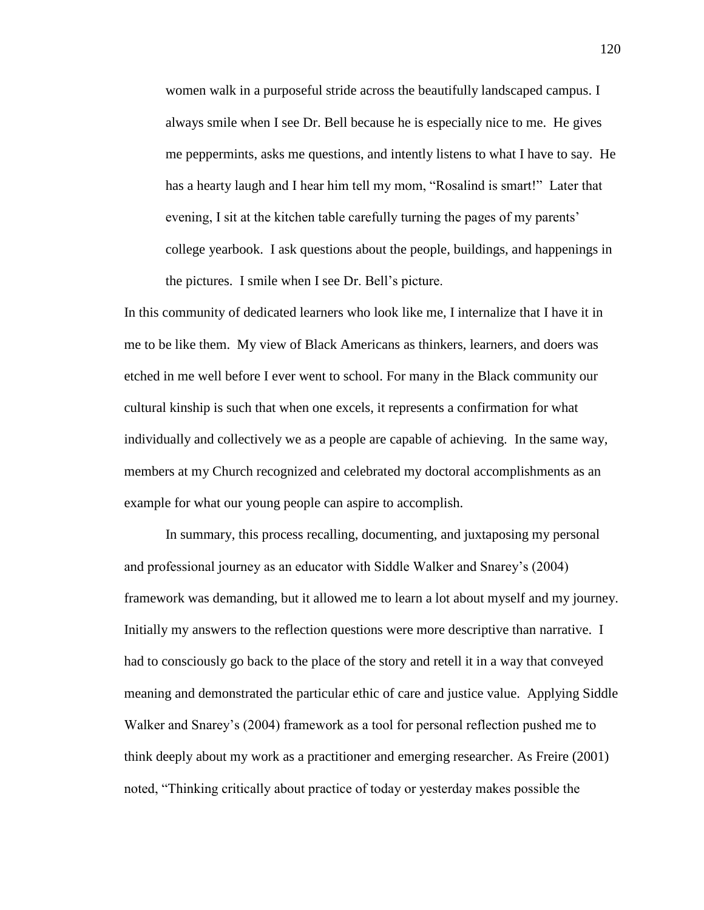women walk in a purposeful stride across the beautifully landscaped campus. I always smile when I see Dr. Bell because he is especially nice to me. He gives me peppermints, asks me questions, and intently listens to what I have to say. He has a hearty laugh and I hear him tell my mom, "Rosalind is smart!" Later that evening, I sit at the kitchen table carefully turning the pages of my parents' college yearbook. I ask questions about the people, buildings, and happenings in the pictures. I smile when I see Dr. Bell's picture.

In this community of dedicated learners who look like me, I internalize that I have it in me to be like them. My view of Black Americans as thinkers, learners, and doers was etched in me well before I ever went to school. For many in the Black community our cultural kinship is such that when one excels, it represents a confirmation for what individually and collectively we as a people are capable of achieving. In the same way, members at my Church recognized and celebrated my doctoral accomplishments as an example for what our young people can aspire to accomplish.

In summary, this process recalling, documenting, and juxtaposing my personal and professional journey as an educator with Siddle Walker and Snarey's (2004) framework was demanding, but it allowed me to learn a lot about myself and my journey. Initially my answers to the reflection questions were more descriptive than narrative. I had to consciously go back to the place of the story and retell it in a way that conveyed meaning and demonstrated the particular ethic of care and justice value. Applying Siddle Walker and Snarey's (2004) framework as a tool for personal reflection pushed me to think deeply about my work as a practitioner and emerging researcher. As Freire (2001) noted, "Thinking critically about practice of today or yesterday makes possible the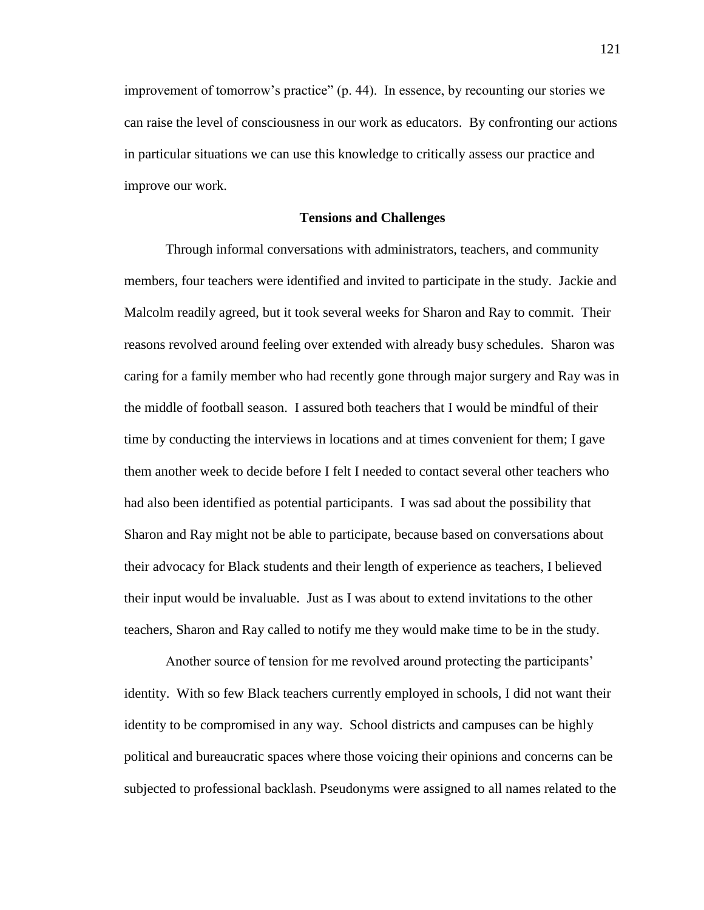improvement of tomorrow's practice" (p. 44). In essence, by recounting our stories we can raise the level of consciousness in our work as educators. By confronting our actions in particular situations we can use this knowledge to critically assess our practice and improve our work.

#### **Tensions and Challenges**

Through informal conversations with administrators, teachers, and community members, four teachers were identified and invited to participate in the study. Jackie and Malcolm readily agreed, but it took several weeks for Sharon and Ray to commit. Their reasons revolved around feeling over extended with already busy schedules. Sharon was caring for a family member who had recently gone through major surgery and Ray was in the middle of football season. I assured both teachers that I would be mindful of their time by conducting the interviews in locations and at times convenient for them; I gave them another week to decide before I felt I needed to contact several other teachers who had also been identified as potential participants. I was sad about the possibility that Sharon and Ray might not be able to participate, because based on conversations about their advocacy for Black students and their length of experience as teachers, I believed their input would be invaluable. Just as I was about to extend invitations to the other teachers, Sharon and Ray called to notify me they would make time to be in the study.

Another source of tension for me revolved around protecting the participants' identity. With so few Black teachers currently employed in schools, I did not want their identity to be compromised in any way. School districts and campuses can be highly political and bureaucratic spaces where those voicing their opinions and concerns can be subjected to professional backlash. Pseudonyms were assigned to all names related to the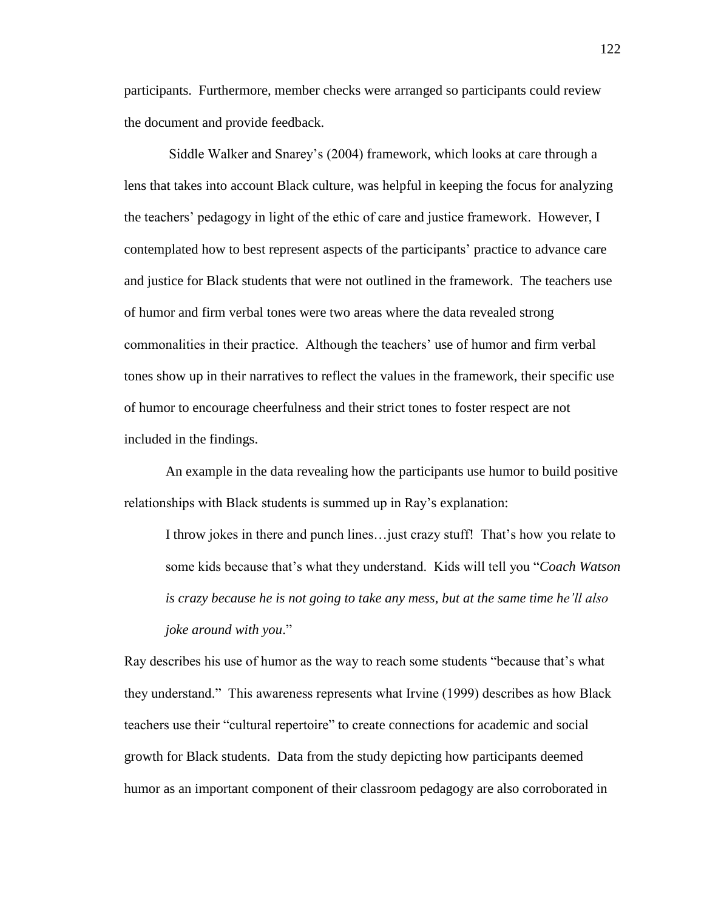participants. Furthermore, member checks were arranged so participants could review the document and provide feedback.

Siddle Walker and Snarey's (2004) framework, which looks at care through a lens that takes into account Black culture, was helpful in keeping the focus for analyzing the teachers' pedagogy in light of the ethic of care and justice framework. However, I contemplated how to best represent aspects of the participants' practice to advance care and justice for Black students that were not outlined in the framework. The teachers use of humor and firm verbal tones were two areas where the data revealed strong commonalities in their practice. Although the teachers' use of humor and firm verbal tones show up in their narratives to reflect the values in the framework, their specific use of humor to encourage cheerfulness and their strict tones to foster respect are not included in the findings.

An example in the data revealing how the participants use humor to build positive relationships with Black students is summed up in Ray's explanation:

I throw jokes in there and punch lines…just crazy stuff! That's how you relate to some kids because that's what they understand. Kids will tell you "*Coach Watson is crazy because he is not going to take any mess, but at the same time he'll also joke around with you*."

Ray describes his use of humor as the way to reach some students "because that's what they understand." This awareness represents what Irvine (1999) describes as how Black teachers use their "cultural repertoire" to create connections for academic and social growth for Black students. Data from the study depicting how participants deemed humor as an important component of their classroom pedagogy are also corroborated in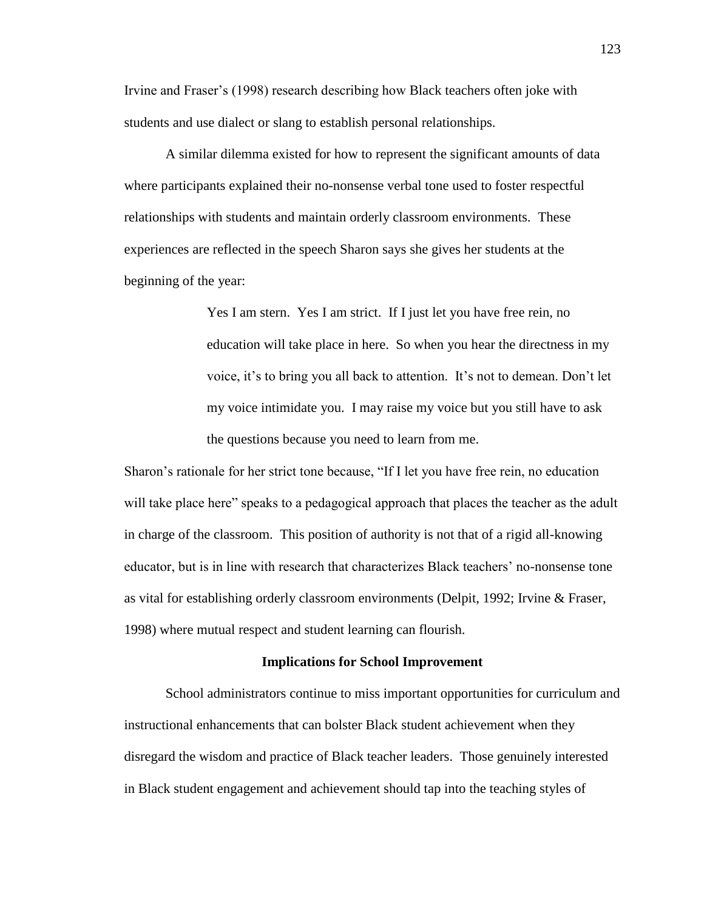Irvine and Fraser's (1998) research describing how Black teachers often joke with students and use dialect or slang to establish personal relationships.

A similar dilemma existed for how to represent the significant amounts of data where participants explained their no-nonsense verbal tone used to foster respectful relationships with students and maintain orderly classroom environments. These experiences are reflected in the speech Sharon says she gives her students at the beginning of the year:

> Yes I am stern. Yes I am strict. If I just let you have free rein, no education will take place in here. So when you hear the directness in my voice, it's to bring you all back to attention. It's not to demean. Don't let my voice intimidate you. I may raise my voice but you still have to ask the questions because you need to learn from me.

Sharon's rationale for her strict tone because, "If I let you have free rein, no education will take place here" speaks to a pedagogical approach that places the teacher as the adult in charge of the classroom. This position of authority is not that of a rigid all-knowing educator, but is in line with research that characterizes Black teachers' no-nonsense tone as vital for establishing orderly classroom environments (Delpit, 1992; Irvine & Fraser, 1998) where mutual respect and student learning can flourish.

#### **Implications for School Improvement**

School administrators continue to miss important opportunities for curriculum and instructional enhancements that can bolster Black student achievement when they disregard the wisdom and practice of Black teacher leaders. Those genuinely interested in Black student engagement and achievement should tap into the teaching styles of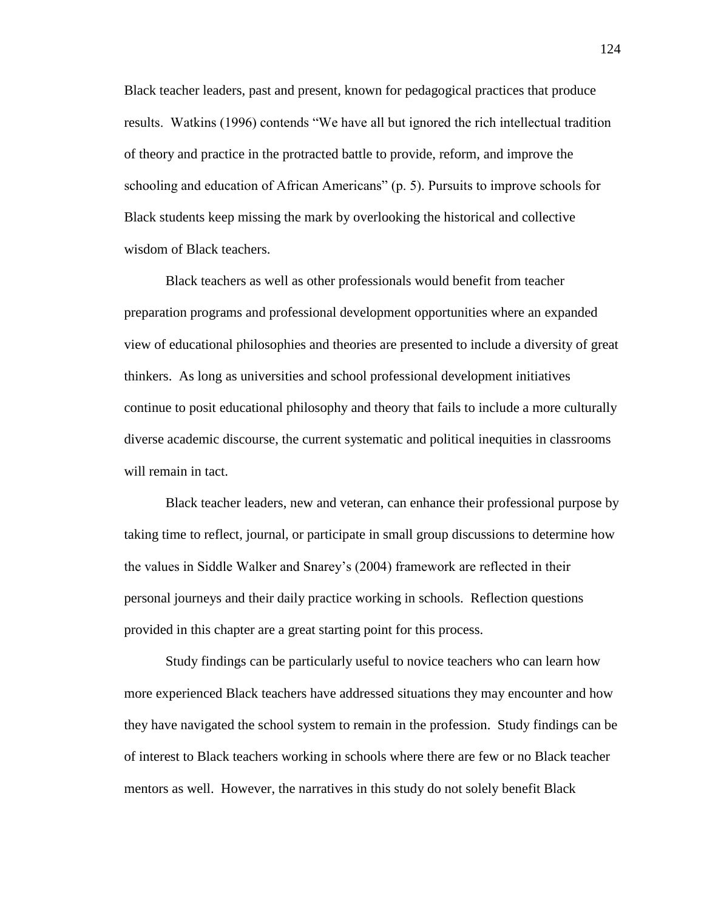Black teacher leaders, past and present, known for pedagogical practices that produce results. Watkins (1996) contends "We have all but ignored the rich intellectual tradition of theory and practice in the protracted battle to provide, reform, and improve the schooling and education of African Americans" (p. 5). Pursuits to improve schools for Black students keep missing the mark by overlooking the historical and collective wisdom of Black teachers.

Black teachers as well as other professionals would benefit from teacher preparation programs and professional development opportunities where an expanded view of educational philosophies and theories are presented to include a diversity of great thinkers. As long as universities and school professional development initiatives continue to posit educational philosophy and theory that fails to include a more culturally diverse academic discourse, the current systematic and political inequities in classrooms will remain in tact.

Black teacher leaders, new and veteran, can enhance their professional purpose by taking time to reflect, journal, or participate in small group discussions to determine how the values in Siddle Walker and Snarey's (2004) framework are reflected in their personal journeys and their daily practice working in schools. Reflection questions provided in this chapter are a great starting point for this process.

Study findings can be particularly useful to novice teachers who can learn how more experienced Black teachers have addressed situations they may encounter and how they have navigated the school system to remain in the profession. Study findings can be of interest to Black teachers working in schools where there are few or no Black teacher mentors as well. However, the narratives in this study do not solely benefit Black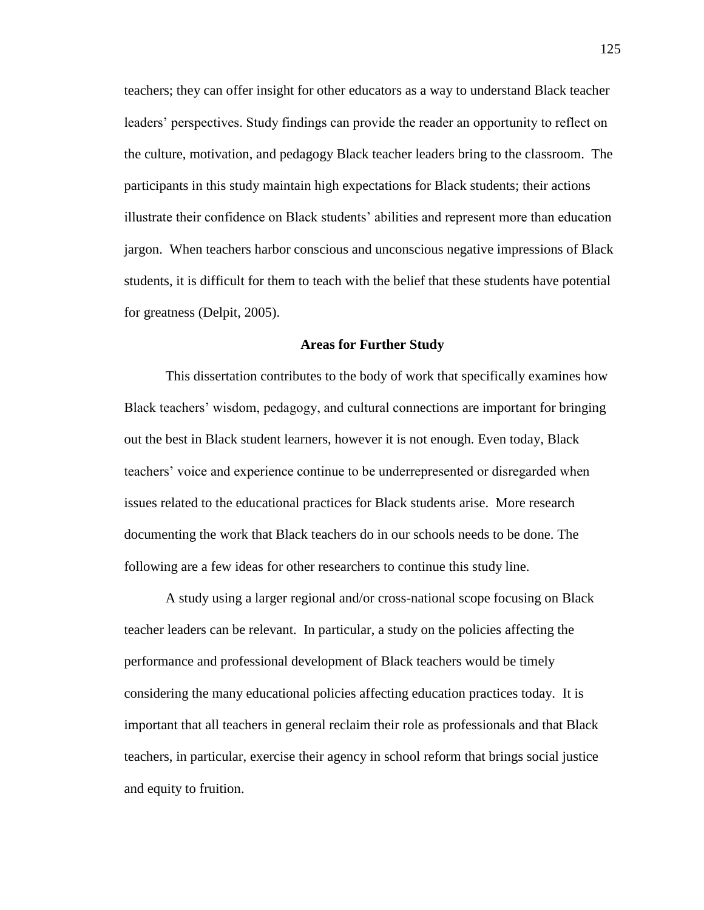teachers; they can offer insight for other educators as a way to understand Black teacher leaders' perspectives. Study findings can provide the reader an opportunity to reflect on the culture, motivation, and pedagogy Black teacher leaders bring to the classroom. The participants in this study maintain high expectations for Black students; their actions illustrate their confidence on Black students' abilities and represent more than education jargon. When teachers harbor conscious and unconscious negative impressions of Black students, it is difficult for them to teach with the belief that these students have potential for greatness (Delpit, 2005).

#### **Areas for Further Study**

This dissertation contributes to the body of work that specifically examines how Black teachers' wisdom, pedagogy, and cultural connections are important for bringing out the best in Black student learners, however it is not enough. Even today, Black teachers' voice and experience continue to be underrepresented or disregarded when issues related to the educational practices for Black students arise. More research documenting the work that Black teachers do in our schools needs to be done. The following are a few ideas for other researchers to continue this study line.

A study using a larger regional and/or cross-national scope focusing on Black teacher leaders can be relevant. In particular, a study on the policies affecting the performance and professional development of Black teachers would be timely considering the many educational policies affecting education practices today. It is important that all teachers in general reclaim their role as professionals and that Black teachers, in particular, exercise their agency in school reform that brings social justice and equity to fruition.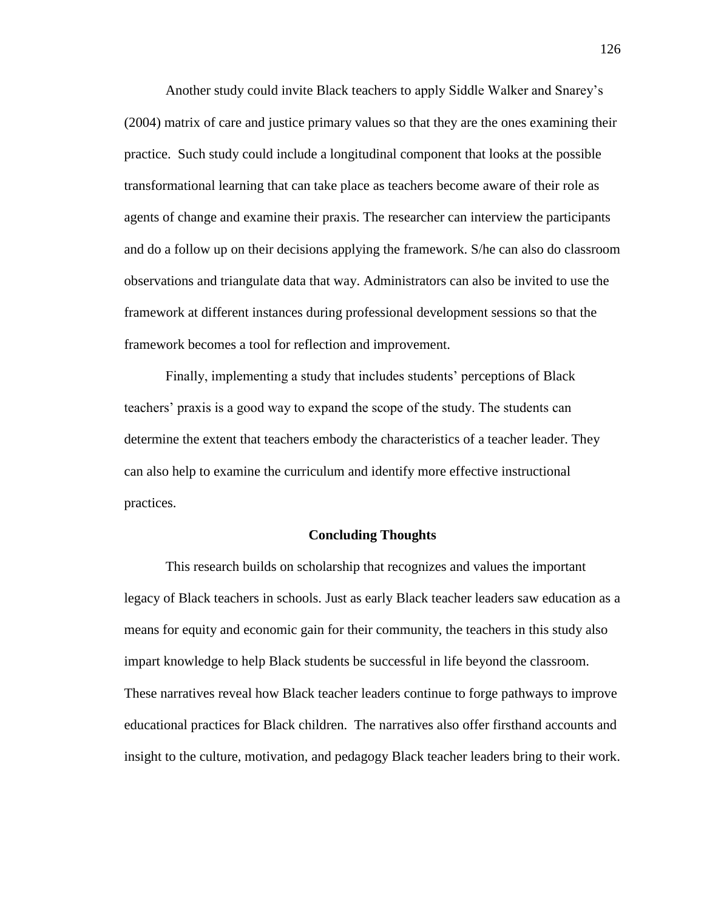Another study could invite Black teachers to apply Siddle Walker and Snarey's (2004) matrix of care and justice primary values so that they are the ones examining their practice. Such study could include a longitudinal component that looks at the possible transformational learning that can take place as teachers become aware of their role as agents of change and examine their praxis. The researcher can interview the participants and do a follow up on their decisions applying the framework. S/he can also do classroom observations and triangulate data that way. Administrators can also be invited to use the framework at different instances during professional development sessions so that the framework becomes a tool for reflection and improvement.

Finally, implementing a study that includes students' perceptions of Black teachers' praxis is a good way to expand the scope of the study. The students can determine the extent that teachers embody the characteristics of a teacher leader. They can also help to examine the curriculum and identify more effective instructional practices.

## **Concluding Thoughts**

This research builds on scholarship that recognizes and values the important legacy of Black teachers in schools. Just as early Black teacher leaders saw education as a means for equity and economic gain for their community, the teachers in this study also impart knowledge to help Black students be successful in life beyond the classroom. These narratives reveal how Black teacher leaders continue to forge pathways to improve educational practices for Black children. The narratives also offer firsthand accounts and insight to the culture, motivation, and pedagogy Black teacher leaders bring to their work.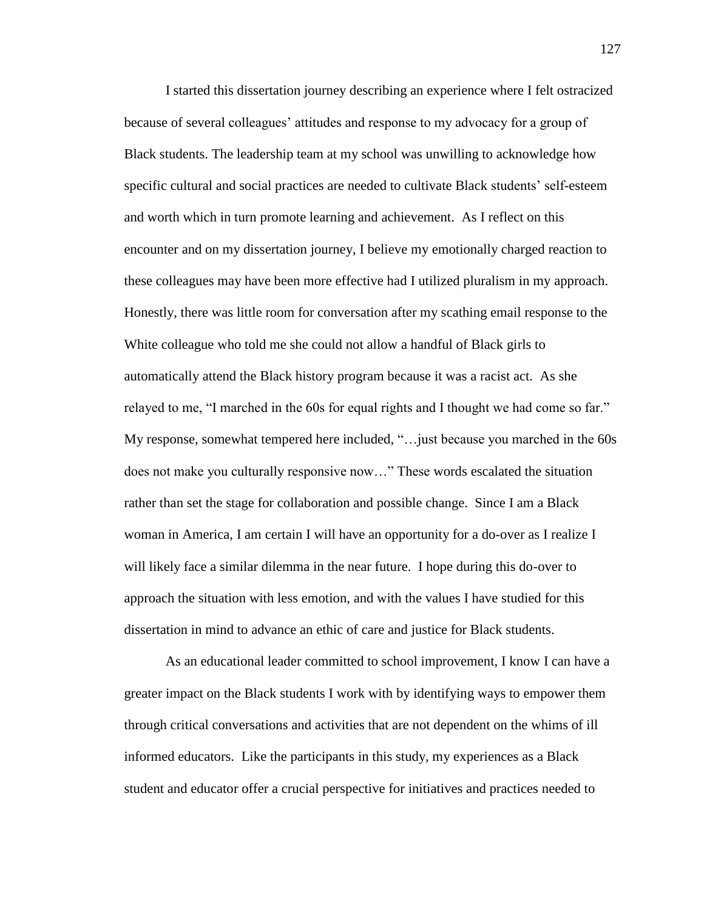I started this dissertation journey describing an experience where I felt ostracized because of several colleagues' attitudes and response to my advocacy for a group of Black students. The leadership team at my school was unwilling to acknowledge how specific cultural and social practices are needed to cultivate Black students' self-esteem and worth which in turn promote learning and achievement. As I reflect on this encounter and on my dissertation journey, I believe my emotionally charged reaction to these colleagues may have been more effective had I utilized pluralism in my approach. Honestly, there was little room for conversation after my scathing email response to the White colleague who told me she could not allow a handful of Black girls to automatically attend the Black history program because it was a racist act. As she relayed to me, "I marched in the 60s for equal rights and I thought we had come so far." My response, somewhat tempered here included, "…just because you marched in the 60s does not make you culturally responsive now…" These words escalated the situation rather than set the stage for collaboration and possible change. Since I am a Black woman in America, I am certain I will have an opportunity for a do-over as I realize I will likely face a similar dilemma in the near future. I hope during this do-over to approach the situation with less emotion, and with the values I have studied for this dissertation in mind to advance an ethic of care and justice for Black students.

As an educational leader committed to school improvement, I know I can have a greater impact on the Black students I work with by identifying ways to empower them through critical conversations and activities that are not dependent on the whims of ill informed educators. Like the participants in this study, my experiences as a Black student and educator offer a crucial perspective for initiatives and practices needed to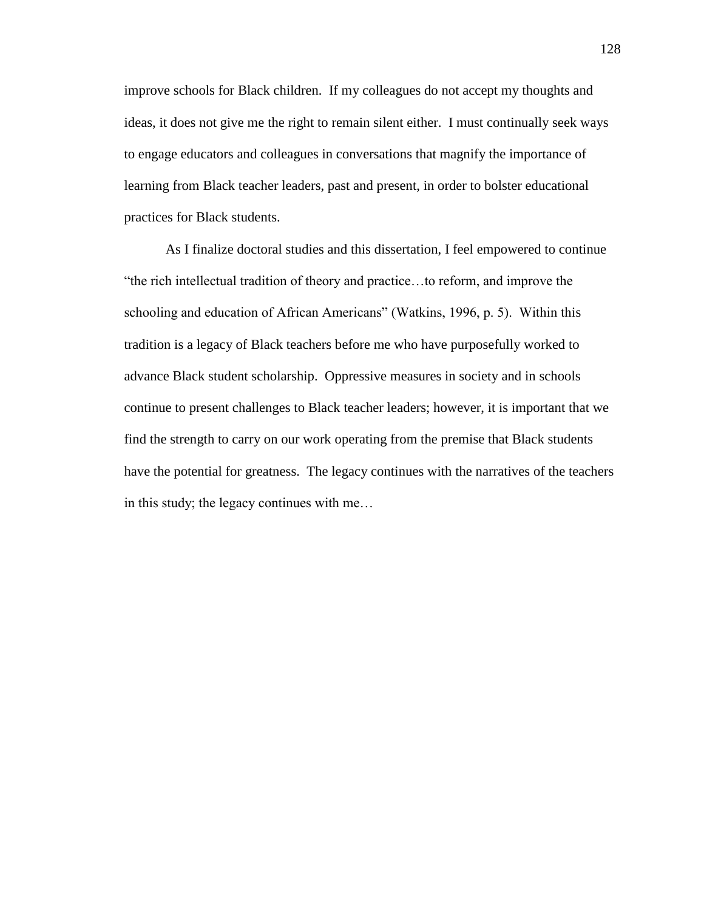improve schools for Black children. If my colleagues do not accept my thoughts and ideas, it does not give me the right to remain silent either. I must continually seek ways to engage educators and colleagues in conversations that magnify the importance of learning from Black teacher leaders, past and present, in order to bolster educational practices for Black students.

As I finalize doctoral studies and this dissertation, I feel empowered to continue "the rich intellectual tradition of theory and practice…to reform, and improve the schooling and education of African Americans" (Watkins, 1996, p. 5). Within this tradition is a legacy of Black teachers before me who have purposefully worked to advance Black student scholarship. Oppressive measures in society and in schools continue to present challenges to Black teacher leaders; however, it is important that we find the strength to carry on our work operating from the premise that Black students have the potential for greatness. The legacy continues with the narratives of the teachers in this study; the legacy continues with me…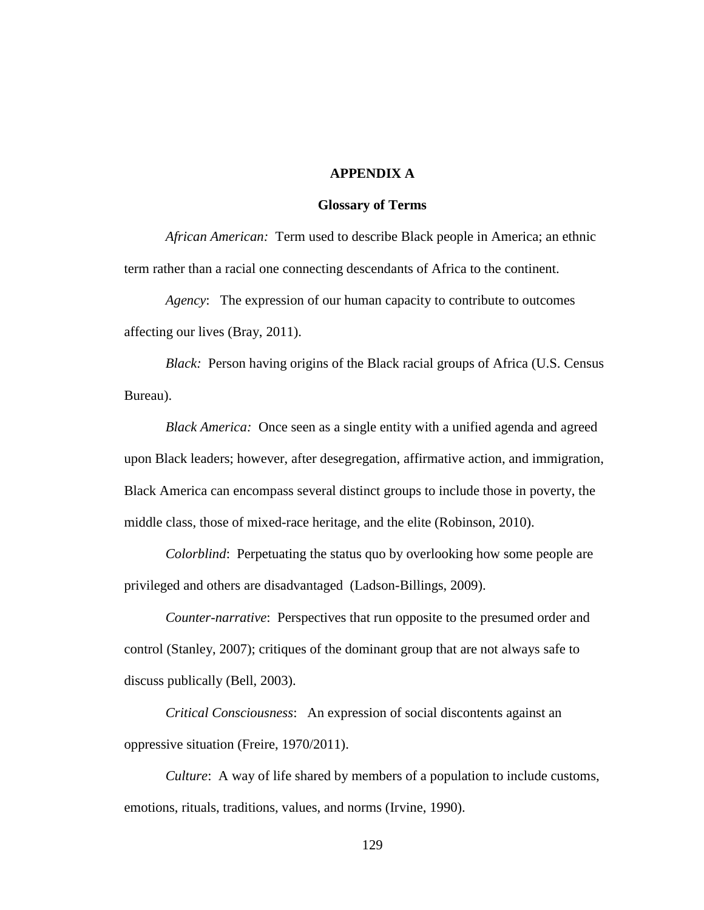## **APPENDIX A**

#### **Glossary of Terms**

*African American:* Term used to describe Black people in America; an ethnic term rather than a racial one connecting descendants of Africa to the continent.

*Agency*: The expression of our human capacity to contribute to outcomes affecting our lives (Bray, 2011).

*Black:* Person having origins of the Black racial groups of Africa (U.S. Census Bureau).

*Black America:* Once seen as a single entity with a unified agenda and agreed upon Black leaders; however, after desegregation, affirmative action, and immigration, Black America can encompass several distinct groups to include those in poverty, the middle class, those of mixed-race heritage, and the elite (Robinson, 2010).

*Colorblind*: Perpetuating the status quo by overlooking how some people are privileged and others are disadvantaged (Ladson-Billings, 2009).

*Counter-narrative*: Perspectives that run opposite to the presumed order and control (Stanley, 2007); critiques of the dominant group that are not always safe to discuss publically (Bell, 2003).

*Critical Consciousness*: An expression of social discontents against an oppressive situation (Freire, 1970/2011).

*Culture*: A way of life shared by members of a population to include customs, emotions, rituals, traditions, values, and norms (Irvine, 1990).

129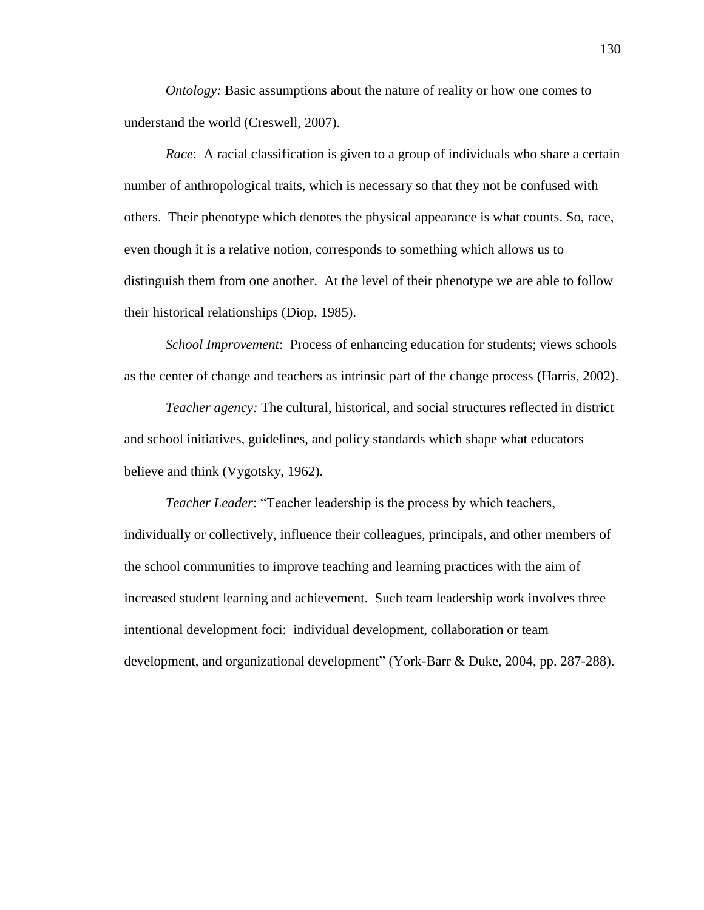*Ontology:* Basic assumptions about the nature of reality or how one comes to understand the world (Creswell, 2007).

*Race*: A racial classification is given to a group of individuals who share a certain number of anthropological traits, which is necessary so that they not be confused with others. Their phenotype which denotes the physical appearance is what counts. So, race, even though it is a relative notion, corresponds to something which allows us to distinguish them from one another. At the level of their phenotype we are able to follow their historical relationships (Diop, 1985).

*School Improvement*: Process of enhancing education for students; views schools as the center of change and teachers as intrinsic part of the change process (Harris, 2002).

*Teacher agency:* The cultural, historical, and social structures reflected in district and school initiatives, guidelines, and policy standards which shape what educators believe and think (Vygotsky, 1962).

*Teacher Leader*: "Teacher leadership is the process by which teachers, individually or collectively, influence their colleagues, principals, and other members of the school communities to improve teaching and learning practices with the aim of increased student learning and achievement. Such team leadership work involves three intentional development foci: individual development, collaboration or team development, and organizational development" (York-Barr & Duke, 2004, pp. 287-288).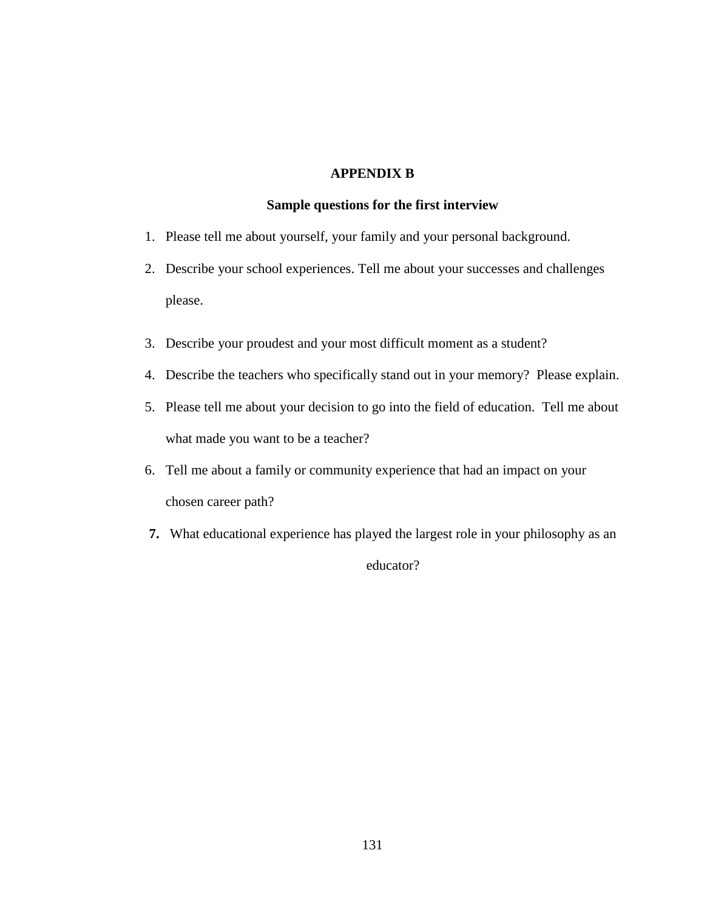## **APPENDIX B**

#### **Sample questions for the first interview**

- 1. Please tell me about yourself, your family and your personal background.
- 2. Describe your school experiences. Tell me about your successes and challenges please.
- 3. Describe your proudest and your most difficult moment as a student?
- 4. Describe the teachers who specifically stand out in your memory? Please explain.
- 5. Please tell me about your decision to go into the field of education. Tell me about what made you want to be a teacher?
- 6. Tell me about a family or community experience that had an impact on your chosen career path?
- **7.** What educational experience has played the largest role in your philosophy as an

educator?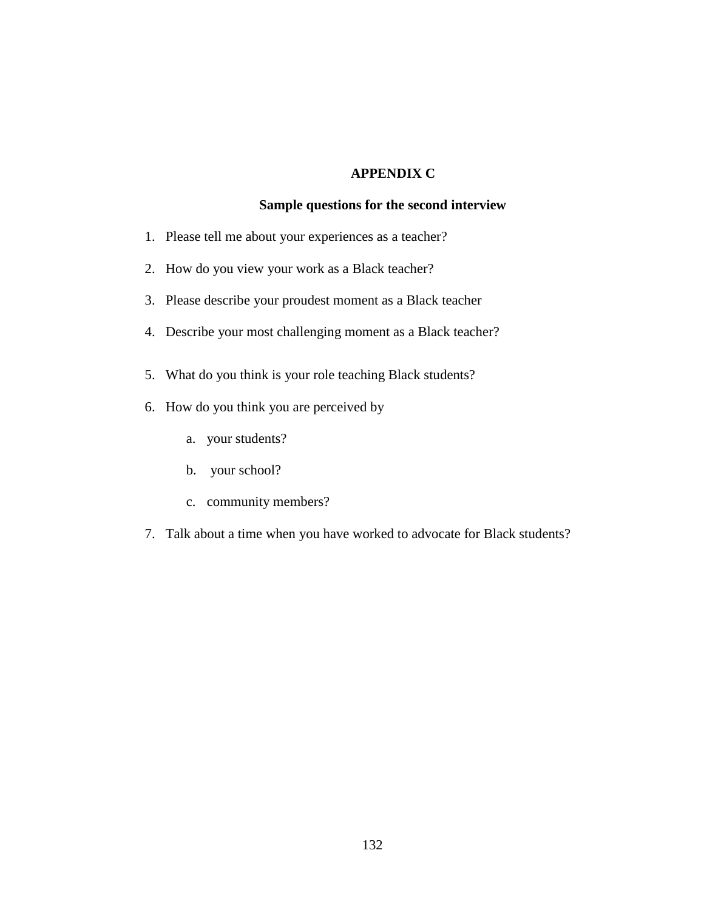## **APPENDIX C**

# **Sample questions for the second interview**

- 1. Please tell me about your experiences as a teacher?
- 2. How do you view your work as a Black teacher?
- 3. Please describe your proudest moment as a Black teacher
- 4. Describe your most challenging moment as a Black teacher?
- 5. What do you think is your role teaching Black students?
- 6. How do you think you are perceived by
	- a. your students?
	- b. your school?
	- c. community members?
- 7. Talk about a time when you have worked to advocate for Black students?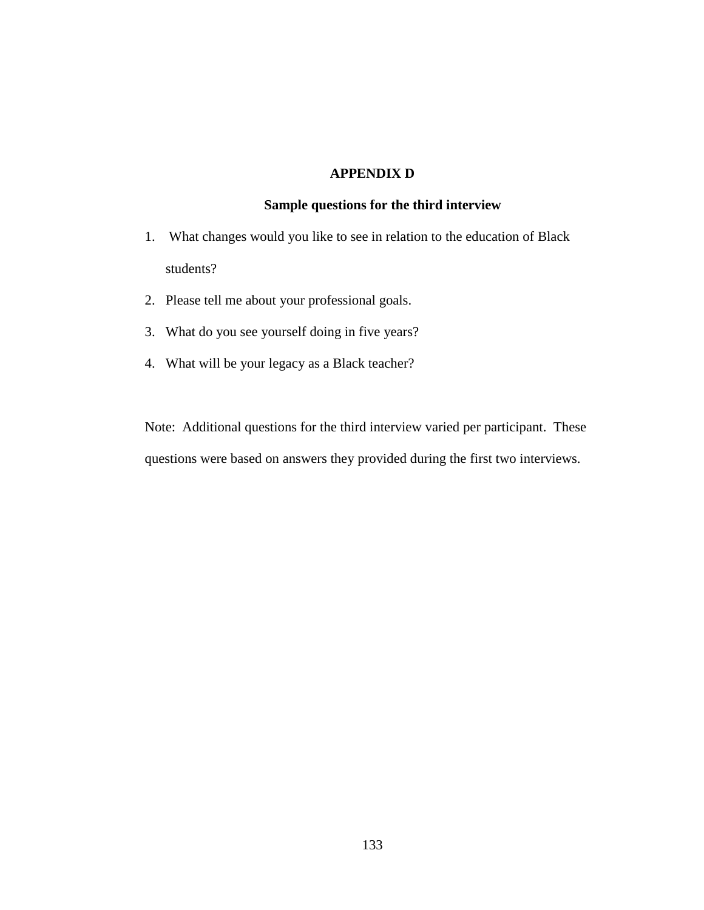# **APPENDIX D**

# **Sample questions for the third interview**

- 1. What changes would you like to see in relation to the education of Black students?
- 2. Please tell me about your professional goals.
- 3. What do you see yourself doing in five years?
- 4. What will be your legacy as a Black teacher?

Note: Additional questions for the third interview varied per participant. These questions were based on answers they provided during the first two interviews.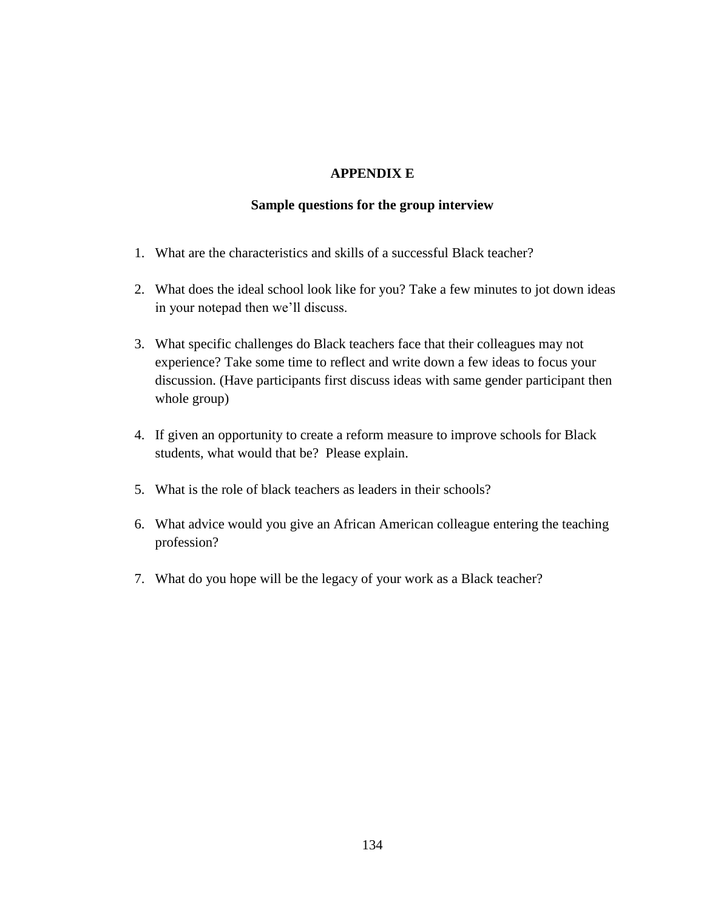## **APPENDIX E**

### **Sample questions for the group interview**

- 1. What are the characteristics and skills of a successful Black teacher?
- 2. What does the ideal school look like for you? Take a few minutes to jot down ideas in your notepad then we'll discuss.
- 3. What specific challenges do Black teachers face that their colleagues may not experience? Take some time to reflect and write down a few ideas to focus your discussion. (Have participants first discuss ideas with same gender participant then whole group)
- 4. If given an opportunity to create a reform measure to improve schools for Black students, what would that be? Please explain.
- 5. What is the role of black teachers as leaders in their schools?
- 6. What advice would you give an African American colleague entering the teaching profession?
- 7. What do you hope will be the legacy of your work as a Black teacher?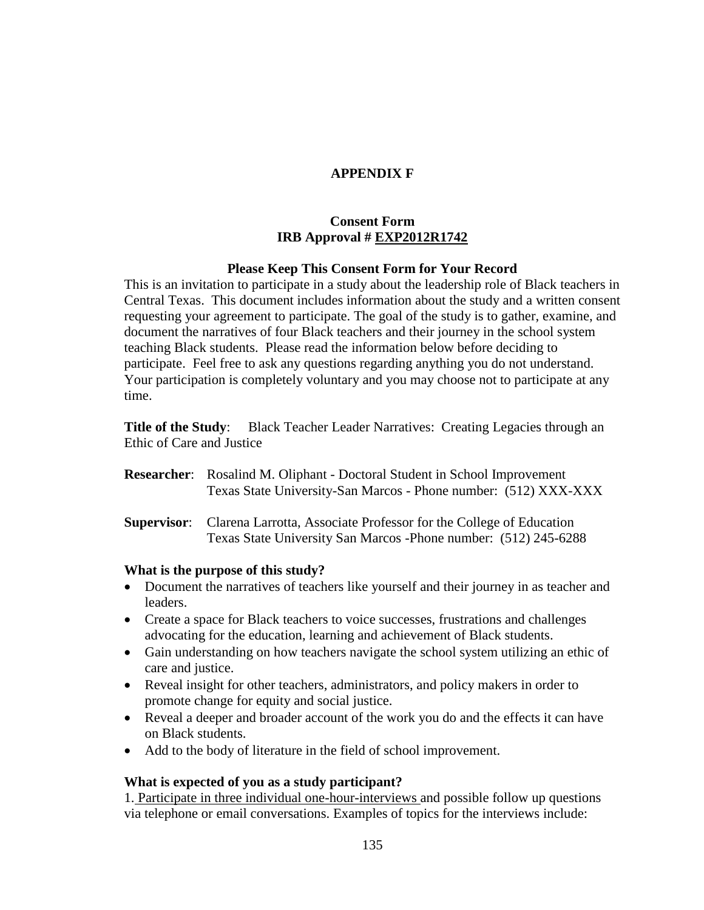# **APPENDIX F**

# **Consent Form IRB Approval # EXP2012R1742**

## **Please Keep This Consent Form for Your Record**

This is an invitation to participate in a study about the leadership role of Black teachers in Central Texas. This document includes information about the study and a written consent requesting your agreement to participate. The goal of the study is to gather, examine, and document the narratives of four Black teachers and their journey in the school system teaching Black students. Please read the information below before deciding to participate. Feel free to ask any questions regarding anything you do not understand. Your participation is completely voluntary and you may choose not to participate at any time.

**Title of the Study**: Black Teacher Leader Narratives: Creating Legacies through an Ethic of Care and Justice

- **Researcher**: Rosalind M. Oliphant Doctoral Student in School Improvement Texas State University-San Marcos - Phone number: (512) XXX-XXX
- **Supervisor**: Clarena Larrotta, Associate Professor for the College of Education Texas State University San Marcos -Phone number: (512) 245-6288

## **What is the purpose of this study?**

- Document the narratives of teachers like yourself and their journey in as teacher and leaders.
- Create a space for Black teachers to voice successes, frustrations and challenges advocating for the education, learning and achievement of Black students.
- Gain understanding on how teachers navigate the school system utilizing an ethic of care and justice.
- Reveal insight for other teachers, administrators, and policy makers in order to promote change for equity and social justice.
- Reveal a deeper and broader account of the work you do and the effects it can have on Black students.
- Add to the body of literature in the field of school improvement.

## **What is expected of you as a study participant?**

1. Participate in three individual one-hour-interviews and possible follow up questions via telephone or email conversations. Examples of topics for the interviews include: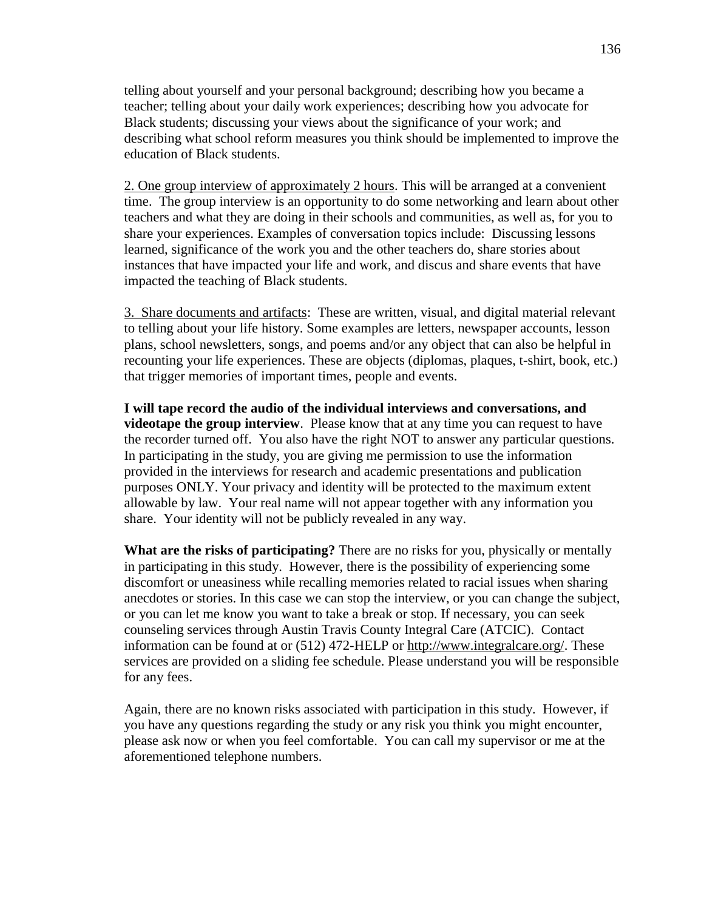telling about yourself and your personal background; describing how you became a teacher; telling about your daily work experiences; describing how you advocate for Black students; discussing your views about the significance of your work; and describing what school reform measures you think should be implemented to improve the education of Black students.

2. One group interview of approximately 2 hours. This will be arranged at a convenient time. The group interview is an opportunity to do some networking and learn about other teachers and what they are doing in their schools and communities, as well as, for you to share your experiences. Examples of conversation topics include: Discussing lessons learned, significance of the work you and the other teachers do, share stories about instances that have impacted your life and work, and discus and share events that have impacted the teaching of Black students.

3. Share documents and artifacts: These are written, visual, and digital material relevant to telling about your life history. Some examples are letters, newspaper accounts, lesson plans, school newsletters, songs, and poems and/or any object that can also be helpful in recounting your life experiences. These are objects (diplomas, plaques, t-shirt, book, etc.) that trigger memories of important times, people and events.

**I will tape record the audio of the individual interviews and conversations, and videotape the group interview**. Please know that at any time you can request to have the recorder turned off. You also have the right NOT to answer any particular questions. In participating in the study, you are giving me permission to use the information provided in the interviews for research and academic presentations and publication purposes ONLY. Your privacy and identity will be protected to the maximum extent allowable by law. Your real name will not appear together with any information you share. Your identity will not be publicly revealed in any way.

**What are the risks of participating?** There are no risks for you, physically or mentally in participating in this study. However, there is the possibility of experiencing some discomfort or uneasiness while recalling memories related to racial issues when sharing anecdotes or stories. In this case we can stop the interview, or you can change the subject, or you can let me know you want to take a break or stop. If necessary, you can seek counseling services through Austin Travis County Integral Care (ATCIC). Contact information can be found at or (512) 472-HELP or [http://www.integralcare.org/.](http://www.integralcare.org/) These services are provided on a sliding fee schedule. Please understand you will be responsible for any fees.

Again, there are no known risks associated with participation in this study. However, if you have any questions regarding the study or any risk you think you might encounter, please ask now or when you feel comfortable. You can call my supervisor or me at the aforementioned telephone numbers.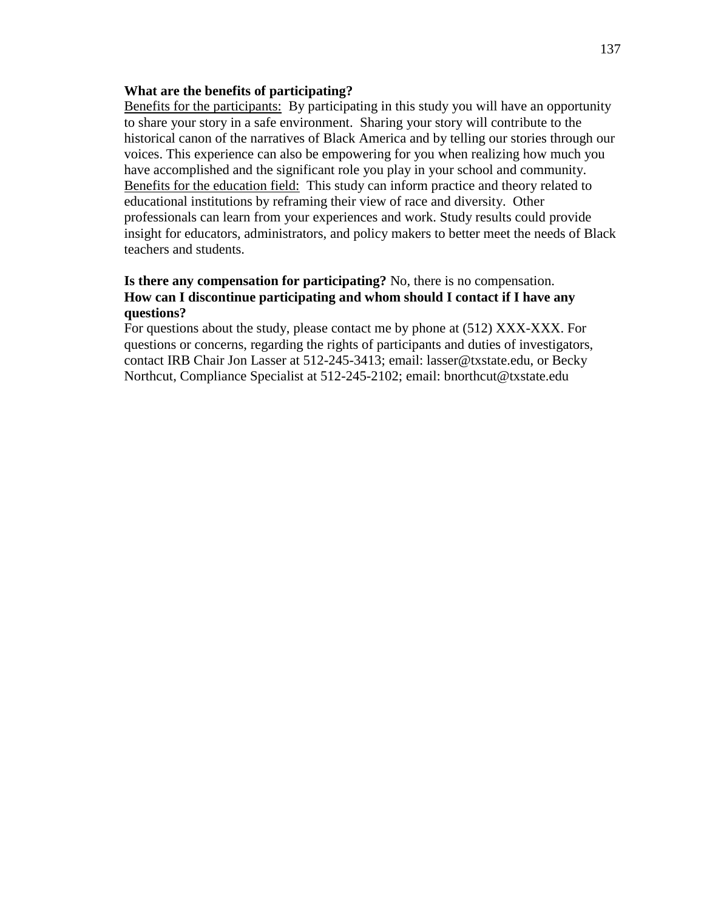### **What are the benefits of participating?**

Benefits for the participants: By participating in this study you will have an opportunity to share your story in a safe environment. Sharing your story will contribute to the historical canon of the narratives of Black America and by telling our stories through our voices. This experience can also be empowering for you when realizing how much you have accomplished and the significant role you play in your school and community. Benefits for the education field: This study can inform practice and theory related to educational institutions by reframing their view of race and diversity. Other professionals can learn from your experiences and work. Study results could provide insight for educators, administrators, and policy makers to better meet the needs of Black teachers and students.

## **Is there any compensation for participating?** No, there is no compensation. **How can I discontinue participating and whom should I contact if I have any questions?**

For questions about the study, please contact me by phone at (512) XXX-XXX. For questions or concerns, regarding the rights of participants and duties of investigators, contact IRB Chair Jon Lasser at 512-245-3413; email: lasser@txstate.edu, or Becky Northcut, Compliance Specialist at 512-245-2102; email: bnorthcut@txstate.edu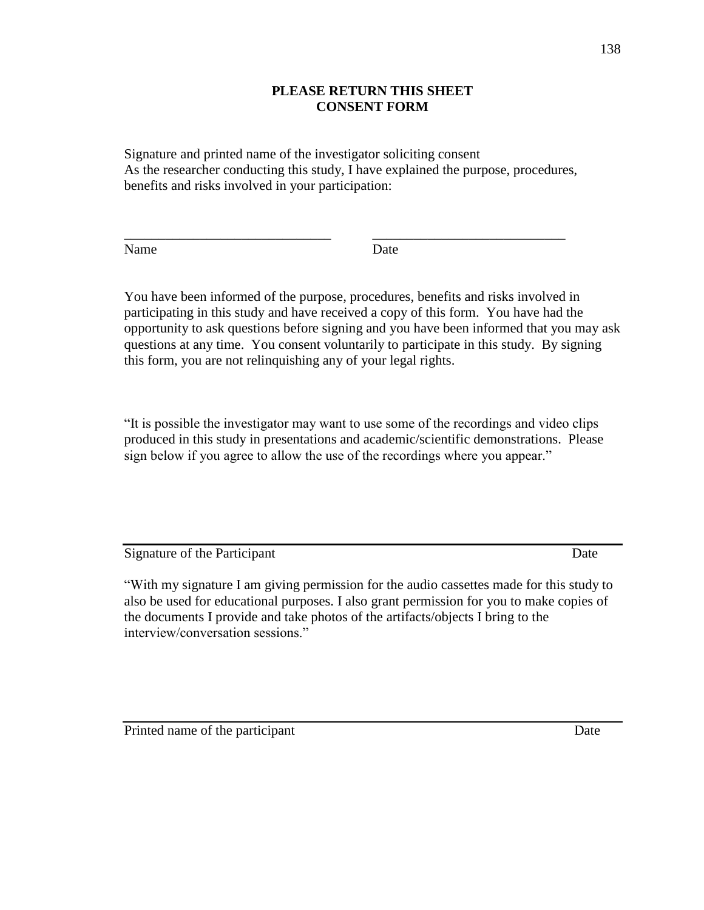# **PLEASE RETURN THIS SHEET CONSENT FORM**

Signature and printed name of the investigator soliciting consent As the researcher conducting this study, I have explained the purpose, procedures, benefits and risks involved in your participation:

\_\_\_\_\_\_\_\_\_\_\_\_\_\_\_\_\_\_\_\_\_\_\_\_\_\_\_\_\_\_ \_\_\_\_\_\_\_\_\_\_\_\_\_\_\_\_\_\_\_\_\_\_\_\_\_\_\_\_

Name Date

You have been informed of the purpose, procedures, benefits and risks involved in participating in this study and have received a copy of this form. You have had the opportunity to ask questions before signing and you have been informed that you may ask questions at any time. You consent voluntarily to participate in this study. By signing this form, you are not relinquishing any of your legal rights.

"It is possible the investigator may want to use some of the recordings and video clips produced in this study in presentations and academic/scientific demonstrations. Please sign below if you agree to allow the use of the recordings where you appear."

Signature of the Participant Date

"With my signature I am giving permission for the audio cassettes made for this study to also be used for educational purposes. I also grant permission for you to make copies of the documents I provide and take photos of the artifacts/objects I bring to the interview/conversation sessions."

Printed name of the participant Date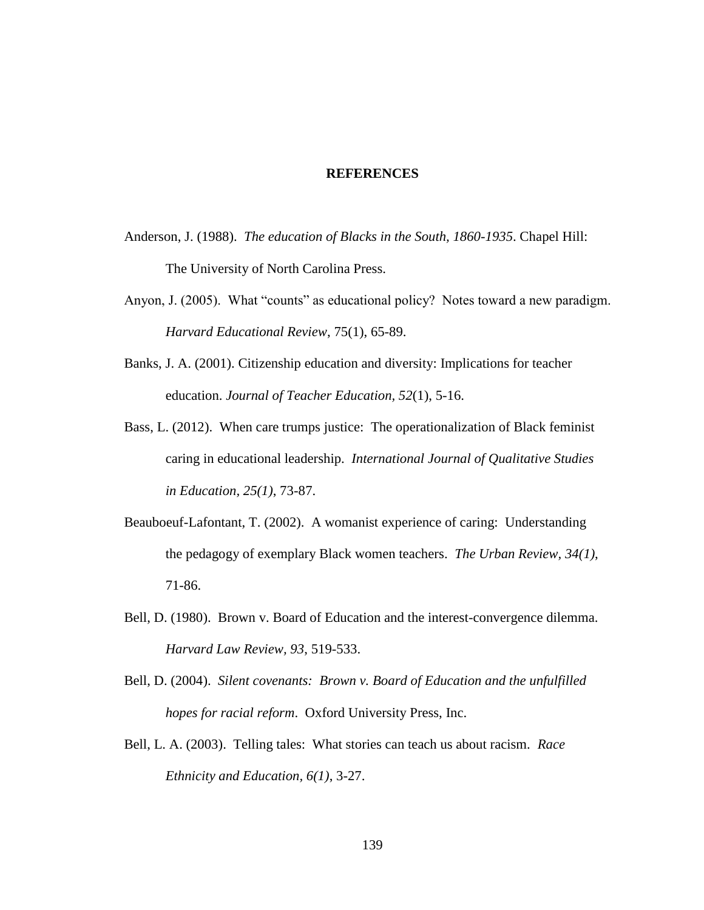#### **REFERENCES**

- Anderson, J. (1988). *The education of Blacks in the South, 1860-1935*. Chapel Hill: The University of North Carolina Press.
- Anyon, J. (2005). What "counts" as educational policy? Notes toward a new paradigm. *Harvard Educational Review*, 75(1), 65-89.
- Banks, J. A. (2001). Citizenship education and diversity: Implications for teacher education. *Journal of Teacher Education, 52*(1), 5-16.
- Bass, L. (2012). When care trumps justice: The operationalization of Black feminist caring in educational leadership. *International Journal of Qualitative Studies in Education, 25(1)*, 73-87.
- Beauboeuf-Lafontant, T. (2002). A womanist experience of caring: Understanding the pedagogy of exemplary Black women teachers. *The Urban Review, 34(1)*, 71-86.
- Bell, D. (1980). Brown v. Board of Education and the interest-convergence dilemma. *Harvard Law Review, 93*, 519-533.
- Bell, D. (2004). *Silent covenants: Brown v. Board of Education and the unfulfilled hopes for racial reform*. Oxford University Press, Inc.
- Bell, L. A. (2003). Telling tales: What stories can teach us about racism. *Race Ethnicity and Education, 6(1)*, 3-27.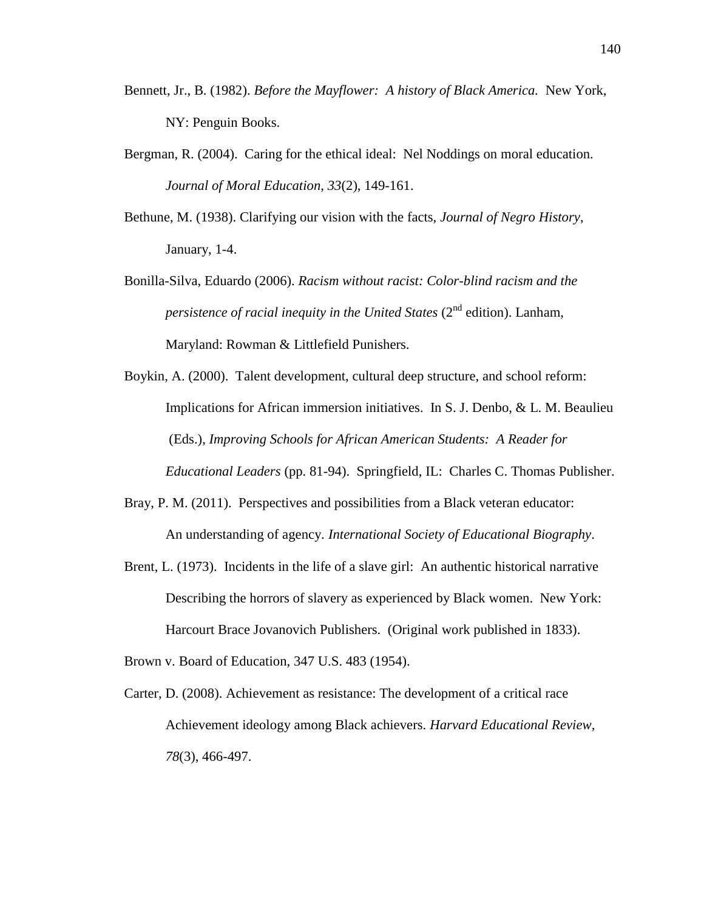- Bennett, Jr., B. (1982). *Before the Mayflower: A history of Black America.* New York, NY: Penguin Books.
- Bergman, R. (2004). Caring for the ethical ideal: Nel Noddings on moral education. *Journal of Moral Education, 33*(2), 149-161.
- Bethune, M. (1938). Clarifying our vision with the facts, *Journal of Negro History*, January, 1-4.
- Bonilla-Silva, Eduardo (2006). *Racism without racist: Color-blind racism and the persistence of racial inequity in the United States* (2<sup>nd</sup> edition). Lanham, Maryland: Rowman & Littlefield Punishers.
- Boykin, A. (2000). Talent development, cultural deep structure, and school reform: Implications for African immersion initiatives. In S. J. Denbo, & L. M. Beaulieu (Eds.), *Improving Schools for African American Students: A Reader for Educational Leaders* (pp. 81-94). Springfield, IL: Charles C. Thomas Publisher.
- Bray, P. M. (2011). Perspectives and possibilities from a Black veteran educator: An understanding of agency. *International Society of Educational Biography*.
- Brent, L. (1973). Incidents in the life of a slave girl: An authentic historical narrative Describing the horrors of slavery as experienced by Black women. New York: Harcourt Brace Jovanovich Publishers. (Original work published in 1833).
- Brown v. Board of Education, 347 U.S. 483 (1954).
- Carter, D. (2008). Achievement as resistance: The development of a critical race Achievement ideology among Black achievers. *Harvard Educational Review, 78*(3), 466-497.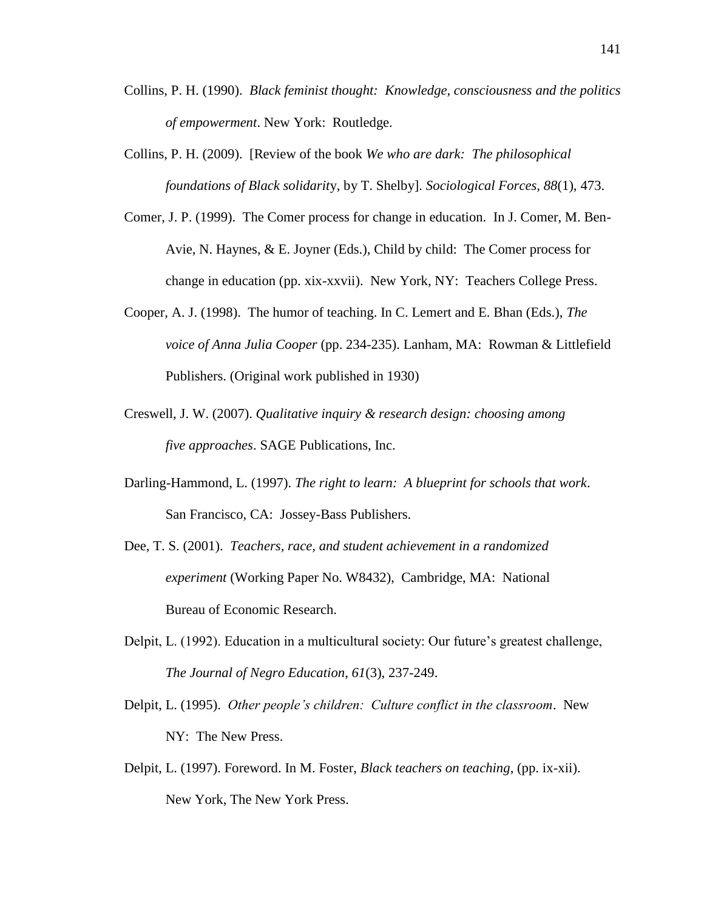- Collins, P. H. (1990). *Black feminist thought: Knowledge, consciousness and the politics of empowerment*. New York: Routledge.
- Collins, P. H. (2009). [Review of the book *We who are dark: The philosophical foundations of Black solidarit*y, by T. Shelby]. *Sociological Forces, 88*(1), 473.
- Comer, J. P. (1999). The Comer process for change in education. In J. Comer, M. Ben-Avie, N. Haynes, & E. Joyner (Eds.), Child by child: The Comer process for change in education (pp. xix-xxvii). New York, NY: Teachers College Press.
- Cooper, A. J. (1998). The humor of teaching. In C. Lemert and E. Bhan (Eds.), *The voice of Anna Julia Cooper* (pp. 234-235). Lanham, MA: Rowman & Littlefield Publishers. (Original work published in 1930)
- Creswell, J. W. (2007). *Qualitative inquiry & research design: choosing among five approaches*. SAGE Publications, Inc.
- Darling-Hammond, L. (1997). *The right to learn: A blueprint for schools that work*. San Francisco, CA: Jossey-Bass Publishers.
- Dee, T. S. (2001). *Teachers, race, and student achievement in a randomized experiment* (Working Paper No. W8432), Cambridge, MA: National Bureau of Economic Research.
- Delpit, L. (1992). Education in a multicultural society: Our future's greatest challenge, *The Journal of Negro Education, 61*(3), 237-249.
- Delpit, L. (1995). *Other people's children: Culture conflict in the classroom*. New NY: The New Press.
- Delpit, L. (1997). Foreword. In M. Foster, *Black teachers on teaching*, (pp. ix-xii). New York, The New York Press.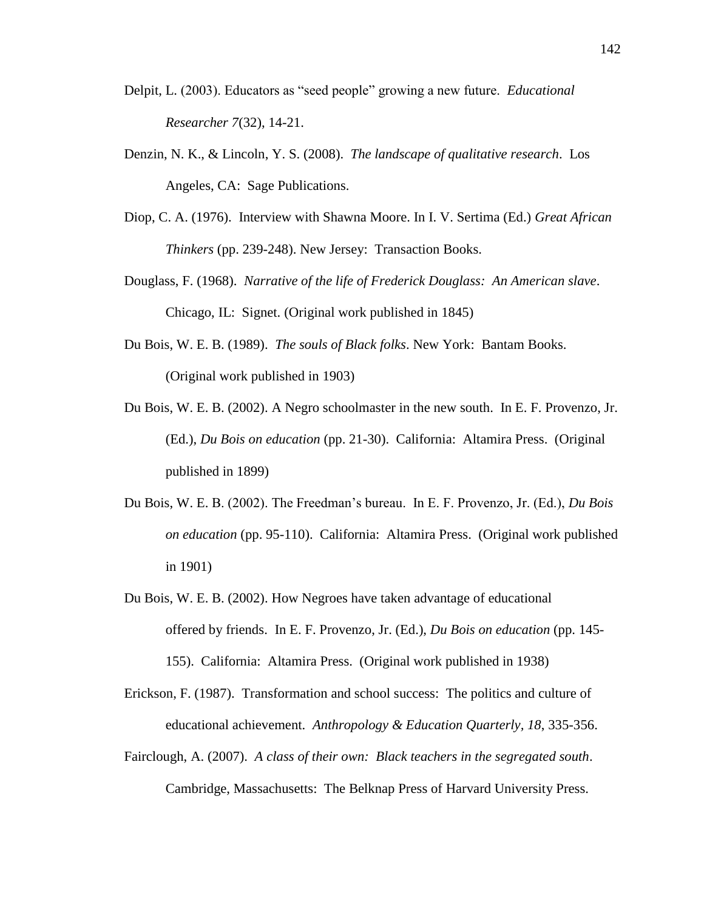- Delpit, L. (2003). Educators as "seed people" growing a new future. *Educational Researcher 7*(32), 14-21.
- Denzin, N. K., & Lincoln, Y. S. (2008). *The landscape of qualitative research*. Los Angeles, CA: Sage Publications.
- Diop, C. A. (1976). Interview with Shawna Moore. In I. V. Sertima (Ed.) *Great African Thinkers* (pp. 239-248). New Jersey: Transaction Books.
- Douglass, F. (1968). *Narrative of the life of Frederick Douglass: An American slave*. Chicago, IL: Signet. (Original work published in 1845)
- Du Bois, W. E. B. (1989). *The souls of Black folks*. New York: Bantam Books. (Original work published in 1903)
- Du Bois, W. E. B. (2002). A Negro schoolmaster in the new south. In E. F. Provenzo, Jr. (Ed.), *Du Bois on education* (pp. 21-30). California: Altamira Press. (Original published in 1899)
- Du Bois, W. E. B. (2002). The Freedman's bureau. In E. F. Provenzo, Jr. (Ed.), *Du Bois on education* (pp. 95-110). California: Altamira Press. (Original work published in 1901)
- Du Bois, W. E. B. (2002). How Negroes have taken advantage of educational offered by friends. In E. F. Provenzo, Jr. (Ed.), *Du Bois on education* (pp. 145- 155). California: Altamira Press. (Original work published in 1938)
- Erickson, F. (1987). Transformation and school success: The politics and culture of educational achievement. *Anthropology & Education Quarterly, 18*, 335-356.
- Fairclough, A. (2007). *A class of their own: Black teachers in the segregated south*. Cambridge, Massachusetts: The Belknap Press of Harvard University Press.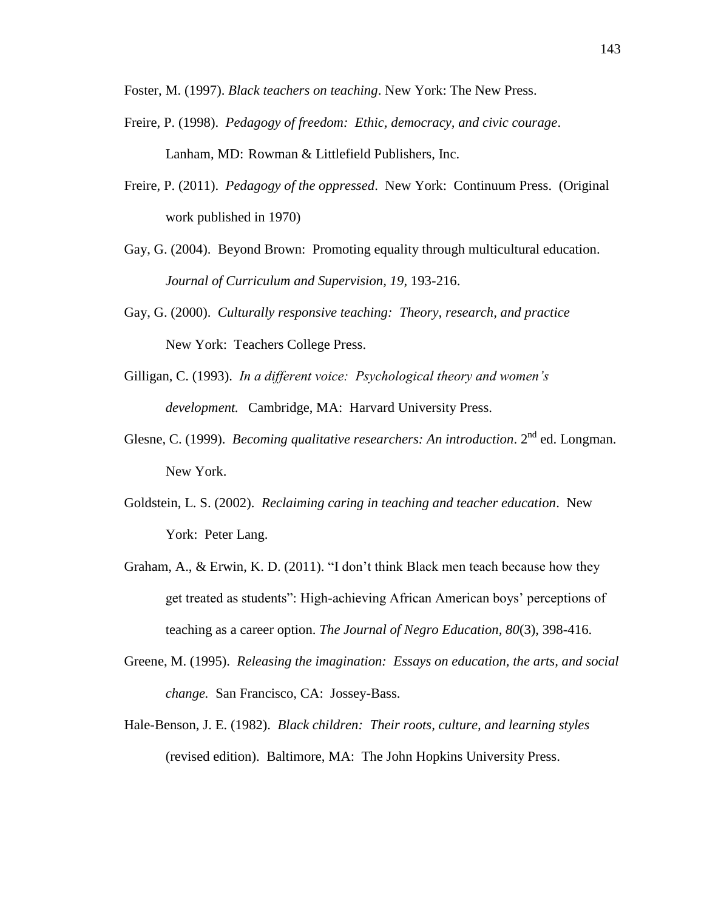Foster, M. (1997). *Black teachers on teaching*. New York: The New Press.

- Freire, P. (1998). *Pedagogy of freedom: Ethic, democracy, and civic courage*. Lanham, MD: Rowman & Littlefield Publishers, Inc.
- Freire, P. (2011). *Pedagogy of the oppressed*. New York: Continuum Press. (Original work published in 1970)
- Gay, G. (2004). Beyond Brown: Promoting equality through multicultural education. *Journal of Curriculum and Supervision, 19*, 193-216.
- Gay, G. (2000). *Culturally responsive teaching: Theory, research, and practice* New York: Teachers College Press.
- Gilligan, C. (1993). *In a different voice: Psychological theory and women's development.* Cambridge, MA: Harvard University Press.
- Glesne, C. (1999). *Becoming qualitative researchers: An introduction*. 2<sup>nd</sup> ed. Longman. New York.
- Goldstein, L. S. (2002). *Reclaiming caring in teaching and teacher education*. New York: Peter Lang.
- Graham, A., & Erwin, K. D. (2011). "I don't think Black men teach because how they get treated as students": High-achieving African American boys' perceptions of teaching as a career option. *The Journal of Negro Education, 80*(3), 398-416.
- Greene, M. (1995). *Releasing the imagination: Essays on education, the arts, and social change.* San Francisco, CA: Jossey-Bass.
- Hale-Benson, J. E. (1982). *Black children: Their roots, culture, and learning styles* (revised edition). Baltimore, MA: The John Hopkins University Press.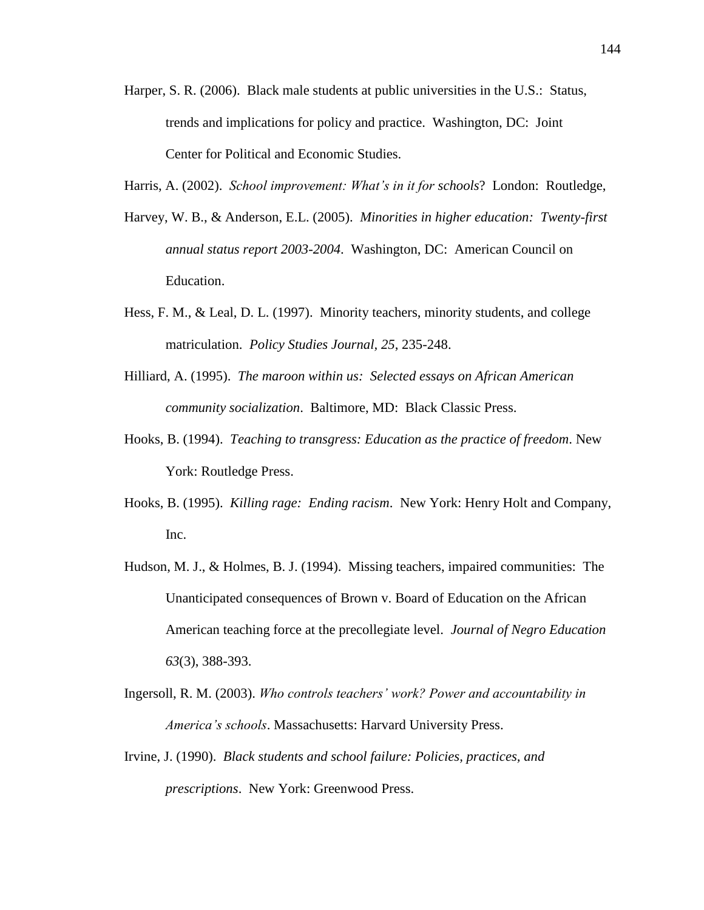- Harper, S. R. (2006). Black male students at public universities in the U.S.: Status, trends and implications for policy and practice. Washington, DC: Joint Center for Political and Economic Studies.
- Harris, A. (2002). *School improvement: What's in it for schools*? London: Routledge,
- Harvey, W. B., & Anderson, E.L. (2005). *Minorities in higher education: Twenty-first annual status report 2003-2004*. Washington, DC: American Council on Education.
- Hess, F. M., & Leal, D. L. (1997). Minority teachers, minority students, and college matriculation. *Policy Studies Journal, 25*, 235-248.
- Hilliard, A. (1995). *The maroon within us: Selected essays on African American community socialization*. Baltimore, MD: Black Classic Press.
- Hooks, B. (1994). *Teaching to transgress: Education as the practice of freedom*. New York: Routledge Press.
- Hooks, B. (1995). *Killing rage: Ending racism*. New York: Henry Holt and Company, Inc.
- Hudson, M. J., & Holmes, B. J. (1994). Missing teachers, impaired communities: The Unanticipated consequences of Brown v. Board of Education on the African American teaching force at the precollegiate level. *Journal of Negro Education 63*(3), 388-393.
- Ingersoll, R. M. (2003). *Who controls teachers' work? Power and accountability in America's schools*. Massachusetts: Harvard University Press.
- Irvine, J. (1990). *Black students and school failure: Policies, practices, and prescriptions*. New York: Greenwood Press.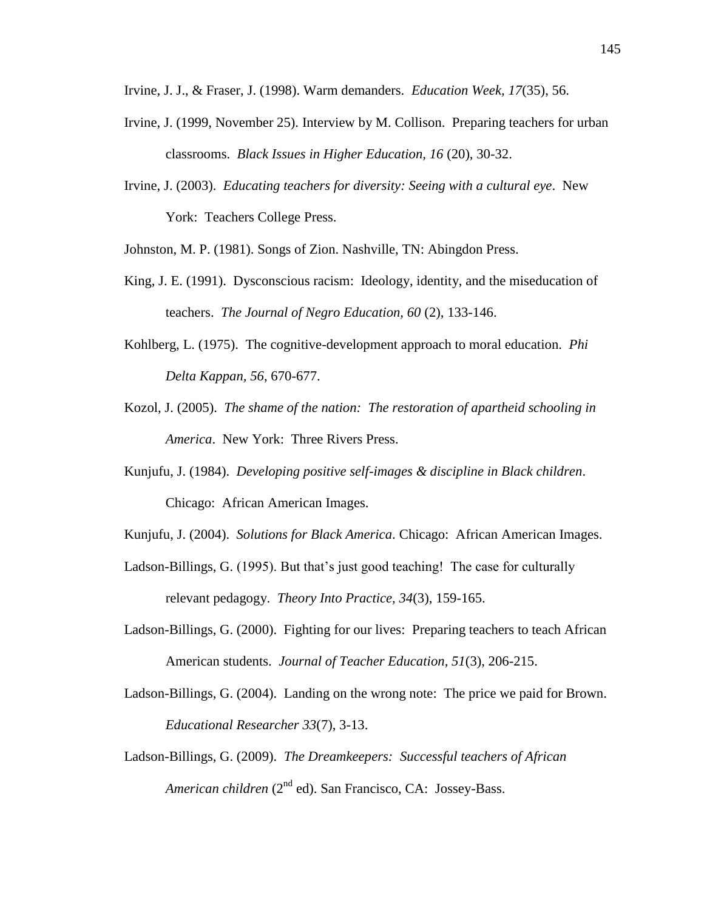Irvine, J. J., & Fraser, J. (1998). Warm demanders. *Education Week, 17*(35), 56.

- Irvine, J. (1999, November 25). Interview by M. Collison. Preparing teachers for urban classrooms. *Black Issues in Higher Education, 16* (20), 30-32.
- Irvine, J. (2003). *Educating teachers for diversity: Seeing with a cultural eye*. New York: Teachers College Press.

Johnston, M. P. (1981). Songs of Zion. Nashville, TN: Abingdon Press.

- King, J. E. (1991). Dysconscious racism: Ideology, identity, and the miseducation of teachers. *The Journal of Negro Education, 60* (2), 133-146.
- Kohlberg, L. (1975). The cognitive-development approach to moral education. *Phi Delta Kappan, 56*, 670-677.
- Kozol, J. (2005). *The shame of the nation: The restoration of apartheid schooling in America*. New York: Three Rivers Press.
- Kunjufu, J. (1984). *Developing positive self-images & discipline in Black children*. Chicago: African American Images.
- Kunjufu, J. (2004). *Solutions for Black America*. Chicago: African American Images.
- Ladson-Billings, G. (1995). But that's just good teaching! The case for culturally relevant pedagogy. *Theory Into Practice, 34*(3), 159-165.
- Ladson-Billings, G. (2000). Fighting for our lives: Preparing teachers to teach African American students. *Journal of Teacher Education, 51*(3), 206-215.
- Ladson-Billings, G. (2004). Landing on the wrong note: The price we paid for Brown. *Educational Researcher 33*(7), 3-13.
- Ladson-Billings, G. (2009). *The Dreamkeepers: Successful teachers of African American children* (2<sup>nd</sup> ed). San Francisco, CA: Jossey-Bass.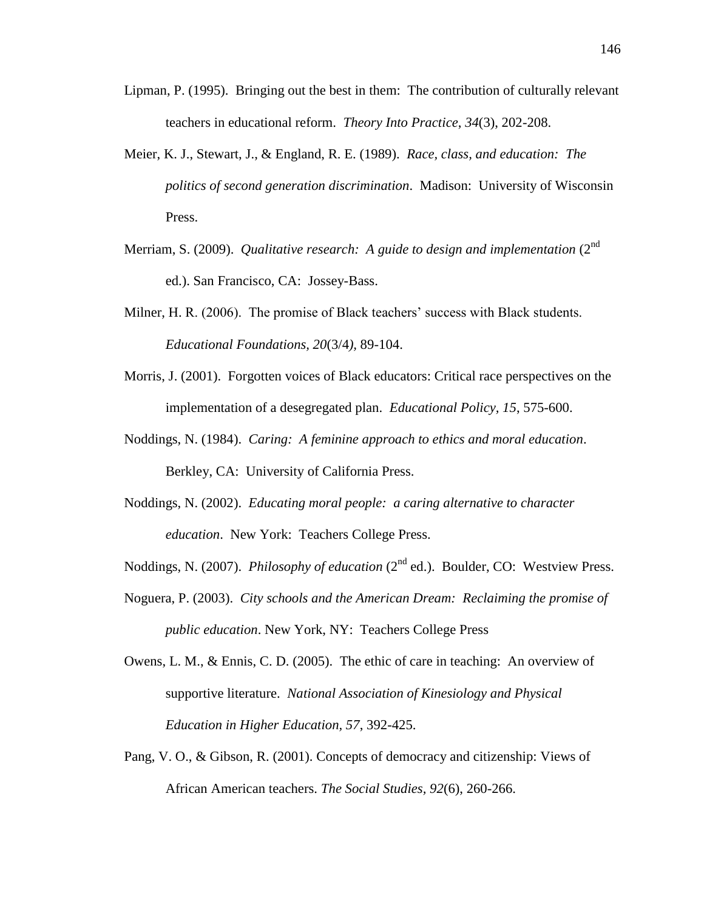- Lipman, P. (1995). Bringing out the best in them: The contribution of culturally relevant teachers in educational reform. *Theory Into Practice*, *34*(3), 202-208.
- Meier, K. J., Stewart, J., & England, R. E. (1989). *Race, class, and education: The politics of second generation discrimination*. Madison: University of Wisconsin Press.
- Merriam, S. (2009). *Qualitative research: A guide to design and implementation* (2<sup>nd</sup> ed.). San Francisco, CA: Jossey-Bass.
- Milner, H. R. (2006). The promise of Black teachers' success with Black students. *Educational Foundations, 20*(3/4*),* 89-104.
- Morris, J. (2001). Forgotten voices of Black educators: Critical race perspectives on the implementation of a desegregated plan. *Educational Policy, 15*, 575-600.
- Noddings, N. (1984). *Caring: A feminine approach to ethics and moral education*. Berkley, CA: University of California Press.
- Noddings, N. (2002). *Educating moral people: a caring alternative to character education*. New York: Teachers College Press.
- Noddings, N. (2007). *Philosophy of education* (2<sup>nd</sup> ed.). Boulder, CO: Westview Press.
- Noguera, P. (2003). *City schools and the American Dream: Reclaiming the promise of public education*. New York, NY: Teachers College Press
- Owens, L. M., & Ennis, C. D. (2005). The ethic of care in teaching: An overview of supportive literature. *National Association of Kinesiology and Physical Education in Higher Education, 57*, 392-425.
- Pang, V. O., & Gibson, R. (2001). Concepts of democracy and citizenship: Views of African American teachers. *The Social Studies, 92*(6), 260-266.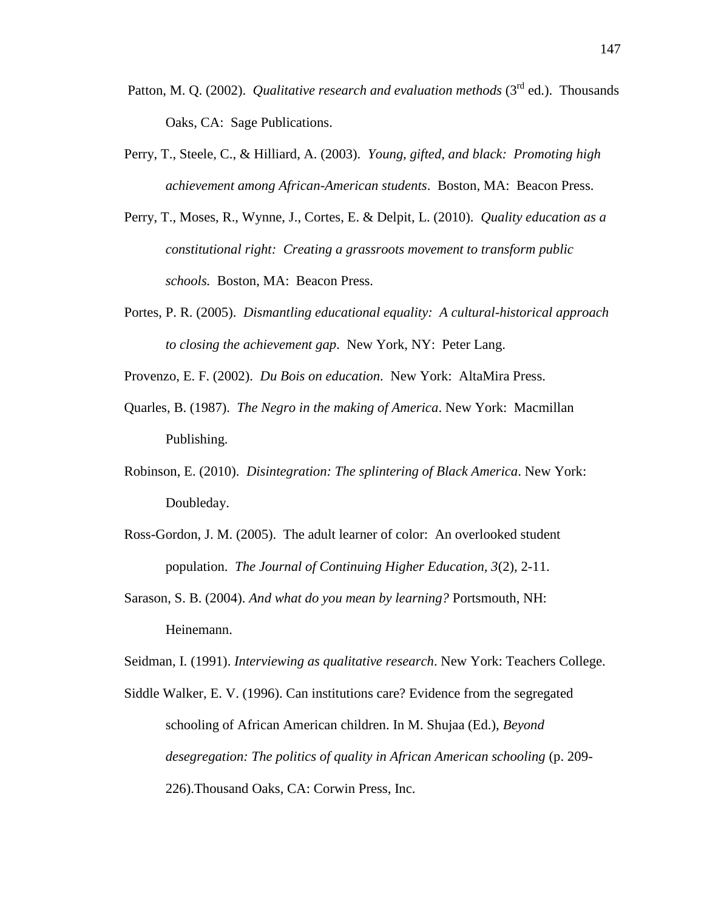- Patton, M. Q. (2002). *Qualitative research and evaluation methods* (3<sup>rd</sup> ed.). Thousands Oaks, CA: Sage Publications.
- Perry, T., Steele, C., & Hilliard, A. (2003). *Young, gifted, and black: Promoting high achievement among African-American students*. Boston, MA: Beacon Press.
- Perry, T., Moses, R., Wynne, J., Cortes, E. & Delpit, L. (2010). *Quality education as a constitutional right: Creating a grassroots movement to transform public schools.* Boston, MA: Beacon Press.
- Portes, P. R. (2005). *Dismantling educational equality: A cultural-historical approach to closing the achievement gap*. New York, NY: Peter Lang.
- Provenzo, E. F. (2002). *Du Bois on education*. New York: AltaMira Press.
- Quarles, B. (1987). *The Negro in the making of America*. New York: Macmillan Publishing.
- Robinson, E. (2010). *Disintegration: The splintering of Black America*. New York: Doubleday.
- Ross-Gordon, J. M. (2005). The adult learner of color: An overlooked student population. *The Journal of Continuing Higher Education, 3*(2), 2-11.
- Sarason, S. B. (2004). *And what do you mean by learning?* Portsmouth, NH: Heinemann.

Seidman, I. (1991). *Interviewing as qualitative research*. New York: Teachers College.

Siddle Walker, E. V. (1996). Can institutions care? Evidence from the segregated schooling of African American children. In M. Shujaa (Ed.), *Beyond desegregation: The politics of quality in African American schooling* (p. 209- 226).Thousand Oaks, CA: Corwin Press, Inc.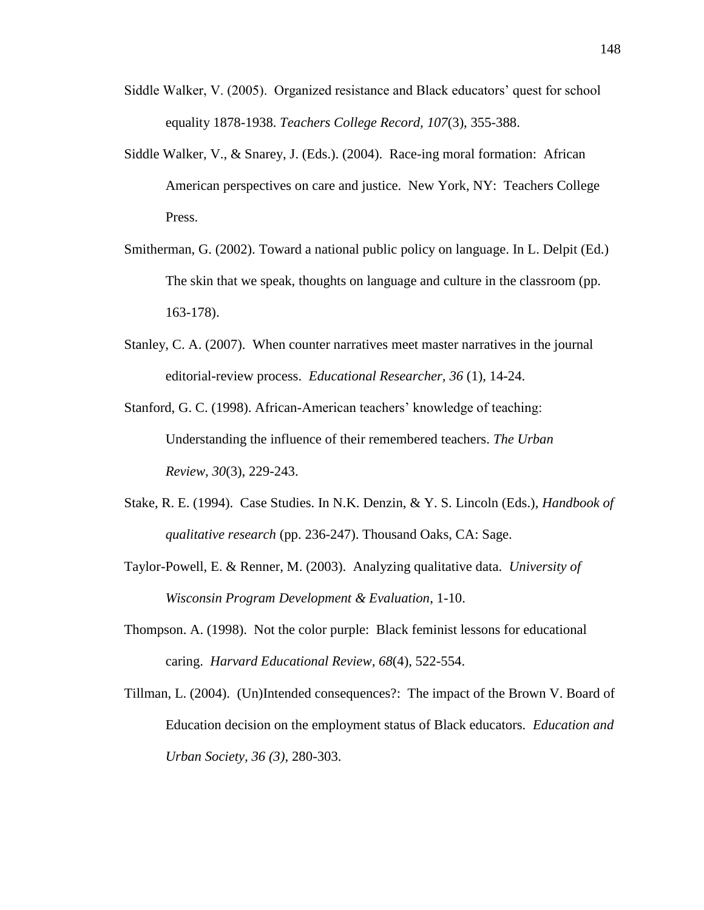- Siddle Walker, V. (2005). Organized resistance and Black educators' quest for school equality 1878-1938. *Teachers College Record, 107*(3), 355-388.
- Siddle Walker, V., & Snarey, J. (Eds.). (2004). Race-ing moral formation: African American perspectives on care and justice. New York, NY: Teachers College Press.
- Smitherman, G. (2002). Toward a national public policy on language. In L. Delpit (Ed.) The skin that we speak, thoughts on language and culture in the classroom (pp. 163-178).
- Stanley, C. A. (2007). When counter narratives meet master narratives in the journal editorial-review process. *Educational Researcher, 36* (1), 14-24.
- Stanford, G. C. (1998). African-American teachers' knowledge of teaching: Understanding the influence of their remembered teachers. *The Urban Review, 30*(3), 229-243.
- Stake, R. E. (1994). Case Studies. In N.K. Denzin, & Y. S. Lincoln (Eds.), *Handbook of qualitative research* (pp. 236-247). Thousand Oaks, CA: Sage.
- Taylor-Powell, E. & Renner, M. (2003). Analyzing qualitative data. *University of Wisconsin Program Development & Evaluation*, 1-10.
- Thompson. A. (1998). Not the color purple: Black feminist lessons for educational caring. *Harvard Educational Review, 68*(4), 522-554.
- Tillman, L. (2004). (Un)Intended consequences?: The impact of the Brown V. Board of Education decision on the employment status of Black educators. *Education and Urban Society, 36 (3)*, 280-303.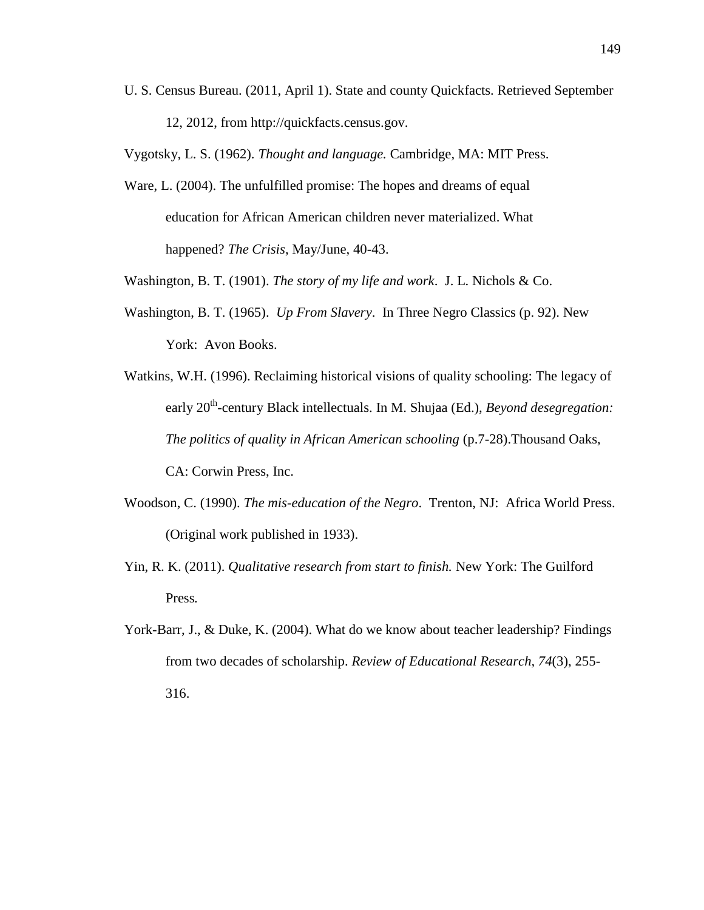U. S. Census Bureau. (2011, April 1). State and county Quickfacts. Retrieved September 12, 2012, from http://quickfacts.census.gov.

Vygotsky, L. S. (1962). *Thought and language.* Cambridge, MA: MIT Press.

Ware, L. (2004). The unfulfilled promise: The hopes and dreams of equal education for African American children never materialized. What happened? *The Crisis*, May/June, 40-43.

Washington, B. T. (1901). *The story of my life and work*. J. L. Nichols & Co.

- Washington, B. T. (1965). *Up From Slavery*. In Three Negro Classics (p. 92). New York: Avon Books.
- Watkins, W.H. (1996). Reclaiming historical visions of quality schooling: The legacy of early 20<sup>th</sup>-century Black intellectuals. In M. Shujaa (Ed.), *Beyond desegregation*: *The politics of quality in African American schooling* (p.7-28).Thousand Oaks, CA: Corwin Press, Inc.
- Woodson, C. (1990). *The mis-education of the Negro*. Trenton, NJ: Africa World Press. (Original work published in 1933).
- Yin, R. K. (2011). *Qualitative research from start to finish.* New York: The Guilford Press*.*
- York-Barr, J., & Duke, K. (2004). What do we know about teacher leadership? Findings from two decades of scholarship. *Review of Educational Research, 74*(3), 255- 316.